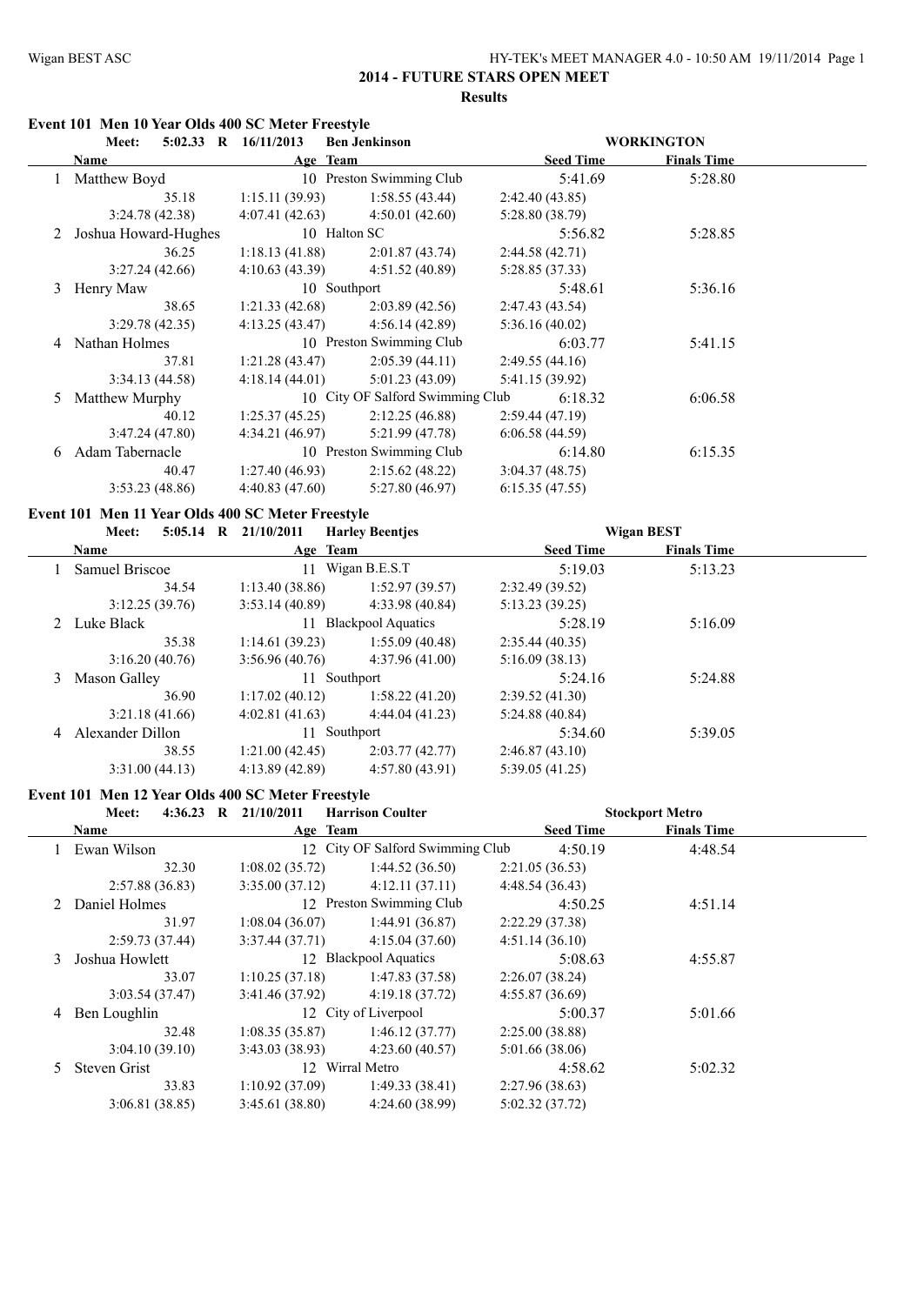#### **2014 - FUTURE STARS OPEN MEET Results**

#### **Event 101 Men 10 Year Olds 400 SC Meter Freestyle**

| Meet:                |                |                        |                                                                                                                                                      |                                  |                   |
|----------------------|----------------|------------------------|------------------------------------------------------------------------------------------------------------------------------------------------------|----------------------------------|-------------------|
| Name                 |                |                        | <b>Seed Time</b>                                                                                                                                     | <b>Finals Time</b>               |                   |
| Matthew Boyd         |                |                        | 5:41.69                                                                                                                                              | 5:28.80                          |                   |
| 35.18                | 1:15.11(39.93) | 1:58.55(43.44)         | 2:42.40(43.85)                                                                                                                                       |                                  |                   |
| 3:24.78(42.38)       | 4:07.41(42.63) | 4:50.01(42.60)         | 5:28.80 (38.79)                                                                                                                                      |                                  |                   |
| Joshua Howard-Hughes |                |                        | 5:56.82                                                                                                                                              | 5:28.85                          |                   |
| 36.25                | 1:18.13(41.88) | 2:01.87(43.74)         | 2:44.58 (42.71)                                                                                                                                      |                                  |                   |
| 3:27.24(42.66)       | 4:10.63(43.39) | 4:51.52(40.89)         | 5:28.85(37.33)                                                                                                                                       |                                  |                   |
| Henry Maw            |                |                        | 5:48.61                                                                                                                                              | 5:36.16                          |                   |
| 38.65                | 1:21.33(42.68) | 2:03.89(42.56)         | 2:47.43(43.54)                                                                                                                                       |                                  |                   |
| 3:29.78(42.35)       | 4:13.25(43.47) | 4:56.14(42.89)         | 5:36.16(40.02)                                                                                                                                       |                                  |                   |
| Nathan Holmes        |                |                        | 6:03.77                                                                                                                                              | 5:41.15                          |                   |
| 37.81                | 1:21.28(43.47) | 2:05.39(44.11)         | 2:49.55(44.16)                                                                                                                                       |                                  |                   |
| 3:34.13(44.58)       | 4:18.14(44.01) | 5:01.23(43.09)         | 5:41.15 (39.92)                                                                                                                                      |                                  |                   |
| Matthew Murphy       |                |                        | 6:18.32                                                                                                                                              | 6:06.58                          |                   |
| 40.12                | 1:25.37(45.25) | 2:12.25(46.88)         | 2:59.44(47.19)                                                                                                                                       |                                  |                   |
| 3:47.24(47.80)       | 4:34.21(46.97) | 5:21.99(47.78)         | 6:06.58(44.59)                                                                                                                                       |                                  |                   |
| Adam Tabernacle      |                |                        | 6:14.80                                                                                                                                              | 6:15.35                          |                   |
| 40.47                | 1:27.40(46.93) | 2:15.62(48.22)         | 3:04.37(48.75)                                                                                                                                       |                                  |                   |
| 3:53.23(48.86)       | 4:40.83(47.60) | 5:27.80(46.97)         | 6:15.35(47.55)                                                                                                                                       |                                  |                   |
|                      |                | 5:02.33 R $16/11/2013$ | <b>Ben Jenkinson</b><br>Age Team<br>10 Preston Swimming Club<br>10 Halton SC<br>10 Southport<br>10 Preston Swimming Club<br>10 Preston Swimming Club | 10 City OF Salford Swimming Club | <b>WORKINGTON</b> |

#### **Event 101 Men 11 Year Olds 400 SC Meter Freestyle**

| Meet:            |                |                        |                                                                                                              |                    |                   |
|------------------|----------------|------------------------|--------------------------------------------------------------------------------------------------------------|--------------------|-------------------|
| Name             |                |                        | <b>Seed Time</b>                                                                                             | <b>Finals Time</b> |                   |
| Samuel Briscoe   | 11             |                        | 5:19.03                                                                                                      | 5:13.23            |                   |
| 34.54            | 1:13.40(38.86) | 1:52.97(39.57)         | 2:32.49(39.52)                                                                                               |                    |                   |
| 3:12.25(39.76)   | 3:53.14(40.89) | 4:33.98(40.84)         | 5:13.23(39.25)                                                                                               |                    |                   |
| 2 Luke Black     |                |                        | 5:28.19                                                                                                      | 5:16.09            |                   |
| 35.38            | 1:14.61(39.23) | 1:55.09(40.48)         | 2:35.44(40.35)                                                                                               |                    |                   |
| 3:16.20(40.76)   | 3:56.96(40.76) | 4:37.96(41.00)         | 5:16.09(38.13)                                                                                               |                    |                   |
| Mason Galley     |                |                        | 5:24.16                                                                                                      | 5:24.88            |                   |
| 36.90            | 1:17.02(40.12) | 1:58.22(41.20)         | 2:39.52(41.30)                                                                                               |                    |                   |
| 3:21.18(41.66)   | 4:02.81(41.63) | 4:44.04(41.23)         | 5:24.88(40.84)                                                                                               |                    |                   |
| Alexander Dillon |                |                        | 5:34.60                                                                                                      | 5:39.05            |                   |
| 38.55            | 1:21.00(42.45) | 2:03.77(42.77)         | 2:46.87(43.10)                                                                                               |                    |                   |
| 3:31.00(44.13)   | 4:13.89(42.89) | 4:57.80(43.91)         | 5:39.05(41.25)                                                                                               |                    |                   |
|                  |                | 5:05.14 R $21/10/2011$ | <b>Harley Beentjes</b><br>Age Team<br>Wigan B.E.S.T<br>11 Blackpool Aquatics<br>11 Southport<br>11 Southport |                    | <b>Wigan BEST</b> |

# **Event 101 Men 12 Year Olds 400 SC Meter Freestyle**

|               | <b>Meet:</b>    | 4:36.23 R $21/10/2011$ | <b>Harrison Coulter</b>          |                  | <b>Stockport Metro</b> |  |
|---------------|-----------------|------------------------|----------------------------------|------------------|------------------------|--|
|               | Name            | Age Team               |                                  | <b>Seed Time</b> | <b>Finals Time</b>     |  |
|               | Ewan Wilson     |                        | 12 City OF Salford Swimming Club | 4:50.19          | 4:48.54                |  |
|               | 32.30           | 1:08.02(35.72)         | 1:44.52(36.50)                   | 2:21.05(36.53)   |                        |  |
|               | 2:57.88(36.83)  | 3:35.00(37.12)         | 4:12.11(37.11)                   | 4:48.54(36.43)   |                        |  |
|               | 2 Daniel Holmes |                        | 12 Preston Swimming Club         | 4:50.25          | 4:51.14                |  |
|               | 31.97           | 1:08.04(36.07)         | 1:44.91(36.87)                   | 2:22.29(37.38)   |                        |  |
|               | 2:59.73(37.44)  | 3:37.44(37.71)         | 4:15.04(37.60)                   | 4:51.14(36.10)   |                        |  |
| $\mathcal{E}$ | Joshua Howlett  |                        | 12 Blackpool Aquatics            | 5:08.63          | 4:55.87                |  |
|               | 33.07           | 1:10.25(37.18)         | 1:47.83(37.58)                   | 2:26.07(38.24)   |                        |  |
|               | 3:03.54(37.47)  | 3:41.46(37.92)         | 4:19.18(37.72)                   | 4:55.87(36.69)   |                        |  |
| 4             | Ben Loughlin    |                        | 12 City of Liverpool             | 5:00.37          | 5:01.66                |  |
|               | 32.48           | 1:08.35(35.87)         | 1:46.12(37.77)                   | 2:25.00(38.88)   |                        |  |
|               | 3:04.10(39.10)  | 3:43.03(38.93)         | 4:23.60(40.57)                   | 5:01.66(38.06)   |                        |  |
| 5.            | Steven Grist    |                        | 12 Wirral Metro                  | 4:58.62          | 5:02.32                |  |
|               | 33.83           | 1:10.92(37.09)         | 1:49.33(38.41)                   | 2:27.96(38.63)   |                        |  |
|               | 3:06.81(38.85)  | 3:45.61(38.80)         | 4:24.60(38.99)                   | 5:02.32(37.72)   |                        |  |
|               |                 |                        |                                  |                  |                        |  |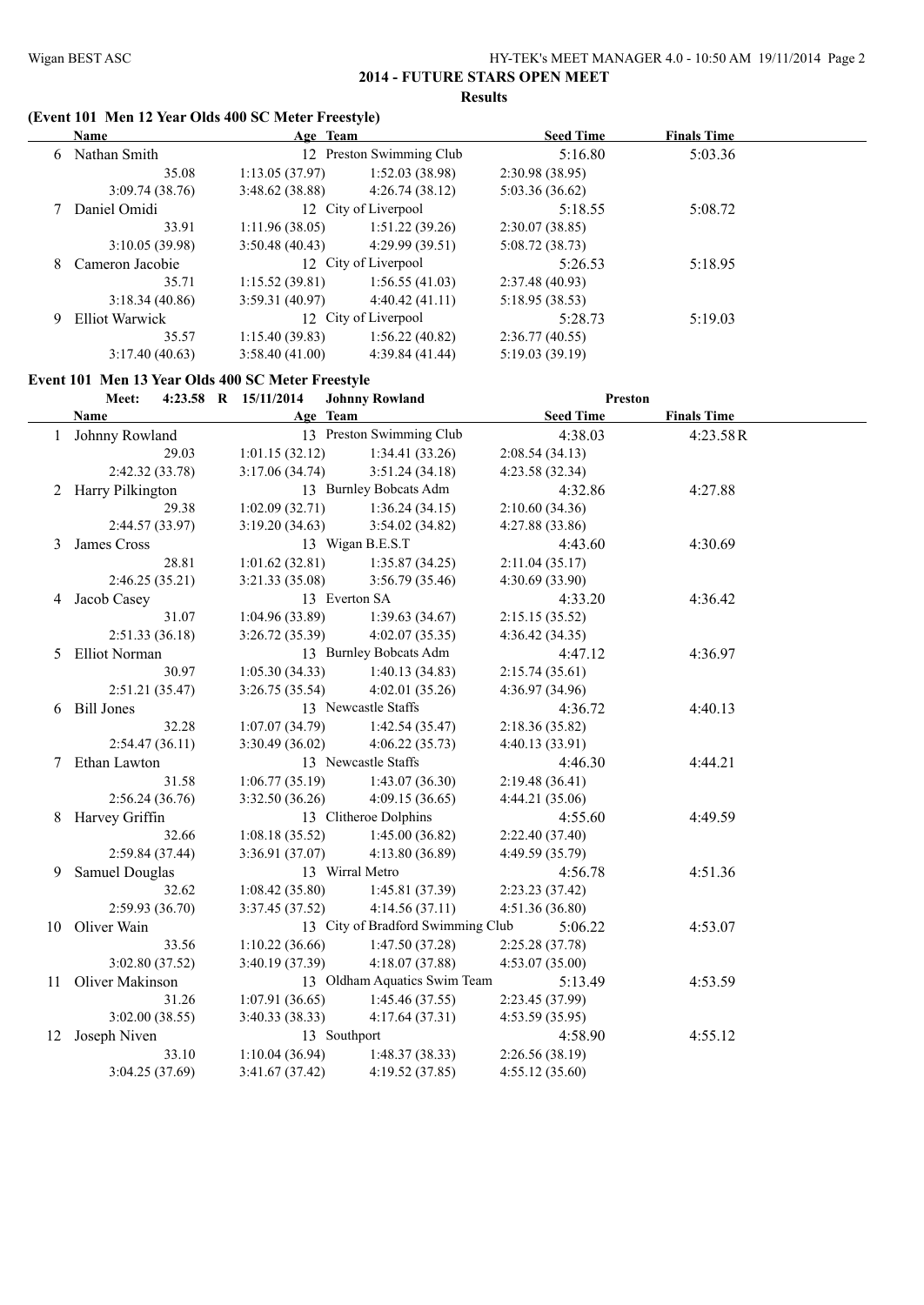# **2014 - FUTURE STARS OPEN MEET Results**

#### **(Event 101 Men 12 Year Olds 400 SC Meter Freestyle)**

|   | <b>Name</b>           | Age Team       |                          | <b>Seed Time</b> | <b>Finals Time</b> |  |
|---|-----------------------|----------------|--------------------------|------------------|--------------------|--|
| 6 | Nathan Smith          |                | 12 Preston Swimming Club | 5:16.80          | 5:03.36            |  |
|   | 35.08                 | 1:13.05(37.97) | 1:52.03(38.98)           | 2:30.98(38.95)   |                    |  |
|   | 3:09.74(38.76)        | 3:48.62(38.88) | 4:26.74(38.12)           | 5:03.36(36.62)   |                    |  |
|   | Daniel Omidi          |                | 12 City of Liverpool     | 5:18.55          | 5:08.72            |  |
|   | 33.91                 | 1:11.96(38.05) | 1:51.22(39.26)           | 2:30.07(38.85)   |                    |  |
|   | 3:10.05(39.98)        | 3:50.48(40.43) | 4:29.99(39.51)           | 5:08.72(38.73)   |                    |  |
| 8 | Cameron Jacobie       |                | 12 City of Liverpool     | 5:26.53          | 5:18.95            |  |
|   | 35.71                 | 1:15.52(39.81) | 1:56.55(41.03)           | 2:37.48(40.93)   |                    |  |
|   | 3:18.34(40.86)        | 3:59.31(40.97) | 4:40.42(41.11)           | 5:18.95(38.53)   |                    |  |
| 9 | <b>Elliot Warwick</b> |                | 12 City of Liverpool     | 5:28.73          | 5:19.03            |  |
|   | 35.57                 | 1:15.40(39.83) | 1:56.22(40.82)           | 2:36.77(40.55)   |                    |  |
|   | 3:17.40(40.63)        | 3:58.40(41.00) | 4:39.84(41.44)           | 5:19.03(39.19)   |                    |  |

#### **Event 101 Men 13 Year Olds 400 SC Meter Freestyle**

#### **Meet: 4:23.58 R 15/11/2014 Johnny Rowland Preston**

|                    | $7.23.30 \quad \text{N} \quad 1.311.2017$ | <i>UUHHHY KUWIAHA</i>             | т гезил          |                    |  |
|--------------------|-------------------------------------------|-----------------------------------|------------------|--------------------|--|
| Name               | Age Team                                  |                                   | <b>Seed Time</b> | <b>Finals Time</b> |  |
| 1 Johnny Rowland   |                                           | 13 Preston Swimming Club          | 4:38.03          | 4:23.58R           |  |
| 29.03              | 1:01.15(32.12)                            | 1:34.41(33.26)                    | 2:08.54(34.13)   |                    |  |
| 2:42.32(33.78)     | 3:17.06(34.74)                            | 3:51.24(34.18)                    | 4:23.58(32.34)   |                    |  |
| 2 Harry Pilkington |                                           | 13 Burnley Bobcats Adm            | 4:32.86          | 4:27.88            |  |
| 29.38              | 1:02.09(32.71)                            | 1:36.24(34.15)                    | 2:10.60(34.36)   |                    |  |
| 2:44.57(33.97)     | 3:19.20(34.63)                            | 3:54.02(34.82)                    | 4:27.88 (33.86)  |                    |  |
| 3 James Cross      |                                           | 13 Wigan B.E.S.T                  | 4:43.60          | 4:30.69            |  |
| 28.81              | 1:01.62(32.81)                            | 1:35.87(34.25)                    | 2:11.04(35.17)   |                    |  |
| 2:46.25(35.21)     | 3:21.33(35.08)                            | 3:56.79(35.46)                    | 4:30.69(33.90)   |                    |  |
| 4 Jacob Casey      | 13 Everton SA                             |                                   | 4:33.20          | 4:36.42            |  |
| 31.07              | 1:04.96(33.89)                            | 1:39.63(34.67)                    | 2:15.15(35.52)   |                    |  |
| 2:51.33(36.18)     | 3:26.72(35.39)                            | 4:02.07(35.35)                    | 4:36.42(34.35)   |                    |  |
| 5 Elliot Norman    |                                           | 13 Burnley Bobcats Adm            | 4:47.12          | 4:36.97            |  |
| 30.97              | 1:05.30(34.33)                            | 1:40.13(34.83)                    | 2:15.74(35.61)   |                    |  |
| 2:51.21(35.47)     | 3:26.75(35.54)                            | 4:02.01(35.26)                    | 4:36.97(34.96)   |                    |  |
| 6 Bill Jones       |                                           | 13 Newcastle Staffs               | 4:36.72          | 4:40.13            |  |
| 32.28              | 1:07.07(34.79)                            | 1:42.54(35.47)                    | 2:18.36(35.82)   |                    |  |
| 2:54.47(36.11)     | 3:30.49(36.02)                            | 4:06.22(35.73)                    | 4:40.13 (33.91)  |                    |  |
| 7 Ethan Lawton     |                                           | 13 Newcastle Staffs               | 4:46.30          | 4:44.21            |  |
| 31.58              | 1:06.77(35.19)                            | 1:43.07(36.30)                    | 2:19.48(36.41)   |                    |  |
| 2:56.24(36.76)     | 3:32.50(36.26)                            | 4:09.15(36.65)                    | 4:44.21(35.06)   |                    |  |
| 8 Harvey Griffin   |                                           | 13 Clitheroe Dolphins             | 4:55.60          | 4:49.59            |  |
| 32.66              | 1:08.18(35.52)                            | 1:45.00(36.82)                    | 2:22.40 (37.40)  |                    |  |
| 2:59.84(37.44)     | 3:36.91(37.07)                            | 4:13.80(36.89)                    | 4:49.59 (35.79)  |                    |  |
| 9 Samuel Douglas   | 13 Wirral Metro                           |                                   | 4:56.78          | 4:51.36            |  |
| 32.62              | 1:08.42(35.80)                            | 1:45.81(37.39)                    | 2:23.23 (37.42)  |                    |  |
| 2:59.93(36.70)     | 3:37.45(37.52)                            | 4:14.56(37.11)                    | 4:51.36(36.80)   |                    |  |
| 10 Oliver Wain     |                                           | 13 City of Bradford Swimming Club | 5:06.22          | 4:53.07            |  |
| 33.56              | 1:10.22(36.66)                            | 1:47.50(37.28)                    | 2:25.28 (37.78)  |                    |  |
| 3:02.80(37.52)     | 3:40.19 (37.39)                           | 4:18.07(37.88)                    | 4:53.07(35.00)   |                    |  |
| 11 Oliver Makinson |                                           | 13 Oldham Aquatics Swim Team      | 5:13.49          | 4:53.59            |  |
| 31.26              | 1:07.91(36.65)                            | 1:45.46(37.55)                    | 2:23.45 (37.99)  |                    |  |
| 3:02.00(38.55)     | 3:40.33 (38.33)                           | 4:17.64(37.31)                    | 4:53.59 (35.95)  |                    |  |
| 12 Joseph Niven    | 13 Southport                              |                                   | 4:58.90          | 4:55.12            |  |
| 33.10              | 1:10.04(36.94)                            | 1:48.37(38.33)                    | 2:26.56(38.19)   |                    |  |
| 3:04.25(37.69)     | 3:41.67(37.42)                            | 4:19.52 (37.85)                   | 4:55.12(35.60)   |                    |  |
|                    |                                           |                                   |                  |                    |  |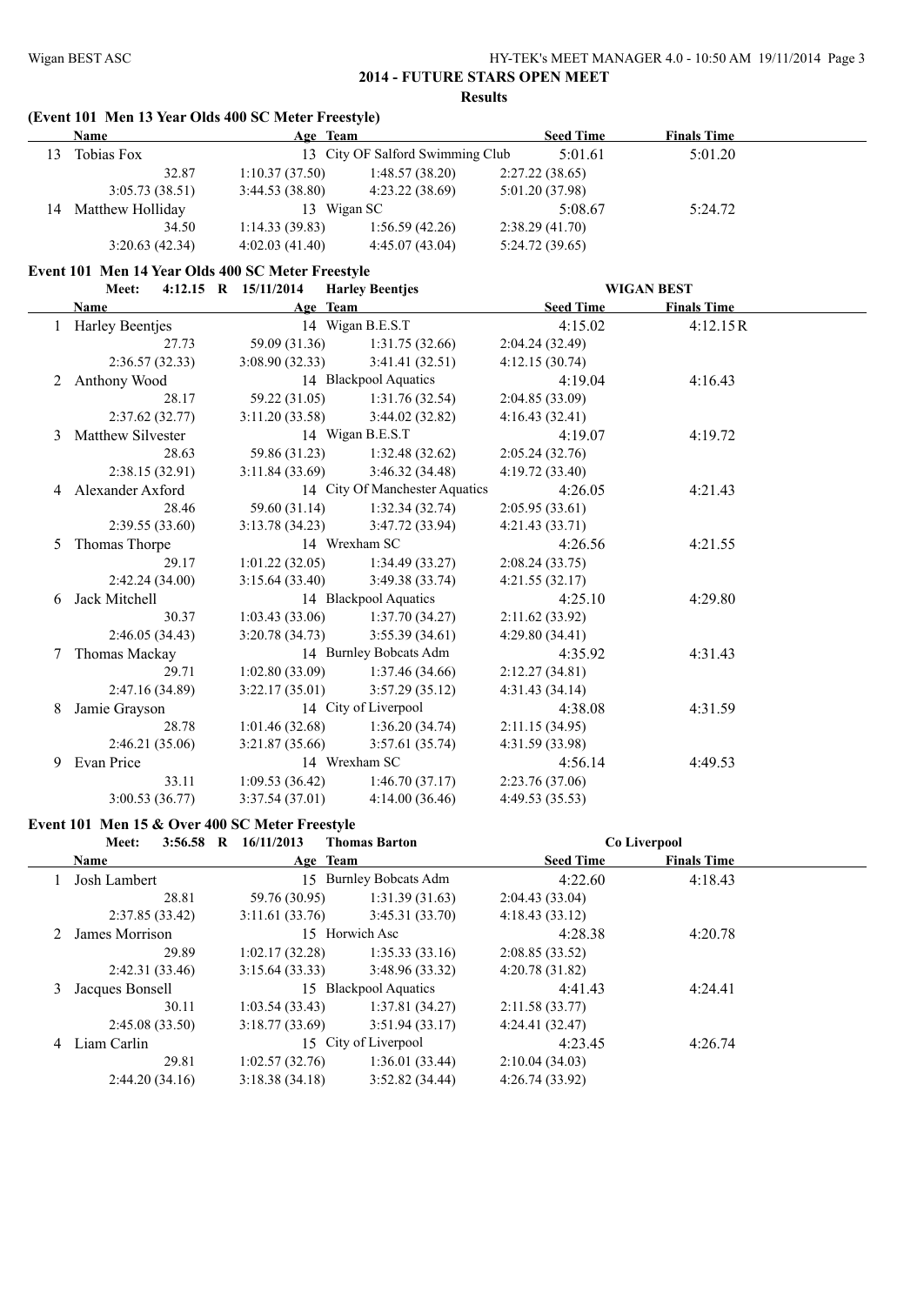#### **2014 - FUTURE STARS OPEN MEET Results**

# **(Event 101 Men 13 Year Olds 400 SC Meter Freestyle)**

|    | Name             | Age Team        |                                  | <b>Seed Time</b> | <b>Finals Time</b> |  |
|----|------------------|-----------------|----------------------------------|------------------|--------------------|--|
| 13 | Tobias Fox       |                 | 13 City OF Salford Swimming Club | 5:01.61          | 5:01.20            |  |
|    | 32.87            | 1:10.37(37.50)  | 1:48.57(38.20)                   | 2:27.22(38.65)   |                    |  |
|    | 3:05.73(38.51)   | 3:44.53(38.80)  | 4:23.22(38.69)                   | 5:01.20(37.98)   |                    |  |
| 14 | Matthew Holliday | 13 <sup>7</sup> | Wigan SC                         | 5:08.67          | 5:24.72            |  |
|    | 34.50            | 1:14.33(39.83)  | 1:56.59(42.26)                   | 2:38.29(41.70)   |                    |  |
|    | 3:20.63(42.34)   | 4:02.03(41.40)  | 4:45.07(43.04)                   | 5:24.72(39.65)   |                    |  |

### **Event 101 Men 14 Year Olds 400 SC Meter Freestyle**

**Meet: 4:12.15 R 15/11/2014 Harley Beentjes WIGAN BEST**

|    | Name                | Age Team                          |                                   | <b>Seed Time</b> | <b>Finals Time</b> |
|----|---------------------|-----------------------------------|-----------------------------------|------------------|--------------------|
|    | 1 Harley Beentjes   | 14 Wigan B.E.S.T                  |                                   | 4:15.02          | 4:12.15R           |
|    | 27.73               |                                   | 59.09 (31.36) 1:31.75 (32.66)     | 2:04.24(32.49)   |                    |
|    | 2:36.57(32.33)      | $3:08.90(32.33)$ $3:41.41(32.51)$ |                                   | 4:12.15(30.74)   |                    |
| 2  | Anthony Wood        |                                   | 14 Blackpool Aquatics             | 4:19.04          | 4:16.43            |
|    | 28.17               |                                   | 59.22 (31.05) 1:31.76 (32.54)     | 2:04.85(33.09)   |                    |
|    | 2:37.62(32.77)      | $3:11.20(33.58)$ $3:44.02(32.82)$ |                                   | 4:16.43(32.41)   |                    |
|    | 3 Matthew Silvester |                                   | 14 Wigan B.E.S.T                  | 4:19.07          | 4:19.72            |
|    | 28.63               |                                   | $59.86(31.23)$ 1:32.48 (32.62)    | 2:05.24(32.76)   |                    |
|    | 2:38.15(32.91)      | 3:11.84(33.69)                    | 3:46.32 (34.48)                   | 4:19.72(33.40)   |                    |
|    | 4 Alexander Axford  |                                   | 14 City Of Manchester Aquatics    | 4:26.05          | 4:21.43            |
|    | 28.46               |                                   | 59.60 (31.14) 1:32.34 (32.74)     | 2:05.95(33.61)   |                    |
|    | 2:39.55(33.60)      | $3:13.78(34.23)$ $3:47.72(33.94)$ |                                   | 4:21.43(33.71)   |                    |
| 5. | Thomas Thorpe       | 14 Wrexham SC                     |                                   | 4:26.56          | 4:21.55            |
|    | 29.17               |                                   | $1:01.22(32.05)$ $1:34.49(33.27)$ | 2:08.24(33.75)   |                    |
|    | 2:42.24(34.00)      | $3:15.64(33.40)$ $3:49.38(33.74)$ |                                   | 4:21.55(32.17)   |                    |
| 6  | Jack Mitchell       |                                   | 14 Blackpool Aquatics             | 4:25.10          | 4:29.80            |
|    | 30.37               | $1:03.43(33.06)$ $1:37.70(34.27)$ |                                   | 2:11.62(33.92)   |                    |
|    | 2:46.05(34.43)      | $3:20.78(34.73)$ $3:55.39(34.61)$ |                                   | 4:29.80(34.41)   |                    |
| 7  | Thomas Mackay       |                                   | 14 Burnley Bobcats Adm            | 4:35.92          | 4:31.43            |
|    | 29.71               | $1:02.80(33.09)$ $1:37.46(34.66)$ |                                   | 2:12.27(34.81)   |                    |
|    | 2:47.16(34.89)      | $3:22.17(35.01)$ $3:57.29(35.12)$ |                                   | 4:31.43(34.14)   |                    |
| 8  | Jamie Grayson       | 14 City of Liverpool              |                                   | 4:38.08          | 4:31.59            |
|    | 28.78               |                                   | $1:01.46(32.68)$ $1:36.20(34.74)$ | 2:11.15(34.95)   |                    |
|    | 2:46.21(35.06)      | $3:21.87(35.66)$ $3:57.61(35.74)$ |                                   | 4:31.59(33.98)   |                    |
| 9. | Evan Price          | 14 Wrexham SC                     |                                   | 4:56.14          | 4:49.53            |
|    | 33.11               |                                   | $1:09.53(36.42)$ $1:46.70(37.17)$ | 2:23.76(37.06)   |                    |
|    | 3:00.53(36.77)      | 3:37.54(37.01)                    | 4:14.00(36.46)                    | 4:49.53 (35.53)  |                    |

#### **Event 101 Men 15 & Over 400 SC Meter Freestyle**

|   | $3:56.58$ R<br>Meet: | 16/11/2013     | <b>Thomas Barton</b>       |                  | Co Liverpool       |  |
|---|----------------------|----------------|----------------------------|------------------|--------------------|--|
|   | <b>Name</b>          | Age Team       |                            | <b>Seed Time</b> | <b>Finals Time</b> |  |
|   | Josh Lambert         | 15             | <b>Burnley Bobcats Adm</b> | 4:22.60          | 4:18.43            |  |
|   | 28.81                | 59.76 (30.95)  | 1:31.39(31.63)             | 2:04.43(33.04)   |                    |  |
|   | 2:37.85(33.42)       | 3:11.61(33.76) | 3:45.31(33.70)             | 4:18.43(33.12)   |                    |  |
| 2 | James Morrison       |                | 15 Horwich Asc             | 4:28.38          | 4:20.78            |  |
|   | 29.89                | 1:02.17(32.28) | 1:35.33(33.16)             | 2:08.85(33.52)   |                    |  |
|   | 2:42.31(33.46)       | 3:15.64(33.33) | 3:48.96(33.32)             | 4:20.78(31.82)   |                    |  |
| 3 | Jacques Bonsell      |                | 15 Blackpool Aquatics      | 4:41.43          | 4:24.41            |  |
|   | 30.11                | 1:03.54(33.43) | 1:37.81(34.27)             | 2:11.58(33.77)   |                    |  |
|   | 2:45.08(33.50)       | 3:18.77(33.69) | 3:51.94(33.17)             | 4:24.41(32.47)   |                    |  |
| 4 | Liam Carlin          |                | 15 City of Liverpool       | 4:23.45          | 4:26.74            |  |
|   | 29.81                | 1:02.57(32.76) | 1:36.01(33.44)             | 2:10.04(34.03)   |                    |  |
|   | 2:44.20(34.16)       | 3:18.38(34.18) | 3:52.82(34.44)             | 4:26.74(33.92)   |                    |  |
|   |                      |                |                            |                  |                    |  |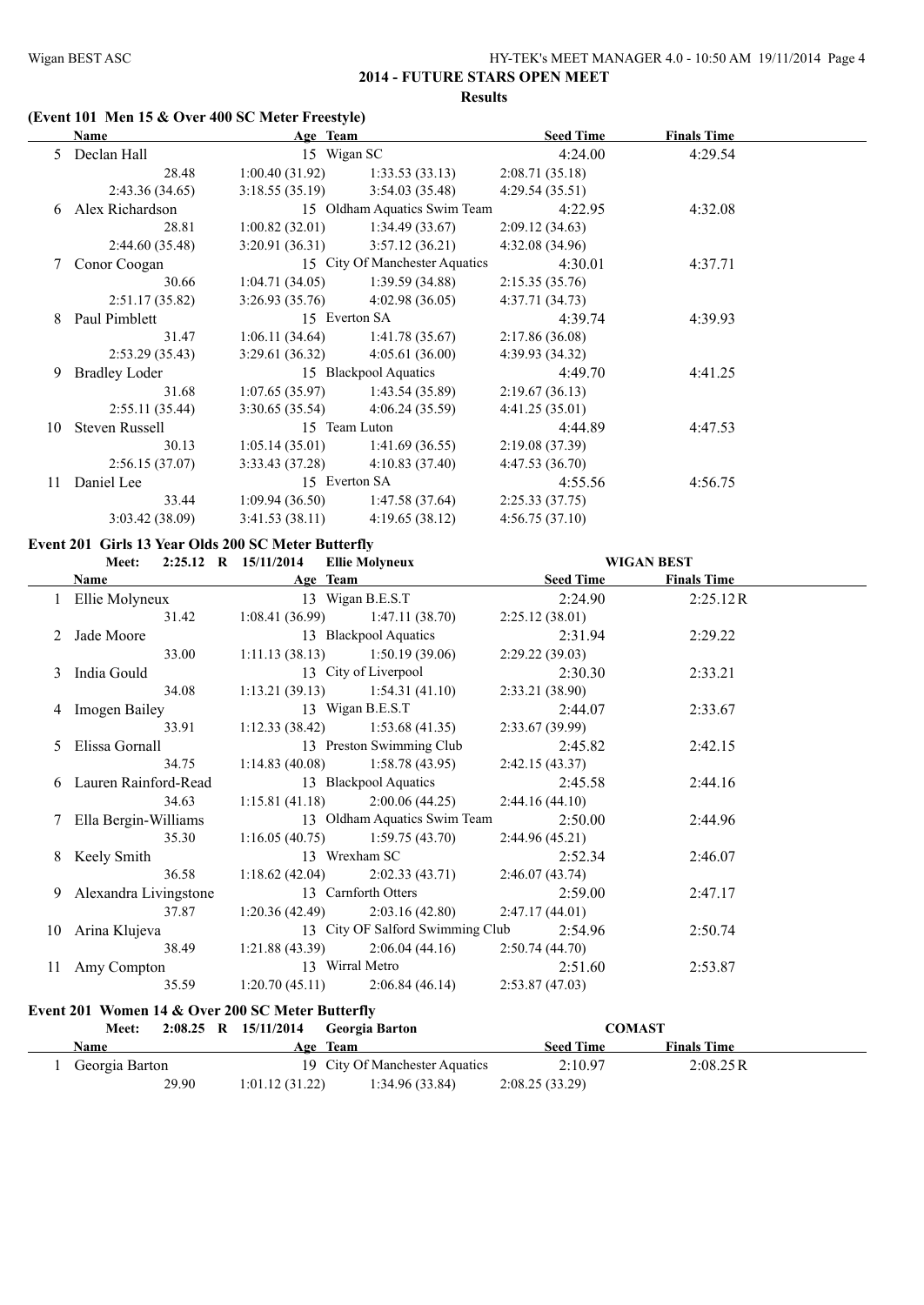# **(Event 101 Men 15 & Over 400 SC Meter Freestyle)**

| Name                 |                |                 | <b>Seed Time</b>                                                                                                                      | <b>Finals Time</b>           |  |
|----------------------|----------------|-----------------|---------------------------------------------------------------------------------------------------------------------------------------|------------------------------|--|
| Declan Hall          |                |                 | 4:24.00                                                                                                                               | 4:29.54                      |  |
| 28.48                | 1:00.40(31.92) | 1:33.53(33.13)  | 2:08.71(35.18)                                                                                                                        |                              |  |
| 2:43.36(34.65)       | 3:18.55(35.19) | 3:54.03(35.48)  | 4:29.54(35.51)                                                                                                                        |                              |  |
| Alex Richardson      |                |                 | 4:22.95                                                                                                                               | 4:32.08                      |  |
| 28.81                | 1:00.82(32.01) | 1:34.49(33.67)  | 2:09.12(34.63)                                                                                                                        |                              |  |
| 2:44.60(35.48)       | 3:20.91(36.31) | 3:57.12(36.21)  | 4:32.08(34.96)                                                                                                                        |                              |  |
| Conor Coogan         |                |                 | 4:30.01                                                                                                                               | 4:37.71                      |  |
| 30.66                | 1:04.71(34.05) | 1:39.59(34.88)  | 2:15.35(35.76)                                                                                                                        |                              |  |
| 2:51.17(35.82)       | 3:26.93(35.76) | 4:02.98(36.05)  | 4:37.71(34.73)                                                                                                                        |                              |  |
| Paul Pimblett        |                |                 | 4:39.74                                                                                                                               | 4:39.93                      |  |
| 31.47                | 1:06.11(34.64) | 1:41.78(35.67)  | 2:17.86(36.08)                                                                                                                        |                              |  |
| 2:53.29(35.43)       | 3:29.61(36.32) | 4:05.61(36.00)  | 4:39.93 (34.32)                                                                                                                       |                              |  |
| <b>Bradley Loder</b> |                |                 | 4:49.70                                                                                                                               | 4:41.25                      |  |
| 31.68                | 1:07.65(35.97) | 1:43.54(35.89)  | 2:19.67(36.13)                                                                                                                        |                              |  |
| 2:55.11(35.44)       | 3:30.65(35.54) | 4:06.24(35.59)  | 4:41.25(35.01)                                                                                                                        |                              |  |
| Steven Russell       |                |                 | 4:44.89                                                                                                                               | 4:47.53                      |  |
| 30.13                | 1:05.14(35.01) | 1:41.69(36.55)  | 2:19.08(37.39)                                                                                                                        |                              |  |
| 2:56.15(37.07)       | 3:33.43(37.28) | 4:10.83(37.40)  | 4:47.53(36.70)                                                                                                                        |                              |  |
| Daniel Lee           |                |                 | 4:55.56                                                                                                                               | 4:56.75                      |  |
| 33.44                | 1:09.94(36.50) | 1:47.58 (37.64) | 2:25.33(37.75)                                                                                                                        |                              |  |
| 3:03.42(38.09)       | 3:41.53(38.11) | 4:19.65(38.12)  | 4:56.75(37.10)                                                                                                                        |                              |  |
|                      |                |                 | Age Team<br>15 Wigan SC<br>15 City Of Manchester Aquatics<br>15 Everton SA<br>15 Blackpool Aquatics<br>15 Team Luton<br>15 Everton SA | 15 Oldham Aquatics Swim Team |  |

#### **Event 201 Girls 13 Year Olds 200 SC Meter Butterfly**

#### **Meet: 2:25.12 R 15/11/2014 Ellie Molyneux WIGAN BEST**

| <u> 1989 - Andrea Andrew Maria III, martin a fh</u><br>Name |                                         | Age Team and the state of the state of the state of the state of the state of the state of the state of the state of the state of the state of the state of the state of the state of the state of the state of the state of t | Seed Time       | <b>Finals Time</b> |  |
|-------------------------------------------------------------|-----------------------------------------|--------------------------------------------------------------------------------------------------------------------------------------------------------------------------------------------------------------------------------|-----------------|--------------------|--|
| 1 Ellie Molyneux 13 Wigan B.E.S.T 2:24.90                   |                                         |                                                                                                                                                                                                                                |                 | 2:25.12R           |  |
|                                                             |                                         | 31.42 1:08.41 (36.99) 1:47.11 (38.70)                                                                                                                                                                                          | 2:25.12(38.01)  |                    |  |
| 2 Jade Moore                                                |                                         | 13 Blackpool Aquatics 2:31.94                                                                                                                                                                                                  |                 | 2:29.22            |  |
|                                                             |                                         | 33.00 1:11.13 (38.13) 1:50.19 (39.06)                                                                                                                                                                                          | 2:29.22 (39.03) |                    |  |
| 3 India Gould                                               |                                         | 13 City of Liverpool 2:30.30                                                                                                                                                                                                   |                 | 2:33.21            |  |
|                                                             |                                         | 34.08 1:13.21 (39.13) 1:54.31 (41.10)                                                                                                                                                                                          | 2:33.21 (38.90) |                    |  |
| 4 Imogen Bailey 13 Wigan B.E.S.T 2:44.07 2:33.67            |                                         |                                                                                                                                                                                                                                |                 |                    |  |
|                                                             |                                         | 33.91 1:12.33 (38.42) 1:53.68 (41.35) 2:33.67 (39.99)                                                                                                                                                                          |                 |                    |  |
| 5 Elissa Gornall 13 Preston Swimming Club 2:45.82           |                                         |                                                                                                                                                                                                                                |                 | 2:42.15            |  |
|                                                             |                                         | 34.75 1:14.83 (40.08) 1:58.78 (43.95) 2:42.15 (43.37)                                                                                                                                                                          |                 |                    |  |
| 6 Lauren Rainford-Read 13 Blackpool Aquatics 2:45.58        |                                         |                                                                                                                                                                                                                                |                 | 2:44.16            |  |
|                                                             |                                         | 34.63 1:15.81 (41.18) 2:00.06 (44.25) 2:44.16 (44.10)                                                                                                                                                                          |                 |                    |  |
| 7 Ella Bergin-Williams 13 Oldham Aquatics Swim Team 2:50.00 |                                         |                                                                                                                                                                                                                                |                 | 2:44.96            |  |
|                                                             |                                         | 35.30 1:16.05 (40.75) 1:59.75 (43.70) 2:44.96 (45.21)                                                                                                                                                                          |                 |                    |  |
| 8 Keely Smith 13 Wrexham SC 2:52.34                         |                                         |                                                                                                                                                                                                                                |                 | 2:46.07            |  |
|                                                             |                                         | 36.58 1:18.62 (42.04) 2:02.33 (43.71) 2:46.07 (43.74)                                                                                                                                                                          |                 |                    |  |
| 9 Alexandra Livingstone                                     |                                         | 13 Carnforth Otters 2:59.00                                                                                                                                                                                                    |                 | 2:47.17            |  |
|                                                             |                                         | $37.87$ 1:20.36 (42.49) 2:03.16 (42.80) 2:47.17 (44.01)                                                                                                                                                                        |                 |                    |  |
| 10 Arina Klujeva 13 City OF Salford Swimming Club 2:54.96   |                                         |                                                                                                                                                                                                                                |                 | 2:50.74            |  |
|                                                             |                                         | 38.49 1:21.88 (43.39) 2:06.04 (44.16) 2:50.74 (44.70)                                                                                                                                                                          |                 |                    |  |
| 11 Amy Compton 13 Wirral Metro 2:51.60 2:53.87              |                                         |                                                                                                                                                                                                                                |                 |                    |  |
|                                                             |                                         | $35.59$ 1:20.70 (45.11) 2:06.84 (46.14) 2:53.87 (47.03)                                                                                                                                                                        |                 |                    |  |
| Event 201 Women 14 & Over 200 SC Meter Butterfly            |                                         |                                                                                                                                                                                                                                |                 |                    |  |
| <b>Meet:</b>                                                | $2:08.25$ R $15/11/2014$ Georgia Barton |                                                                                                                                                                                                                                |                 | <b>COMAST</b>      |  |
|                                                             |                                         |                                                                                                                                                                                                                                |                 |                    |  |

| <b>Name</b>    | Team<br>Age     |                                | <b>Seed Time</b> | <b>Finals Time</b> |  |
|----------------|-----------------|--------------------------------|------------------|--------------------|--|
| Georgia Barton |                 | 19 City Of Manchester Aquatics | 2:10.97          | 2:08.25R           |  |
| 29.90          | 1:01.12 (31.22) | 1:34.96(33.84)                 | 2:08.25(33.29)   |                    |  |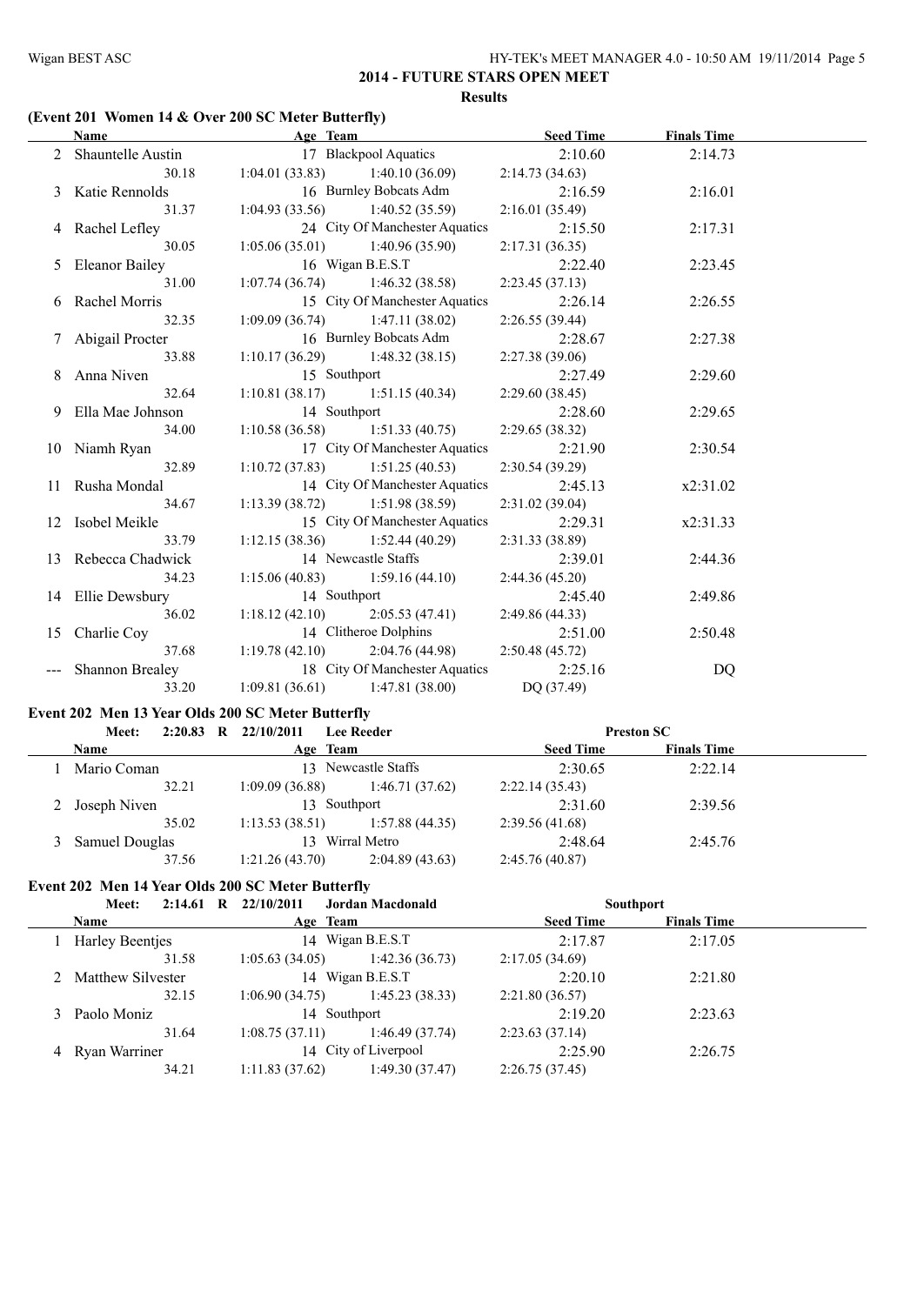# **(Event 201 Women 14 & Over 200 SC Meter Butterfly)**

| Name                                              | Age Team                              |                                            | <u>Seed Time</u> | <b>Finals Time</b> |  |
|---------------------------------------------------|---------------------------------------|--------------------------------------------|------------------|--------------------|--|
| 2 Shauntelle Austin 17 Blackpool Aquatics 2:10.60 |                                       |                                            |                  | 2:14.73            |  |
|                                                   | 30.18 1:04.01 (33.83) 1:40.10 (36.09) |                                            | 2:14.73 (34.63)  |                    |  |
| 3 Katie Rennolds                                  | 16 Burnley Bobcats Adm                |                                            | 2:16.59          | 2:16.01            |  |
| 31.37                                             |                                       | $1:04.93(33.56)$ $1:40.52(35.59)$          | 2:16.01(35.49)   |                    |  |
| 4 Rachel Lefley                                   |                                       | 24 City Of Manchester Aquatics             | 2:15.50          | 2:17.31            |  |
| 30.05                                             |                                       | $1:05.06(35.01)$ $1:40.96(35.90)$          | 2:17.31(36.35)   |                    |  |
| 5 Eleanor Bailey                                  |                                       | 16 Wigan B.E.S.T                           | 2:22.40          | 2:23.45            |  |
| 31.00                                             |                                       | $1:07.74(36.74)$ $1:46.32(38.58)$          | 2:23.45(37.13)   |                    |  |
| 6 Rachel Morris                                   |                                       | 15 City Of Manchester Aquatics             | 2:26.14          | 2:26.55            |  |
| 32.35                                             | $1:09.09(36.74)$ $1:47.11(38.02)$     |                                            | 2:26.55(39.44)   |                    |  |
| 7 Abigail Procter                                 |                                       | 16 Burnley Bobcats Adm                     | 2:28.67          | 2:27.38            |  |
| 33.88                                             |                                       | 1:10.17 (36.29) 1:48.32 (38.15)            | 2:27.38(39.06)   |                    |  |
| 8 Anna Niven                                      | 15 Southport                          |                                            | 2:27.49          | 2:29.60            |  |
| 32.64                                             |                                       | 1:10.81 (38.17) 1:51.15 (40.34)            | 2:29.60(38.45)   |                    |  |
| 9 Ella Mae Johnson 14 Southport                   |                                       |                                            | 2:28.60          | 2:29.65            |  |
| 34.00                                             |                                       | $1:10.58(36.58)$ $1:51.33(40.75)$          | 2:29.65(38.32)   |                    |  |
| 10 Niamh Ryan                                     |                                       | 17 City Of Manchester Aquatics             | 2:21.90          | 2:30.54            |  |
| 32.89                                             | $1:10.72(37.83)$ $1:51.25(40.53)$     |                                            | 2:30.54(39.29)   |                    |  |
| 11 Rusha Mondal                                   |                                       | 14 City Of Manchester Aquatics             | 2:45.13          | x2:31.02           |  |
| 34.67                                             | $1:13.39(38.72)$ $1:51.98(38.59)$     |                                            | 2:31.02(39.04)   |                    |  |
| 12 Isobel Meikle                                  |                                       | 15 City Of Manchester Aquatics             | 2:29.31          | x2:31.33           |  |
| 33.79                                             |                                       | $1:12.15(38.36)$ $1:52.44(40.29)$          | 2:31.33 (38.89)  |                    |  |
| 13 Rebecca Chadwick                               |                                       | 14 Newcastle Staffs                        | 2:39.01          | 2:44.36            |  |
| 34.23                                             |                                       | $1:15.06(40.83)$ $1:59.16(44.10)$          | 2:44.36(45.20)   |                    |  |
| 14 Ellie Dewsbury                                 | 14 Southport                          |                                            | 2:45.40          | 2:49.86            |  |
| 36.02                                             |                                       | 1:18.12 (42.10) 2:05.53 (47.41)            | 2:49.86 (44.33)  |                    |  |
| 15 Charlie Coy                                    |                                       | 14 Clitheroe Dolphins                      | 2:51.00          | 2:50.48            |  |
| 37.68                                             | $1:19.78(42.10)$ $2:04.76(44.98)$     |                                            | 2:50.48(45.72)   |                    |  |
| --- Shannon Brealey                               | 18 City Of Manchester Aquatics        |                                            | 2:25.16          | DQ                 |  |
| 33.20                                             |                                       | 1:09.81 (36.61) 1:47.81 (38.00) DQ (37.49) |                  |                    |  |

# **Event 202 Men 13 Year Olds 200 SC Meter Butterfly**

| Meet:          | R                   | 22/10/2011 | <b>Lee Reeder</b> |                                                                                                       |                    |                   |
|----------------|---------------------|------------|-------------------|-------------------------------------------------------------------------------------------------------|--------------------|-------------------|
| <b>Name</b>    |                     |            |                   | <b>Seed Time</b>                                                                                      | <b>Finals Time</b> |                   |
| Mario Coman    |                     |            |                   | 2:30.65                                                                                               | 2:22.14            |                   |
| 32.21          |                     |            | 1:46.71(37.62)    | 2:22.14(35.43)                                                                                        |                    |                   |
| 2 Joseph Niven |                     |            |                   | 2:31.60                                                                                               | 2:39.56            |                   |
| 35.02          |                     |            | 1:57.88(44.35)    | 2:39.56(41.68)                                                                                        |                    |                   |
| Samuel Douglas | Wirral Metro<br>13. |            | 2:48.64           | 2:45.76                                                                                               |                    |                   |
| 37.56          |                     |            | 2:04.89(43.63)    | 2:45.76(40.87)                                                                                        |                    |                   |
|                | 2:20.83             |            |                   | Age Team<br>13 Newcastle Staffs<br>1:09.09(36.88)<br>13 Southport<br>1:13.53(38.51)<br>1:21.26(43.70) |                    | <b>Preston SC</b> |

#### **Event 202 Men 14 Year Olds 200 SC Meter Butterfly**

| 2:14.61<br>Meet:    | 22/10/2011<br>R | <b>Jordan Macdonald</b> |                  | <b>Southport</b>   |  |
|---------------------|-----------------|-------------------------|------------------|--------------------|--|
| Name                |                 | Age Team                | <b>Seed Time</b> | <b>Finals Time</b> |  |
| Harley Beentjes     |                 | Wigan B.E.S.T<br>14     | 2:17.87          | 2:17.05            |  |
| 31.58               | 1:05.63(34.05)  | 1:42.36(36.73)          | 2:17.05(34.69)   |                    |  |
| 2 Matthew Silvester |                 | 14 Wigan B.E.S.T        | 2:20.10          | 2:21.80            |  |
| 32.15               | 1:06.90(34.75)  | 1:45.23(38.33)          | 2:21.80(36.57)   |                    |  |
| Paolo Moniz         |                 | 14 Southport            | 2:19.20          | 2:23.63            |  |
| 31.64               | 1:08.75(37.11)  | 1:46.49(37.74)          | 2:23.63(37.14)   |                    |  |
| 4 Ryan Warriner     |                 | 14 City of Liverpool    | 2:25.90          | 2:26.75            |  |
| 34.21               | 1:11.83(37.62)  | 1:49.30(37.47)          | 2:26.75(37.45)   |                    |  |
|                     |                 |                         |                  |                    |  |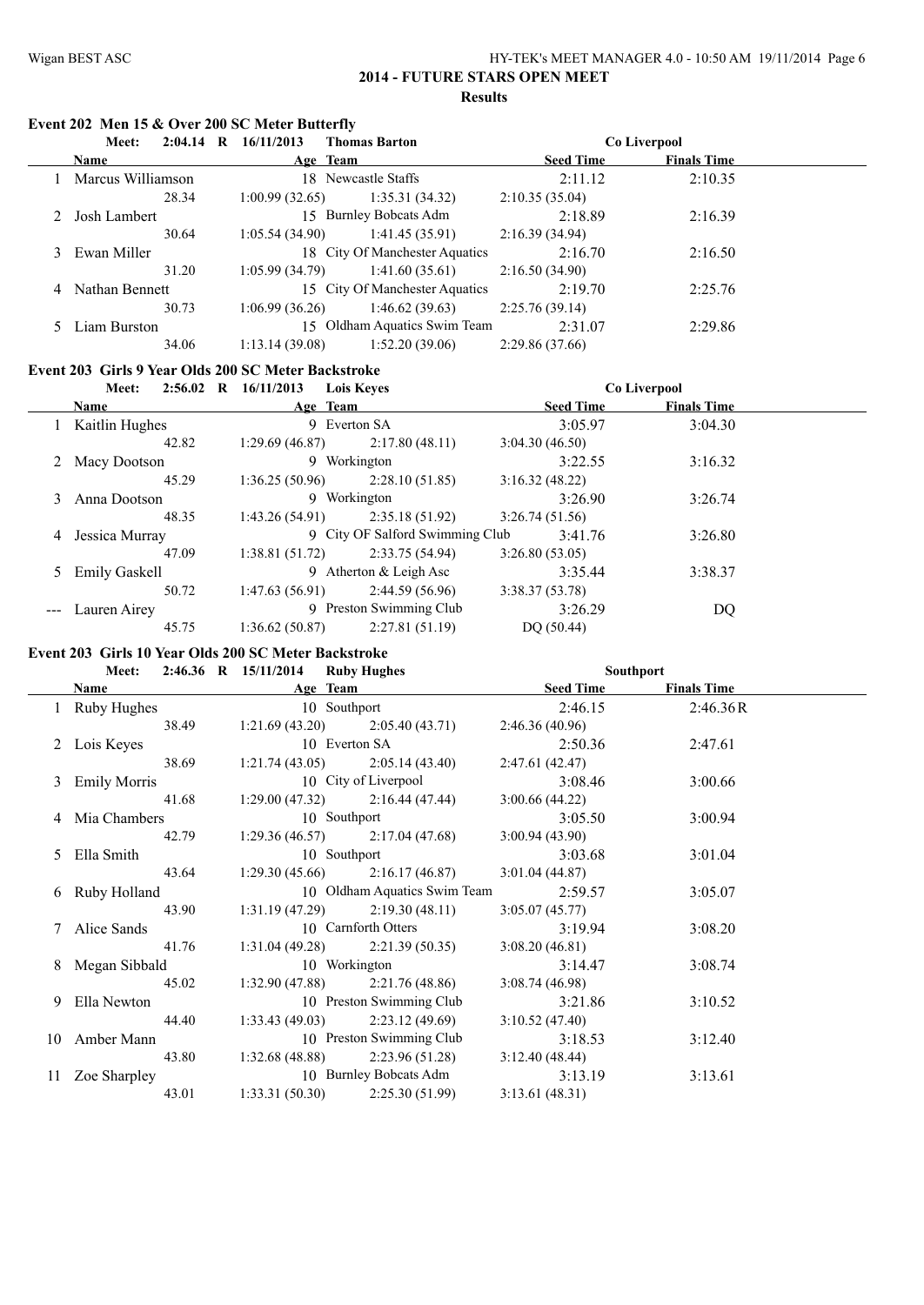#### Wigan BEST ASC HY-TEK's MEET MANAGER 4.0 - 10:50 AM 19/11/2014 Page 6 **2014 - FUTURE STARS OPEN MEET**

#### **Results**

# **Event 202 Men 15 & Over 200 SC Meter Butterfly**

|   | Meet:             | $2:04.14$ R | 16/11/2013     | <b>Thomas Barton</b>           |                  | Co Liverpool       |  |
|---|-------------------|-------------|----------------|--------------------------------|------------------|--------------------|--|
|   | <b>Name</b>       |             |                | Age Team                       | <b>Seed Time</b> | <b>Finals Time</b> |  |
|   | Marcus Williamson |             |                | 18 Newcastle Staffs            | 2:11.12          | 2:10.35            |  |
|   |                   | 28.34       | 1:00.99(32.65) | 1:35.31(34.32)                 | 2:10.35(35.04)   |                    |  |
|   | Josh Lambert      |             |                | 15 Burnley Bobcats Adm         | 2:18.89          | 2:16.39            |  |
|   |                   | 30.64       | 1:05.54(34.90) | 1:41.45(35.91)                 | 2:16.39(34.94)   |                    |  |
|   | 3 Ewan Miller     |             |                | 18 City Of Manchester Aquatics | 2:16.70          | 2:16.50            |  |
|   |                   | 31.20       | 1:05.99(34.79) | 1:41.60(35.61)                 | 2:16.50(34.90)   |                    |  |
| 4 | Nathan Bennett    |             |                | 15 City Of Manchester Aquatics | 2:19.70          | 2:25.76            |  |
|   |                   | 30.73       | 1:06.99(36.26) | 1:46.62(39.63)                 | 2:25.76(39.14)   |                    |  |
|   | Liam Burston      |             |                | 15 Oldham Aquatics Swim Team   | 2:31.07          | 2:29.86            |  |
|   |                   | 34.06       | 1:13.14(39.08) | 1:52.20(39.06)                 | 2:29.86(37.66)   |                    |  |

# **Event 203 Girls 9 Year Olds 200 SC Meter Backstroke**

|   | Meet:           | $2:56.02$ R $16/11/2013$ | <b>Lois Keves</b>               |                  | Co Liverpool       |  |
|---|-----------------|--------------------------|---------------------------------|------------------|--------------------|--|
|   | <b>Name</b>     | Age Team                 |                                 | <b>Seed Time</b> | <b>Finals Time</b> |  |
|   | Kaitlin Hughes  | 9 Everton SA             |                                 | 3:05.97          | 3:04.30            |  |
|   | 42.82           | 1:29.69(46.87)           | 2:17.80(48.11)                  | 3:04.30(46.50)   |                    |  |
|   | 2 Macy Dootson  |                          | 9 Workington                    | 3:22.55          | 3:16.32            |  |
|   | 45.29           | 1:36.25(50.96)           | 2:28.10(51.85)                  | 3:16.32(48.22)   |                    |  |
| 3 | Anna Dootson    |                          | 9 Workington                    | 3:26.90          | 3:26.74            |  |
|   | 48.35           | 1:43.26(54.91)           | 2:35.18(51.92)                  | 3:26.74(51.56)   |                    |  |
| 4 | Jessica Murray  |                          | 9 City OF Salford Swimming Club | 3:41.76          | 3:26.80            |  |
|   | 47.09           | 1:38.81(51.72)           | 2:33.75(54.94)                  | 3:26.80(53.05)   |                    |  |
|   | 5 Emily Gaskell |                          | 9 Atherton $&$ Leigh Asc        | 3:35.44          | 3:38.37            |  |
|   | 50.72           | 1:47.63(56.91)           | 2:44.59(56.96)                  | 3:38.37(53.78)   |                    |  |
|   | Lauren Airey    |                          | 9 Preston Swimming Club         | 3:26.29          | DQ                 |  |
|   | 45.75           | 1:36.62(50.87)           | 2:27.81(51.19)                  | DO(50.44)        |                    |  |

# **Event 203 Girls 10 Year Olds 200 SC Meter Backstroke**

| <b>Meet:</b>    | 2:46.36 R 15/11/2014 Ruby Hughes      |          | Southport       |                    |  |
|-----------------|---------------------------------------|----------|-----------------|--------------------|--|
| <b>Name</b>     |                                       | Age Team | Seed Time       | <b>Finals Time</b> |  |
| 1 Ruby Hughes   | 10 Southport                          |          | 2:46.15         | 2:46.36R           |  |
| 38.49           | $1:21.69(43.20)$ $2:05.40(43.71)$     |          | 2:46.36 (40.96) |                    |  |
| 2 Lois Keyes    | 10 Everton SA                         |          | 2:50.36         | 2:47.61            |  |
|                 | 38.69 1:21.74 (43.05) 2:05.14 (43.40) |          | 2:47.61(42.47)  |                    |  |
| 3 Emily Morris  | 10 City of Liverpool                  |          | 3:08.46         | 3:00.66            |  |
|                 | 41.68 1:29.00 (47.32) 2:16.44 (47.44) |          | 3:00.66(44.22)  |                    |  |
| 4 Mia Chambers  | 10 Southport                          |          | 3:05.50         | 3:00.94            |  |
| 42.79           | $1:29.36(46.57)$ $2:17.04(47.68)$     |          | 3:00.94(43.90)  |                    |  |
| 5 Ella Smith    | 10 Southport                          |          | 3:03.68         | 3:01.04            |  |
| 43.64           | $1:29.30(45.66)$ $2:16.17(46.87)$     |          | 3:01.04(44.87)  |                    |  |
| 6 Ruby Holland  | 10 Oldham Aquatics Swim Team          |          | 2:59.57         | 3:05.07            |  |
| 43.90           | $1:31.19(47.29)$ $2:19.30(48.11)$     |          | 3:05.07(45.77)  |                    |  |
| 7 Alice Sands   | 10 Carnforth Otters                   |          | 3:19.94         | 3:08.20            |  |
| 41.76           | $1:31.04(49.28)$ $2:21.39(50.35)$     |          | 3:08.20(46.81)  |                    |  |
| 8 Megan Sibbald | 10 Workington                         |          | 3:14.47         | 3:08.74            |  |
| 45.02           | $1:32.90(47.88)$ $2:21.76(48.86)$     |          | 3:08.74(46.98)  |                    |  |
| 9 Ella Newton   | 10 Preston Swimming Club              |          | 3:21.86         | 3:10.52            |  |
| 44.40           | $1:33.43(49.03)$ $2:23.12(49.69)$     |          | 3:10.52(47.40)  |                    |  |
| 10 Amber Mann   | 10 Preston Swimming Club              |          | 3:18.53         | 3:12.40            |  |
|                 | 43.80 1:32.68 (48.88) 2:23.96 (51.28) |          | 3:12.40(48.44)  |                    |  |
| 11 Zoe Sharpley | 10 Burnley Bobcats Adm                |          | 3:13.19         | 3:13.61            |  |
| 43.01           | $1:33.31(50.30)$ $2:25.30(51.99)$     |          | 3:13.61(48.31)  |                    |  |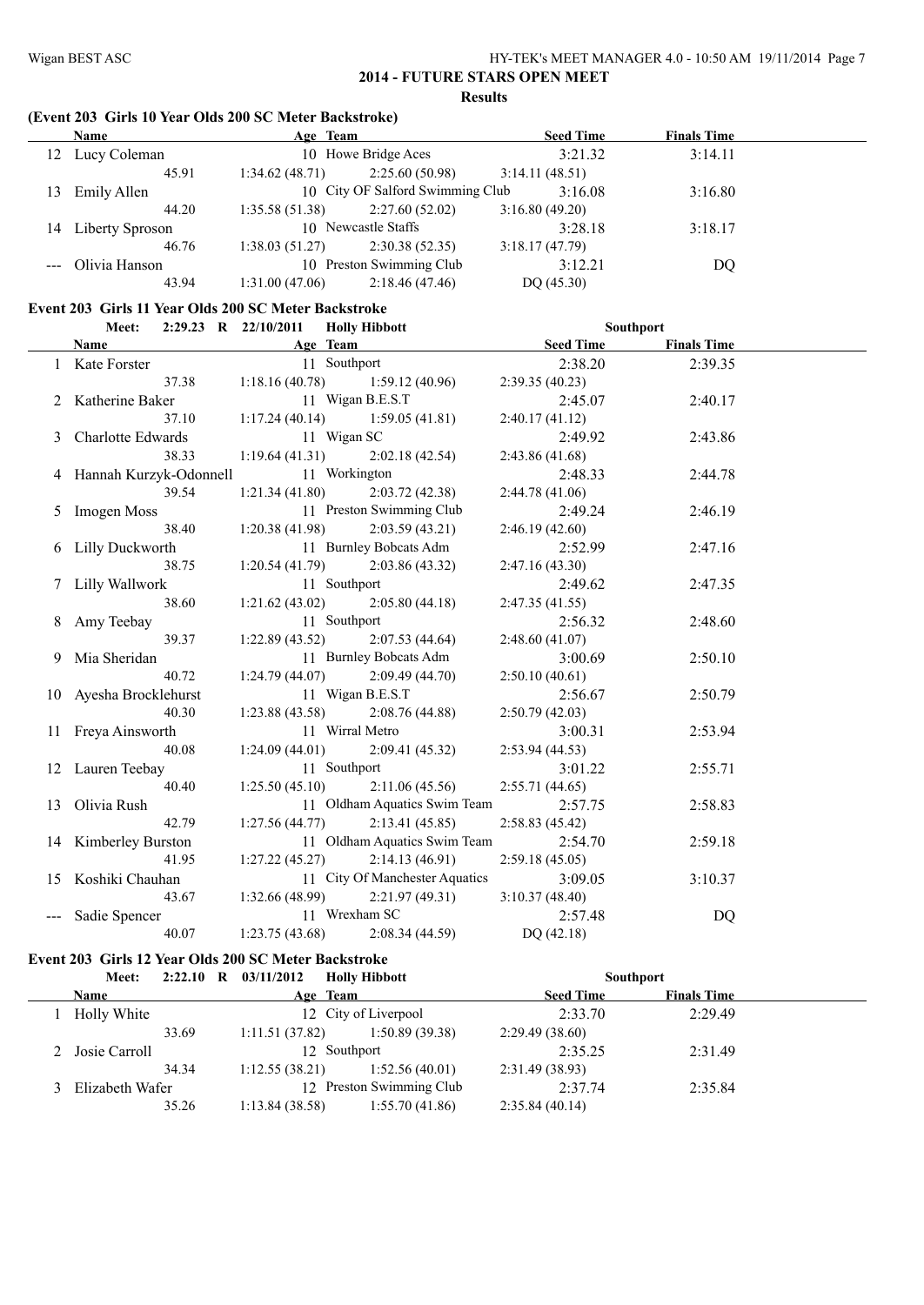# **(Event 203 Girls 10 Year Olds 200 SC Meter Backstroke)**

| <b>Name</b>     |                                   |                | <b>Seed Time</b>                                       | <b>Finals Time</b>               |  |
|-----------------|-----------------------------------|----------------|--------------------------------------------------------|----------------------------------|--|
|                 |                                   |                | 3:21.32                                                | 3:14.11                          |  |
| 45.91           | 1:34.62(48.71)                    | 2:25.60(50.98) | 3:14.11(48.51)                                         |                                  |  |
| Emily Allen     |                                   |                | 3:16.08                                                | 3:16.80                          |  |
| 44.20           | 1:35.58(51.38)                    | 2:27.60(52.02) | 3:16.80(49.20)                                         |                                  |  |
| Liberty Sproson |                                   |                | 3:28.18                                                | 3:18.17                          |  |
| 46.76           | 1:38.03(51.27)                    | 2:30.38(52.35) | 3:18.17(47.79)                                         |                                  |  |
|                 | 10 Preston Swimming Club          |                | 3:12.21                                                | DQ                               |  |
| 43.94           | 1:31.00(47.06)                    | 2:18.46(47.46) | DQ(45.30)                                              |                                  |  |
|                 | Lucy Coleman<br>--- Olivia Hanson |                | Age Team<br>10 Howe Bridge Aces<br>10 Newcastle Staffs | 10 City OF Salford Swimming Club |  |

# **Event 203 Girls 11 Year Olds 200 SC Meter Backstroke**<br>Meet 2:29.23 R 22/10/2011 Hally Hibb

| Meet:                                  |                 | 2:29.23 R 22/10/2011 Holly Hibbott    |                | Southport          |  |
|----------------------------------------|-----------------|---------------------------------------|----------------|--------------------|--|
| <b>Name</b>                            |                 | <b>Example 2018</b> Age Team          | Seed Time      | <b>Finals Time</b> |  |
| 1 Kate Forster                         | 11 Southport    |                                       | 2:38.20        | 2:39.35            |  |
|                                        |                 | 37.38 1:18.16 (40.78) 1:59.12 (40.96) | 2:39.35(40.23) |                    |  |
| 2 Katherine Baker                      |                 | 11 Wigan B.E.S.T                      | 2:45.07        | 2:40.17            |  |
| 37.10                                  |                 | 1:17.24 (40.14) 1:59.05 (41.81)       | 2:40.17(41.12) |                    |  |
| 3 Charlotte Edwards                    | 11 Wigan SC     |                                       | 2:49.92        | 2:43.86            |  |
| 38.33                                  |                 | 1:19.64 (41.31) 2:02.18 (42.54)       | 2:43.86(41.68) |                    |  |
| 4 Hannah Kurzyk-Odonnell 11 Workington |                 |                                       | 2:48.33        | 2:44.78            |  |
| 39.54                                  |                 | $1:21.34(41.80)$ $2:03.72(42.38)$     | 2:44.78(41.06) |                    |  |
| 5 Imogen Moss                          |                 | 11 Preston Swimming Club              | 2:49.24        | 2:46.19            |  |
| 38.40                                  |                 | $1:20.38(41.98)$ $2:03.59(43.21)$     | 2:46.19(42.60) |                    |  |
| 6 Lilly Duckworth                      |                 | 11 Burnley Bobcats Adm                | 2:52.99        | 2:47.16            |  |
| 38.75                                  |                 | $1:20.54(41.79)$ $2:03.86(43.32)$     | 2:47.16(43.30) |                    |  |
| 7 Lilly Wallwork                       | 11 Southport    |                                       | 2:49.62        | 2:47.35            |  |
| 38.60                                  |                 | 1:21.62 (43.02) 2:05.80 (44.18)       | 2:47.35(41.55) |                    |  |
| 8 Amy Teebay                           | 11 Southport    |                                       | 2:56.32        | 2:48.60            |  |
| 39.37                                  |                 | $1:22.89(43.52)$ $2:07.53(44.64)$     | 2:48.60(41.07) |                    |  |
| 9 Mia Sheridan                         |                 | 11 Burnley Bobcats Adm                | 3:00.69        | 2:50.10            |  |
| 40.72                                  |                 | $1:24.79(44.07)$ $2:09.49(44.70)$     | 2:50.10(40.61) |                    |  |
| 10 Ayesha Brocklehurst                 |                 | 11 Wigan B.E.S.T                      | 2:56.67        | 2:50.79            |  |
| 40.30                                  |                 | $1:23.88(43.58)$ $2:08.76(44.88)$     | 2:50.79(42.03) |                    |  |
| 11 Freya Ainsworth                     | 11 Wirral Metro |                                       | 3:00.31        | 2:53.94            |  |
| 40.08                                  |                 | 1:24.09 (44.01) 2:09.41 (45.32)       | 2:53.94(44.53) |                    |  |
| 12 Lauren Teebay                       | 11 Southport    |                                       | 3:01.22        | 2:55.71            |  |
| 40.40                                  |                 | $1:25.50(45.10)$ $2:11.06(45.56)$     | 2:55.71(44.65) |                    |  |
| 13 Olivia Rush                         |                 | 11 Oldham Aquatics Swim Team          | 2:57.75        | 2:58.83            |  |
| 42.79                                  |                 | $1:27.56(44.77)$ $2:13.41(45.85)$     | 2:58.83(45.42) |                    |  |
| 14 Kimberley Burston                   |                 | 11 Oldham Aquatics Swim Team          | 2:54.70        | 2:59.18            |  |
| 41.95                                  |                 | $1:27.22(45.27)$ $2:14.13(46.91)$     | 2:59.18(45.05) |                    |  |
| 15 Koshiki Chauhan                     |                 | 11 City Of Manchester Aquatics        | 3:09.05        | 3:10.37            |  |
| 43.67                                  |                 | $1:32.66(48.99)$ $2:21.97(49.31)$     | 3:10.37(48.40) |                    |  |
| --- Sadie Spencer                      | 11 Wrexham SC   |                                       | 2:57.48        | DQ                 |  |
| 40.07                                  |                 | $1:23.75(43.68)$ $2:08.34(44.59)$     | DQ (42.18)     |                    |  |

# **Event 203 Girls 12 Year Olds 200 SC Meter Backstroke**

| Meet:              |       | $2:22.10$ R $03/11/2012$ Holly Hibbott |                          |                  | <b>Southport</b>   |  |
|--------------------|-------|----------------------------------------|--------------------------|------------------|--------------------|--|
| Name               |       |                                        | Age Team                 | <b>Seed Time</b> | <b>Finals Time</b> |  |
| <b>Holly White</b> |       |                                        | 12 City of Liverpool     | 2:33.70          | 2:29.49            |  |
|                    | 33.69 | 1:11.51(37.82)                         | 1:50.89 (39.38)          | 2:29.49(38.60)   |                    |  |
| 2 Josie Carroll    |       |                                        | 12 Southport             | 2:35.25          | 2:31.49            |  |
|                    | 34.34 | 1:12.55(38.21)                         | 1:52.56(40.01)           | 2:31.49(38.93)   |                    |  |
| Elizabeth Wafer    |       |                                        | 12 Preston Swimming Club | 2:37.74          | 2:35.84            |  |
|                    | 35.26 | 1:13.84(38.58)                         | 1:55.70(41.86)           | 2:35.84(40.14)   |                    |  |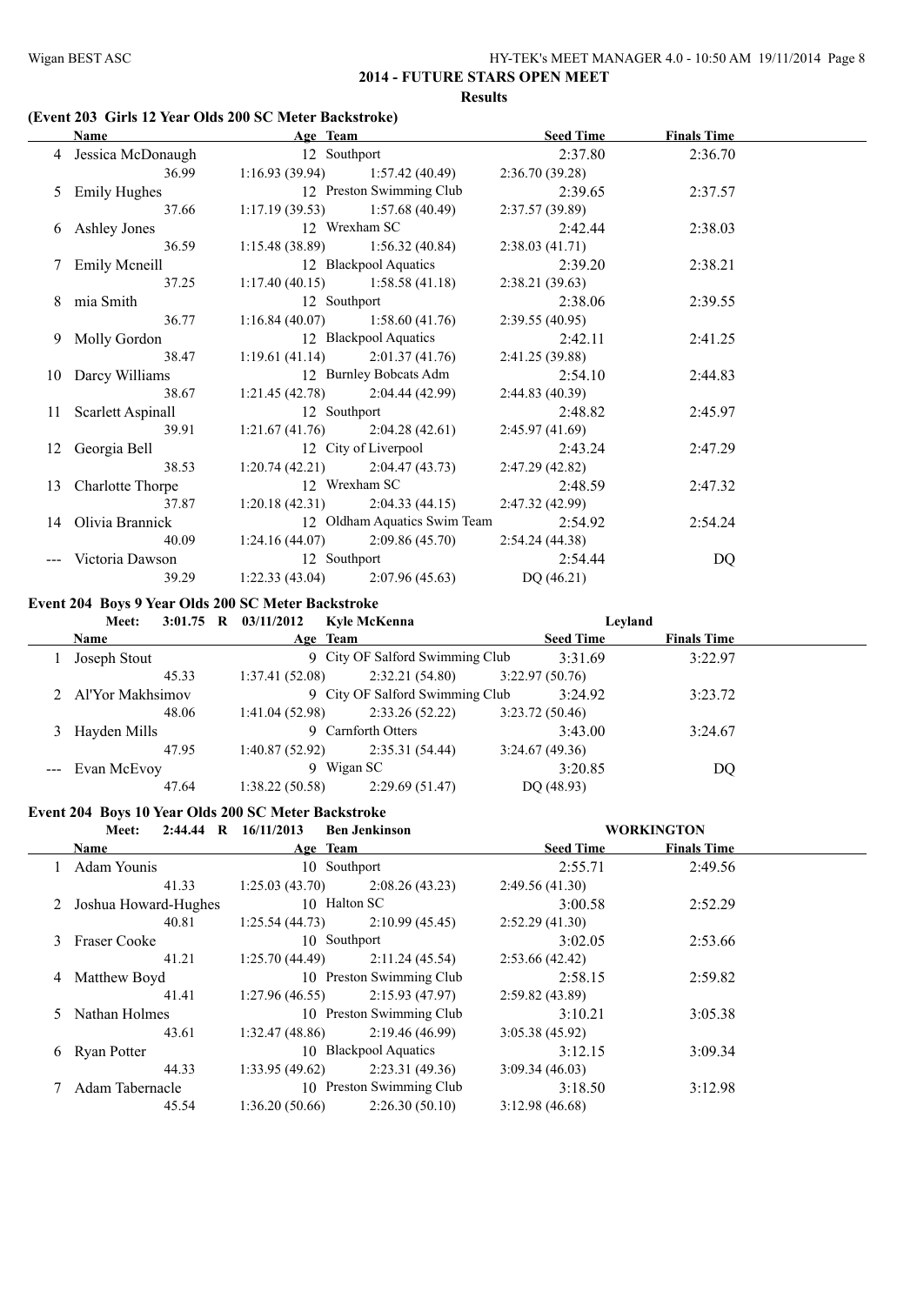# **(Event 203 Girls 12 Year Olds 200 SC Meter Backstroke)**

| Name                 | Age Team                          |                                   | <b>Seed Time</b> | <b>Finals Time</b> |  |
|----------------------|-----------------------------------|-----------------------------------|------------------|--------------------|--|
| 4 Jessica McDonaugh  | 12 Southport                      |                                   | 2:37.80          | 2:36.70            |  |
| 36.99                |                                   | $1:16.93(39.94)$ $1:57.42(40.49)$ | 2:36.70(39.28)   |                    |  |
| 5 Emily Hughes       | 12 Preston Swimming Club          |                                   | 2:39.65          | 2:37.57            |  |
| 37.66                |                                   | $1:17.19(39.53)$ $1:57.68(40.49)$ | 2:37.57(39.89)   |                    |  |
| 6 Ashley Jones       | 12 Wrexham SC                     |                                   | 2:42.44          | 2:38.03            |  |
| 36.59                |                                   | $1:15.48(38.89)$ $1:56.32(40.84)$ | 2:38.03(41.71)   |                    |  |
| 7 Emily Meneill      |                                   | 12 Blackpool Aquatics             | 2:39.20          | 2:38.21            |  |
| 37.25                | $1:17.40(40.15)$ $1:58.58(41.18)$ |                                   | 2:38.21(39.63)   |                    |  |
| 8 mia Smith          | 12 Southport                      |                                   | 2:38.06          | 2:39.55            |  |
| 36.77                |                                   | $1:16.84(40.07)$ $1:58.60(41.76)$ | 2:39.55(40.95)   |                    |  |
| 9 Molly Gordon       |                                   | 12 Blackpool Aquatics             | 2:42.11          | 2:41.25            |  |
| 38.47                |                                   | 1:19.61 (41.14) 2:01.37 (41.76)   | 2:41.25(39.88)   |                    |  |
| 10 Darcy Williams    |                                   | 12 Burnley Bobcats Adm            | 2:54.10          | 2:44.83            |  |
| 38.67                |                                   | $1:21.45(42.78)$ $2:04.44(42.99)$ | 2:44.83(40.39)   |                    |  |
| 11 Scarlett Aspinall | 12 Southport                      |                                   | 2:48.82          | 2:45.97            |  |
| 39.91                |                                   | $1:21.67(41.76)$ $2:04.28(42.61)$ | 2:45.97(41.69)   |                    |  |
| 12 Georgia Bell      |                                   | 12 City of Liverpool              | 2:43.24          | 2:47.29            |  |
| 38.53                |                                   | $1:20.74(42.21)$ $2:04.47(43.73)$ | 2:47.29(42.82)   |                    |  |
| 13 Charlotte Thorpe  | 12 Wrexham SC                     |                                   | 2:48.59          | 2:47.32            |  |
| 37.87                |                                   | $1:20.18(42.31)$ $2:04.33(44.15)$ | 2:47.32 (42.99)  |                    |  |
| 14 Olivia Brannick   |                                   | 12 Oldham Aquatics Swim Team      | 2:54.92          | 2:54.24            |  |
| 40.09                |                                   | $1:24.16(44.07)$ $2:09.86(45.70)$ | 2:54.24 (44.38)  |                    |  |
| --- Victoria Dawson  | 12 Southport                      |                                   | 2:54.44          | DQ                 |  |
| 39.29                | $1:22.33(43.04)$ $2:07.96(45.63)$ |                                   | DQ(46.21)        |                    |  |

# **Event 204 Boys 9 Year Olds 200 SC Meter Backstroke**

| Meet:              | 3:01.75 R $03/11/2012$<br>Kyle McKenna | Levland          |                    |
|--------------------|----------------------------------------|------------------|--------------------|
| <b>Name</b>        | Age Team                               | <b>Seed Time</b> | <b>Finals Time</b> |
| Joseph Stout       | 9 City OF Salford Swimming Club        | 3:31.69          | 3:22.97            |
| 45.33              | 2:32.21(54.80)<br>1:37.41(52.08)       | 3:22.97(50.76)   |                    |
| 2 Al'Yor Makhsimov | 9 City OF Salford Swimming Club        | 3:24.92          | 3:23.72            |
| 48.06              | 2:33.26(52.22)<br>1:41.04(52.98)       | 3:23.72(50.46)   |                    |
| 3 Hayden Mills     | 9 Carnforth Otters                     | 3:43.00          | 3:24.67            |
| 47.95              | 2:35.31(54.44)<br>1:40.87(52.92)       | 3:24.67(49.36)   |                    |
| --- Evan McEvoy    | 9 Wigan SC                             | 3:20.85          | DQ                 |
| 47.64              | 1:38.22(50.58)<br>2:29.69(51.47)       | DQ (48.93)       |                    |

#### **Event 204 Boys 10 Year Olds 200 SC Meter Backstroke**

| $2:44.44 \quad R$<br><b>Meet:</b> | 16/11/2013               | <b>Ben Jenkinson</b>     |                  | <b>WORKINGTON</b>  |  |
|-----------------------------------|--------------------------|--------------------------|------------------|--------------------|--|
| <b>Name</b>                       | Age Team                 |                          | <b>Seed Time</b> | <b>Finals Time</b> |  |
| Adam Younis                       |                          | 10 Southport             | 2:55.71          | 2:49.56            |  |
| 41.33                             | 1:25.03(43.70)           | 2:08.26(43.23)           | 2:49.56(41.30)   |                    |  |
| 2 Joshua Howard-Hughes            |                          | 10 Halton SC             | 3:00.58          | 2:52.29            |  |
| 40.81                             | 1:25.54(44.73)           | 2:10.99(45.45)           | 2:52.29(41.30)   |                    |  |
| 3 Fraser Cooke                    |                          | 10 Southport             | 3:02.05          | 2:53.66            |  |
| 41.21                             | 1:25.70(44.49)           | 2:11.24(45.54)           | 2:53.66(42.42)   |                    |  |
| 4 Matthew Boyd                    | 10 Preston Swimming Club |                          | 2:58.15          | 2:59.82            |  |
| 41.41                             | 1:27.96(46.55)           | 2:15.93(47.97)           | 2:59.82(43.89)   |                    |  |
| 5 Nathan Holmes                   |                          | 10 Preston Swimming Club | 3:10.21          | 3:05.38            |  |
| 43.61                             | 1:32.47(48.86)           | 2:19.46(46.99)           | 3:05.38(45.92)   |                    |  |
| 6 Ryan Potter                     |                          | 10 Blackpool Aquatics    | 3:12.15          | 3:09.34            |  |
| 44.33                             | 1:33.95(49.62)           | 2:23.31(49.36)           | 3:09.34(46.03)   |                    |  |
| Adam Tabernacle                   |                          | 10 Preston Swimming Club | 3:18.50          | 3:12.98            |  |
| 45.54                             | 1:36.20(50.66)           | 2:26.30(50.10)           | 3:12.98(46.68)   |                    |  |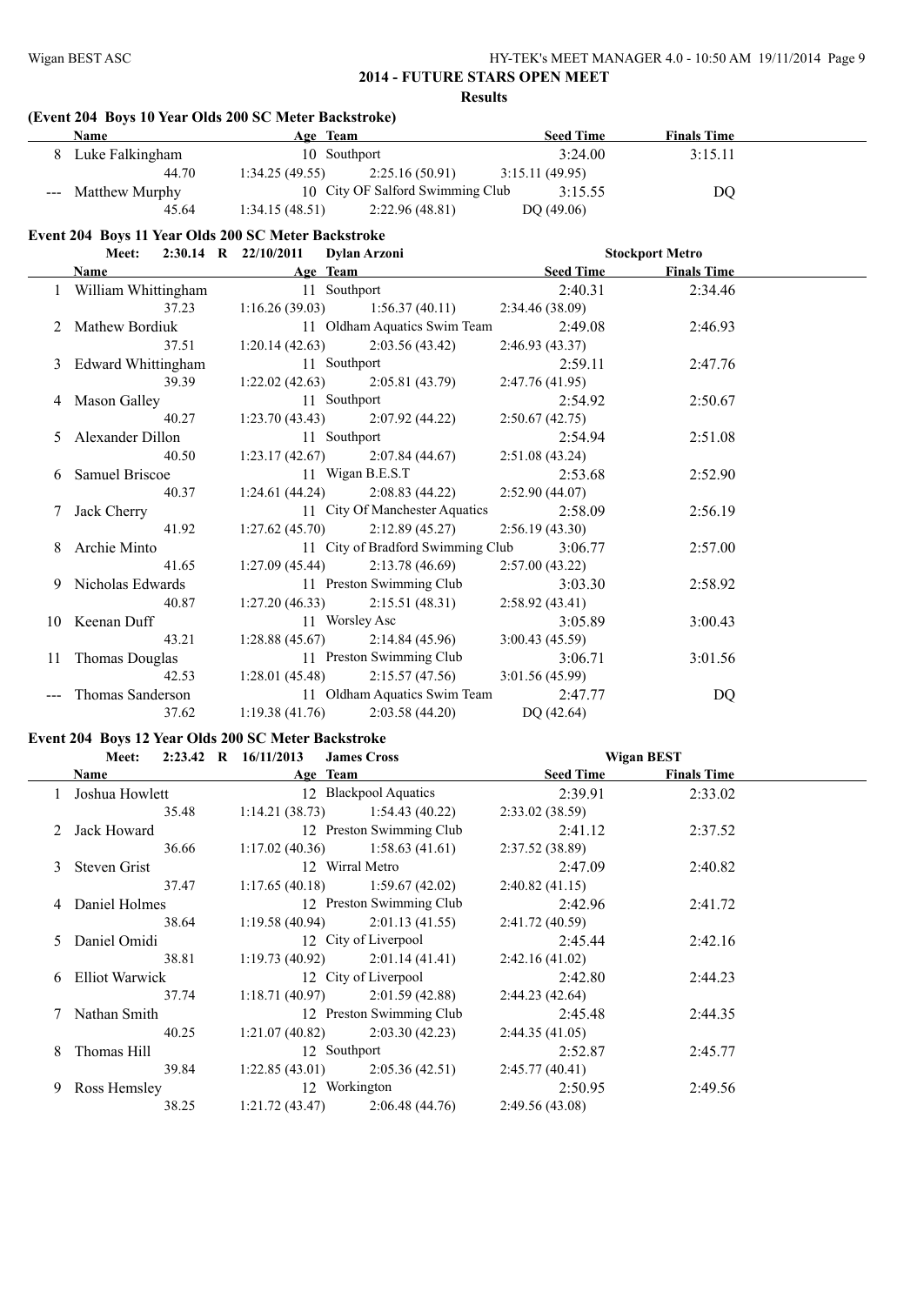# **(Event 204 Boys 10 Year Olds 200 SC Meter Backstroke)**

| Name               | Age Team                          | <b>Seed Time</b> | <b>Finals Time</b> |  |
|--------------------|-----------------------------------|------------------|--------------------|--|
| Luke Falkingham    | 10 Southport                      | 3:24.00          | 3:15.11            |  |
| 44.70              | 2:25.16 (50.91)<br>1:34.25(49.55) | 3:15.11(49.95)   |                    |  |
| --- Matthew Murphy | 10 City OF Salford Swimming Club  | 3:15.55          | DO                 |  |
| 45.64              | 1:34.15(48.51)<br>2:22.96(48.81)  | DQ(49.06)        |                    |  |

# **Event 204 Boys 11 Year Olds 200 SC Meter Backstroke**

|   |                                    |       | Meet: 2:30.14 R 22/10/2011 Dylan Arzoni |                                      |                 |         | <b>Stockport Metro</b> |  |
|---|------------------------------------|-------|-----------------------------------------|--------------------------------------|-----------------|---------|------------------------|--|
|   | Name                               |       |                                         | Age Team Seed Time                   |                 |         | <b>Finals Time</b>     |  |
|   | 1 William Whittingham 11 Southport |       |                                         |                                      |                 | 2:40.31 | 2:34.46                |  |
|   |                                    | 37.23 |                                         | $1:16.26(39.03)$ $1:56.37(40.11)$    | 2:34.46 (38.09) |         |                        |  |
|   | 2 Mathew Bordiuk                   |       |                                         | 11 Oldham Aquatics Swim Team         |                 | 2:49.08 | 2:46.93                |  |
|   |                                    | 37.51 |                                         | $1:20.14(42.63)$ $2:03.56(43.42)$    | 2:46.93(43.37)  |         |                        |  |
|   | 3 Edward Whittingham               |       | 11 Southport                            |                                      |                 | 2:59.11 | 2:47.76                |  |
|   |                                    | 39.39 |                                         | $1:22.02(42.63)$ $2:05.81(43.79)$    | 2:47.76(41.95)  |         |                        |  |
|   | 4 Mason Galley                     |       | 11 Southport                            |                                      |                 | 2:54.92 | 2:50.67                |  |
|   |                                    | 40.27 |                                         | $1:23.70(43.43)$ $2:07.92(44.22)$    | 2:50.67(42.75)  |         |                        |  |
|   | 5 Alexander Dillon                 |       | 11 Southport                            |                                      |                 | 2:54.94 | 2:51.08                |  |
|   |                                    | 40.50 |                                         | $1:23.17(42.67)$ $2:07.84(44.67)$    | 2:51.08(43.24)  |         |                        |  |
|   | 6 Samuel Briscoe                   |       |                                         | 11 Wigan B.E.S.T                     |                 | 2:53.68 | 2:52.90                |  |
|   |                                    | 40.37 |                                         | $1:24.61(44.24)$ $2:08.83(44.22)$    | 2:52.90(44.07)  |         |                        |  |
|   | Jack Cherry                        |       |                                         | 11 City Of Manchester Aquatics       |                 | 2:58.09 | 2:56.19                |  |
|   |                                    | 41.92 |                                         | $1:27.62(45.70)$ $2:12.89(45.27)$    | 2:56.19(43.30)  |         |                        |  |
| 8 | Archie Minto                       |       |                                         | 11 City of Bradford Swimming Club    |                 | 3:06.77 | 2:57.00                |  |
|   |                                    | 41.65 |                                         | $1:27.09(45.44)$ $2:13.78(46.69)$    | 2:57.00(43.22)  |         |                        |  |
|   | 9 Nicholas Edwards                 |       |                                         | 11 Preston Swimming Club             |                 | 3:03.30 | 2:58.92                |  |
|   |                                    | 40.87 |                                         | $1:27.20(46.33)$ $2:15.51(48.31)$    | 2:58.92(43.41)  |         |                        |  |
|   | 10 Keenan Duff                     |       |                                         | 11 Worsley Asc                       |                 | 3:05.89 | 3:00.43                |  |
|   |                                    | 43.21 |                                         | $1:28.88(45.67)$ $2:14.84(45.96)$    | 3:00.43(45.59)  |         |                        |  |
|   | 11 Thomas Douglas                  |       |                                         | 11 Preston Swimming Club             |                 | 3:06.71 | 3:01.56                |  |
|   |                                    | 42.53 |                                         | $1:28.01(45.48)$ $2:15.57(47.56)$    | 3:01.56(45.99)  |         |                        |  |
|   | Thomas Sanderson                   |       |                                         | 11 Oldham Aquatics Swim Team 2:47.77 |                 |         | DQ                     |  |
|   |                                    | 37.62 |                                         | $1:19.38(41.76)$ $2:03.58(44.20)$    | DQ(42.64)       |         |                        |  |

#### **Event 204 Boys 12 Year Olds 200 SC Meter Backstroke**

|   | Meet:            | 2:23.42 R $16/11/2013$<br><b>James Cross</b> |                  | <b>Wigan BEST</b>  |  |  |
|---|------------------|----------------------------------------------|------------------|--------------------|--|--|
|   | Name             | Age Team                                     | <b>Seed Time</b> | <b>Finals Time</b> |  |  |
|   | 1 Joshua Howlett | 12 Blackpool Aquatics                        | 2:39.91          | 2:33.02            |  |  |
|   | 35.48            | $1:14.21(38.73)$ $1:54.43(40.22)$            | 2:33.02(38.59)   |                    |  |  |
|   | 2 Jack Howard    | 12 Preston Swimming Club                     | 2:41.12          | 2:37.52            |  |  |
|   | 36.66            | $1:17.02(40.36)$ $1:58.63(41.61)$            | 2:37.52(38.89)   |                    |  |  |
|   | 3 Steven Grist   | 12 Wirral Metro                              | 2:47.09          | 2:40.82            |  |  |
|   | 37.47            | $1:17.65(40.18)$ $1:59.67(42.02)$            | 2:40.82(41.15)   |                    |  |  |
|   | 4 Daniel Holmes  | 12 Preston Swimming Club                     | 2:42.96          | 2:41.72            |  |  |
|   | 38.64            | $1:19.58(40.94)$ $2:01.13(41.55)$            | 2:41.72(40.59)   |                    |  |  |
|   | 5 Daniel Omidi   | 12 City of Liverpool                         | 2:45.44          | 2:42.16            |  |  |
|   | 38.81            | $1:19.73(40.92)$ $2:01.14(41.41)$            | 2:42.16(41.02)   |                    |  |  |
|   | 6 Elliot Warwick | 12 City of Liverpool                         | 2:42.80          | 2:44.23            |  |  |
|   | 37.74            | $1:18.71(40.97)$ $2:01.59(42.88)$            | 2:44.23(42.64)   |                    |  |  |
|   | 7 Nathan Smith   | 12 Preston Swimming Club                     | 2:45.48          | 2:44.35            |  |  |
|   | 40.25            | $1:21.07(40.82)$ $2:03.30(42.23)$            | 2:44.35(41.05)   |                    |  |  |
| 8 | Thomas Hill      | 12 Southport                                 | 2:52.87          | 2:45.77            |  |  |
|   | 39.84            | $1:22.85(43.01)$ $2:05.36(42.51)$            | 2:45.77(40.41)   |                    |  |  |
| 9 | Ross Hemsley     | 12 Workington                                | 2:50.95          | 2:49.56            |  |  |
|   | 38.25            | 2:06.48(44.76)<br>1:21.72(43.47)             | 2:49.56(43.08)   |                    |  |  |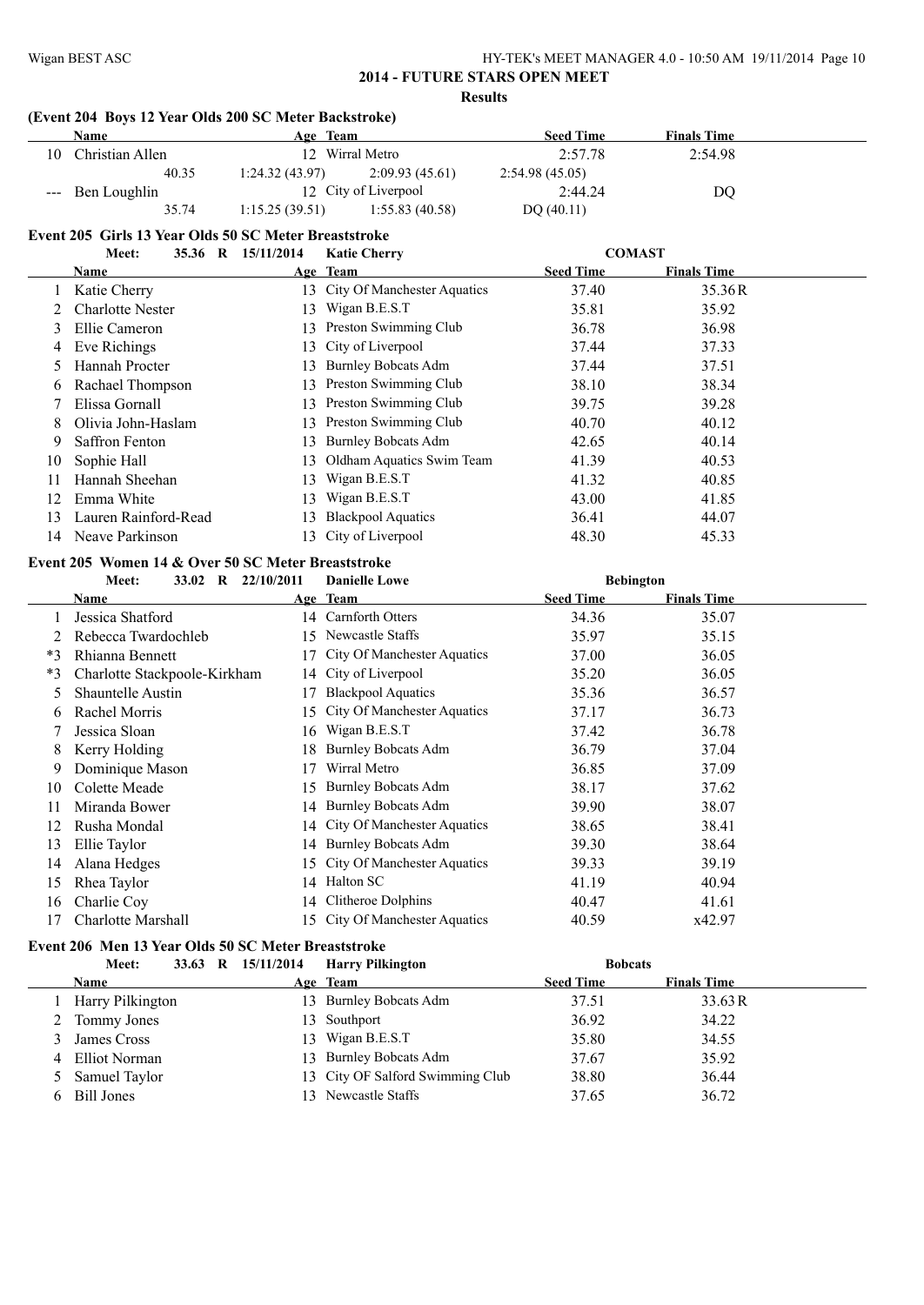#### **(Event 204 Boys 12 Year Olds 200 SC Meter Backstroke)**

| Name                  | Age Team                         | <b>Seed Time</b> | <b>Finals Time</b> |  |
|-----------------------|----------------------------------|------------------|--------------------|--|
| 10<br>Christian Allen | 12 Wirral Metro                  | 2:57.78          | 2:54.98            |  |
| 40.35                 | 1:24.32(43.97)<br>2:09.93(45.61) | 2:54.98(45.05)   |                    |  |
| --- Ben Loughlin      | 12 City of Liverpool             | 2:44.24          | D <sub>O</sub>     |  |
| 35.74                 | 1:15.25(39.51)<br>1:55.83(40.58) | DQ(40.11)        |                    |  |

# **Event 205 Girls 13 Year Olds 50 SC Meter Breaststroke**

|    | Meet:                   | 35.36 R 15/11/2014 | <b>Katie Cherry</b>            | <b>COMAST</b>    |                    |  |
|----|-------------------------|--------------------|--------------------------------|------------------|--------------------|--|
|    | Name                    |                    | Age Team                       | <b>Seed Time</b> | <b>Finals Time</b> |  |
|    | Katie Cherry            |                    | 13 City Of Manchester Aquatics | 37.40            | 35.36R             |  |
|    | <b>Charlotte Nester</b> | 13                 | Wigan B.E.S.T                  | 35.81            | 35.92              |  |
| 3  | Ellie Cameron           |                    | 13 Preston Swimming Club       | 36.78            | 36.98              |  |
| 4  | Eve Richings            |                    | 13 City of Liverpool           | 37.44            | 37.33              |  |
| 5. | Hannah Procter          | 13.                | <b>Burnley Bobcats Adm</b>     | 37.44            | 37.51              |  |
| 6  | Rachael Thompson        | 13.                | Preston Swimming Club          | 38.10            | 38.34              |  |
|    | Elissa Gornall          |                    | 13 Preston Swimming Club       | 39.75            | 39.28              |  |
| 8  | Olivia John-Haslam      |                    | 13 Preston Swimming Club       | 40.70            | 40.12              |  |
| 9  | <b>Saffron Fenton</b>   | 13.                | <b>Burnley Bobcats Adm</b>     | 42.65            | 40.14              |  |
| 10 | Sophie Hall             | 13.                | Oldham Aquatics Swim Team      | 41.39            | 40.53              |  |
| 11 | Hannah Sheehan          | 13                 | Wigan B.E.S.T                  | 41.32            | 40.85              |  |
| 12 | Emma White              | 13.                | Wigan B.E.S.T                  | 43.00            | 41.85              |  |
| 13 | Lauren Rainford-Read    | 13.                | <b>Blackpool Aquatics</b>      | 36.41            | 44.07              |  |
| 14 | Neave Parkinson         |                    | 13 City of Liverpool           | 48.30            | 45.33              |  |

#### **Event 205 Women 14 & Over 50 SC Meter Breaststroke**

|      | Meet:<br>33.02<br>R          | 22/10/2011 | <b>Danielle Lowe</b>           | <b>Bebington</b> |                    |  |
|------|------------------------------|------------|--------------------------------|------------------|--------------------|--|
|      | Name                         |            | Age Team                       | <b>Seed Time</b> | <b>Finals Time</b> |  |
|      | Jessica Shatford             | 14         | Carnforth Otters               | 34.36            | 35.07              |  |
|      | Rebecca Twardochleb          | 15.        | Newcastle Staffs               | 35.97            | 35.15              |  |
| $*3$ | Rhianna Bennett              |            | City Of Manchester Aquatics    | 37.00            | 36.05              |  |
| $*3$ | Charlotte Stackpoole-Kirkham |            | 14 City of Liverpool           | 35.20            | 36.05              |  |
| 5    | Shauntelle Austin            | 17         | <b>Blackpool Aquatics</b>      | 35.36            | 36.57              |  |
| O    | Rachel Morris                |            | 15 City Of Manchester Aquatics | 37.17            | 36.73              |  |
|      | Jessica Sloan                | 16.        | Wigan B.E.S.T                  | 37.42            | 36.78              |  |
| 8    | Kerry Holding                | 18.        | <b>Burnley Bobcats Adm</b>     | 36.79            | 37.04              |  |
| 9    | Dominique Mason              | 17         | Wirral Metro                   | 36.85            | 37.09              |  |
| 10   | Colette Meade                | 15.        | <b>Burnley Bobcats Adm</b>     | 38.17            | 37.62              |  |
| 11   | Miranda Bower                | 14         | <b>Burnley Bobcats Adm</b>     | 39.90            | 38.07              |  |
| 12   | Rusha Mondal                 |            | 14 City Of Manchester Aquatics | 38.65            | 38.41              |  |
| 13   | Ellie Taylor                 |            | 14 Burnley Bobcats Adm         | 39.30            | 38.64              |  |
| 14   | Alana Hedges                 |            | 15 City Of Manchester Aquatics | 39.33            | 39.19              |  |
| 15   | Rhea Taylor                  | 14         | Halton SC                      | 41.19            | 40.94              |  |
| 16   | Charlie Coy                  |            | 14 Clitheroe Dolphins          | 40.47            | 41.61              |  |
| 17   | Charlotte Marshall           |            | 15 City Of Manchester Aquatics | 40.59            | x42.97             |  |

# **Event 206 Men 13 Year Olds 50 SC Meter Breaststroke**

| Meet:<br>33.63 R   | 15/11/2014 | <b>Harry Pilkington</b>          | <b>Bobcats</b>   |                    |  |  |  |  |  |
|--------------------|------------|----------------------------------|------------------|--------------------|--|--|--|--|--|
| <b>Name</b>        |            | Age Team                         | <b>Seed Time</b> | <b>Finals Time</b> |  |  |  |  |  |
| 1 Harry Pilkington |            | 13 Burnley Bobcats Adm           | 37.51            | 33.63R             |  |  |  |  |  |
| 2 Tommy Jones      |            | 13 Southport                     | 36.92            | 34.22              |  |  |  |  |  |
| James Cross        |            | 13 Wigan B.E.S.T                 | 35.80            | 34.55              |  |  |  |  |  |
| 4 Elliot Norman    |            | 13 Burnley Bobcats Adm           | 37.67            | 35.92              |  |  |  |  |  |
| 5 Samuel Taylor    |            | 13 City OF Salford Swimming Club | 38.80            | 36.44              |  |  |  |  |  |
| 6 Bill Jones       |            | 13 Newcastle Staffs              | 37.65            | 36.72              |  |  |  |  |  |
|                    |            |                                  |                  |                    |  |  |  |  |  |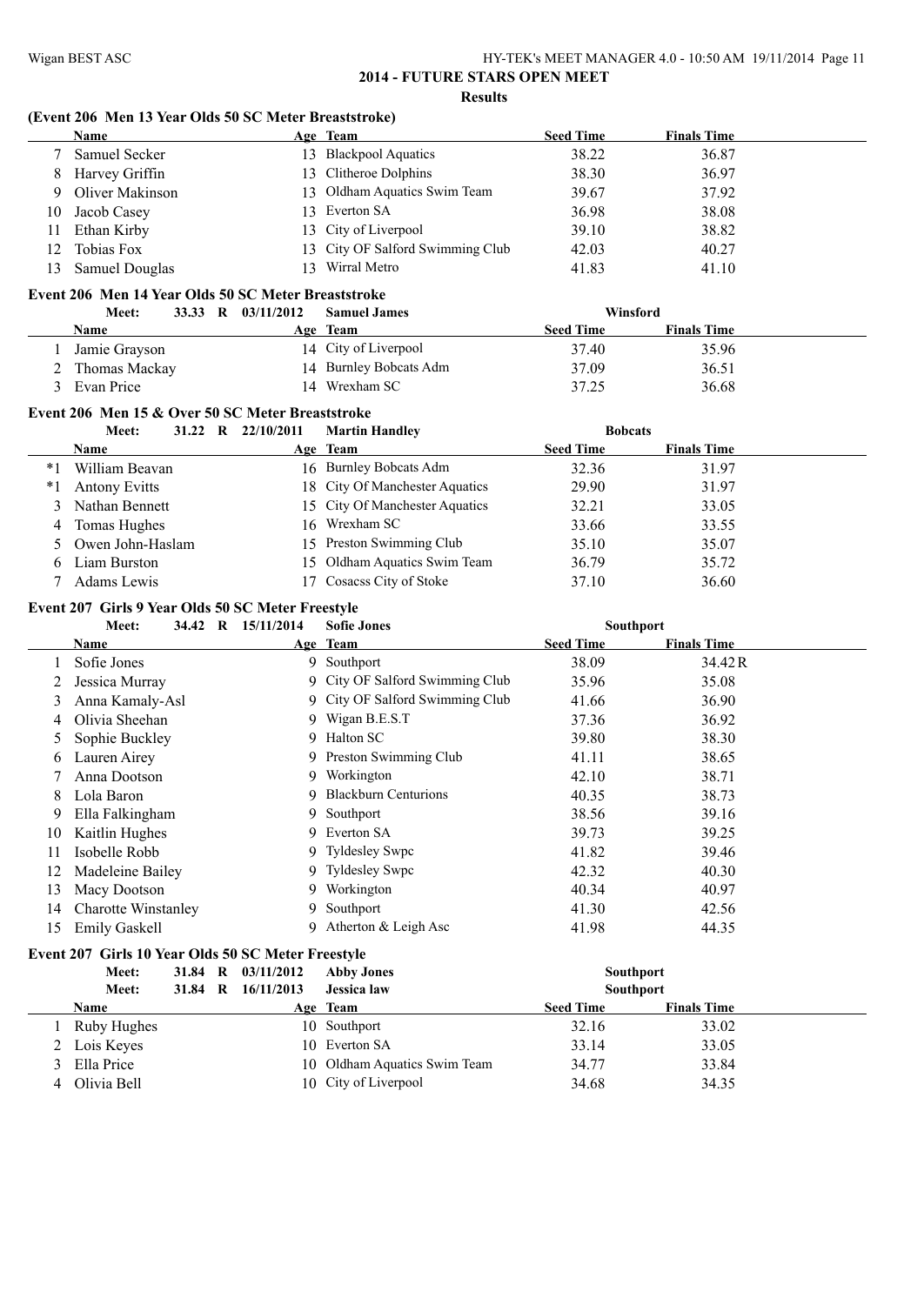#### **(Event 206 Men 13 Year Olds 50 SC Meter Breaststroke)**

|     | <b>Name</b>          |               | Age Team                         | <b>Seed Time</b> | <b>Finals Time</b> |
|-----|----------------------|---------------|----------------------------------|------------------|--------------------|
|     | <b>Samuel Secker</b> |               | 13 Blackpool Aquatics            | 38.22            | 36.87              |
| 8   | Harvey Griffin       |               | 13 Clitheroe Dolphins            | 38.30            | 36.97              |
| 9   | Oliver Makinson      |               | 13 Oldham Aquatics Swim Team     | 39.67            | 37.92              |
| 10  | Jacob Casey          |               | 13 Everton SA                    | 36.98            | 38.08              |
| 11. | Ethan Kirby          |               | 13 City of Liverpool             | 39.10            | 38.82              |
| 12. | Tobias Fox           |               | 13 City OF Salford Swimming Club | 42.03            | 40.27              |
| 13. | Samuel Douglas       | $\mathcal{R}$ | Wirral Metro                     | 41.83            | 41.10              |
|     |                      |               |                                  |                  |                    |

# **Event 206 Men 14 Year Olds 50 SC Meter Breaststroke**

| Meet:         | 33.33 R 03/11/2012 | <b>Samuel James</b>    | Winsford         |                    |  |
|---------------|--------------------|------------------------|------------------|--------------------|--|
| <b>Name</b>   |                    | Age Team               | <b>Seed Time</b> | <b>Finals Time</b> |  |
| Jamie Grayson |                    | 14 City of Liverpool   | 37.40            | 35.96              |  |
| Thomas Mackay |                    | 14 Burnley Bobcats Adm | 37.09            | 36.51              |  |
| Evan Price    |                    | 14 Wrexham SC          | 37.25            | 36.68              |  |

#### **Event 206 Men 15 & Over 50 SC Meter Breaststroke**

|    | Meet:                |  | 31.22 R 22/10/2011 | <b>Martin Handley</b>          | <b>Bobcats</b>   |                    |  |
|----|----------------------|--|--------------------|--------------------------------|------------------|--------------------|--|
|    | Name                 |  |                    | Age Team                       | <b>Seed Time</b> | <b>Finals Time</b> |  |
| *1 | William Beavan       |  |                    | 16 Burnley Bobcats Adm         | 32.36            | 31.97              |  |
| *1 | <b>Antony Evitts</b> |  |                    | 18 City Of Manchester Aquatics | 29.90            | 31.97              |  |
|    | Nathan Bennett       |  |                    | 15 City Of Manchester Aquatics | 32.21            | 33.05              |  |
| 4  | Tomas Hughes         |  |                    | 16 Wrexham SC                  | 33.66            | 33.55              |  |
|    | Owen John-Haslam     |  |                    | 15 Preston Swimming Club       | 35.10            | 35.07              |  |
|    | Liam Burston         |  |                    | 15 Oldham Aquatics Swim Team   | 36.79            | 35.72              |  |
|    | Adams Lewis          |  |                    | 17 Cosacss City of Stoke       | 37.10            | 36.60              |  |

#### **Event 207 Girls 9 Year Olds 50 SC Meter Freestyle**

|    | 34.42 R<br>Meet:           | 15/11/2014 | <b>Sofie Jones</b>              | Southport        |                    |  |
|----|----------------------------|------------|---------------------------------|------------------|--------------------|--|
|    | Name                       |            | Age Team                        | <b>Seed Time</b> | <b>Finals Time</b> |  |
|    | Sofie Jones                |            | 9 Southport                     | 38.09            | 34.42 R            |  |
|    | Jessica Murray             |            | 9 City OF Salford Swimming Club | 35.96            | 35.08              |  |
| 3  | Anna Kamaly-Asl            |            | 9 City OF Salford Swimming Club | 41.66            | 36.90              |  |
| 4  | Olivia Sheehan             |            | 9 Wigan B.E.S.T                 | 37.36            | 36.92              |  |
| 5. | Sophie Buckley             |            | 9 Halton SC                     | 39.80            | 38.30              |  |
| 6  | Lauren Airey               |            | 9 Preston Swimming Club         | 41.11            | 38.65              |  |
|    | Anna Dootson               |            | 9 Workington                    | 42.10            | 38.71              |  |
| 8  | Lola Baron                 |            | 9 Blackburn Centurions          | 40.35            | 38.73              |  |
| 9  | Ella Falkingham            |            | 9 Southport                     | 38.56            | 39.16              |  |
| 10 | Kaitlin Hughes             |            | 9 Everton SA                    | 39.73            | 39.25              |  |
| 11 | Isobelle Robb              |            | 9 Tyldesley Swpc                | 41.82            | 39.46              |  |
| 12 | Madeleine Bailey           |            | 9 Tyldesley Swpc                | 42.32            | 40.30              |  |
| 13 | Macy Dootson               |            | 9 Workington                    | 40.34            | 40.97              |  |
| 14 | <b>Charotte Winstanley</b> |            | 9 Southport                     | 41.30            | 42.56              |  |
| 15 | <b>Emily Gaskell</b>       | 9.         | Atherton & Leigh Asc            | 41.98            | 44.35              |  |

# **Event 207 Girls 10 Year Olds 50 SC Meter Freestyle**

|   | Meet:        |         | 31.84 R 03/11/2012 | <b>Abby Jones</b>            | <b>Southport</b> |                    |  |
|---|--------------|---------|--------------------|------------------------------|------------------|--------------------|--|
|   | Meet:        | 31.84 R | 16/11/2013         | <b>Jessica</b> law           | <b>Southport</b> |                    |  |
|   | <b>Name</b>  |         |                    | Age Team                     | <b>Seed Time</b> | <b>Finals Time</b> |  |
|   | Ruby Hughes  |         |                    | 10 Southport                 | 32.16            | 33.02              |  |
|   | 2 Lois Keyes |         |                    | 10 Everton SA                | 33.14            | 33.05              |  |
| 3 | Ella Price   |         |                    | 10 Oldham Aquatics Swim Team | 34.77            | 33.84              |  |
| 4 | Olivia Bell  |         |                    | 10 City of Liverpool         | 34.68            | 34.35              |  |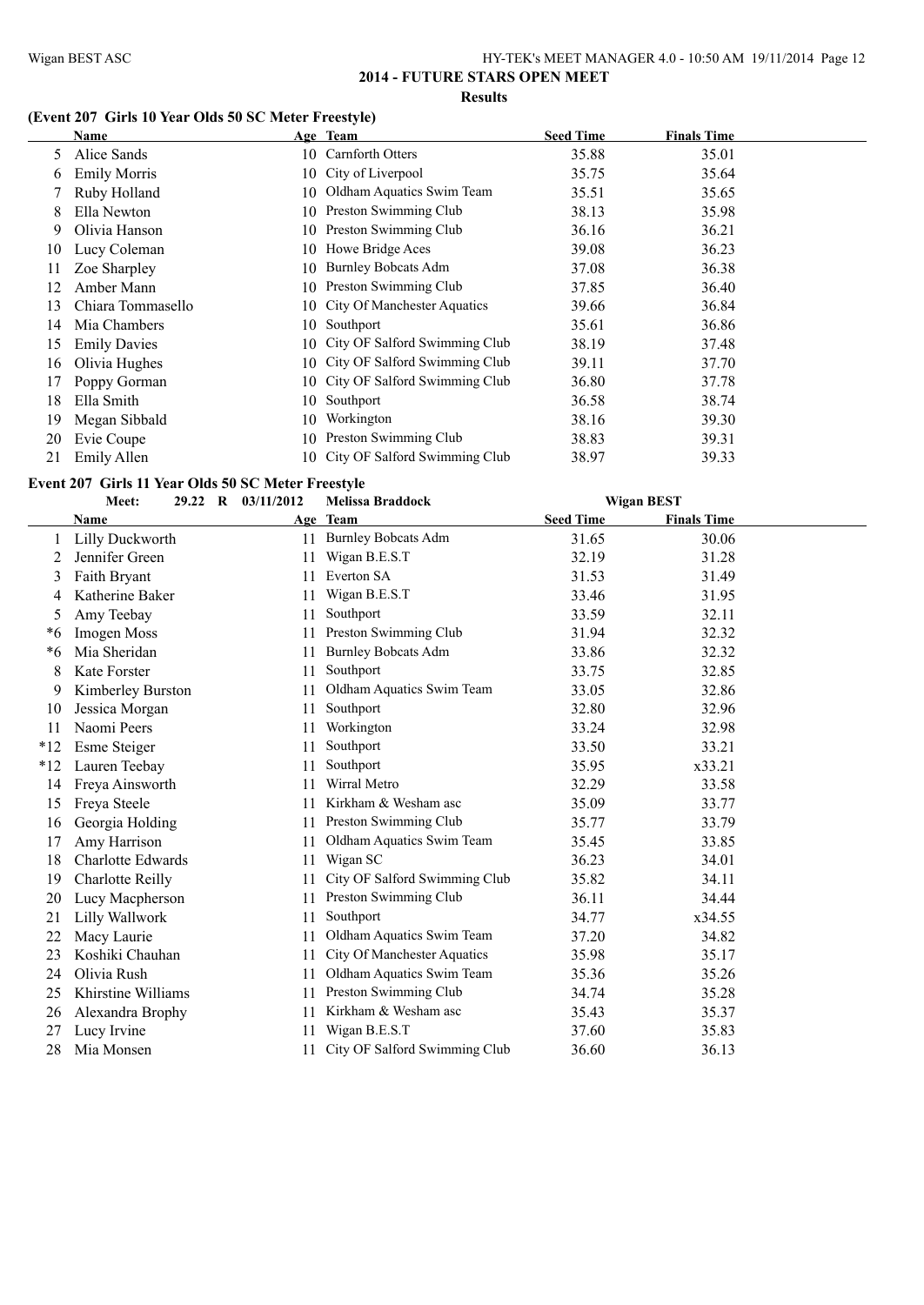# **(Event 207 Girls 10 Year Olds 50 SC Meter Freestyle)**

|    | <b>Name</b>         |     | Age Team                         | <b>Seed Time</b> | <b>Finals Time</b> |
|----|---------------------|-----|----------------------------------|------------------|--------------------|
| 5. | Alice Sands         |     | 10 Carnforth Otters              | 35.88            | 35.01              |
| b  | <b>Emily Morris</b> |     | 10 City of Liverpool             | 35.75            | 35.64              |
|    | Ruby Holland        | 10. | Oldham Aquatics Swim Team        | 35.51            | 35.65              |
| 8  | Ella Newton         | 10. | Preston Swimming Club            | 38.13            | 35.98              |
| 9  | Olivia Hanson       |     | 10 Preston Swimming Club         | 36.16            | 36.21              |
| 10 | Lucy Coleman        |     | 10 Howe Bridge Aces              | 39.08            | 36.23              |
| 11 | Zoe Sharpley        | 10- | <b>Burnley Bobcats Adm</b>       | 37.08            | 36.38              |
| 12 | Amber Mann          |     | 10 Preston Swimming Club         | 37.85            | 36.40              |
| 13 | Chiara Tommasello   |     | 10 City Of Manchester Aquatics   | 39.66            | 36.84              |
| 14 | Mia Chambers        | 10- | Southport                        | 35.61            | 36.86              |
| 15 | <b>Emily Davies</b> |     | 10 City OF Salford Swimming Club | 38.19            | 37.48              |
| 16 | Olivia Hughes       |     | 10 City OF Salford Swimming Club | 39.11            | 37.70              |
| 17 | Poppy Gorman        |     | 10 City OF Salford Swimming Club | 36.80            | 37.78              |
| 18 | Ella Smith          | 10  | Southport                        | 36.58            | 38.74              |
| 19 | Megan Sibbald       | 10  | Workington                       | 38.16            | 39.30              |
| 20 | Evie Coupe          |     | 10 Preston Swimming Club         | 38.83            | 39.31              |
| 21 | Emily Allen         |     | 10 City OF Salford Swimming Club | 38.97            | 39.33              |

# **Event 207 Girls 11 Year Olds 50 SC Meter Freestyle**<br>Meet: 29.22 R 03/11/2012 Melissa

| t: |  | 29.22 R 03/11/2012 | Melissa Braddocl |  |
|----|--|--------------------|------------------|--|

|       | Meet:                    |  | 29.22 R 03/11/2012 | <b>Melissa Braddock</b>          |                  | <b>Wigan BEST</b>  |  |
|-------|--------------------------|--|--------------------|----------------------------------|------------------|--------------------|--|
|       | Name                     |  |                    | Age Team                         | <b>Seed Time</b> | <b>Finals Time</b> |  |
|       | Lilly Duckworth          |  | 11                 | <b>Burnley Bobcats Adm</b>       | 31.65            | 30.06              |  |
| 2     | Jennifer Green           |  | 11                 | Wigan B.E.S.T                    | 32.19            | 31.28              |  |
| 3     | Faith Bryant             |  | 11                 | Everton SA                       | 31.53            | 31.49              |  |
| 4     | Katherine Baker          |  | 11                 | Wigan B.E.S.T                    | 33.46            | 31.95              |  |
| 5     | Amy Teebay               |  | 11                 | Southport                        | 33.59            | 32.11              |  |
| *6    | Imogen Moss              |  | 11                 | Preston Swimming Club            | 31.94            | 32.32              |  |
| *6    | Mia Sheridan             |  | 11                 | <b>Burnley Bobcats Adm</b>       | 33.86            | 32.32              |  |
| 8     | Kate Forster             |  | 11                 | Southport                        | 33.75            | 32.85              |  |
| 9     | Kimberley Burston        |  | 11                 | Oldham Aquatics Swim Team        | 33.05            | 32.86              |  |
| 10    | Jessica Morgan           |  | 11                 | Southport                        | 32.80            | 32.96              |  |
| 11    | Naomi Peers              |  | 11                 | Workington                       | 33.24            | 32.98              |  |
| $*12$ | Esme Steiger             |  | 11                 | Southport                        | 33.50            | 33.21              |  |
| $*12$ | Lauren Teebay            |  | 11                 | Southport                        | 35.95            | x33.21             |  |
| 14    | Freya Ainsworth          |  | 11                 | Wirral Metro                     | 32.29            | 33.58              |  |
| 15    | Freya Steele             |  | 11.                | Kirkham & Wesham asc             | 35.09            | 33.77              |  |
| 16    | Georgia Holding          |  | 11                 | Preston Swimming Club            | 35.77            | 33.79              |  |
| 17    | Amy Harrison             |  |                    | Oldham Aquatics Swim Team        | 35.45            | 33.85              |  |
| 18    | <b>Charlotte Edwards</b> |  | 11                 | Wigan SC                         | 36.23            | 34.01              |  |
| 19    | <b>Charlotte Reilly</b>  |  | 11                 | City OF Salford Swimming Club    | 35.82            | 34.11              |  |
| 20    | Lucy Macpherson          |  | 11                 | Preston Swimming Club            | 36.11            | 34.44              |  |
| 21    | Lilly Wallwork           |  | 11                 | Southport                        | 34.77            | x34.55             |  |
| 22    | Macy Laurie              |  | 11                 | Oldham Aquatics Swim Team        | 37.20            | 34.82              |  |
| 23    | Koshiki Chauhan          |  | 11                 | City Of Manchester Aquatics      | 35.98            | 35.17              |  |
| 24    | Olivia Rush              |  | 11                 | Oldham Aquatics Swim Team        | 35.36            | 35.26              |  |
| 25    | Khirstine Williams       |  |                    | Preston Swimming Club            | 34.74            | 35.28              |  |
| 26    | Alexandra Brophy         |  | 11                 | Kirkham & Wesham asc             | 35.43            | 35.37              |  |
| 27    | Lucy Irvine              |  |                    | Wigan B.E.S.T                    | 37.60            | 35.83              |  |
| 28    | Mia Monsen               |  |                    | 11 City OF Salford Swimming Club | 36.60            | 36.13              |  |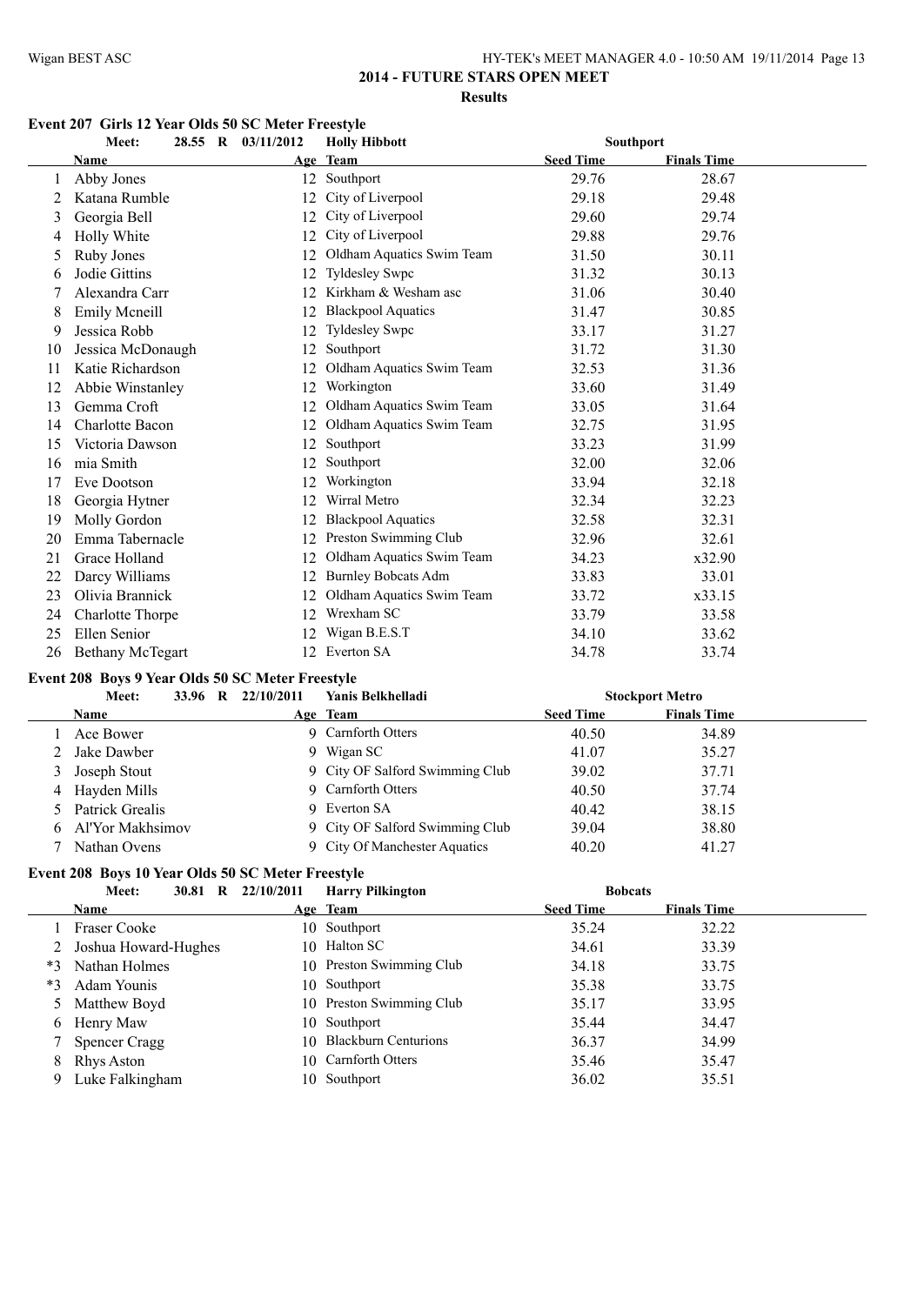# **2014 - FUTURE STARS OPEN MEET Results**

# **Event 207 Girls 12 Year Olds 50 SC Meter Freestyle**

|    | 28.55 R<br>Meet:        | 03/11/2012 | <b>Holly Hibbott</b>       | Southport        |                    |  |
|----|-------------------------|------------|----------------------------|------------------|--------------------|--|
|    | Name                    |            | Age Team                   | <b>Seed Time</b> | <b>Finals Time</b> |  |
|    | Abby Jones              | 12         | Southport                  | 29.76            | 28.67              |  |
|    | Katana Rumble           | 12         | City of Liverpool          | 29.18            | 29.48              |  |
| 3  | Georgia Bell            | 12         | City of Liverpool          | 29.60            | 29.74              |  |
|    | Holly White             | 12         | City of Liverpool          | 29.88            | 29.76              |  |
| 5  | Ruby Jones              | 12         | Oldham Aquatics Swim Team  | 31.50            | 30.11              |  |
| 6  | Jodie Gittins           | 12         | Tyldesley Swpc             | 31.32            | 30.13              |  |
|    | Alexandra Carr          | 12         | Kirkham & Wesham asc       | 31.06            | 30.40              |  |
| 8  | <b>Emily Mcneill</b>    | 12         | <b>Blackpool Aquatics</b>  | 31.47            | 30.85              |  |
| 9  | Jessica Robb            | 12         | <b>Tyldesley Swpc</b>      | 33.17            | 31.27              |  |
| 10 | Jessica McDonaugh       | 12         | Southport                  | 31.72            | 31.30              |  |
| 11 | Katie Richardson        |            | Oldham Aquatics Swim Team  | 32.53            | 31.36              |  |
| 12 | Abbie Winstanley        | 12         | Workington                 | 33.60            | 31.49              |  |
| 13 | Gemma Croft             | 12         | Oldham Aquatics Swim Team  | 33.05            | 31.64              |  |
| 14 | Charlotte Bacon         | 12         | Oldham Aquatics Swim Team  | 32.75            | 31.95              |  |
| 15 | Victoria Dawson         | 12         | Southport                  | 33.23            | 31.99              |  |
| 16 | mia Smith               |            | Southport                  | 32.00            | 32.06              |  |
| 17 | Eve Dootson             | 12         | Workington                 | 33.94            | 32.18              |  |
| 18 | Georgia Hytner          | 12         | Wirral Metro               | 32.34            | 32.23              |  |
| 19 | Molly Gordon            |            | <b>Blackpool Aquatics</b>  | 32.58            | 32.31              |  |
| 20 | Emma Tabernacle         | 12         | Preston Swimming Club      | 32.96            | 32.61              |  |
| 21 | Grace Holland           | 12         | Oldham Aquatics Swim Team  | 34.23            | x32.90             |  |
| 22 | Darcy Williams          | 12         | <b>Burnley Bobcats Adm</b> | 33.83            | 33.01              |  |
| 23 | Olivia Brannick         | 12         | Oldham Aquatics Swim Team  | 33.72            | x33.15             |  |
| 24 | <b>Charlotte Thorpe</b> | 12         | Wrexham SC                 | 33.79            | 33.58              |  |
| 25 | Ellen Senior            | 12         | Wigan B.E.S.T              | 34.10            | 33.62              |  |
| 26 | <b>Bethany McTegart</b> | 12         | Everton SA                 | 34.78            | 33.74              |  |

#### **Event 208 Boys 9 Year Olds 50 SC Meter Freestyle**

|    | Meet:             | 33.96 R | 22/10/2011 | Yanis Belkhelladi               |                  | <b>Stockport Metro</b> |  |
|----|-------------------|---------|------------|---------------------------------|------------------|------------------------|--|
|    | <b>Name</b>       |         |            | Age Team                        | <b>Seed Time</b> | <b>Finals Time</b>     |  |
|    | Ace Bower         |         |            | 9 Carnforth Otters              | 40.50            | 34.89                  |  |
|    | Jake Dawber       |         |            | 9 Wigan SC                      | 41.07            | 35.27                  |  |
| 3  | Joseph Stout      |         |            | 9 City OF Salford Swimming Club | 39.02            | 37.71                  |  |
|    | 4 Hayden Mills    |         |            | 9 Carnforth Otters              | 40.50            | 37.74                  |  |
|    | 5 Patrick Grealis |         |            | 9 Everton SA                    | 40.42            | 38.15                  |  |
| 6. | Al'Yor Makhsimov  |         |            | 9 City OF Salford Swimming Club | 39.04            | 38.80                  |  |
|    | Nathan Ovens      |         |            | 9 City Of Manchester Aquatics   | 40.20            | 41.27                  |  |

#### **Event 208 Boys 10 Year Olds 50 SC Meter Freestyle**

| Meet:                |                                  | 22/10/2011                      | <b>Harry Pilkington</b> |                                                                                                                                                                                                    |                    |                |
|----------------------|----------------------------------|---------------------------------|-------------------------|----------------------------------------------------------------------------------------------------------------------------------------------------------------------------------------------------|--------------------|----------------|
| <b>Name</b>          |                                  |                                 |                         | <b>Seed Time</b>                                                                                                                                                                                   | <b>Finals Time</b> |                |
| <b>Fraser Cooke</b>  |                                  |                                 |                         | 35.24                                                                                                                                                                                              | 32.22              |                |
|                      |                                  |                                 |                         | 34.61                                                                                                                                                                                              | 33.39              |                |
|                      |                                  |                                 |                         | 34.18                                                                                                                                                                                              | 33.75              |                |
| Adam Younis          |                                  |                                 |                         | 35.38                                                                                                                                                                                              | 33.75              |                |
| 5 Matthew Boyd       |                                  |                                 |                         | 35.17                                                                                                                                                                                              | 33.95              |                |
| Henry Maw            |                                  |                                 |                         | 35.44                                                                                                                                                                                              | 34.47              |                |
| <b>Spencer Cragg</b> |                                  |                                 |                         | 36.37                                                                                                                                                                                              | 34.99              |                |
| Rhys Aston           |                                  |                                 |                         | 35.46                                                                                                                                                                                              | 35.47              |                |
|                      |                                  |                                 |                         | 36.02                                                                                                                                                                                              | 35.51              |                |
|                      | Nathan Holmes<br>Luke Falkingham | 30.81 R<br>Joshua Howard-Hughes |                         | Age Team<br>10 Southport<br>10 Halton SC<br>10 Preston Swimming Club<br>10 Southport<br>10 Preston Swimming Club<br>10 Southport<br>10 Blackburn Centurions<br>10 Carnforth Otters<br>10 Southport |                    | <b>Bobcats</b> |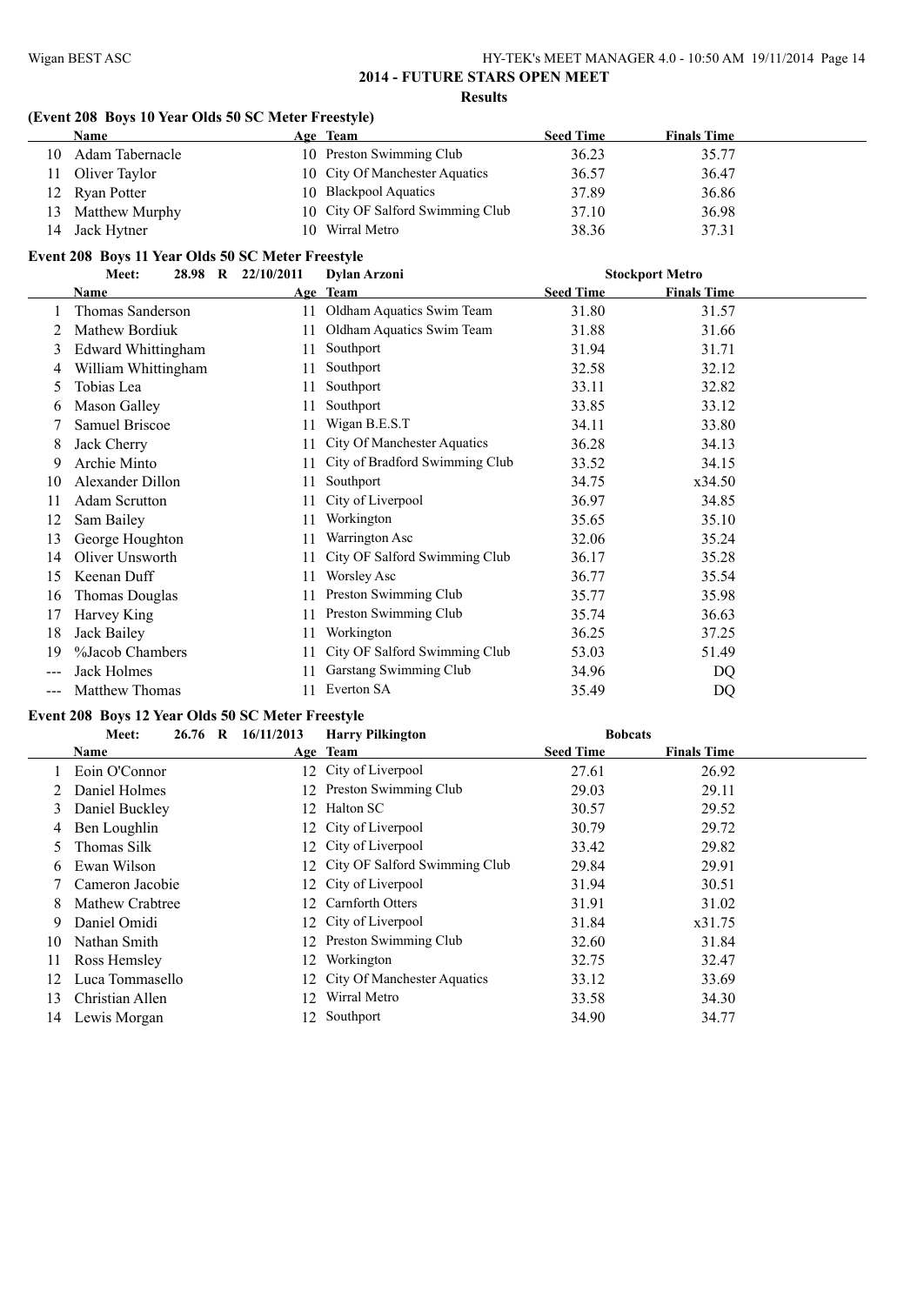## **(Event 208 Boys 10 Year Olds 50 SC Meter Freestyle)**

|    | <b>Name</b>                                       | Age Team                         | <b>Seed Time</b> | <b>Finals Time</b>     |  |
|----|---------------------------------------------------|----------------------------------|------------------|------------------------|--|
| 10 | Adam Tabernacle                                   | 10 Preston Swimming Club         | 36.23            | 35.77                  |  |
| 11 | Oliver Taylor                                     | 10 City Of Manchester Aquatics   | 36.57            | 36.47                  |  |
|    | 12 Ryan Potter                                    | 10 Blackpool Aquatics            | 37.89            | 36.86                  |  |
| 13 | Matthew Murphy                                    | 10 City OF Salford Swimming Club | 37.10            | 36.98                  |  |
| 14 | Jack Hytner                                       | 10 Wirral Metro                  | 38.36            | 37.31                  |  |
|    | Event 208 Boys 11 Year Olds 50 SC Meter Freestyle |                                  |                  |                        |  |
|    | 22/10/2011<br>Meet:<br>28.98 R                    | <b>Dylan Arzoni</b>              |                  | <b>Stockport Metro</b> |  |
|    | Name                                              | Age Team                         | Seed Time        | <b>Finals Time</b>     |  |

|               | <b>Name</b>               |    | Age Team                       | <b>Seed Time</b> | <b>Finals Time</b> |  |
|---------------|---------------------------|----|--------------------------------|------------------|--------------------|--|
|               | Thomas Sanderson          | 11 | Oldham Aquatics Swim Team      | 31.80            | 31.57              |  |
|               | Mathew Bordiuk            | 11 | Oldham Aquatics Swim Team      | 31.88            | 31.66              |  |
| 3             | <b>Edward Whittingham</b> | 11 | Southport                      | 31.94            | 31.71              |  |
| 4             | William Whittingham       | 11 | Southport                      | 32.58            | 32.12              |  |
| $\mathcal{L}$ | Tobias Lea                | 11 | Southport                      | 33.11            | 32.82              |  |
| 6             | Mason Galley              | 11 | Southport                      | 33.85            | 33.12              |  |
|               | <b>Samuel Briscoe</b>     | 11 | Wigan B.E.S.T                  | 34.11            | 33.80              |  |
| 8             | Jack Cherry               | 11 | City Of Manchester Aquatics    | 36.28            | 34.13              |  |
| 9             | Archie Minto              | 11 | City of Bradford Swimming Club | 33.52            | 34.15              |  |
| 10            | Alexander Dillon          | 11 | Southport                      | 34.75            | x34.50             |  |
|               | <b>Adam Scrutton</b>      | 11 | City of Liverpool              | 36.97            | 34.85              |  |
| 12            | Sam Bailey                | 11 | Workington                     | 35.65            | 35.10              |  |
| 13            | George Houghton           | 11 | Warrington Asc                 | 32.06            | 35.24              |  |
| 14            | Oliver Unsworth           |    | City OF Salford Swimming Club  | 36.17            | 35.28              |  |
| 15            | Keenan Duff               | 11 | Worsley Asc                    | 36.77            | 35.54              |  |
| 16            | <b>Thomas Douglas</b>     | 11 | Preston Swimming Club          | 35.77            | 35.98              |  |
| 17            | Harvey King               | 11 | Preston Swimming Club          | 35.74            | 36.63              |  |
| 18            | Jack Bailey               | 11 | Workington                     | 36.25            | 37.25              |  |
| 19            | %Jacob Chambers           |    | City OF Salford Swimming Club  | 53.03            | 51.49              |  |
|               | Jack Holmes               | 11 | Garstang Swimming Club         | 34.96            | DQ                 |  |
|               | Matthew Thomas            | 11 | Everton SA                     | 35.49            | DQ                 |  |

# **Event 208 Boys 12 Year Olds 50 SC Meter Freestyle**

|    | 26.76 R<br>Meet: | 16/11/2013 | <b>Harry Pilkington</b>          | <b>Bobcats</b>   |                    |  |
|----|------------------|------------|----------------------------------|------------------|--------------------|--|
|    | <b>Name</b>      |            | Age Team                         | <b>Seed Time</b> | <b>Finals Time</b> |  |
|    | Eoin O'Connor    |            | 12 City of Liverpool             | 27.61            | 26.92              |  |
|    | Daniel Holmes    |            | 12 Preston Swimming Club         | 29.03            | 29.11              |  |
| 3  | Daniel Buckley   | 12         | Halton SC                        | 30.57            | 29.52              |  |
| 4  | Ben Loughlin     |            | 12 City of Liverpool             | 30.79            | 29.72              |  |
| 5. | Thomas Silk      |            | 12 City of Liverpool             | 33.42            | 29.82              |  |
| 6  | Ewan Wilson      |            | 12 City OF Salford Swimming Club | 29.84            | 29.91              |  |
|    | Cameron Jacobie  |            | 12 City of Liverpool             | 31.94            | 30.51              |  |
| 8  | Mathew Crabtree  | 12         | <b>Carnforth Otters</b>          | 31.91            | 31.02              |  |
| 9  | Daniel Omidi     |            | 12 City of Liverpool             | 31.84            | x31.75             |  |
| 10 | Nathan Smith     |            | 12 Preston Swimming Club         | 32.60            | 31.84              |  |
| 11 | Ross Hemsley     | 12         | Workington                       | 32.75            | 32.47              |  |
| 12 | Luca Tommasello  |            | 12 City Of Manchester Aquatics   | 33.12            | 33.69              |  |
| 13 | Christian Allen  | 12         | Wirral Metro                     | 33.58            | 34.30              |  |
| 14 | Lewis Morgan     |            | 12 Southport                     | 34.90            | 34.77              |  |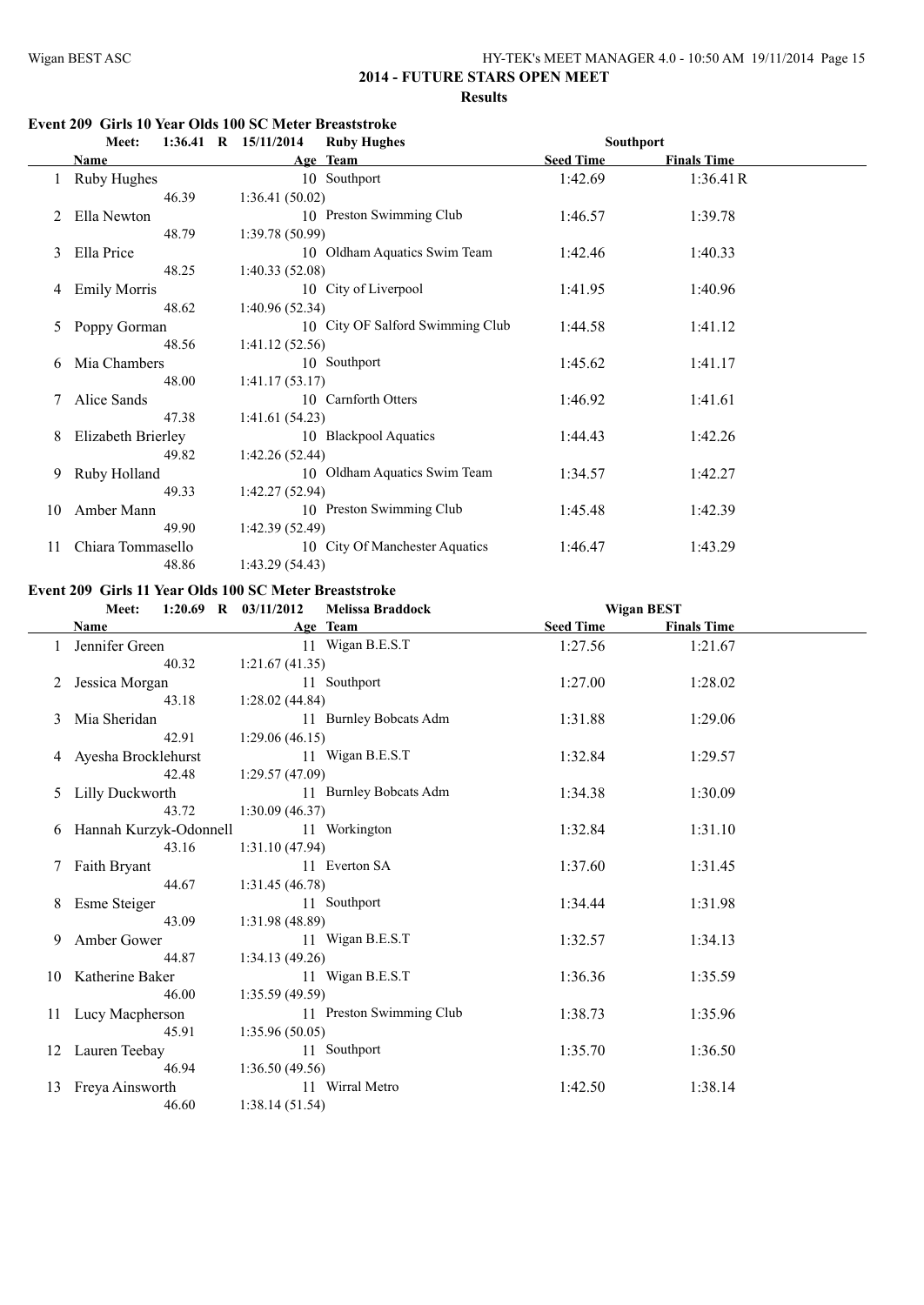#### **Event 209 Girls 10 Year Olds 100 SC Meter Breaststroke**

|    | Meet:               | $1:36.41$ R $15/11/2014$ | <b>Ruby Hughes</b>               | <b>Southport</b> |                    |  |
|----|---------------------|--------------------------|----------------------------------|------------------|--------------------|--|
|    | Name                |                          | Age Team                         | <b>Seed Time</b> | <b>Finals Time</b> |  |
|    | Ruby Hughes         |                          | 10 Southport                     | 1:42.69          | 1:36.41R           |  |
|    | 46.39               | 1:36.41(50.02)           |                                  |                  |                    |  |
|    | Ella Newton         |                          | 10 Preston Swimming Club         | 1:46.57          | 1:39.78            |  |
|    | 48.79               | 1:39.78(50.99)           |                                  |                  |                    |  |
| 3  | Ella Price          |                          | 10 Oldham Aquatics Swim Team     | 1:42.46          | 1:40.33            |  |
|    | 48.25               | 1:40.33(52.08)           |                                  |                  |                    |  |
| 4  | <b>Emily Morris</b> |                          | 10 City of Liverpool             | 1:41.95          | 1:40.96            |  |
|    | 48.62               | 1:40.96(52.34)           |                                  |                  |                    |  |
| 5  | Poppy Gorman        |                          | 10 City OF Salford Swimming Club | 1:44.58          | 1:41.12            |  |
|    | 48.56               | 1:41.12(52.56)           |                                  |                  |                    |  |
| 6  | Mia Chambers        |                          | 10 Southport                     | 1:45.62          | 1:41.17            |  |
|    | 48.00               | 1:41.17(53.17)           |                                  |                  |                    |  |
|    | Alice Sands         |                          | 10 Carnforth Otters              | 1:46.92          | 1:41.61            |  |
|    | 47.38               | 1:41.61(54.23)           |                                  |                  |                    |  |
| 8  | Elizabeth Brierley  |                          | 10 Blackpool Aquatics            | 1:44.43          | 1:42.26            |  |
|    | 49.82               | 1:42.26(52.44)           |                                  |                  |                    |  |
| 9  | Ruby Holland        |                          | 10 Oldham Aquatics Swim Team     | 1:34.57          | 1:42.27            |  |
|    | 49.33               | 1:42.27(52.94)           |                                  |                  |                    |  |
| 10 | Amber Mann          |                          | 10 Preston Swimming Club         | 1:45.48          | 1:42.39            |  |
|    | 49.90               | 1:42.39(52.49)           |                                  |                  |                    |  |
| 11 | Chiara Tommasello   |                          | 10 City Of Manchester Aquatics   | 1:46.47          | 1:43.29            |  |
|    | 48.86               | 1:43.29(54.43)           |                                  |                  |                    |  |

#### **Event 209 Girls 11 Year Olds 100 SC Meter Breaststroke**

|    | $1:20.69$ R $03/11/2012$<br>Meet: |                 | <b>Melissa Braddock</b>  | <b>Wigan BEST</b> |                    |  |
|----|-----------------------------------|-----------------|--------------------------|-------------------|--------------------|--|
|    | Name                              |                 | Age Team                 | <b>Seed Time</b>  | <b>Finals Time</b> |  |
|    | Jennifer Green                    |                 | 11 Wigan B.E.S.T         | 1:27.56           | 1:21.67            |  |
|    | 40.32                             | 1:21.67(41.35)  |                          |                   |                    |  |
|    | Jessica Morgan                    |                 | 11 Southport             | 1:27.00           | 1:28.02            |  |
|    | 43.18                             | 1:28.02(44.84)  |                          |                   |                    |  |
| 3  | Mia Sheridan                      |                 | 11 Burnley Bobcats Adm   | 1:31.88           | 1:29.06            |  |
|    | 42.91                             | 1:29.06(46.15)  |                          |                   |                    |  |
|    | 4 Ayesha Brocklehurst             |                 | 11 Wigan B.E.S.T         | 1:32.84           | 1:29.57            |  |
|    | 42.48                             | 1:29.57(47.09)  |                          |                   |                    |  |
| 5  | Lilly Duckworth                   |                 | 11 Burnley Bobcats Adm   | 1:34.38           | 1:30.09            |  |
|    | 43.72                             | 1:30.09(46.37)  |                          |                   |                    |  |
| 6  | Hannah Kurzyk-Odonnell            |                 | 11 Workington            | 1:32.84           | 1:31.10            |  |
|    | 43.16                             | 1:31.10(47.94)  |                          |                   |                    |  |
|    | Faith Bryant                      |                 | 11 Everton SA            | 1:37.60           | 1:31.45            |  |
|    | 44.67                             | 1:31.45(46.78)  |                          |                   |                    |  |
| 8  | Esme Steiger                      |                 | 11 Southport             | 1:34.44           | 1:31.98            |  |
|    | 43.09                             | 1:31.98(48.89)  |                          |                   |                    |  |
| 9  | Amber Gower                       |                 | 11 Wigan B.E.S.T         | 1:32.57           | 1:34.13            |  |
|    | 44.87                             | 1:34.13(49.26)  |                          |                   |                    |  |
|    | 10 Katherine Baker                |                 | 11 Wigan B.E.S.T         | 1:36.36           | 1:35.59            |  |
|    | 46.00                             | 1:35.59 (49.59) |                          |                   |                    |  |
| 11 | Lucy Macpherson                   |                 | 11 Preston Swimming Club | 1:38.73           | 1:35.96            |  |
|    | 45.91                             | 1:35.96(50.05)  |                          |                   |                    |  |
|    | 12 Lauren Teebay                  |                 | 11 Southport             | 1:35.70           | 1:36.50            |  |
|    | 46.94                             | 1:36.50(49.56)  |                          |                   |                    |  |
| 13 | Freya Ainsworth                   |                 | 11 Wirral Metro          | 1:42.50           | 1:38.14            |  |
|    | 46.60                             | 1:38.14(51.54)  |                          |                   |                    |  |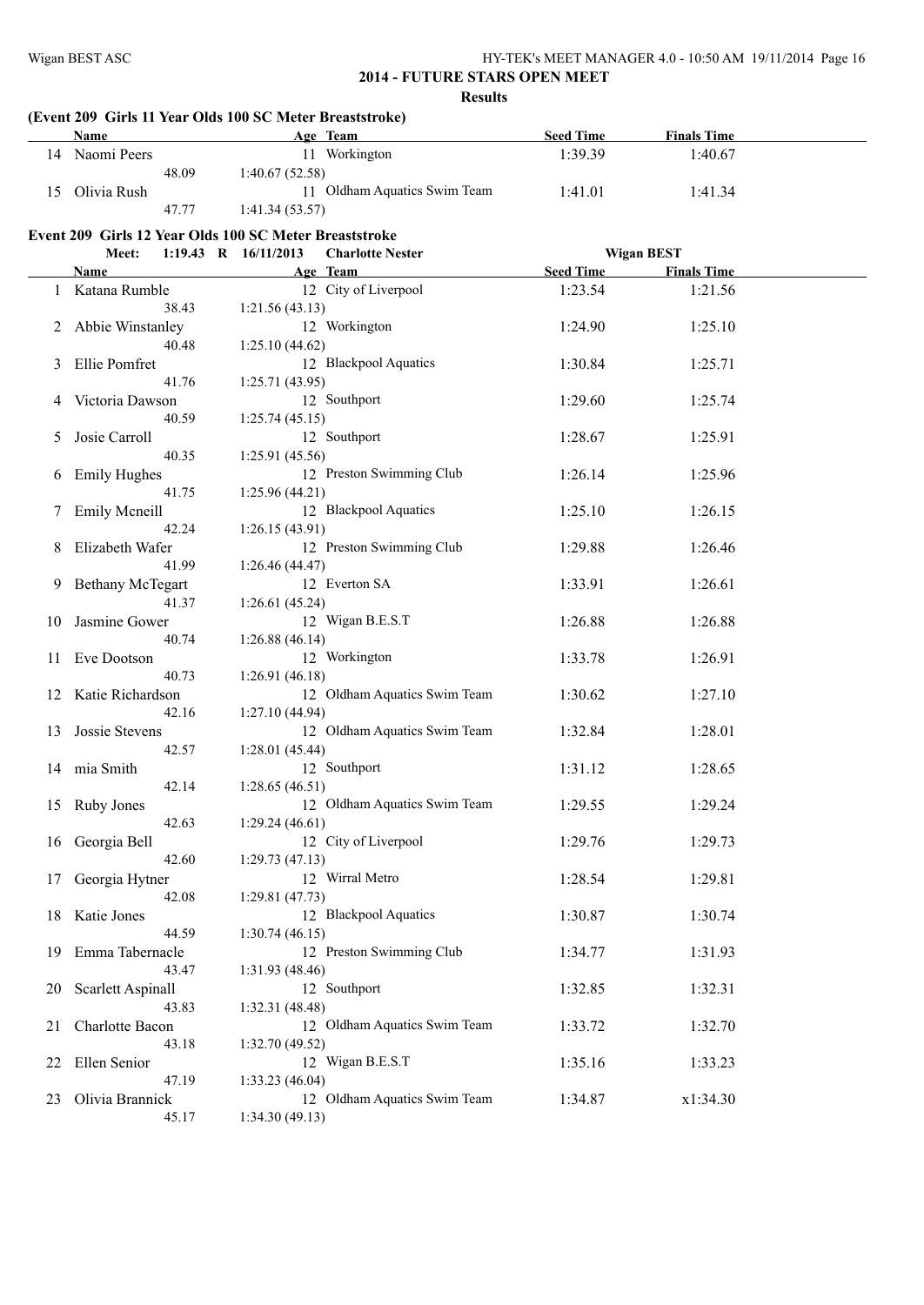# **(Event 209 Girls 11 Year Olds 100 SC Meter Breaststroke)**

|    | <b>Name</b>                                            |                        | Age Team                     | <b>Seed Time</b> | <b>Finals Time</b> |  |
|----|--------------------------------------------------------|------------------------|------------------------------|------------------|--------------------|--|
|    | 14 Naomi Peers                                         |                        | 11 Workington                | 1:39.39          | 1:40.67            |  |
|    | 48.09                                                  | 1:40.67(52.58)         |                              |                  |                    |  |
| 15 | Olivia Rush                                            |                        | 11 Oldham Aquatics Swim Team | 1:41.01          | 1:41.34            |  |
|    | 47.77                                                  | 1:41.34(53.57)         |                              |                  |                    |  |
|    | Event 209 Girls 12 Year Olds 100 SC Meter Breaststroke |                        |                              |                  |                    |  |
|    | Meet:                                                  | 1:19.43 R $16/11/2013$ | <b>Charlotte Nester</b>      |                  | <b>Wigan BEST</b>  |  |
|    | Name                                                   |                        | Age Team                     | <b>Seed Time</b> | <b>Finals Time</b> |  |
|    | 1 Katana Rumble                                        |                        | 12 City of Liverpool         | 1:23.54          | 1:21.56            |  |
|    | 38.43                                                  | 1:21.56(43.13)         |                              |                  |                    |  |
| 2  | Abbie Winstanley                                       |                        | 12 Workington                | 1:24.90          | 1:25.10            |  |
|    | 40.48                                                  | 1:25.10(44.62)         |                              |                  |                    |  |
| 3  | Ellie Pomfret                                          |                        | 12 Blackpool Aquatics        | 1:30.84          | 1:25.71            |  |
|    | 41.76                                                  | 1:25.71(43.95)         |                              |                  |                    |  |
| 4  | Victoria Dawson                                        |                        | 12 Southport                 | 1:29.60          | 1:25.74            |  |
|    | 40.59                                                  | 1:25.74(45.15)         |                              |                  |                    |  |
| 5  | Josie Carroll                                          |                        | 12 Southport                 | 1:28.67          | 1:25.91            |  |
|    | 40.35                                                  | 1:25.91(45.56)         |                              |                  |                    |  |
| 6  | <b>Emily Hughes</b>                                    |                        | 12 Preston Swimming Club     | 1:26.14          | 1:25.96            |  |
|    | 41.75                                                  | 1:25.96(44.21)         |                              |                  |                    |  |
| 7. | <b>Emily Mcneill</b>                                   |                        | 12 Blackpool Aquatics        | 1:25.10          | 1:26.15            |  |
|    | 42.24                                                  | 1:26.15(43.91)         |                              |                  |                    |  |
| 8  | Elizabeth Wafer                                        |                        | 12 Preston Swimming Club     | 1:29.88          | 1:26.46            |  |
|    | 41.99                                                  | 1:26.46(44.47)         |                              |                  |                    |  |
| 9. | <b>Bethany McTegart</b>                                |                        | 12 Everton SA                | 1:33.91          | 1:26.61            |  |
|    | 41.37                                                  | 1:26.61(45.24)         |                              |                  |                    |  |
| 10 | Jasmine Gower                                          |                        | 12 Wigan B.E.S.T             | 1:26.88          | 1:26.88            |  |
|    | 40.74                                                  | 1:26.88(46.14)         |                              |                  |                    |  |
| 11 | Eve Dootson                                            |                        | 12 Workington                | 1:33.78          | 1:26.91            |  |
|    | 40.73                                                  | 1:26.91(46.18)         |                              |                  |                    |  |
|    | 12 Katie Richardson                                    |                        | 12 Oldham Aquatics Swim Team | 1:30.62          | 1:27.10            |  |
|    | 42.16                                                  | 1:27.10 (44.94)        |                              |                  |                    |  |
| 13 | Jossie Stevens                                         |                        | 12 Oldham Aquatics Swim Team | 1:32.84          | 1:28.01            |  |
|    | 42.57                                                  | 1:28.01(45.44)         | 12 Southport                 |                  |                    |  |
|    | 14 mia Smith<br>42.14                                  | 1:28.65(46.51)         |                              | 1:31.12          | 1:28.65            |  |
|    | 15 Ruby Jones                                          |                        | 12 Oldham Aquatics Swim Team | 1:29.55          | 1:29.24            |  |
|    | 42.63                                                  | 1:29.24(46.61)         |                              |                  |                    |  |
| 16 | Georgia Bell                                           |                        | 12 City of Liverpool         | 1:29.76          | 1:29.73            |  |
|    | 42.60                                                  | 1:29.73(47.13)         |                              |                  |                    |  |
| 17 | Georgia Hytner                                         |                        | 12 Wirral Metro              | 1:28.54          | 1:29.81            |  |
|    | 42.08                                                  | 1:29.81(47.73)         |                              |                  |                    |  |
| 18 | Katie Jones                                            |                        | 12 Blackpool Aquatics        | 1:30.87          | 1:30.74            |  |
|    | 44.59                                                  | 1:30.74(46.15)         |                              |                  |                    |  |
| 19 | Emma Tabernacle                                        |                        | 12 Preston Swimming Club     | 1:34.77          | 1:31.93            |  |
|    | 43.47                                                  | 1:31.93 (48.46)        |                              |                  |                    |  |
| 20 | Scarlett Aspinall                                      |                        | 12 Southport                 | 1:32.85          | 1:32.31            |  |
|    | 43.83                                                  | 1:32.31 (48.48)        |                              |                  |                    |  |
| 21 | Charlotte Bacon                                        |                        | 12 Oldham Aquatics Swim Team | 1:33.72          | 1:32.70            |  |
|    | 43.18                                                  | 1:32.70 (49.52)        |                              |                  |                    |  |
| 22 | Ellen Senior                                           |                        | 12 Wigan B.E.S.T             | 1:35.16          | 1:33.23            |  |
|    | 47.19                                                  | 1:33.23(46.04)         |                              |                  |                    |  |
| 23 | Olivia Brannick                                        |                        | 12 Oldham Aquatics Swim Team | 1:34.87          | x1:34.30           |  |
|    | 45.17                                                  | 1:34.30(49.13)         |                              |                  |                    |  |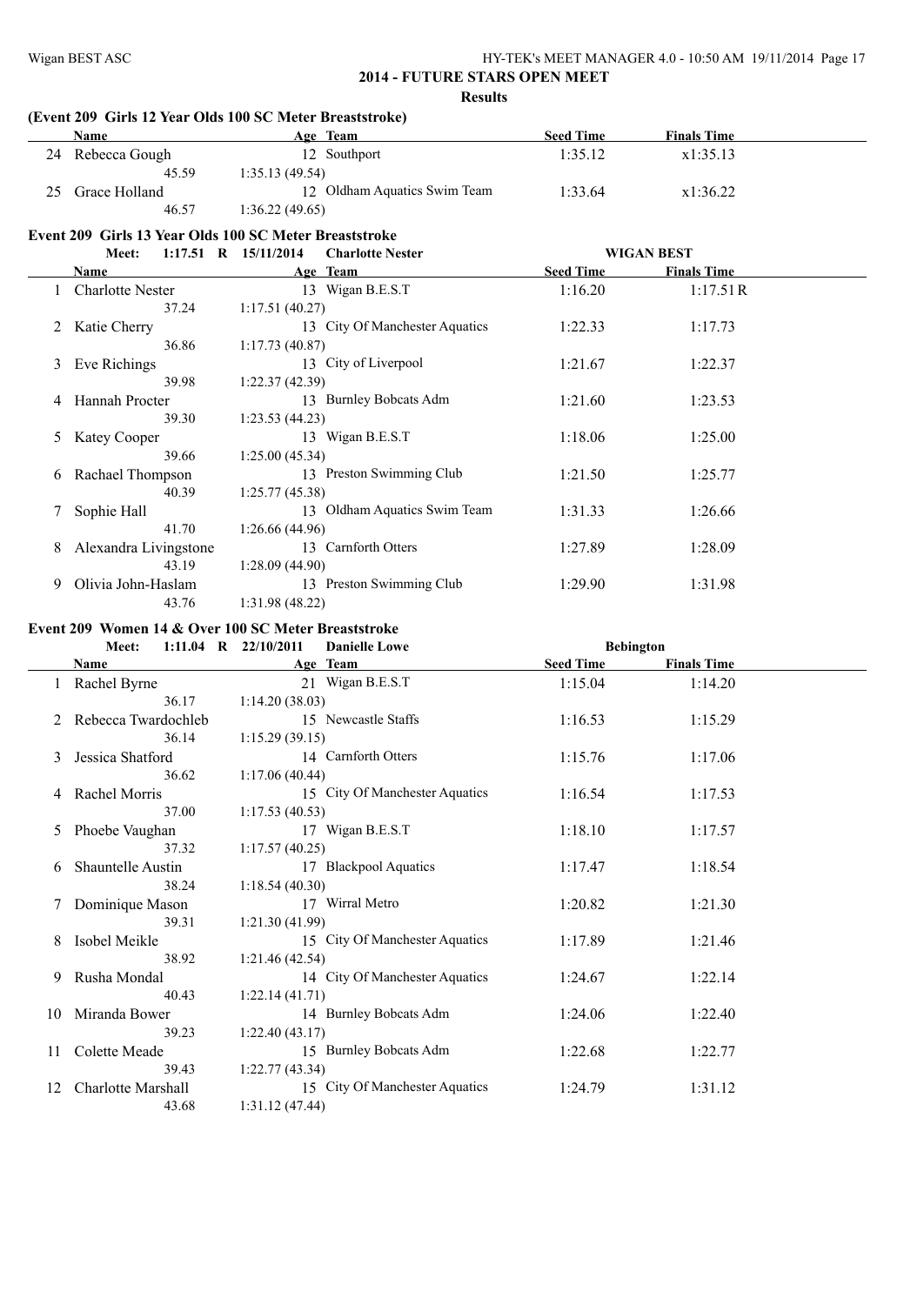# **(Event 209 Girls 12 Year Olds 100 SC Meter Breaststroke)**

|    | <b>Name</b>             | Age Team                                               | <b>Seed Time</b> | <b>Finals Time</b> |  |
|----|-------------------------|--------------------------------------------------------|------------------|--------------------|--|
|    | 24 Rebecca Gough        | 12 Southport                                           | 1:35.12          | x1:35.13           |  |
|    | 45.59                   | 1:35.13(49.54)                                         |                  |                    |  |
| 25 | Grace Holland           | 12 Oldham Aquatics Swim Team                           | 1:33.64          | x1:36.22           |  |
|    | 46.57                   | 1:36.22(49.65)                                         |                  |                    |  |
|    |                         | Event 209 Girls 13 Year Olds 100 SC Meter Breaststroke |                  |                    |  |
|    | Meet:                   | 1:17.51 R 15/11/2014<br><b>Charlotte Nester</b>        |                  | <b>WIGAN BEST</b>  |  |
|    | <b>Name</b>             | Age Team                                               | <b>Seed Time</b> | <b>Finals Time</b> |  |
|    | <b>Charlotte Nester</b> | 13 Wigan B.E.S.T                                       | 1:16.20          | 1:17.51R           |  |
|    | 37.24                   | 1:17.51(40.27)                                         |                  |                    |  |
|    | 2 Katie Cherry          | 13 City Of Manchester Aquatics                         | 1:22.33          | 1:17.73            |  |
|    | 36.86                   | 1:17.73(40.87)                                         |                  |                    |  |
|    | 3 Eve Richings          | 13 City of Liverpool                                   | 1:21.67          | 1:22.37            |  |
|    | 39.98                   | 1:22.37(42.39)                                         |                  |                    |  |
|    | 4 Hannah Procter        | 13 Burnley Bobcats Adm                                 | 1:21.60          | 1:23.53            |  |
|    | 39.30                   | 1:23.53(44.23)                                         |                  |                    |  |
| 5  | <b>Katey Cooper</b>     | 13 Wigan B.E.S.T                                       | 1:18.06          | 1:25.00            |  |
|    | 39.66                   | 1:25.00(45.34)                                         |                  |                    |  |
| 6  | Rachael Thompson        | 13 Preston Swimming Club                               | 1:21.50          | 1:25.77            |  |
|    | 40.39                   | 1:25.77(45.38)                                         |                  |                    |  |
| 7  | Sophie Hall             | 13 Oldham Aquatics Swim Team                           | 1:31.33          | 1:26.66            |  |
|    | 41.70                   | 1:26.66(44.96)                                         |                  |                    |  |
| 8  | Alexandra Livingstone   | 13 Carnforth Otters                                    | 1:27.89          | 1:28.09            |  |
|    | 43.19                   | 1:28.09(44.90)                                         |                  |                    |  |
| 9  | Olivia John-Haslam      | 13 Preston Swimming Club                               | 1:29.90          | 1:31.98            |  |
|    | 43.76                   | 1:31.98(48.22)                                         |                  |                    |  |

#### **Event 209 Women 14 & Over 100 SC Meter Breaststroke**

|    | Meet:                     |       | 1:11.04 R $22/10/2011$ | <b>Danielle Lowe</b>           | <b>Bebington</b> |                    |  |
|----|---------------------------|-------|------------------------|--------------------------------|------------------|--------------------|--|
|    | <b>Name</b>               |       |                        | Age Team                       | <b>Seed Time</b> | <b>Finals Time</b> |  |
|    | 1 Rachel Byrne            |       |                        | 21 Wigan B.E.S.T               | 1:15.04          | 1:14.20            |  |
|    |                           | 36.17 | 1:14.20(38.03)         |                                |                  |                    |  |
| 2  | Rebecca Twardochleb       |       |                        | 15 Newcastle Staffs            | 1:16.53          | 1:15.29            |  |
|    |                           | 36.14 | 1:15.29(39.15)         |                                |                  |                    |  |
| 3  | Jessica Shatford          |       |                        | 14 Carnforth Otters            | 1:15.76          | 1:17.06            |  |
|    |                           | 36.62 | 1:17.06(40.44)         |                                |                  |                    |  |
|    | Rachel Morris             |       |                        | 15 City Of Manchester Aquatics | 1:16.54          | 1:17.53            |  |
|    |                           | 37.00 | 1:17.53(40.53)         |                                |                  |                    |  |
| 5  | Phoebe Vaughan            |       |                        | 17 Wigan B.E.S.T               | 1:18.10          | 1:17.57            |  |
|    |                           | 37.32 | 1:17.57(40.25)         |                                |                  |                    |  |
| 6  | <b>Shauntelle Austin</b>  |       |                        | 17 Blackpool Aquatics          | 1:17.47          | 1:18.54            |  |
|    |                           | 38.24 | 1:18.54(40.30)         |                                |                  |                    |  |
|    | 7 Dominique Mason         |       |                        | 17 Wirral Metro                | 1:20.82          | 1:21.30            |  |
|    |                           | 39.31 | 1:21.30(41.99)         |                                |                  |                    |  |
|    | Isobel Meikle             |       |                        | 15 City Of Manchester Aquatics | 1:17.89          | 1:21.46            |  |
|    |                           | 38.92 | 1:21.46(42.54)         |                                |                  |                    |  |
| 9  | Rusha Mondal              |       |                        | 14 City Of Manchester Aquatics | 1:24.67          | 1:22.14            |  |
|    |                           | 40.43 | 1:22.14(41.71)         |                                |                  |                    |  |
| 10 | Miranda Bower             |       |                        | 14 Burnley Bobcats Adm         | 1:24.06          | 1:22.40            |  |
|    |                           | 39.23 | 1:22.40(43.17)         |                                |                  |                    |  |
|    | 11 Colette Meade          |       |                        | 15 Burnley Bobcats Adm         | 1:22.68          | 1:22.77            |  |
|    |                           | 39.43 | 1:22.77(43.34)         |                                |                  |                    |  |
| 12 | <b>Charlotte Marshall</b> |       |                        | 15 City Of Manchester Aquatics | 1:24.79          | 1:31.12            |  |
|    |                           | 43.68 | 1:31.12(47.44)         |                                |                  |                    |  |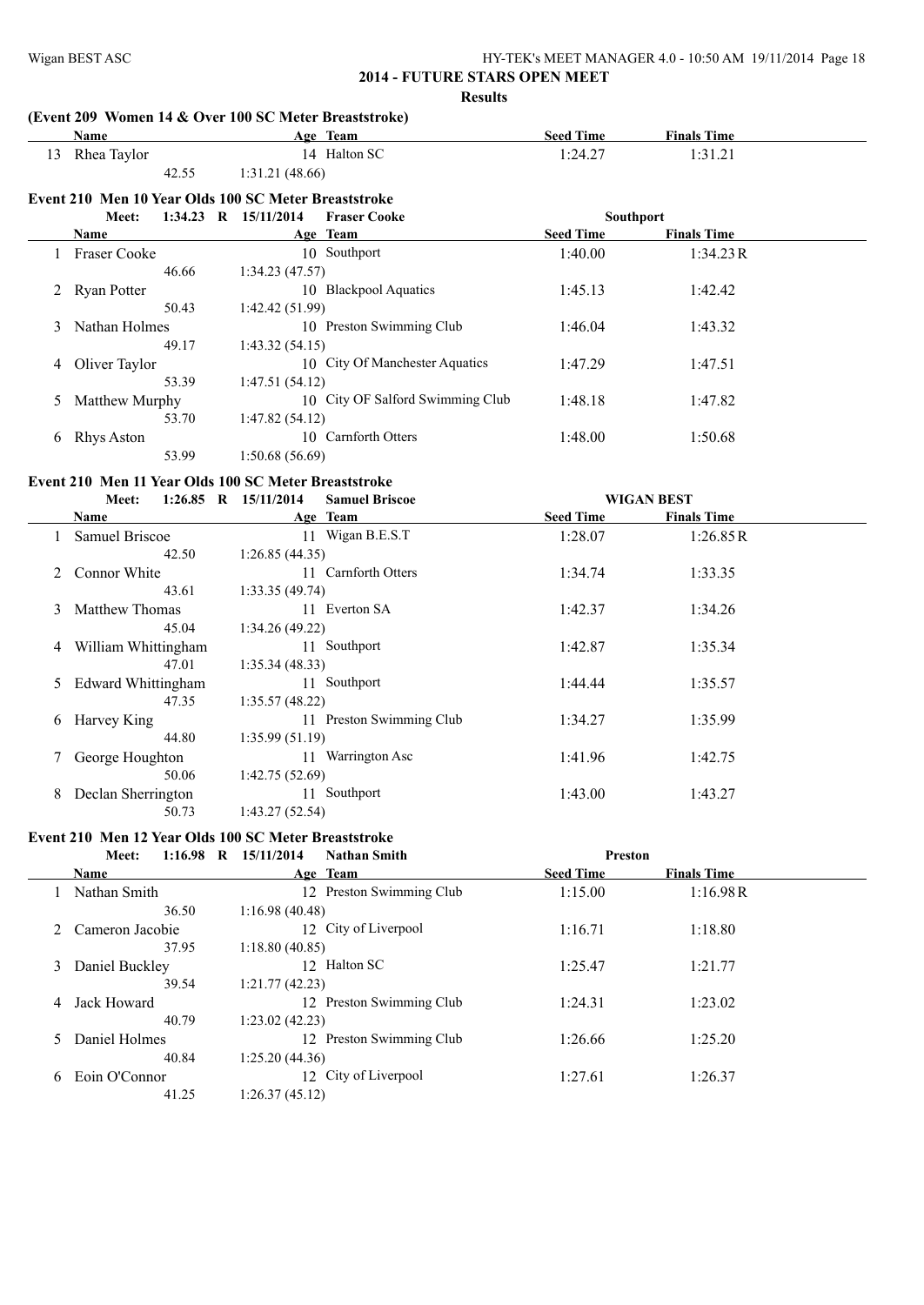# **(Event 209 Women 14 & Over 100 SC Meter Breaststroke)**

|    |                     |       | (Event 209 Women 14 & Over Two SC Meter Breaststroke) |                                  |                  |                    |  |
|----|---------------------|-------|-------------------------------------------------------|----------------------------------|------------------|--------------------|--|
|    | Name                |       |                                                       | Age Team                         | <b>Seed Time</b> | <b>Finals Time</b> |  |
| 13 | Rhea Taylor         |       |                                                       | 14 Halton SC                     | 1:24.27          | 1:31.21            |  |
|    |                     | 42.55 | 1:31.21(48.66)                                        |                                  |                  |                    |  |
|    |                     |       | Event 210 Men 10 Year Olds 100 SC Meter Breaststroke  |                                  |                  |                    |  |
|    | <b>Meet:</b>        |       | 1:34.23 R $15/11/2014$                                | <b>Fraser Cooke</b>              |                  | <b>Southport</b>   |  |
|    | Name                |       |                                                       | Age Team                         | <b>Seed Time</b> | <b>Finals Time</b> |  |
|    | <b>Fraser Cooke</b> |       |                                                       | 10 Southport                     | 1:40.00          | 1:34.23R           |  |
|    |                     | 46.66 | 1:34.23(47.57)                                        |                                  |                  |                    |  |
|    | 2 Ryan Potter       |       |                                                       | 10 Blackpool Aquatics            | 1:45.13          | 1:42.42            |  |
|    |                     | 50.43 | 1:42.42(51.99)                                        |                                  |                  |                    |  |
| 3  | Nathan Holmes       |       |                                                       | 10 Preston Swimming Club         | 1:46.04          | 1:43.32            |  |
|    |                     | 49.17 | 1:43.32(54.15)                                        |                                  |                  |                    |  |
| 4  | Oliver Taylor       |       |                                                       | 10 City Of Manchester Aquatics   | 1:47.29          | 1:47.51            |  |
|    |                     | 53.39 | 1:47.51(54.12)                                        |                                  |                  |                    |  |
| 5  | Matthew Murphy      |       |                                                       | 10 City OF Salford Swimming Club | 1:48.18          | 1:47.82            |  |
|    |                     | 53.70 | 1:47.82(54.12)                                        |                                  |                  |                    |  |
| 6  | Rhys Aston          |       | 10                                                    | Carnforth Otters                 | 1:48.00          | 1:50.68            |  |
|    |                     | 53.99 | 1:50.68(56.69)                                        |                                  |                  |                    |  |

## **Event 210 Men 11 Year Olds 100 SC Meter Breaststroke**

|                | $1:26.85$ R $15/11/2014$<br>Meet: |                | <b>Samuel Briscoe</b>    |                  | <b>WIGAN BEST</b>  |  |
|----------------|-----------------------------------|----------------|--------------------------|------------------|--------------------|--|
|                | Name                              |                | Age Team                 | <b>Seed Time</b> | <b>Finals Time</b> |  |
|                | Samuel Briscoe                    | 11             | Wigan B.E.S.T            | 1:28.07          | 1:26.85R           |  |
|                | 42.50                             | 1:26.85(44.35) |                          |                  |                    |  |
| 2              | Connor White                      |                | 11 Carnforth Otters      | 1:34.74          | 1:33.35            |  |
|                | 43.61                             | 1:33.35(49.74) |                          |                  |                    |  |
| 3              | <b>Matthew Thomas</b>             |                | 11 Everton SA            | 1:42.37          | 1:34.26            |  |
|                | 45.04                             | 1:34.26(49.22) |                          |                  |                    |  |
| 4              | William Whittingham               |                | 11 Southport             | 1:42.87          | 1:35.34            |  |
|                | 47.01                             | 1:35.34(48.33) |                          |                  |                    |  |
| 5 <sup>5</sup> | <b>Edward Whittingham</b>         |                | 11 Southport             | 1:44.44          | 1:35.57            |  |
|                | 47.35                             | 1:35.57(48.22) |                          |                  |                    |  |
| 6              | Harvey King                       |                | 11 Preston Swimming Club | 1:34.27          | 1:35.99            |  |
|                | 44.80                             | 1:35.99(51.19) |                          |                  |                    |  |
| 7              | George Houghton                   | 11             | Warrington Asc           | 1:41.96          | 1:42.75            |  |
|                | 50.06                             | 1:42.75(52.69) |                          |                  |                    |  |
| 8              | Declan Sherrington                |                | 11 Southport             | 1:43.00          | 1:43.27            |  |
|                | 50.73                             | 1:43.27(52.54) |                          |                  |                    |  |

# **Event 210 Men 12 Year Olds 100 SC Meter Breaststroke**

|   | $1:16.98$ R<br><b>Meet:</b> | 15/11/2014<br><b>Nathan Smith</b>        | <b>Preston</b>   |                    |  |
|---|-----------------------------|------------------------------------------|------------------|--------------------|--|
|   | <b>Name</b>                 | Age Team                                 | <b>Seed Time</b> | <b>Finals Time</b> |  |
|   | Nathan Smith                | Preston Swimming Club<br>12.             | 1:15.00          | 1:16.98R           |  |
|   | 36.50                       | 1:16.98(40.48)                           |                  |                    |  |
|   | Cameron Jacobie             | 12 City of Liverpool                     | 1:16.71          | 1:18.80            |  |
|   | 37.95                       | 1:18.80(40.85)                           |                  |                    |  |
| 3 | Daniel Buckley              | 12 Halton SC                             | 1:25.47          | 1:21.77            |  |
|   | 39.54                       | 1:21.77(42.23)                           |                  |                    |  |
| 4 | Jack Howard                 | Preston Swimming Club<br>12 <sup>°</sup> | 1:24.31          | 1:23.02            |  |
|   | 40.79                       | 1:23.02(42.23)                           |                  |                    |  |
|   | Daniel Holmes               | 12 Preston Swimming Club                 | 1:26.66          | 1:25.20            |  |
|   | 40.84                       | 1:25.20(44.36)                           |                  |                    |  |
| 6 | Eoin O'Connor               | 12 City of Liverpool                     | 1:27.61          | 1:26.37            |  |
|   | 41.25                       | 1:26.37(45.12)                           |                  |                    |  |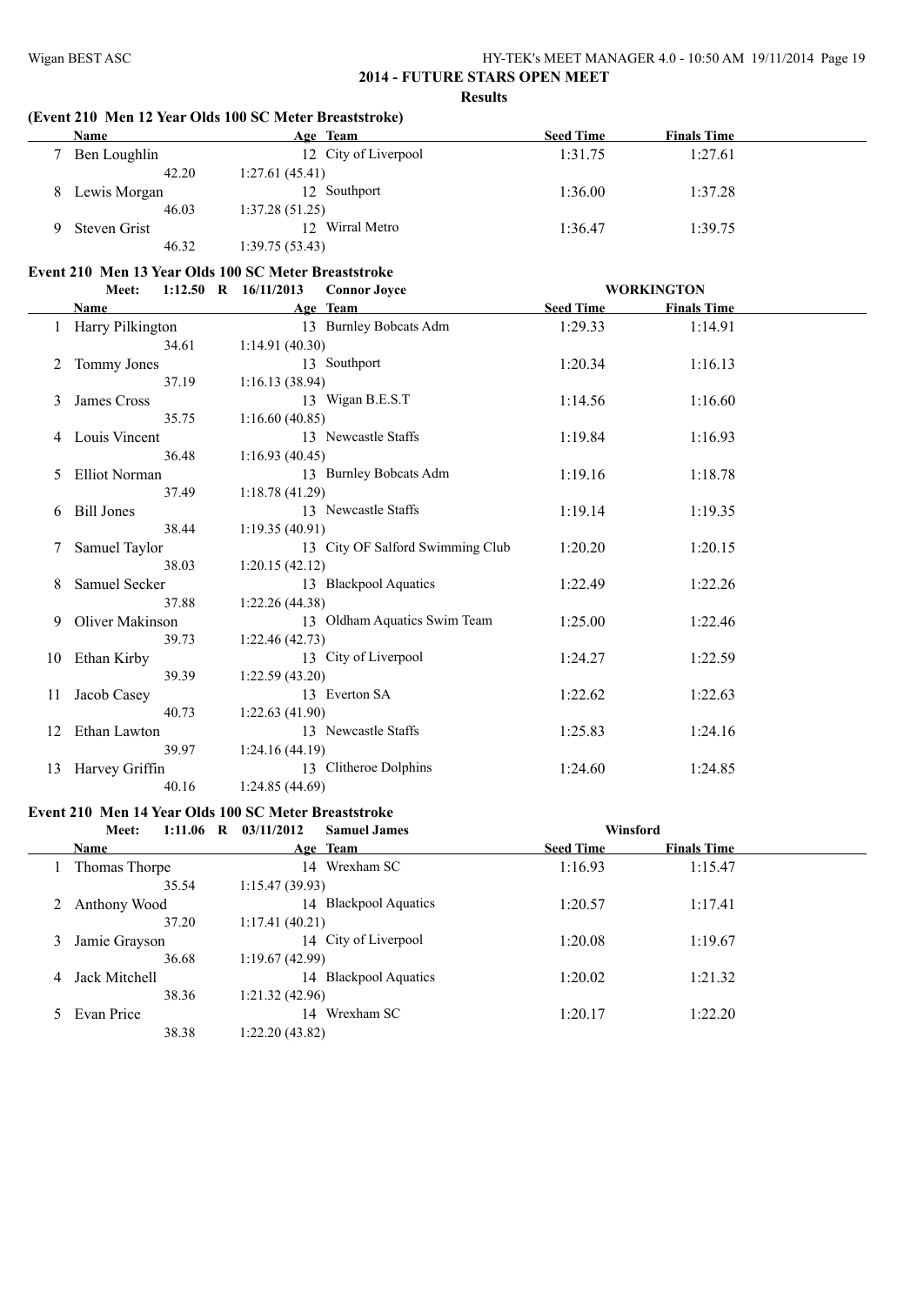#### **(Event 210 Men 12 Year Olds 100 SC Meter Breaststroke)**

| <b>Name</b>  | Age Team             | <b>Seed Time</b> | <b>Finals Time</b> |  |
|--------------|----------------------|------------------|--------------------|--|
| Ben Loughlin | 12 City of Liverpool | 1:31.75          | 1:27.61            |  |
| 42.20        | 1:27.61(45.41)       |                  |                    |  |
| Lewis Morgan | 12 Southport         | 1:36.00          | 1:37.28            |  |
| 46.03        | 1:37.28(51.25)       |                  |                    |  |
| Steven Grist | 12 Wirral Metro      | 1:36.47          | 1:39.75            |  |
| 46.32        | 1:39.75(53.43)       |                  |                    |  |

# **Event 210 Men 13 Year Olds 100 SC Meter Breaststroke**

|    | Meet:                | $1:12.50$ R $16/11/2013$ | <b>Connor Joyce</b>              |                  | <b>WORKINGTON</b>  |  |
|----|----------------------|--------------------------|----------------------------------|------------------|--------------------|--|
|    | Name                 |                          | Age Team                         | <b>Seed Time</b> | <b>Finals Time</b> |  |
|    | Harry Pilkington     |                          | 13 Burnley Bobcats Adm           | 1:29.33          | 1:14.91            |  |
|    | 34.61                | 1:14.91(40.30)           |                                  |                  |                    |  |
|    | Tommy Jones          |                          | 13 Southport                     | 1:20.34          | 1:16.13            |  |
|    | 37.19                | 1:16.13(38.94)           |                                  |                  |                    |  |
| 3  | James Cross          |                          | 13 Wigan B.E.S.T                 | 1:14.56          | 1:16.60            |  |
|    | 35.75                | 1:16.60(40.85)           |                                  |                  |                    |  |
| 4  | Louis Vincent        |                          | 13 Newcastle Staffs              | 1:19.84          | 1:16.93            |  |
|    | 36.48                | 1:16.93(40.45)           |                                  |                  |                    |  |
| 5  | <b>Elliot Norman</b> |                          | 13 Burnley Bobcats Adm           | 1:19.16          | 1:18.78            |  |
|    | 37.49                | 1:18.78(41.29)           |                                  |                  |                    |  |
| 6  | <b>Bill Jones</b>    |                          | 13 Newcastle Staffs              | 1:19.14          | 1:19.35            |  |
|    | 38.44                | 1:19.35(40.91)           |                                  |                  |                    |  |
|    | Samuel Taylor        |                          | 13 City OF Salford Swimming Club | 1:20.20          | 1:20.15            |  |
|    | 38.03                | 1:20.15(42.12)           |                                  |                  |                    |  |
| 8  | <b>Samuel Secker</b> |                          | 13 Blackpool Aquatics            | 1:22.49          | 1:22.26            |  |
|    | 37.88                | 1:22.26(44.38)           |                                  |                  |                    |  |
| 9  | Oliver Makinson      |                          | 13 Oldham Aquatics Swim Team     | 1:25.00          | 1:22.46            |  |
|    | 39.73                | 1:22.46(42.73)           |                                  |                  |                    |  |
| 10 | Ethan Kirby          |                          | 13 City of Liverpool             | 1:24.27          | 1:22.59            |  |
|    | 39.39                | 1:22.59(43.20)           |                                  |                  |                    |  |
| 11 | Jacob Casey          |                          | 13 Everton SA                    | 1:22.62          | 1:22.63            |  |
|    | 40.73                | 1:22.63(41.90)           |                                  |                  |                    |  |
| 12 | Ethan Lawton         |                          | 13 Newcastle Staffs              | 1:25.83          | 1:24.16            |  |
|    | 39.97                | 1:24.16(44.19)           |                                  |                  |                    |  |
| 13 | Harvey Griffin       |                          | 13 Clitheroe Dolphins            | 1:24.60          | 1:24.85            |  |
|    | 40.16                | 1:24.85(44.69)           |                                  |                  |                    |  |

#### **Event 210 Men 14 Year Olds 100 SC Meter Breaststroke**

|   | $1:11.06$ R<br>Meet: | 03/11/2012<br><b>Samuel James</b> | Winsford         |                    |
|---|----------------------|-----------------------------------|------------------|--------------------|
|   | Name                 | Age Team                          | <b>Seed Time</b> | <b>Finals Time</b> |
|   | Thomas Thorpe        | Wrexham SC<br>14                  | 1:16.93          | 1:15.47            |
|   | 35.54                | 1:15.47(39.93)                    |                  |                    |
|   | Anthony Wood         | 14 Blackpool Aquatics             | 1:20.57          | 1:17.41            |
|   | 37.20                | 1:17.41(40.21)                    |                  |                    |
| 3 | Jamie Grayson        | 14 City of Liverpool              | 1:20.08          | 1:19.67            |
|   | 36.68                | 1:19.67(42.99)                    |                  |                    |
| 4 | Jack Mitchell        | 14 Blackpool Aquatics             | 1:20.02          | 1:21.32            |
|   | 38.36                | 1:21.32(42.96)                    |                  |                    |
|   | Evan Price           | Wrexham SC<br>14                  | 1:20.17          | 1:22.20            |
|   | 38.38                | 1:22.20(43.82)                    |                  |                    |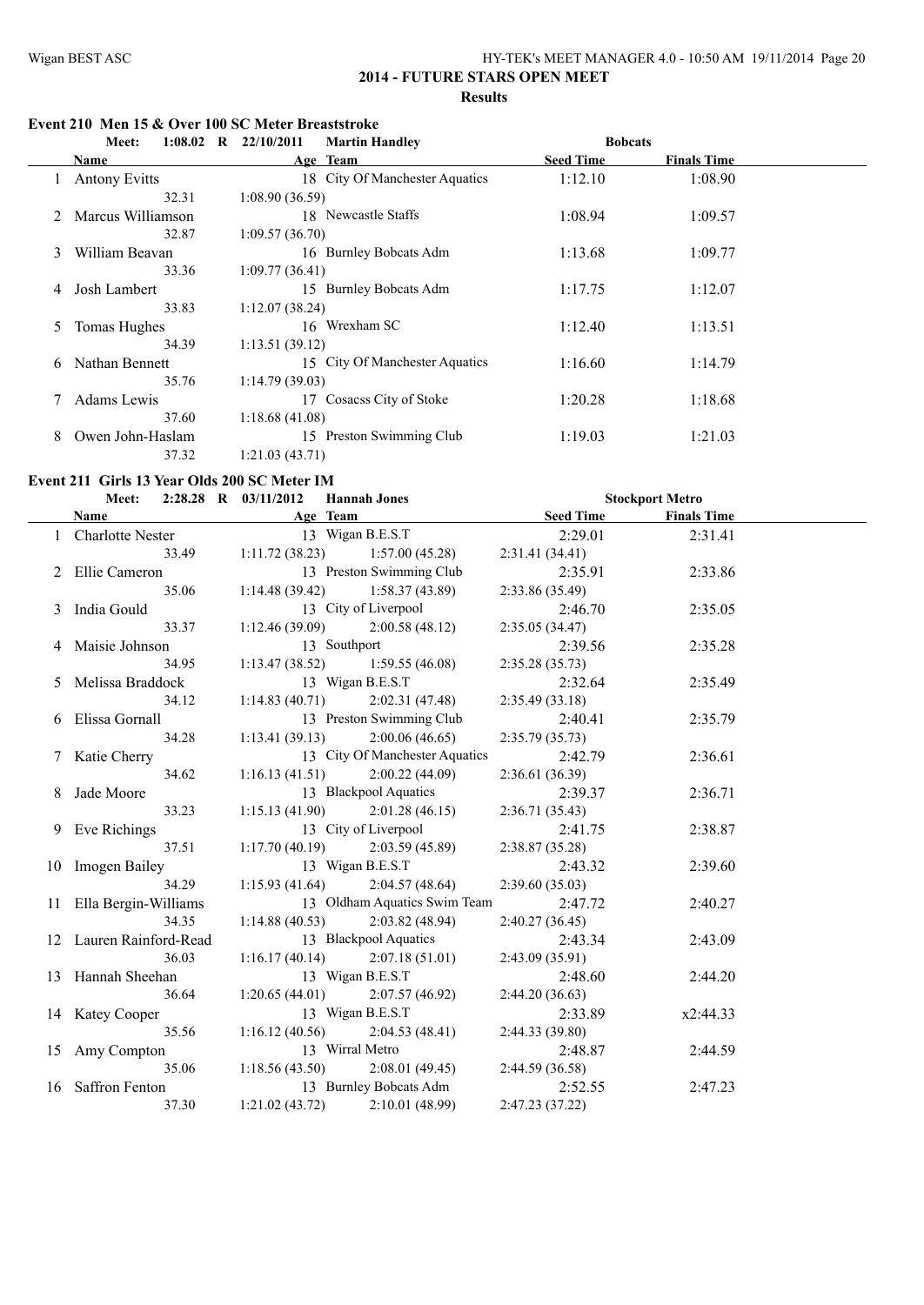$Stockport Metro$ 

# **2014 - FUTURE STARS OPEN MEET Results**

#### **Event 210 Men 15 & Over 100 SC Meter Breaststroke**

|   | $1:08.02$ R<br>Meet: | 22/10/2011<br><b>Martin Handley</b> | <b>Bobcats</b>   |                    |
|---|----------------------|-------------------------------------|------------------|--------------------|
|   | <b>Name</b>          | Age Team                            | <b>Seed Time</b> | <b>Finals Time</b> |
|   | <b>Antony Evitts</b> | 18 City Of Manchester Aquatics      | 1:12.10          | 1:08.90            |
|   | 32.31                | 1:08.90(36.59)                      |                  |                    |
|   | Marcus Williamson    | 18 Newcastle Staffs                 | 1:08.94          | 1:09.57            |
|   | 32.87                | 1:09.57(36.70)                      |                  |                    |
| 3 | William Beavan       | 16 Burnley Bobcats Adm              | 1:13.68          | 1:09.77            |
|   | 33.36                | 1:09.77(36.41)                      |                  |                    |
| 4 | Josh Lambert         | 15 Burnley Bobcats Adm              | 1:17.75          | 1:12.07            |
|   | 33.83                | 1:12.07(38.24)                      |                  |                    |
| 5 | Tomas Hughes         | 16 Wrexham SC                       | 1:12.40          | 1:13.51            |
|   | 34.39                | 1:13.51(39.12)                      |                  |                    |
| 6 | Nathan Bennett       | 15 City Of Manchester Aquatics      | 1:16.60          | 1:14.79            |
|   | 35.76                | 1:14.79(39.03)                      |                  |                    |
|   | Adams Lewis          | Cosacss City of Stoke<br>17         | 1:20.28          | 1:18.68            |
|   | 37.60                | 1:18.68(41.08)                      |                  |                    |
| 8 | Owen John-Haslam     | 15 Preston Swimming Club            | 1:19.03          | 1:21.03            |
|   | 37.32                | 1:21.03(43.71)                      |                  |                    |

#### **Event 211 Girls 13 Year Olds 200 SC Meter IM**

|  | Meet: |  |  | 2:28.28 R $\,03/11/2012$ | <b>Hannah Jones</b> |
|--|-------|--|--|--------------------------|---------------------|
|--|-------|--|--|--------------------------|---------------------|

| Name |                                     | Age Team                              |                                           | Seed Time       | <b>Finals Time</b> |  |
|------|-------------------------------------|---------------------------------------|-------------------------------------------|-----------------|--------------------|--|
|      | 1 Charlotte Nester 13 Wigan B.E.S.T |                                       |                                           | 2:29.01         | 2:31.41            |  |
|      |                                     | 33.49 1:11.72 (38.23) 1:57.00 (45.28) |                                           | 2:31.41 (34.41) |                    |  |
|      | 2 Ellie Cameron                     | 13 Preston Swimming Club              |                                           | 2:35.91         | 2:33.86            |  |
|      | 35.06                               |                                       | $1:14.48(39.42)$ $1:58.37(43.89)$         | 2:33.86(35.49)  |                    |  |
|      | 3 India Gould                       | 13 City of Liverpool                  |                                           | 2:46.70         | 2:35.05            |  |
|      | 33.37                               |                                       | $1:12.46(39.09)$ $2:00.58(48.12)$         | 2:35.05(34.47)  |                    |  |
|      | 4 Maisie Johnson                    | 13 Southport                          |                                           | 2:39.56         | 2:35.28            |  |
|      | 34.95                               |                                       | $1:13.47(38.52)$ $1:59.55(46.08)$         | 2:35.28(35.73)  |                    |  |
|      | 5 Melissa Braddock                  | 13 Wigan B.E.S.T                      |                                           | 2:32.64         | 2:35.49            |  |
|      | 34.12                               |                                       | 1:14.83 (40.71) 2:02.31 (47.48)           | 2:35.49(33.18)  |                    |  |
|      | 6 Elissa Gornall                    | 13 Preston Swimming Club              |                                           | 2:40.41         | 2:35.79            |  |
|      | 34.28                               | $1:13.41(39.13)$ $2:00.06(46.65)$     |                                           | 2:35.79(35.73)  |                    |  |
|      | 7 Katie Cherry                      |                                       | 13 City Of Manchester Aquatics            | 2:42.79         | 2:36.61            |  |
|      | 34.62                               | 1:16.13 (41.51) 2:00.22 (44.09)       |                                           | 2:36.61(36.39)  |                    |  |
|      | 8 Jade Moore                        |                                       | 13 Blackpool Aquatics                     | 2:39.37         | 2:36.71            |  |
|      | 33.23                               |                                       | $1:15.13(41.90)$ $2:01.28(46.15)$         | 2:36.71(35.43)  |                    |  |
|      | 9 Eve Richings                      | 13 City of Liverpool                  | 1:17.70 (40.19) 2:03.59 (45.89) 2:38.87 ( | 2:41.75         | 2:38.87            |  |
|      | 37.51                               |                                       |                                           | 2:38.87(35.28)  |                    |  |
|      | 10 Imogen Bailey                    | 13 Wigan B.E.S.T                      |                                           | 2:43.32         | 2:39.60            |  |
|      | 34.29                               |                                       | $1:15.93(41.64)$ $2:04.57(48.64)$         | 2:39.60(35.03)  |                    |  |
|      | 11 Ella Bergin-Williams             |                                       | 13 Oldham Aquatics Swim Team              | 2:47.72         | 2:40.27            |  |
|      | 34.35                               | $1:14.88(40.53)$ $2:03.82(48.94)$     |                                           | 2:40.27(36.45)  |                    |  |
|      | 12 Lauren Rainford-Read             |                                       | 13 Blackpool Aquatics                     | 2:43.34         | 2:43.09            |  |
|      | 36.03                               |                                       | 1:16.17 (40.14) 2:07.18 (51.01)           | 2:43.09(35.91)  |                    |  |
|      | 13 Hannah Sheehan                   | 13 Wigan B.E.S.T                      |                                           | 2:48.60         | 2:44.20            |  |
|      | 36.64                               |                                       | $1:20.65(44.01)$ $2:07.57(46.92)$         | 2:44.20(36.63)  |                    |  |
|      | 14 Katey Cooper                     | 13 Wigan B.E.S.T                      |                                           | 2:33.89         | x2:44.33           |  |
|      | 35.56                               |                                       | $1:16.12(40.56)$ $2:04.53(48.41)$         | 2:44.33(39.80)  |                    |  |
|      | 15 Amy Compton                      | 13 Wirral Metro                       |                                           | 2:48.87         | 2:44.59            |  |
|      | 35.06                               |                                       | $1:18.56(43.50)$ $2:08.01(49.45)$         | 2:44.59(36.58)  |                    |  |
|      | 16 Saffron Fenton                   |                                       | 13 Burnley Bobcats Adm 2:52.55            |                 | 2:47.23            |  |
|      | 37.30                               | 1:21.02(43.72)                        | 2:10.01(48.99)                            | 2:47.23 (37.22) |                    |  |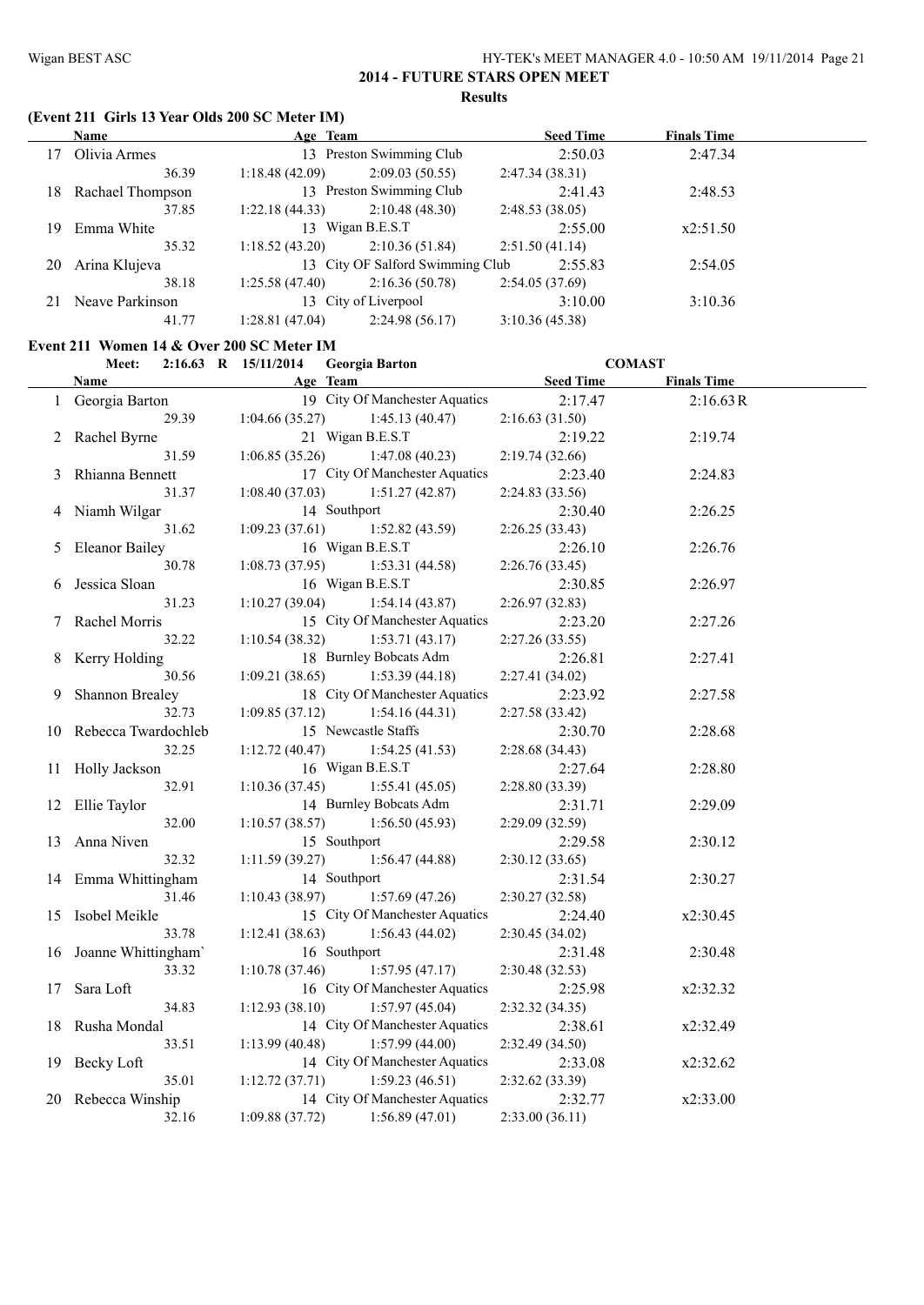# **(Event 211 Girls 13 Year Olds 200 SC Meter IM)**

|    | <b>Name</b>      | Age Team       |                                  |                | <b>Seed Time</b> | <b>Finals Time</b> |  |
|----|------------------|----------------|----------------------------------|----------------|------------------|--------------------|--|
| 17 | Olivia Armes     |                | 13 Preston Swimming Club         |                | 2:50.03          | 2:47.34            |  |
|    | 36.39            | 1:18.48(42.09) | 2:09.03(50.55)                   | 2:47.34(38.31) |                  |                    |  |
| 18 | Rachael Thompson |                | 13 Preston Swimming Club         |                | 2:41.43          | 2:48.53            |  |
|    | 37.85            | 1:22.18(44.33) | 2:10.48(48.30)                   | 2:48.53(38.05) |                  |                    |  |
| 19 | Emma White       |                | 13 Wigan B.E.S.T                 |                | 2:55.00          | x2:51.50           |  |
|    | 35.32            | 1:18.52(43.20) | 2:10.36(51.84)                   | 2:51.50(41.14) |                  |                    |  |
| 20 | Arina Klujeva    |                | 13 City OF Salford Swimming Club |                | 2:55.83          | 2:54.05            |  |
|    | 38.18            | 1:25.58(47.40) | 2:16.36(50.78)                   | 2:54.05(37.69) |                  |                    |  |
| 21 | Neave Parkinson  |                | 13 City of Liverpool             |                | 3:10.00          | 3:10.36            |  |
|    | 41.77            | 1:28.81(47.04) | 2:24.98(56.17)                   | 3:10.36(45.38) |                  |                    |  |

#### **Event 211 Women 14 & Over 200 SC Meter IM**

|    | Meet:                  | 2:16.63 R 15/11/2014<br><b>Georgia Barton</b> | <b>COMAST</b>    |                    |  |
|----|------------------------|-----------------------------------------------|------------------|--------------------|--|
|    | <b>Name</b>            | Age Team                                      | <b>Seed Time</b> | <b>Finals Time</b> |  |
|    | 1 Georgia Barton       | 19 City Of Manchester Aquatics                | 2:17.47          | 2:16.63 R          |  |
|    | 29.39                  | 1:04.66(35.27)<br>1:45.13(40.47)              | 2:16.63(31.50)   |                    |  |
|    | 2 Rachel Byrne         | 21 Wigan B.E.S.T                              | 2:19.22          | 2:19.74            |  |
|    | 31.59                  | 1:06.85(35.26)<br>1:47.08(40.23)              | 2:19.74(32.66)   |                    |  |
| 3  | Rhianna Bennett        | 17 City Of Manchester Aquatics                | 2:23.40          | 2:24.83            |  |
|    | 31.37                  | 1:08.40(37.03)<br>1:51.27(42.87)              | 2:24.83(33.56)   |                    |  |
|    | 4 Niamh Wilgar         | 14 Southport                                  | 2:30.40          | 2:26.25            |  |
|    | 31.62                  | 1:52.82(43.59)<br>1:09.23(37.61)              | 2:26.25 (33.43)  |                    |  |
| 5  | <b>Eleanor Bailey</b>  | 16 Wigan B.E.S.T                              | 2:26.10          | 2:26.76            |  |
|    | 30.78                  | 1:08.73(37.95)<br>1:53.31(44.58)              | 2:26.76 (33.45)  |                    |  |
| 6  | Jessica Sloan          | 16 Wigan B.E.S.T                              | 2:30.85          | 2:26.97            |  |
|    | 31.23                  | 1:10.27(39.04)<br>1:54.14(43.87)              | 2:26.97(32.83)   |                    |  |
|    | 7 Rachel Morris        | 15 City Of Manchester Aquatics                | 2:23.20          | 2:27.26            |  |
|    | 32.22                  | 1:53.71(43.17)<br>1:10.54(38.32)              | 2:27.26(33.55)   |                    |  |
| 8  | Kerry Holding          | 18 Burnley Bobcats Adm                        | 2:26.81          | 2:27.41            |  |
|    | 30.56                  | 1:09.21(38.65)<br>1:53.39(44.18)              | 2:27.41 (34.02)  |                    |  |
| 9  | <b>Shannon Brealey</b> | 18 City Of Manchester Aquatics                | 2:23.92          | 2:27.58            |  |
|    | 32.73                  | 1:09.85(37.12)<br>1:54.16(44.31)              | 2:27.58 (33.42)  |                    |  |
|    | 10 Rebecca Twardochleb | 15 Newcastle Staffs                           | 2:30.70          | 2:28.68            |  |
|    | 32.25                  | 1:12.72(40.47)<br>1:54.25(41.53)              | 2:28.68 (34.43)  |                    |  |
|    | 11 Holly Jackson       | 16 Wigan B.E.S.T                              | 2:27.64          | 2:28.80            |  |
|    | 32.91                  | 1:10.36(37.45)<br>1:55.41(45.05)              | 2:28.80 (33.39)  |                    |  |
|    | 12 Ellie Taylor        | 14 Burnley Bobcats Adm                        | 2:31.71          | 2:29.09            |  |
|    | 32.00                  | 1:10.57(38.57)<br>1:56.50(45.93)              | 2:29.09 (32.59)  |                    |  |
|    | 13 Anna Niven          | 15 Southport                                  | 2:29.58          | 2:30.12            |  |
|    | 32.32                  | 1:56.47(44.88)<br>1:11.59(39.27)              | 2:30.12(33.65)   |                    |  |
|    | 14 Emma Whittingham    | 14 Southport                                  | 2:31.54          | 2:30.27            |  |
|    | 31.46                  | 1:10.43(38.97)<br>1:57.69(47.26)              | 2:30.27 (32.58)  |                    |  |
|    | 15 Isobel Meikle       | 15 City Of Manchester Aquatics                | 2:24.40          | x2:30.45           |  |
|    | 33.78                  | 1:12.41(38.63)<br>1:56.43(44.02)              | 2:30.45 (34.02)  |                    |  |
|    | 16 Joanne Whittingham' | 16 Southport                                  | 2:31.48          | 2:30.48            |  |
|    | 33.32                  | 1:10.78(37.46)<br>1:57.95(47.17)              | 2:30.48(32.53)   |                    |  |
| 17 | Sara Loft              | 16 City Of Manchester Aquatics                | 2:25.98          | x2:32.32           |  |
|    | 34.83                  | 1:12.93(38.10)<br>1:57.97(45.04)              | 2:32.32(34.35)   |                    |  |
| 18 | Rusha Mondal           | 14 City Of Manchester Aquatics                | 2:38.61          | x2:32.49           |  |
|    | 33.51                  | 1:13.99(40.48)<br>1:57.99(44.00)              | 2:32.49 (34.50)  |                    |  |
|    | 19 Becky Loft          | 14 City Of Manchester Aquatics                | 2:33.08          | x2:32.62           |  |
|    | 35.01                  | 1:12.72(37.71)<br>1:59.23(46.51)              | 2:32.62(33.39)   |                    |  |
|    | 20 Rebecca Winship     | 14 City Of Manchester Aquatics                | 2:32.77          | x2:33.00           |  |
|    | 32.16                  | 1:09.88(37.72)<br>1:56.89(47.01)              | 2:33.00 (36.11)  |                    |  |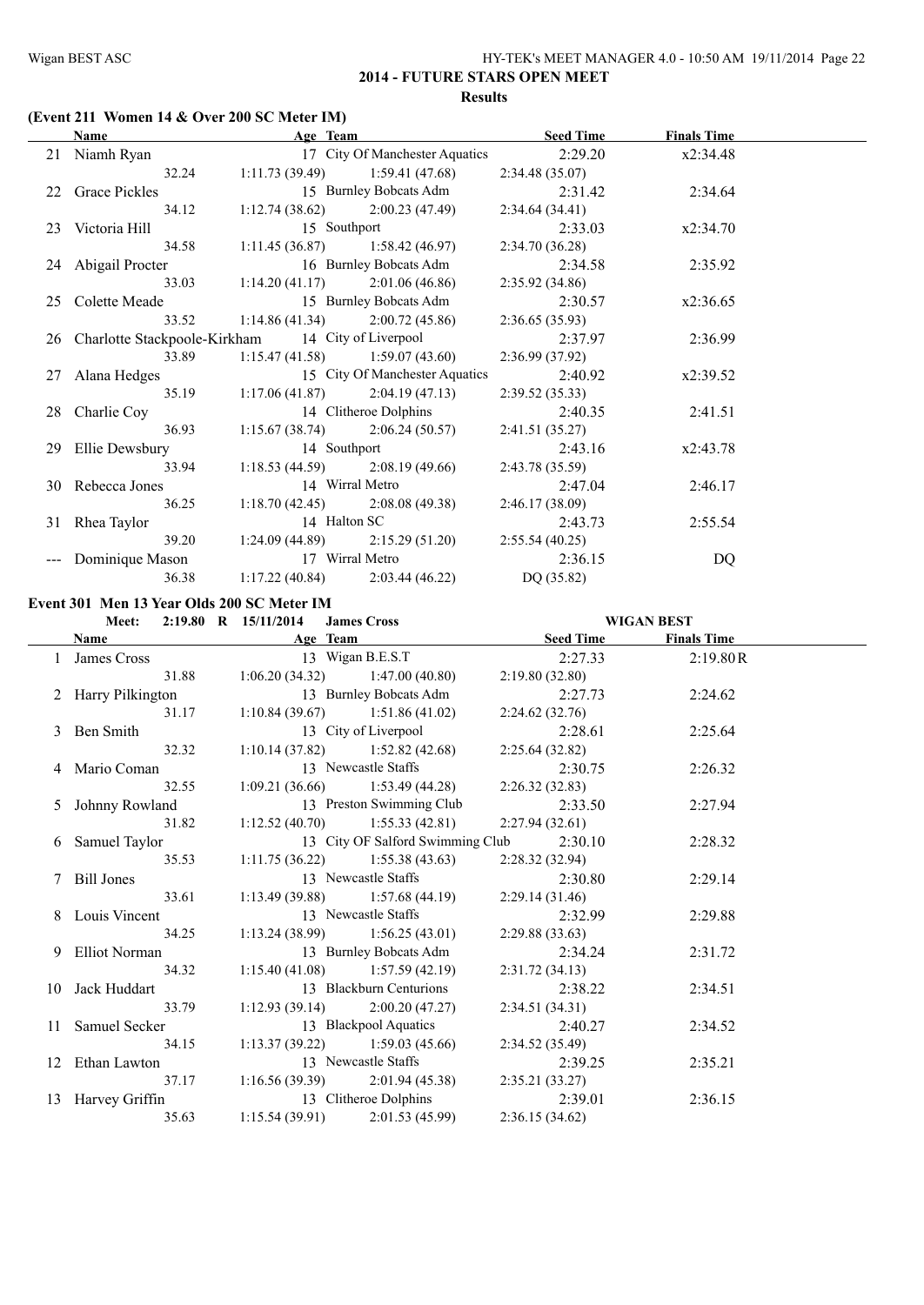# **(Event 211 Women 14 & Over 200 SC Meter IM)**

| <b>Name</b>                                          | Age Team                                              |                                                    | <b>Seed Time</b> | <b>Finals Time</b> |  |
|------------------------------------------------------|-------------------------------------------------------|----------------------------------------------------|------------------|--------------------|--|
| 21 Niamh Ryan                                        |                                                       | 17 City Of Manchester Aquatics 2:29.20             |                  | x2:34.48           |  |
| 32.24                                                |                                                       | $1:11.73(39.49)$ $1:59.41(47.68)$                  | 2:34.48(35.07)   |                    |  |
| 22 Grace Pickles                                     |                                                       | 15 Burnley Bobcats Adm                             | 2:31.42          | 2:34.64            |  |
|                                                      | 34.12 1:12.74 (38.62) 2:00.23 (47.49)                 |                                                    | 2:34.64(34.41)   |                    |  |
| 23 Victoria Hill                                     |                                                       | 15 Southport                                       | 2:33.03          | x2:34.70           |  |
|                                                      | 34.58 1:11.45 (36.87) 1:58.42 (46.97) 2:34.70 (36.28) |                                                    |                  |                    |  |
| 24 Abigail Procter                                   |                                                       | 16 Burnley Bobcats Adm                             | 2:34.58          | 2:35.92            |  |
|                                                      | 33.03 1:14.20 (41.17) 2:01.06 (46.86)                 |                                                    | 2:35.92 (34.86)  |                    |  |
| 25 Colette Meade                                     | 15 Burnley Bobcats Adm                                |                                                    | 2:30.57          | x2:36.65           |  |
| 33.52                                                |                                                       | 1:14.86 (41.34) 2:00.72 (45.86) 2:36.65 (35.93)    |                  |                    |  |
| 26 Charlotte Stackpoole-Kirkham 14 City of Liverpool |                                                       |                                                    | 2:37.97          | 2:36.99            |  |
| 33.89                                                |                                                       | $1:15.47(41.58)$ $1:59.07(43.60)$                  | 2:36.99(37.92)   |                    |  |
| 27 Alana Hedges                                      |                                                       | 15 City Of Manchester Aquatics                     | 2:40.92          | x2:39.52           |  |
| 35.19                                                |                                                       | $1:17.06(41.87)$ $2:04.19(47.13)$                  | 2:39.52(35.33)   |                    |  |
| 28 Charlie Coy                                       |                                                       | 14 Clitheroe Dolphins                              | 2:40.35          | 2:41.51            |  |
| 36.93                                                |                                                       | $1:15.67(38.74)$ $2:06.24(50.57)$                  | 2:41.51 (35.27)  |                    |  |
| 29 Ellie Dewsbury                                    |                                                       | 14 Southport                                       | 2:43.16          | x2:43.78           |  |
| 33.94                                                |                                                       | 1:18.53 (44.59) 2:08.19 (49.66) 2:43.78 (35.59)    |                  |                    |  |
| 30 Rebecca Jones                                     |                                                       | 14 Wirral Metro                                    | 2:47.04          | 2:46.17            |  |
| 36.25                                                |                                                       | $1:18.70(42.45)$ $2:08.08(49.38)$ $2:46.17(38.09)$ |                  |                    |  |
| 31 Rhea Taylor                                       | 14 Halton SC                                          |                                                    | 2:43.73          | 2:55.54            |  |
| 39.20                                                | $1:24.09(44.89)$ $2:15.29(51.20)$ $2:55.54(40.25)$    |                                                    |                  |                    |  |
| --- Dominique Mason 17 Wirral Metro                  |                                                       |                                                    | 2:36.15          | DQ                 |  |
| 36.38                                                | $1:17.22(40.84)$ $2:03.44(46.22)$                     |                                                    | DQ(35.82)        |                    |  |

#### **Event 301 Men 13 Year Olds 200 SC Meter IM**

#### **Meet: 2:19.80 R 15/11/2014 James Cross WIGAN BEST**

| Name                                      |                     |                                          | <b>Example 2018 Age Team Age Team Seed Time</b> | <b>Finals Time</b> |  |
|-------------------------------------------|---------------------|------------------------------------------|-------------------------------------------------|--------------------|--|
| 1 James Cross                             | 13 Wigan B.E.S.T    |                                          | 2:27.33                                         | 2:19.80R           |  |
|                                           |                     | 31.88 1:06.20 (34.32) 1:47.00 (40.80)    | 2:19.80(32.80)                                  |                    |  |
| 2 Harry Pilkington 13 Burnley Bobcats Adm |                     |                                          | 2:27.73                                         | 2:24.62            |  |
| 31.17                                     |                     | $1:10.84(39.67)$ $1:51.86(41.02)$        | 2:24.62(32.76)                                  |                    |  |
| 3 Ben Smith                               |                     | 13 City of Liverpool                     | 2:28.61                                         | 2:25.64            |  |
| 32.32                                     |                     | $1:10.14(37.82)$ $1:52.82(42.68)$        | 2:25.64(32.82)                                  |                    |  |
| 4 Mario Coman                             | 13 Newcastle Staffs |                                          | 2:30.75                                         | 2:26.32            |  |
| 32.55                                     |                     | $1:09.21(36.66)$ $1:53.49(44.28)$        | 2:26.32(32.83)                                  |                    |  |
| 5 Johnny Rowland                          |                     |                                          | 13 Preston Swimming Club 2:33.50                | 2:27.94            |  |
| 31.82                                     |                     | $1:12.52(40.70)$ $1:55.33(42.81)$        | 2:27.94(32.61)                                  |                    |  |
| 6 Samuel Taylor                           |                     | 13 City OF Salford Swimming Club 2:30.10 |                                                 | 2:28.32            |  |
| 35.53                                     |                     | $1:11.75(36.22)$ $1:55.38(43.63)$        | 2:28.32 (32.94)                                 |                    |  |
| 7 Bill Jones                              |                     | 13 Newcastle Staffs 2:30.80              |                                                 | 2:29.14            |  |
| 33.61                                     |                     | $1:13.49(39.88)$ $1:57.68(44.19)$        | 2:29.14 (31.46)                                 |                    |  |
| 8 Louis Vincent                           |                     |                                          | 13 Newcastle Staffs 2:32.99                     | 2:29.88            |  |
| 34.25                                     |                     | $1:13.24(38.99)$ $1:56.25(43.01)$        | 2:29.88(33.63)                                  |                    |  |
| 9 Elliot Norman                           |                     | 13 Burnley Bobcats Adm                   | 2:34.24                                         | 2:31.72            |  |
| 34.32                                     |                     | $1:15.40(41.08)$ $1:57.59(42.19)$        | 2:31.72(34.13)                                  |                    |  |
| 10 Jack Huddart                           |                     | 13 Blackburn Centurions                  | 2:38.22                                         | 2:34.51            |  |
| 33.79                                     |                     | $1:12.93(39.14)$ $2:00.20(47.27)$        | 2:34.51(34.31)                                  |                    |  |
| 11 Samuel Secker                          |                     | 13 Blackpool Aquatics                    | 2:40.27                                         | 2:34.52            |  |
| 34.15                                     |                     | $1:13.37(39.22)$ $1:59.03(45.66)$        | 2:34.52(35.49)                                  |                    |  |
| 12 Ethan Lawton                           | 13 Newcastle Staffs |                                          | 2:39.25                                         | 2:35.21            |  |
| 37.17                                     |                     | $1:16.56(39.39)$ $2:01.94(45.38)$        | 2:35.21(33.27)                                  |                    |  |
| 13 Harvey Griffin                         |                     | 13 Clitheroe Dolphins                    | 2:39.01                                         | 2:36.15            |  |
| 35.63                                     |                     | $1:15.54(39.91)$ $2:01.53(45.99)$        | 2:36.15(34.62)                                  |                    |  |
|                                           |                     |                                          |                                                 |                    |  |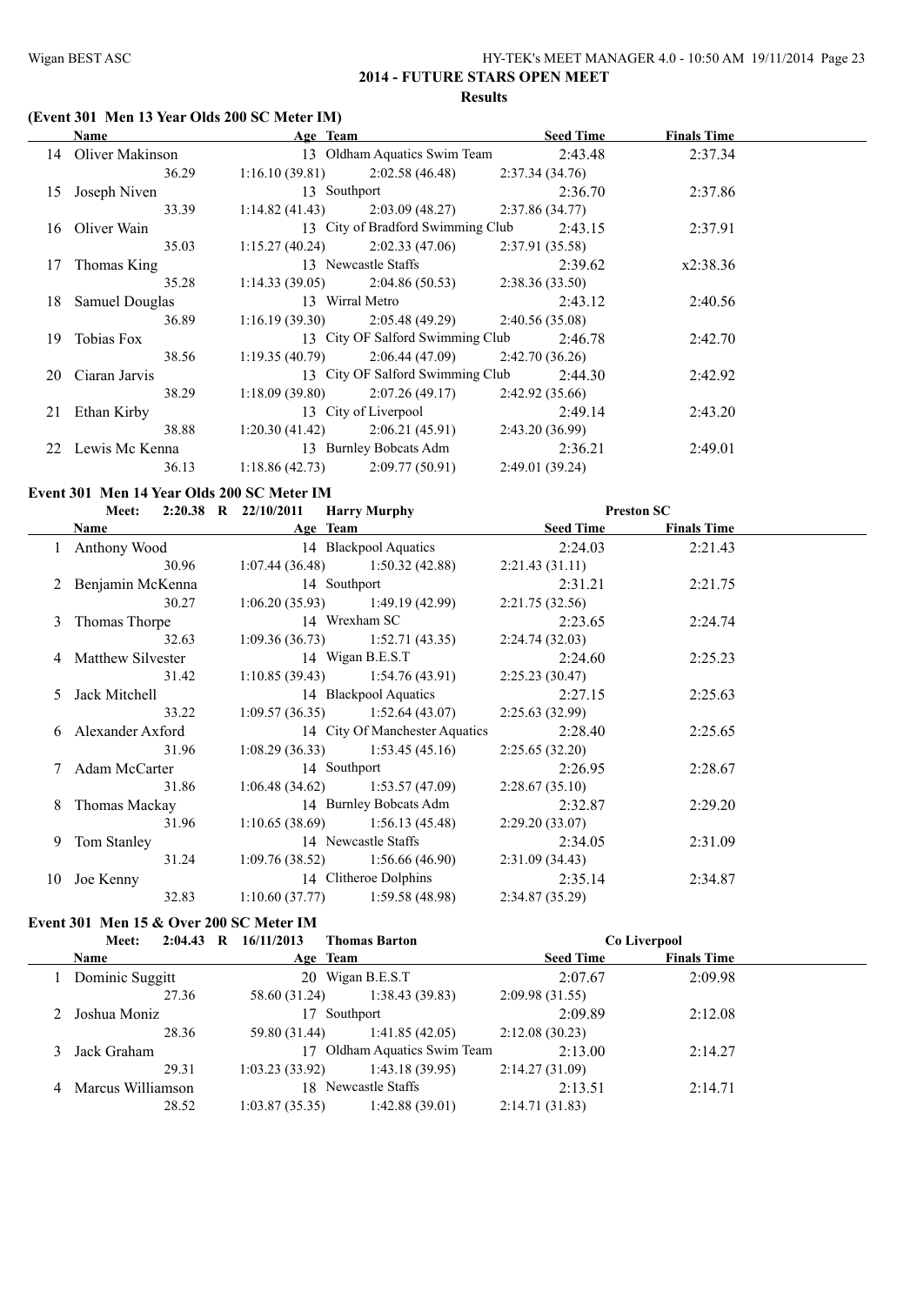# **(Event 301 Men 13 Year Olds 200 SC Meter IM)**

|    | Name               | Age Team                          |                                                    |                | <b>Seed Time</b> | <b>Finals Time</b> |  |
|----|--------------------|-----------------------------------|----------------------------------------------------|----------------|------------------|--------------------|--|
|    | 14 Oliver Makinson |                                   | 13 Oldham Aquatics Swim Team                       |                | 2:43.48          | 2:37.34            |  |
|    | 36.29              |                                   | $1:16.10(39.81)$ $2:02.58(46.48)$                  | 2:37.34(34.76) |                  |                    |  |
| 15 | Joseph Niven       | 13 Southport                      |                                                    |                | 2:36.70          | 2:37.86            |  |
|    | 33.39              |                                   | $1:14.82(41.43)$ $2:03.09(48.27)$                  | 2:37.86(34.77) |                  |                    |  |
|    | 16 Oliver Wain     |                                   | 13 City of Bradford Swimming Club                  |                | 2:43.15          | 2:37.91            |  |
|    | 35.03              |                                   | $1:15.27(40.24)$ $2:02.33(47.06)$                  | 2:37.91(35.58) |                  |                    |  |
| 17 | Thomas King        |                                   | 13 Newcastle Staffs                                |                | 2:39.62          | x2:38.36           |  |
|    | 35.28              |                                   | $1:14.33(39.05)$ $2:04.86(50.53)$                  | 2:38.36(33.50) |                  |                    |  |
| 18 | Samuel Douglas     |                                   | 13 Wirral Metro                                    |                | 2:43.12          | 2:40.56            |  |
|    | 36.89              |                                   | 1:16.19 (39.30) 2:05.48 (49.29) 2:40.56 (35.08)    |                |                  |                    |  |
| 19 | Tobias Fox         |                                   | 13 City OF Salford Swimming Club                   |                | 2:46.78          | 2:42.70            |  |
|    | 38.56              |                                   | $1:19.35(40.79)$ $2:06.44(47.09)$ $2:42.70(36.26)$ |                |                  |                    |  |
|    | 20 Ciaran Jarvis   |                                   | 13 City OF Salford Swimming Club                   |                | 2:44.30          | 2:42.92            |  |
|    | 38.29              |                                   | $1:18.09(39.80)$ $2:07.26(49.17)$                  | 2:42.92(35.66) |                  |                    |  |
| 21 | Ethan Kirby        |                                   | 13 City of Liverpool                               |                | 2:49.14          | 2:43.20            |  |
|    | 38.88              |                                   | $1:20.30(41.42)$ $2:06.21(45.91)$                  | 2:43.20(36.99) |                  |                    |  |
|    | 22 Lewis Mc Kenna  |                                   | 13 Burnley Bobcats Adm                             |                | 2:36.21          | 2:49.01            |  |
|    | 36.13              | $1:18.86(42.73)$ $2:09.77(50.91)$ |                                                    | 2:49.01(39.24) |                  |                    |  |

#### **Event 301 Men 14 Year Olds 200 SC Meter IM**

| Meet: 2:20.38 R 22/10/2011 Harry Murphy |              |                                                         |                 | <b>Preston SC</b>  |  |
|-----------------------------------------|--------------|---------------------------------------------------------|-----------------|--------------------|--|
|                                         |              | <b>Name</b> Seed Time Age Team Seed Time                |                 | <b>Finals Time</b> |  |
|                                         |              | 1 Anthony Wood 14 Blackpool Aquatics                    | 2:24.03         | 2:21.43            |  |
| 30.96                                   |              | $1:07.44(36.48)$ $1:50.32(42.88)$                       | 2:21.43(31.11)  |                    |  |
| 2 Benjamin McKenna                      | 14 Southport |                                                         | 2:31.21         | 2:21.75            |  |
|                                         |              | 30.27 1:06.20 (35.93) 1:49.19 (42.99) 2:21.75 (32.56)   |                 |                    |  |
| 3 Thomas Thorpe                         |              | 14 Wrexham SC                                           | 2:23.65         | 2:24.74            |  |
| 32.63                                   |              | $1:09.36(36.73)$ $1:52.71(43.35)$ $2:24.74(32.03)$      |                 |                    |  |
| 4 Matthew Silvester                     |              | 14 Wigan B.E.S.T                                        | 2:24.60         | 2:25.23            |  |
| 31.42                                   |              | $1:10.85(39.43)$ $1:54.76(43.91)$                       | 2:25.23 (30.47) |                    |  |
| 5 Jack Mitchell                         |              | 14 Blackpool Aquatics 2:27.15                           |                 | 2:25.63            |  |
| 33.22                                   |              | 1:09.57 (36.35) 1:52.64 (43.07) 2:25.63 (32.99)         |                 |                    |  |
| 6 Alexander Axford                      |              | 14 City Of Manchester Aquatics                          | 2:28.40         | 2:25.65            |  |
| 31.96                                   |              | $1:08.29(36.33)$ $1:53.45(45.16)$                       | 2:25.65(32.20)  |                    |  |
| 7 Adam McCarter                         |              | 14 Southport                                            | 2:26.95         | 2:28.67            |  |
| 31.86                                   |              | $1:06.48(34.62)$ $1:53.57(47.09)$ $2:28.67(35.10)$      |                 |                    |  |
| 8 Thomas Mackay                         |              | 14 Burnley Bobcats Adm                                  | 2:32.87         | 2:29.20            |  |
| 31.96                                   |              | $1:10.65(38.69)$ $1:56.13(45.48)$                       | 2:29.20 (33.07) |                    |  |
| 9 Tom Stanley                           |              | 14 Newcastle Staffs                                     | 2:34.05         | 2:31.09            |  |
|                                         |              | $31.24$ 1:09.76 (38.52) 1:56.66 (46.90) 2:31.09 (34.43) |                 |                    |  |
| 10 Joe Kenny                            |              | 14 Clitheroe Dolphins                                   | 2:35.14         | 2:34.87            |  |
| 32.83                                   |              | $1:10.60(37.77)$ 1:59.58 (48.98)                        | 2:34.87(35.29)  |                    |  |

# **Event 301 Men 15 & Over 200 SC Meter IM**

|   | $2:04.43$ R<br>Meet: | 16/11/2013<br><b>Thomas Barton</b> | Co Liverpool     |                    |
|---|----------------------|------------------------------------|------------------|--------------------|
|   | Name                 | Age Team                           | <b>Seed Time</b> | <b>Finals Time</b> |
|   | Dominic Suggitt      | 20 Wigan B.E.S.T                   | 2:07.67          | 2:09.98            |
|   | 27.36                | 1:38.43(39.83)<br>58.60 (31.24)    | 2:09.98(31.55)   |                    |
|   | Joshua Moniz         | 17 Southport                       | 2:09.89          | 2:12.08            |
|   | 28.36                | 1:41.85(42.05)<br>59.80 (31.44)    | 2:12.08(30.23)   |                    |
|   | Jack Graham          | 17 Oldham Aquatics Swim Team       | 2:13.00          | 2:14.27            |
|   | 29.31                | 1:03.23(33.92)<br>1:43.18(39.95)   | 2:14.27(31.09)   |                    |
| 4 | Marcus Williamson    | 18 Newcastle Staffs                | 2:13.51          | 2:14.71            |
|   | 28.52                | 1:42.88(39.01)<br>1:03.87(35.35)   | 2:14.71(31.83)   |                    |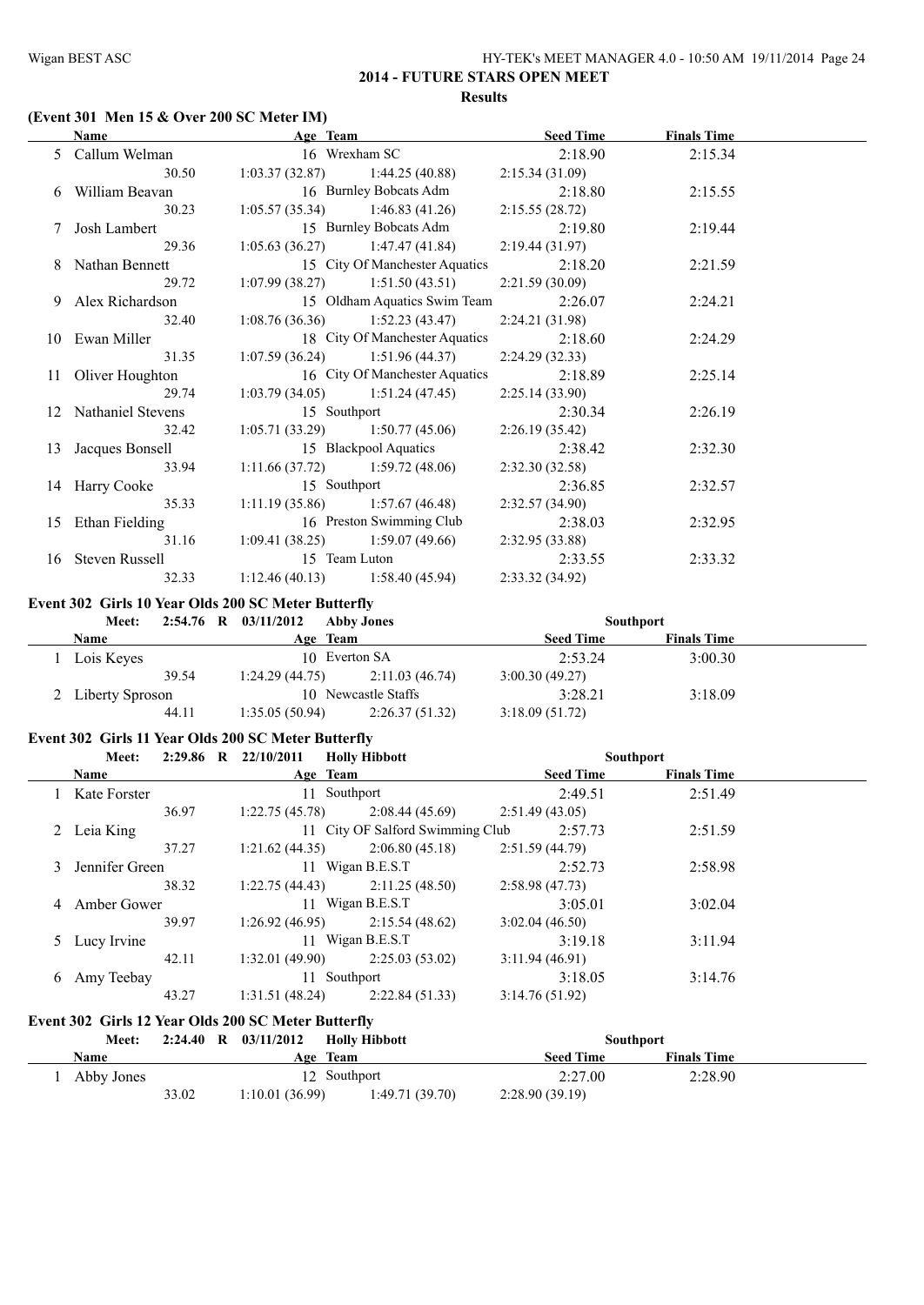# **(Event 301 Men 15 & Over 200 SC Meter IM)**

| <b>Name</b>          | Age Team     |                                                    | <b>Seed Time</b> | <b>Finals Time</b> |  |
|----------------------|--------------|----------------------------------------------------|------------------|--------------------|--|
| 5 Callum Welman      |              | 16 Wrexham SC                                      | 2:18.90          | 2:15.34            |  |
| 30.50                |              | $1:03.37(32.87)$ $1:44.25(40.88)$                  | 2:15.34(31.09)   |                    |  |
| 6 William Beavan     |              | 16 Burnley Bobcats Adm                             | 2:18.80          | 2:15.55            |  |
| 30.23                |              | $1:05.57(35.34)$ $1:46.83(41.26)$                  | 2:15.55(28.72)   |                    |  |
| Josh Lambert         |              | 15 Burnley Bobcats Adm                             | 2:19.80          | 2:19.44            |  |
| 29.36                |              | $1:05.63(36.27)$ $1:47.47(41.84)$                  | 2:19.44(31.97)   |                    |  |
| 8 Nathan Bennett     |              | 15 City Of Manchester Aquatics                     | 2:18.20          | 2:21.59            |  |
| 29.72                |              | $1:07.99(38.27)$ $1:51.50(43.51)$ $2:21.59(30.09)$ |                  |                    |  |
| 9 Alex Richardson    |              | 15 Oldham Aquatics Swim Team                       | 2:26.07          | 2:24.21            |  |
| 32.40                |              | $1:08.76(36.36)$ $1:52.23(43.47)$ $2:24.21(31.98)$ |                  |                    |  |
| 10 Ewan Miller       |              | 18 City Of Manchester Aquatics                     | 2:18.60          | 2:24.29            |  |
| 31.35                |              | $1:07.59(36.24)$ $1:51.96(44.37)$                  | 2:24.29(32.33)   |                    |  |
| 11 Oliver Houghton   |              | 16 City Of Manchester Aquatics                     | 2:18.89          | 2:25.14            |  |
| 29.74                |              | $1:03.79(34.05)$ $1:51.24(47.45)$                  | 2:25.14(33.90)   |                    |  |
| 12 Nathaniel Stevens | 15 Southport |                                                    | 2:30.34          | 2:26.19            |  |
| 32.42                |              | $1:05.71(33.29)$ $1:50.77(45.06)$                  | 2:26.19(35.42)   |                    |  |
| 13 Jacques Bonsell   |              | 15 Blackpool Aquatics                              | 2:38.42          | 2:32.30            |  |
| 33.94                |              | $1:11.66(37.72)$ $1:59.72(48.06)$                  | 2:32.30(32.58)   |                    |  |
| 14 Harry Cooke       | 15 Southport |                                                    | 2:36.85          | 2:32.57            |  |
| 35.33                |              | $1:11.19(35.86)$ $1:57.67(46.48)$                  | 2:32.57(34.90)   |                    |  |
| 15 Ethan Fielding    |              | 16 Preston Swimming Club                           | 2:38.03          | 2:32.95            |  |
| 31.16                |              | $1:09.41(38.25)$ $1:59.07(49.66)$                  | 2:32.95 (33.88)  |                    |  |
| 16 Steven Russell    |              | 15 Team Luton                                      | 2:33.55          | 2:33.32            |  |
| 32.33                |              | $1:12.46(40.13)$ $1:58.40(45.94)$                  | 2:33.32(34.92)   |                    |  |

#### **Event 302 Girls 10 Year Olds 200 SC Meter Butterfly**

| <b>Southport</b>   |
|--------------------|
| <b>Finals Time</b> |
| 3:00.30            |
|                    |
| 3:18.09            |
|                    |
|                    |

#### **Event 302 Girls 11 Year Olds 200 SC Meter Butterfly**

|   | Meet:          | $2:29.86$ R $22/10/2011$ | <b>Holly Hibbott</b>             |                  | <b>Southport</b>   |  |
|---|----------------|--------------------------|----------------------------------|------------------|--------------------|--|
|   | <b>Name</b>    |                          | Age Team                         | <b>Seed Time</b> | <b>Finals Time</b> |  |
|   | Kate Forster   |                          | 11 Southport                     | 2:49.51          | 2:51.49            |  |
|   | 36.97          | 1:22.75(45.78)           | 2:08.44(45.69)                   | 2:51.49(43.05)   |                    |  |
|   | 2 Leia King    |                          | 11 City OF Salford Swimming Club | 2:57.73          | 2:51.59            |  |
|   | 37.27          | 1:21.62(44.35)           | 2:06.80(45.18)                   | 2:51.59(44.79)   |                    |  |
| 3 | Jennifer Green |                          | 11 Wigan B.E.S.T                 | 2:52.73          | 2:58.98            |  |
|   | 38.32          | 1:22.75(44.43)           | 2:11.25(48.50)                   | 2:58.98(47.73)   |                    |  |
| 4 | Amber Gower    |                          | 11 Wigan B.E.S.T                 | 3:05.01          | 3:02.04            |  |
|   | 39.97          | 1:26.92(46.95)           | 2:15.54(48.62)                   | 3:02.04(46.50)   |                    |  |
|   | 5 Lucy Irvine  |                          | 11 Wigan B.E.S.T                 | 3:19.18          | 3:11.94            |  |
|   | 42.11          | 1:32.01(49.90)           | 2:25.03(53.02)                   | 3:11.94(46.91)   |                    |  |
| 6 | Amy Teebay     |                          | 11 Southport                     | 3:18.05          | 3:14.76            |  |
|   | 43.27          | 1:31.51(48.24)           | 2:22.84(51.33)                   | 3:14.76(51.92)   |                    |  |

# **Event 302 Girls 12 Year Olds 200 SC Meter Butterfly**

| <b>Meet:</b> | 2:24.40<br>$\mathbf{R}$ | 03/11/2012     | <b>Holly Hibbott</b> |                  | <b>Southport</b>   |  |
|--------------|-------------------------|----------------|----------------------|------------------|--------------------|--|
| Name         |                         |                | Age Team             | <b>Seed Time</b> | <b>Finals Time</b> |  |
| Abby Jones   |                         |                | 12 Southport         | 2:27.00          | 2:28.90            |  |
|              | 33.02                   | 1:10.01(36.99) | 1:49.71(39.70)       | 2:28.90(39.19)   |                    |  |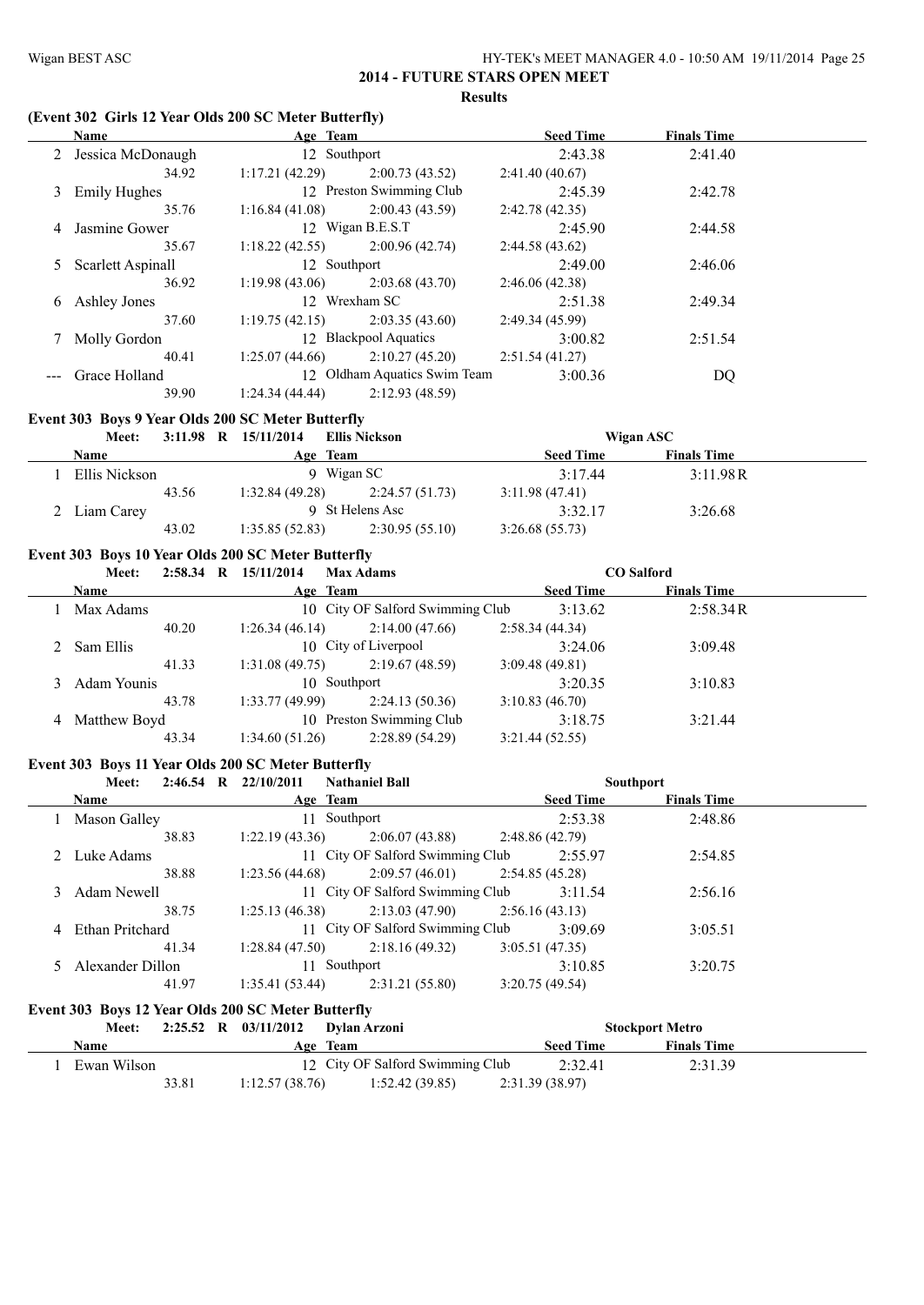# **(Event 302 Girls 12 Year Olds 200 SC Meter Butterfly)**

|   | <b>Name</b>         | Age Team       |                              | <b>Seed Time</b> | <b>Finals Time</b> |  |
|---|---------------------|----------------|------------------------------|------------------|--------------------|--|
|   | 2 Jessica McDonaugh | 12 Southport   |                              | 2:43.38          | 2:41.40            |  |
|   | 34.92               | 1:17.21(42.29) | 2:00.73(43.52)               | 2:41.40(40.67)   |                    |  |
| 3 | <b>Emily Hughes</b> |                | 12 Preston Swimming Club     | 2:45.39          | 2:42.78            |  |
|   | 35.76               | 1:16.84(41.08) | 2:00.43(43.59)               | 2:42.78(42.35)   |                    |  |
| 4 | Jasmine Gower       |                | 12 Wigan B.E.S.T             | 2:45.90          | 2:44.58            |  |
|   | 35.67               | 1:18.22(42.55) | 2:00.96(42.74)               | 2:44.58(43.62)   |                    |  |
| 5 | Scarlett Aspinall   | 12 Southport   |                              | 2:49.00          | 2:46.06            |  |
|   | 36.92               | 1:19.98(43.06) | 2:03.68(43.70)               | 2:46.06(42.38)   |                    |  |
| 6 | Ashley Jones        |                | 12 Wrexham SC                | 2:51.38          | 2:49.34            |  |
|   | 37.60               | 1:19.75(42.15) | 2:03.35(43.60)               | 2:49.34(45.99)   |                    |  |
|   | 7 Molly Gordon      |                | 12 Blackpool Aquatics        | 3:00.82          | 2:51.54            |  |
|   | 40.41               | 1:25.07(44.66) | 2:10.27(45.20)               | 2:51.54(41.27)   |                    |  |
|   | --- Grace Holland   |                | 12 Oldham Aquatics Swim Team | 3:00.36          | DQ                 |  |
|   | 39.90               | 1:24.34(44.44) | 2:12.93(48.59)               |                  |                    |  |

#### **Event 303 Boys 9 Year Olds 200 SC Meter Butterfly**

| <b>Meet:</b>  |       | 3:11.98 R $15/11/2014$ | <b>Ellis Nickson</b> |                  | Wigan ASC          |  |
|---------------|-------|------------------------|----------------------|------------------|--------------------|--|
| Name          |       |                        | Age Team             | <b>Seed Time</b> | <b>Finals Time</b> |  |
| Ellis Nickson |       |                        | 9 Wigan SC           | 3:17.44          | 3:11.98R           |  |
|               | 43.56 | 1:32.84 (49.28)        | 2:24.57 (51.73)      | 3:11.98(47.41)   |                    |  |
| 2 Liam Carey  |       | St Helens Asc          |                      | 3:32.17          | 3:26.68            |  |
|               | 43.02 | 1:35.85(52.83)         | 2:30.95(55.10)       | 3:26.68(55.73)   |                    |  |

# **Event 303 Boys 10 Year Olds 200 SC Meter Butterfly**

|   | Meet:        | 2:58.34 | - R | 15/11/2014     | <b>Max Adams</b>                 |                  | <b>CO</b> Salford  |                    |  |
|---|--------------|---------|-----|----------------|----------------------------------|------------------|--------------------|--------------------|--|
|   | <b>Name</b>  |         |     |                | Age Team                         | <b>Seed Time</b> |                    | <b>Finals Time</b> |  |
|   | Max Adams    |         |     |                | 10 City OF Salford Swimming Club | 3:13.62          |                    | 2:58.34R           |  |
|   |              | 40.20   |     | 1:26.34(46.14) | 2:14.00(47.66)                   | 2:58.34(44.34)   |                    |                    |  |
|   | 2 Sam Ellis  |         |     |                | 10 City of Liverpool             | 3:24.06          |                    | 3:09.48            |  |
|   |              | 41.33   |     | 1:31.08(49.75) | 2:19.67(48.59)                   | 3:09.48(49.81)   |                    |                    |  |
|   | Adam Younis  |         |     |                | 10 Southport                     |                  | 3:20.35<br>3:10.83 |                    |  |
|   |              | 43.78   |     | 1:33.77(49.99) | 2:24.13(50.36)                   | 3:10.83(46.70)   |                    |                    |  |
| 4 | Matthew Boyd |         |     |                | 10 Preston Swimming Club         | 3:18.75          |                    | 3:21.44            |  |
|   |              | 43.34   |     | 1:34.60(51.26) | 2:28.89(54.29)                   | 3:21.44(52.55)   |                    |                    |  |

# **Event 303 Boys 11 Year Olds 200 SC Meter Butterfly**

| <b>Meet:</b>      | $2:46.54$ R | 22/10/2011     | <b>Nathaniel Ball</b>            |                |                  | <b>Southport</b>   |  |
|-------------------|-------------|----------------|----------------------------------|----------------|------------------|--------------------|--|
| <b>Name</b>       |             |                | Age Team                         |                | <b>Seed Time</b> | <b>Finals Time</b> |  |
| Mason Galley      |             | 11             | Southport                        |                | 2:53.38          | 2:48.86            |  |
|                   | 38.83       | 1:22.19(43.36) | 2:06.07(43.88)                   | 2:48.86(42.79) |                  |                    |  |
| 2 Luke Adams      |             |                | 11 City OF Salford Swimming Club |                | 2:55.97          | 2:54.85            |  |
|                   | 38.88       | 1:23.56(44.68) | 2:09.57(46.01)                   | 2:54.85(45.28) |                  |                    |  |
| 3 Adam Newell     |             |                | 11 City OF Salford Swimming Club |                | 3:11.54          | 2:56.16            |  |
|                   | 38.75       | 1:25.13(46.38) | 2:13.03 (47.90)                  | 2:56.16(43.13) |                  |                    |  |
| 4 Ethan Pritchard |             |                | 11 City OF Salford Swimming Club |                | 3:09.69          | 3:05.51            |  |
|                   | 41.34       | 1:28.84(47.50) | 2:18.16(49.32)                   | 3:05.51(47.35) |                  |                    |  |
| Alexander Dillon  |             |                | 11 Southport                     |                | 3:10.85          | 3:20.75            |  |
|                   | 41.97       | 1:35.41(53.44) | 2:31.21(55.80)                   | 3:20.75(49.54) |                  |                    |  |

#### **Event 303 Boys 12 Year Olds 200 SC Meter Butterfly**

| Meet:       |       |                | 2:25.52 R 03/11/2012 Dylan Arzoni |                |                  | <b>Stockport Metro</b> |  |
|-------------|-------|----------------|-----------------------------------|----------------|------------------|------------------------|--|
| Name        |       |                | Age Team                          |                | <b>Seed Time</b> | <b>Finals Time</b>     |  |
| Ewan Wilson |       |                | 12 City OF Salford Swimming Club  |                | 2:32.41          | 2:31.39                |  |
|             | 33.81 | 1:12.57(38.76) | 1:52.42(39.85)                    | 2:31.39(38.97) |                  |                        |  |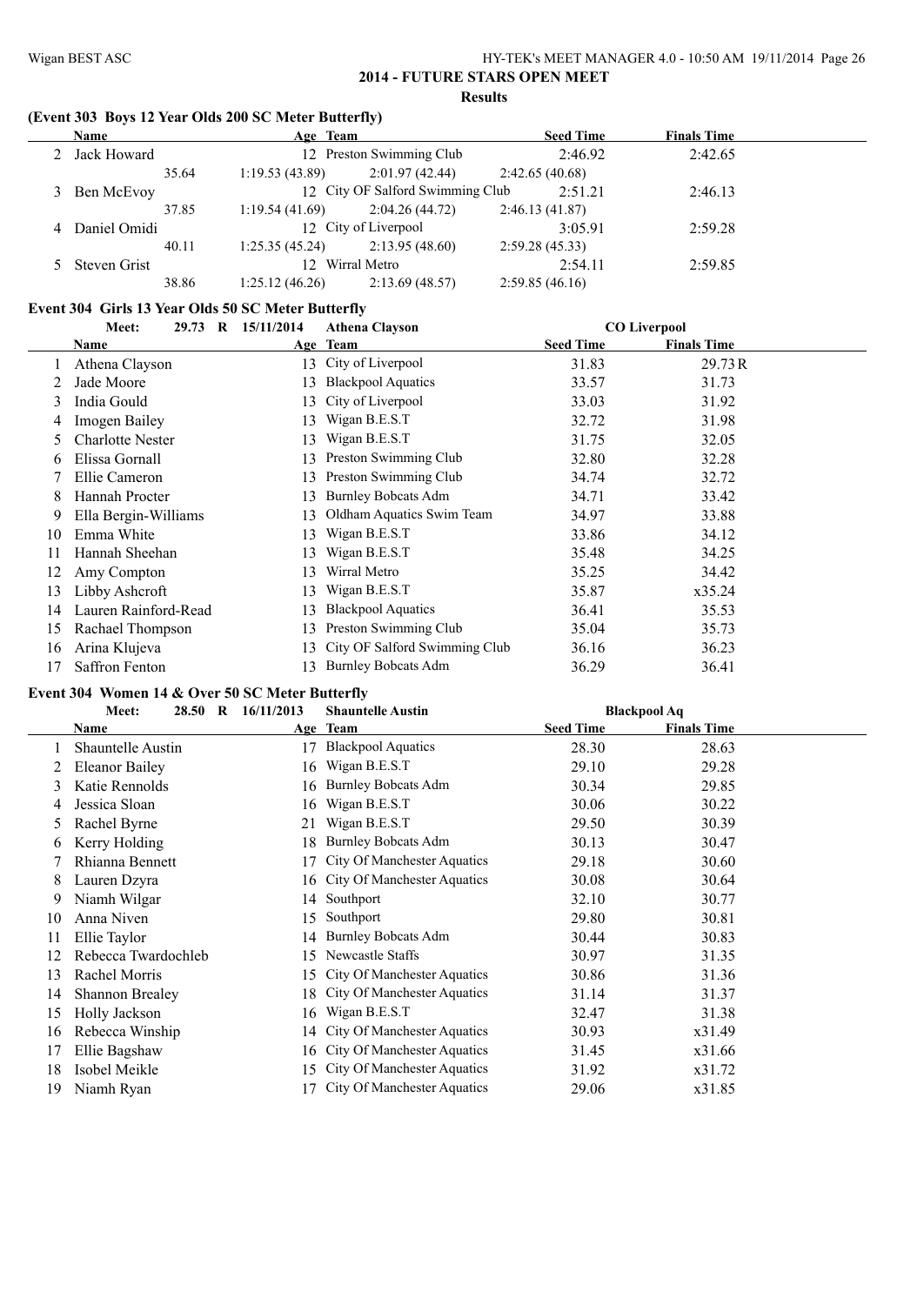# **(Event 303 Boys 12 Year Olds 200 SC Meter Butterfly)**

| <b>Name</b>    | Age Team        |                                  | <b>Seed Time</b> | <b>Finals Time</b> |  |
|----------------|-----------------|----------------------------------|------------------|--------------------|--|
| 2 Jack Howard  |                 | 12 Preston Swimming Club         | 2:46.92          | 2:42.65            |  |
| 35.64          | 1:19.53(43.89)  | 2:01.97(42.44)                   | 2:42.65(40.68)   |                    |  |
| 3 Ben McEvoy   |                 | 12 City OF Salford Swimming Club | 2:51.21          | 2:46.13            |  |
| 37.85          | 1:19.54(41.69)  | 2:04.26(44.72)                   | 2:46.13(41.87)   |                    |  |
| 4 Daniel Omidi |                 | 12 City of Liverpool             | 3:05.91          | 2:59.28            |  |
| 40.11          | 1:25.35(45.24)  | 2:13.95(48.60)                   | 2:59.28(45.33)   |                    |  |
| 5 Steven Grist | 12 Wirral Metro |                                  | 2:54.11          | 2:59.85            |  |
| 38.86          | 1:25.12(46.26)  | 2:13.69(48.57)                   | 2:59.85(46.16)   |                    |  |

#### **Event 304 Girls 13 Year Olds 50 SC Meter Butterfly**

|    | Meet:                   | 29.73 R 15/11/2014 | <b>Athena Clayson</b>         |                  | <b>CO Liverpool</b> |  |
|----|-------------------------|--------------------|-------------------------------|------------------|---------------------|--|
|    | Name                    |                    | Age Team                      | <b>Seed Time</b> | <b>Finals Time</b>  |  |
|    | Athena Clayson          |                    | 13 City of Liverpool          | 31.83            | 29.73 R             |  |
|    | Jade Moore              | 13                 | <b>Blackpool Aquatics</b>     | 33.57            | 31.73               |  |
| 3  | India Gould             | 13                 | City of Liverpool             | 33.03            | 31.92               |  |
| 4  | Imogen Bailey           | 13.                | Wigan B.E.S.T                 | 32.72            | 31.98               |  |
| 5. | <b>Charlotte Nester</b> | 13                 | Wigan B.E.S.T                 | 31.75            | 32.05               |  |
| b  | Elissa Gornall          | 13                 | Preston Swimming Club         | 32.80            | 32.28               |  |
|    | Ellie Cameron           | 13                 | Preston Swimming Club         | 34.74            | 32.72               |  |
| 8  | Hannah Procter          | 13                 | <b>Burnley Bobcats Adm</b>    | 34.71            | 33.42               |  |
| 9  | Ella Bergin-Williams    | 13.                | Oldham Aquatics Swim Team     | 34.97            | 33.88               |  |
| 10 | Emma White              | 13                 | Wigan B.E.S.T                 | 33.86            | 34.12               |  |
| 11 | Hannah Sheehan          | 13                 | Wigan B.E.S.T                 | 35.48            | 34.25               |  |
| 12 | Amy Compton             | 13                 | Wirral Metro                  | 35.25            | 34.42               |  |
| 13 | Libby Ashcroft          | 13.                | Wigan B.E.S.T                 | 35.87            | x35.24              |  |
| 14 | Lauren Rainford-Read    | 13                 | <b>Blackpool Aquatics</b>     | 36.41            | 35.53               |  |
| 15 | Rachael Thompson        | 13                 | Preston Swimming Club         | 35.04            | 35.73               |  |
| 16 | Arina Klujeva           | 13                 | City OF Salford Swimming Club | 36.16            | 36.23               |  |
| 17 | <b>Saffron Fenton</b>   | 13                 | <b>Burnley Bobcats Adm</b>    | 36.29            | 36.41               |  |

# **Event 304 Women 14 & Over 50 SC Meter Butterfly**

| Meet:                  | 16/11/2013 | <b>Shauntelle Austin</b>           |                                                                                                   |                    |                     |
|------------------------|------------|------------------------------------|---------------------------------------------------------------------------------------------------|--------------------|---------------------|
| Name                   |            |                                    | <b>Seed Time</b>                                                                                  | <b>Finals Time</b> |                     |
| Shauntelle Austin      |            | <b>Blackpool Aquatics</b>          | 28.30                                                                                             | 28.63              |                     |
| <b>Eleanor Bailey</b>  |            | Wigan B.E.S.T                      | 29.10                                                                                             | 29.28              |                     |
| Katie Rennolds         |            | <b>Burnley Bobcats Adm</b>         | 30.34                                                                                             | 29.85              |                     |
| Jessica Sloan          | 16         | Wigan B.E.S.T                      | 30.06                                                                                             | 30.22              |                     |
| Rachel Byrne           | 21         | Wigan B.E.S.T                      | 29.50                                                                                             | 30.39              |                     |
| Kerry Holding          | 18         | <b>Burnley Bobcats Adm</b>         | 30.13                                                                                             | 30.47              |                     |
| Rhianna Bennett        |            | City Of Manchester Aquatics        | 29.18                                                                                             | 30.60              |                     |
| Lauren Dzyra           |            | <b>City Of Manchester Aquatics</b> | 30.08                                                                                             | 30.64              |                     |
| Niamh Wilgar           |            | Southport                          | 32.10                                                                                             | 30.77              |                     |
| Anna Niven             | 15         | Southport                          | 29.80                                                                                             | 30.81              |                     |
| Ellie Taylor           |            | <b>Burnley Bobcats Adm</b>         | 30.44                                                                                             | 30.83              |                     |
| Rebecca Twardochleb    | 15         | Newcastle Staffs                   | 30.97                                                                                             | 31.35              |                     |
| Rachel Morris          |            | City Of Manchester Aquatics        | 30.86                                                                                             | 31.36              |                     |
| <b>Shannon Brealey</b> |            | <b>City Of Manchester Aquatics</b> | 31.14                                                                                             | 31.37              |                     |
| Holly Jackson          | 16         | Wigan B.E.S.T                      | 32.47                                                                                             | 31.38              |                     |
| Rebecca Winship        |            |                                    | 30.93                                                                                             | x31.49             |                     |
| Ellie Bagshaw          |            | City Of Manchester Aquatics        | 31.45                                                                                             | x31.66             |                     |
| Isobel Meikle          |            | <b>City Of Manchester Aquatics</b> | 31.92                                                                                             | x31.72             |                     |
| Niamh Ryan             |            | <b>City Of Manchester Aquatics</b> | 29.06                                                                                             | x31.85             |                     |
|                        |            | 28.50 R                            | Age Team<br>16<br>16<br>16.<br>14<br>14<br>15<br>18<br>14 City Of Manchester Aquatics<br>16<br>15 |                    | <b>Blackpool Aq</b> |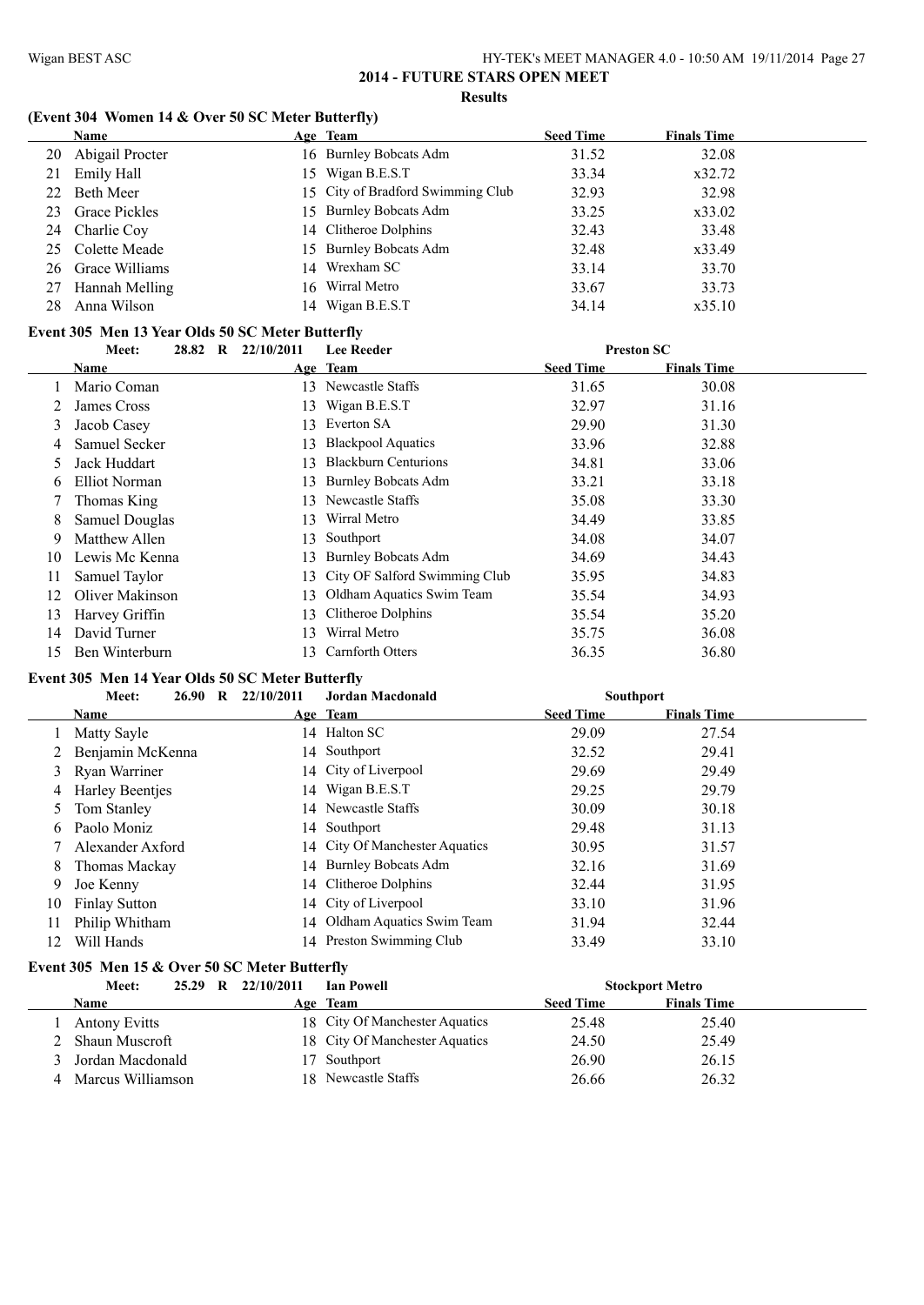# **(Event 304 Women 14 & Over 50 SC Meter Butterfly)**

|     | Name                 | Age Team                          | <b>Seed Time</b> | <b>Finals Time</b> |  |
|-----|----------------------|-----------------------------------|------------------|--------------------|--|
| 20  | Abigail Procter      | 16 Burnley Bobcats Adm            | 31.52            | 32.08              |  |
| 21  | Emily Hall           | 15 Wigan B.E.S.T                  | 33.34            | x32.72             |  |
| 22. | Beth Meer            | 15 City of Bradford Swimming Club | 32.93            | 32.98              |  |
| 23  | <b>Grace Pickles</b> | 15 Burnley Bobcats Adm            | 33.25            | x33.02             |  |
|     | 24 Charlie Coy       | 14 Clitheroe Dolphins             | 32.43            | 33.48              |  |
|     | 25 Colette Meade     | 15 Burnley Bobcats Adm            | 32.48            | x33.49             |  |
|     | 26 Grace Williams    | 14 Wrexham SC                     | 33.14            | 33.70              |  |
| 27  | Hannah Melling       | 16 Wirral Metro                   | 33.67            | 33.73              |  |
| 28  | Anna Wilson          | 14 Wigan B.E.S.T                  | 34.14            | x35.10             |  |

# **Event 305 Men 13 Year Olds 50 SC Meter Butterfly**

|               | Meet:                  | 28.82 | R | 22/10/2011 | <b>Lee Reeder</b>             | <b>Preston SC</b> |                    |  |
|---------------|------------------------|-------|---|------------|-------------------------------|-------------------|--------------------|--|
|               | Name                   |       |   |            | Age Team                      | <b>Seed Time</b>  | <b>Finals Time</b> |  |
|               | Mario Coman            |       |   | 13.        | Newcastle Staffs              | 31.65             | 30.08              |  |
|               | James Cross            |       |   |            | 13 Wigan B.E.S.T              | 32.97             | 31.16              |  |
| 3             | Jacob Casey            |       |   | 13.        | Everton SA                    | 29.90             | 31.30              |  |
| 4             | Samuel Secker          |       |   | 13         | <b>Blackpool Aquatics</b>     | 33.96             | 32.88              |  |
| 5             | Jack Huddart           |       |   | 13         | <b>Blackburn Centurions</b>   | 34.81             | 33.06              |  |
| $\mathfrak b$ | Elliot Norman          |       |   | 13.        | <b>Burnley Bobcats Adm</b>    | 33.21             | 33.18              |  |
|               | Thomas King            |       |   | 13         | Newcastle Staffs              | 35.08             | 33.30              |  |
| 8             | <b>Samuel Douglas</b>  |       |   | 13         | Wirral Metro                  | 34.49             | 33.85              |  |
| 9             | Matthew Allen          |       |   | 13         | Southport                     | 34.08             | 34.07              |  |
| 10            | Lewis Mc Kenna         |       |   | 13         | <b>Burnley Bobcats Adm</b>    | 34.69             | 34.43              |  |
| 11            | Samuel Taylor          |       |   | 13.        | City OF Salford Swimming Club | 35.95             | 34.83              |  |
| 12            | <b>Oliver Makinson</b> |       |   | 13.        | Oldham Aquatics Swim Team     | 35.54             | 34.93              |  |
| 13            | Harvey Griffin         |       |   | 13.        | Clitheroe Dolphins            | 35.54             | 35.20              |  |
| 14            | David Turner           |       |   | 13         | Wirral Metro                  | 35.75             | 36.08              |  |
| 15            | Ben Winterburn         |       |   |            | 13 Carnforth Otters           | 36.35             | 36.80              |  |

### **Event 305 Men 14 Year Olds 50 SC Meter Butterfly**

|    | Meet:                | 26.90 | R | 22/10/2011 | <b>Jordan Macdonald</b>        |                  | <b>Southport</b>   |  |
|----|----------------------|-------|---|------------|--------------------------------|------------------|--------------------|--|
|    | <b>Name</b>          |       |   |            | Age Team                       | <b>Seed Time</b> | <b>Finals Time</b> |  |
|    | Matty Sayle          |       |   |            | 14 Halton SC                   | 29.09            | 27.54              |  |
|    | Benjamin McKenna     |       |   |            | 14 Southport                   | 32.52            | 29.41              |  |
| 3  | Ryan Warriner        |       |   |            | 14 City of Liverpool           | 29.69            | 29.49              |  |
| 4  | Harley Beentjes      |       |   |            | 14 Wigan B.E.S.T               | 29.25            | 29.79              |  |
| 5  | Tom Stanley          |       |   |            | 14 Newcastle Staffs            | 30.09            | 30.18              |  |
| b. | Paolo Moniz          |       |   |            | 14 Southport                   | 29.48            | 31.13              |  |
|    | Alexander Axford     |       |   |            | 14 City Of Manchester Aquatics | 30.95            | 31.57              |  |
| 8  | Thomas Mackay        |       |   |            | 14 Burnley Bobcats Adm         | 32.16            | 31.69              |  |
| 9. | Joe Kenny            |       |   |            | 14 Clitheroe Dolphins          | 32.44            | 31.95              |  |
| 10 | <b>Finlay Sutton</b> |       |   |            | 14 City of Liverpool           | 33.10            | 31.96              |  |
| 11 | Philip Whitham       |       |   |            | 14 Oldham Aquatics Swim Team   | 31.94            | 32.44              |  |
| 12 | Will Hands           |       |   |            | 14 Preston Swimming Club       | 33.49            | 33.10              |  |

#### **Event 305 Men 15 & Over 50 SC Meter Butterfly**

| Meet:<br>25.29<br>$\mathbf{R}$ | 22/10/2011 | <b>Ian Powell</b>              |                  | <b>Stockport Metro</b> |  |
|--------------------------------|------------|--------------------------------|------------------|------------------------|--|
| <b>Name</b>                    |            | Age Team                       | <b>Seed Time</b> | <b>Finals Time</b>     |  |
| <b>Antony Evitts</b>           |            | 18 City Of Manchester Aquatics | 25.48            | 25.40                  |  |
| : Shaun Muscroft               |            | 18 City Of Manchester Aquatics | 24.50            | 25.49                  |  |
| Jordan Macdonald               |            | 17 Southport                   | 26.90            | 26.15                  |  |
| Marcus Williamson              |            | 18 Newcastle Staffs            | 26.66            | 26.32                  |  |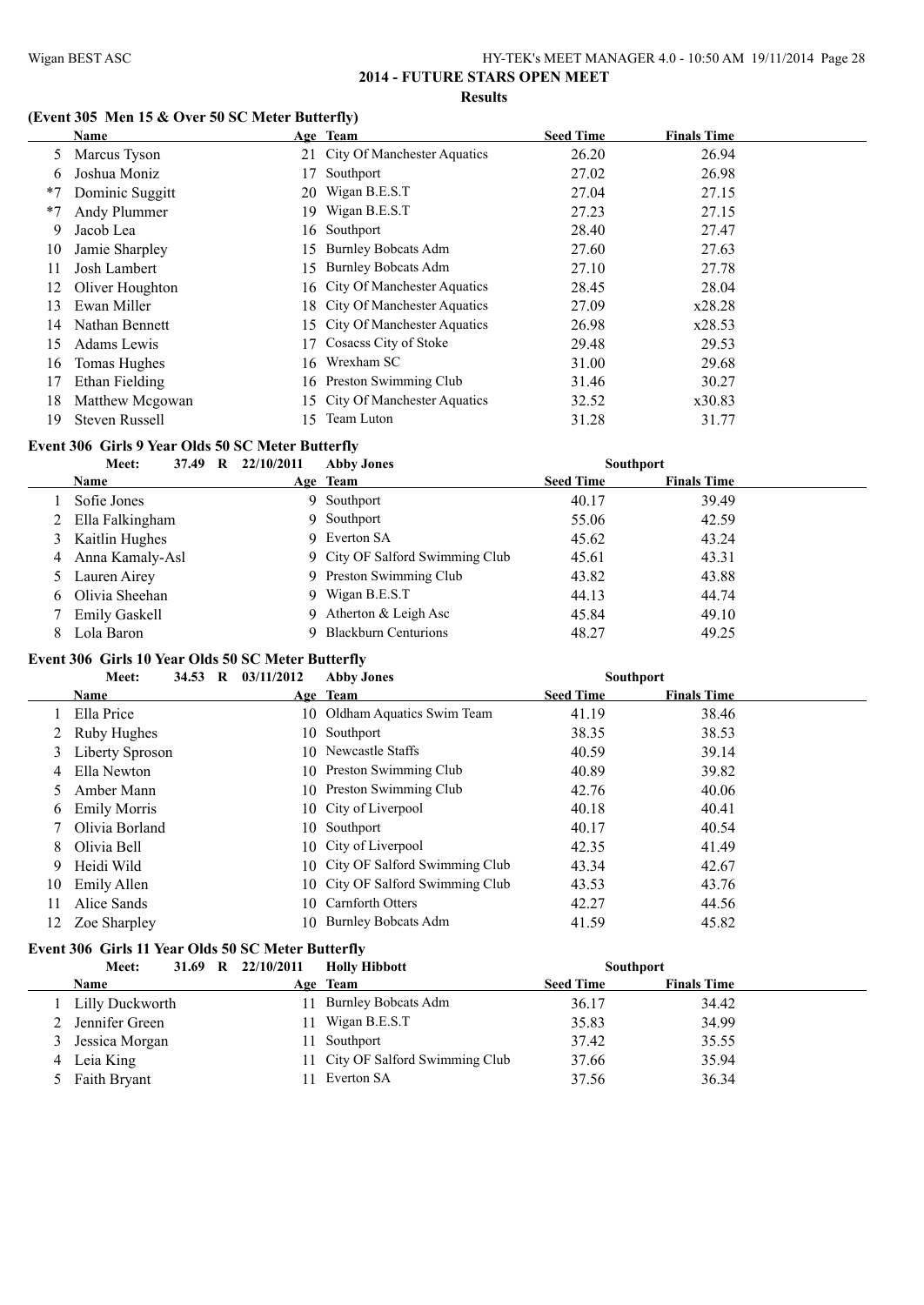# **(Event 305 Men 15 & Over 50 SC Meter Butterfly)**

|      | Name                  |     | Age Team                           | <b>Seed Time</b> | <b>Finals Time</b> |
|------|-----------------------|-----|------------------------------------|------------------|--------------------|
| 5    | Marcus Tyson          |     | 21 City Of Manchester Aquatics     | 26.20            | 26.94              |
| 6    | Joshua Moniz          | 17  | Southport                          | 27.02            | 26.98              |
| $*7$ | Dominic Suggitt       |     | 20 Wigan B.E.S.T                   | 27.04            | 27.15              |
| $*7$ | Andy Plummer          | 19. | Wigan B.E.S.T                      | 27.23            | 27.15              |
| 9    | Jacob Lea             | 16  | Southport                          | 28.40            | 27.47              |
| 10   | Jamie Sharpley        | 15. | <b>Burnley Bobcats Adm</b>         | 27.60            | 27.63              |
| 11   | Josh Lambert          | 15  | <b>Burnley Bobcats Adm</b>         | 27.10            | 27.78              |
| 12   | Oliver Houghton       |     | 16 City Of Manchester Aquatics     | 28.45            | 28.04              |
| 13   | Ewan Miller           |     | 18 City Of Manchester Aquatics     | 27.09            | x28.28             |
| 14   | Nathan Bennett        |     | 15 City Of Manchester Aquatics     | 26.98            | x28.53             |
| 15   | Adams Lewis           | 17  | Cosacss City of Stoke              | 29.48            | 29.53              |
| 16   | Tomas Hughes          | 16  | Wrexham SC                         | 31.00            | 29.68              |
| 17   | Ethan Fielding        |     | 16 Preston Swimming Club           | 31.46            | 30.27              |
| 18   | Matthew Mcgowan       | 15. | <b>City Of Manchester Aquatics</b> | 32.52            | x30.83             |
| 19   | <b>Steven Russell</b> | 15. | Team Luton                         | 31.28            | 31.77              |

## **Event 306 Girls 9 Year Olds 50 SC Meter Butterfly**

|   | Meet:<br>37.49<br>- R | 22/10/2011 | <b>Abby Jones</b>               | <b>Southport</b> |                    |
|---|-----------------------|------------|---------------------------------|------------------|--------------------|
|   | Name                  | Age Team   |                                 | <b>Seed Time</b> | <b>Finals Time</b> |
|   | Sofie Jones           | 9.         | Southport                       | 40.17            | 39.49              |
|   | 2 Ella Falkingham     |            | 9 Southport                     | 55.06            | 42.59              |
|   | 3 Kaitlin Hughes      |            | 9 Everton SA                    | 45.62            | 43.24              |
| 4 | Anna Kamaly-Asl       |            | 9 City OF Salford Swimming Club | 45.61            | 43.31              |
|   | 5 Lauren Airey        |            | 9 Preston Swimming Club         | 43.82            | 43.88              |
|   | 6 Olivia Sheehan      |            | 9 Wigan B.E.S.T                 | 44.13            | 44.74              |
|   | <b>Emily Gaskell</b>  |            | 9 Atherton & Leigh Asc          | 45.84            | 49.10              |
| 8 | Lola Baron            |            | <b>Blackburn Centurions</b>     | 48.27            | 49.25              |

# **Event 306 Girls 10 Year Olds 50 SC Meter Butterfly**

|     | Meet:               | 34.53 | $\bf{R}$ | 03/11/2012 | <b>Abby Jones</b>                | <b>Southport</b> |                    |  |
|-----|---------------------|-------|----------|------------|----------------------------------|------------------|--------------------|--|
|     | Name                |       |          |            | Age Team                         | <b>Seed Time</b> | <b>Finals Time</b> |  |
|     | Ella Price          |       |          |            | 10 Oldham Aquatics Swim Team     | 41.19            | 38.46              |  |
|     | 2 Ruby Hughes       |       |          |            | 10 Southport                     | 38.35            | 38.53              |  |
| 3   | Liberty Sproson     |       |          |            | 10 Newcastle Staffs              | 40.59            | 39.14              |  |
| 4   | Ella Newton         |       |          |            | 10 Preston Swimming Club         | 40.89            | 39.82              |  |
|     | Amber Mann          |       |          |            | 10 Preston Swimming Club         | 42.76            | 40.06              |  |
| 6   | <b>Emily Morris</b> |       |          |            | 10 City of Liverpool             | 40.18            | 40.41              |  |
|     | Olivia Borland      |       |          |            | 10 Southport                     | 40.17            | 40.54              |  |
| 8.  | Olivia Bell         |       |          |            | 10 City of Liverpool             | 42.35            | 41.49              |  |
| 9   | Heidi Wild          |       |          |            | 10 City OF Salford Swimming Club | 43.34            | 42.67              |  |
| 10  | Emily Allen         |       |          |            | 10 City OF Salford Swimming Club | 43.53            | 43.76              |  |
| 11  | Alice Sands         |       |          |            | 10 Carnforth Otters              | 42.27            | 44.56              |  |
| 12. | Zoe Sharpley        |       |          | 10.        | <b>Burnley Bobcats Adm</b>       | 41.59            | 45.82              |  |

# **Event 306 Girls 11 Year Olds 50 SC Meter Butterfly**

| 31.69 R 22/10/2011<br><b>Holly Hibbott</b><br>Meet:<br><b>Southport</b> |     |                                  |                  |                    |  |
|-------------------------------------------------------------------------|-----|----------------------------------|------------------|--------------------|--|
| <b>Name</b>                                                             |     | Age Team                         | <b>Seed Time</b> | <b>Finals Time</b> |  |
| Lilly Duckworth                                                         | 11. | <b>Burnley Bobcats Adm</b>       | 36.17            | 34.42              |  |
| 2 Jennifer Green                                                        | 11. | Wigan B.E.S.T                    | 35.83            | 34.99              |  |
| 3 Jessica Morgan                                                        |     | 11 Southport                     | 37.42            | 35.55              |  |
| 4 Leia King                                                             |     | 11 City OF Salford Swimming Club | 37.66            | 35.94              |  |
| 5 Faith Bryant                                                          |     | 11 Everton SA                    | 37.56            | 36.34              |  |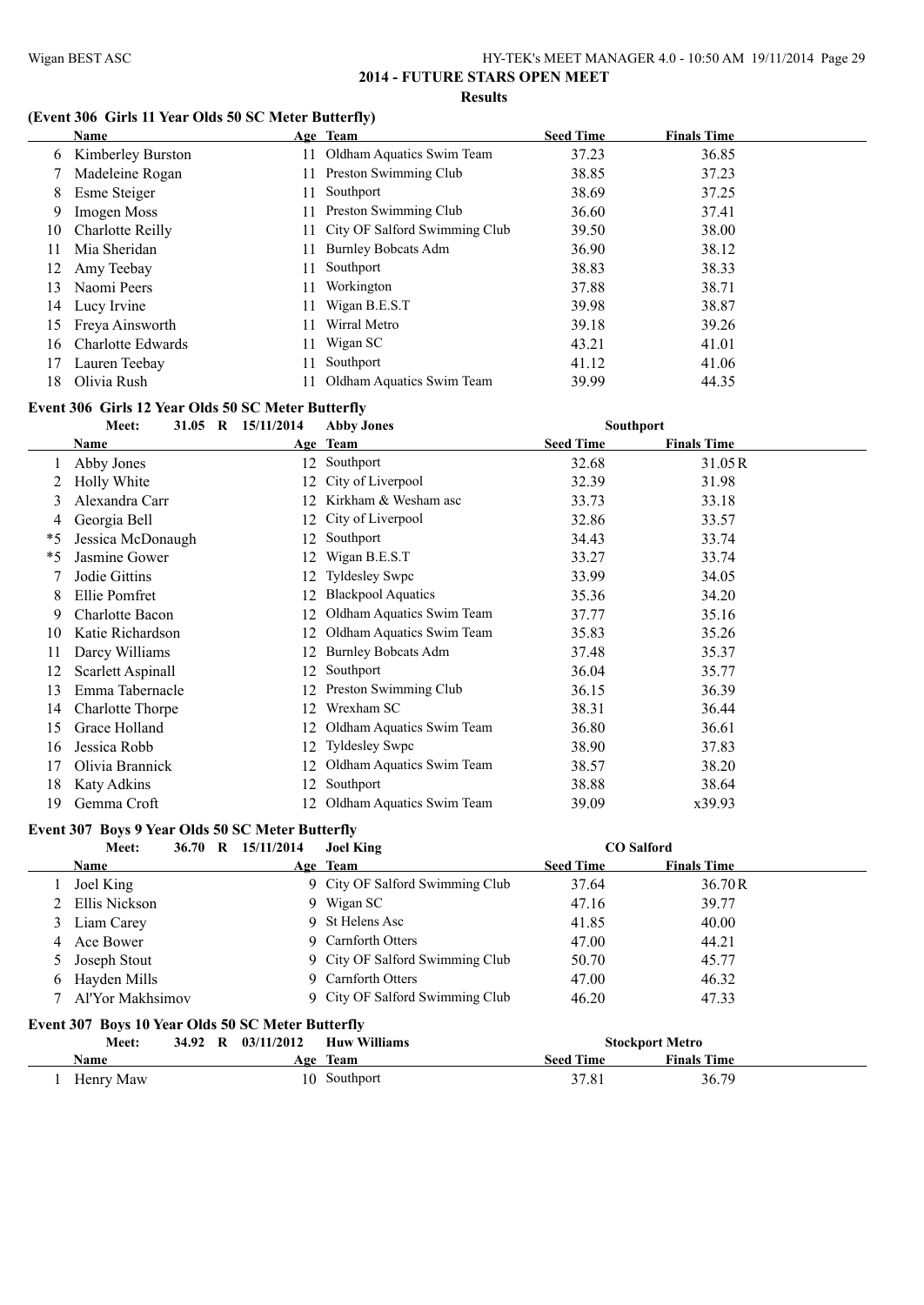# **(Event 306 Girls 11 Year Olds 50 SC Meter Butterfly)**

|     | Name              | Age Team                         | <b>Seed Time</b> | <b>Finals Time</b> |
|-----|-------------------|----------------------------------|------------------|--------------------|
| 6   | Kimberley Burston | Oldham Aquatics Swim Team        | 37.23            | 36.85              |
|     | Madeleine Rogan   | 11 Preston Swimming Club         | 38.85            | 37.23              |
| 8   | Esme Steiger      | Southport                        | 38.69            | 37.25              |
| 9   | Imogen Moss       | Preston Swimming Club            | 36.60            | 37.41              |
| 10  | Charlotte Reilly  | 11 City OF Salford Swimming Club | 39.50            | 38.00              |
| 11  | Mia Sheridan      | <b>Burnley Bobcats Adm</b>       | 36.90            | 38.12              |
| 12  | Amy Teebay        | Southport                        | 38.83            | 38.33              |
| 13  | Naomi Peers       | Workington                       | 37.88            | 38.71              |
| 14  | Lucy Irvine       | Wigan B.E.S.T                    | 39.98            | 38.87              |
| 15. | Freya Ainsworth   | Wirral Metro                     | 39.18            | 39.26              |
| 16  | Charlotte Edwards | Wigan SC                         | 43.21            | 41.01              |
| 17  | Lauren Teebay     | Southport                        | 41.12            | 41.06              |
| 18  | Olivia Rush       | Oldham Aquatics Swim Team        | 39.99            | 44.35              |

#### **Event 306 Girls 12 Year Olds 50 SC Meter Butterfly**

|    | Meet:                  | 31.05 R 15/11/2014 | <b>Abby Jones</b>          | <b>Southport</b> |                    |  |  |
|----|------------------------|--------------------|----------------------------|------------------|--------------------|--|--|
|    | Name                   |                    | Age Team                   | <b>Seed Time</b> | <b>Finals Time</b> |  |  |
|    | Abby Jones             | 12                 | Southport                  | 32.68            | 31.05R             |  |  |
|    | Holly White            | 12.                | City of Liverpool          | 32.39            | 31.98              |  |  |
| 3  | Alexandra Carr         | 12.                | Kirkham & Wesham asc       | 33.73            | 33.18              |  |  |
| 4  | Georgia Bell           | 12                 | City of Liverpool          | 32.86            | 33.57              |  |  |
| *5 | Jessica McDonaugh      | 12.                | Southport                  | 34.43            | 33.74              |  |  |
| *5 | Jasmine Gower          | 12.                | Wigan B.E.S.T              | 33.27            | 33.74              |  |  |
|    | Jodie Gittins          | 12.                | <b>Tyldesley Swpc</b>      | 33.99            | 34.05              |  |  |
| 8  | Ellie Pomfret          | 12.                | <b>Blackpool Aquatics</b>  | 35.36            | 34.20              |  |  |
| 9  | <b>Charlotte Bacon</b> | 12.                | Oldham Aquatics Swim Team  | 37.77            | 35.16              |  |  |
| 10 | Katie Richardson       | 12.                | Oldham Aquatics Swim Team  | 35.83            | 35.26              |  |  |
| 11 | Darcy Williams         | 12.                | <b>Burnley Bobcats Adm</b> | 37.48            | 35.37              |  |  |
| 12 | Scarlett Aspinall      | 12.                | Southport                  | 36.04            | 35.77              |  |  |
| 13 | Emma Tabernacle        | 12                 | Preston Swimming Club      | 36.15            | 36.39              |  |  |
| 14 | Charlotte Thorpe       | 12                 | Wrexham SC                 | 38.31            | 36.44              |  |  |
| 15 | Grace Holland          | 12.                | Oldham Aquatics Swim Team  | 36.80            | 36.61              |  |  |
| 16 | Jessica Robb           | 12                 | Tyldesley Swpc             | 38.90            | 37.83              |  |  |
| 17 | Olivia Brannick        |                    | Oldham Aquatics Swim Team  | 38.57            | 38.20              |  |  |
| 18 | <b>Katy Adkins</b>     | 12                 | Southport                  | 38.88            | 38.64              |  |  |
| 19 | Gemma Croft            | 12.                | Oldham Aquatics Swim Team  | 39.09            | x39.93             |  |  |

#### **Event 307 Boys 9 Year Olds 50 SC Meter Butterfly**

| Meet:                                                    | 36.70 $\,$ R |  | 15/11/2014 | <b>Joel King</b>                | <b>CO</b> Salford |                    |  |  |  |
|----------------------------------------------------------|--------------|--|------------|---------------------------------|-------------------|--------------------|--|--|--|
| Name                                                     |              |  |            | Age Team                        | <b>Seed Time</b>  | <b>Finals Time</b> |  |  |  |
| Joel King                                                |              |  |            | 9 City OF Salford Swimming Club | 37.64             | 36.70R             |  |  |  |
| 2 Ellis Nickson                                          |              |  |            | 9 Wigan SC                      | 47.16             | 39.77              |  |  |  |
| 3 Liam Carey                                             |              |  |            | 9 St Helens Asc                 | 41.85             | 40.00              |  |  |  |
| 4 Ace Bower                                              |              |  |            | 9 Carnforth Otters              | 47.00             | 44.21              |  |  |  |
| 5 Joseph Stout                                           |              |  |            | 9 City OF Salford Swimming Club | 50.70             | 45.77              |  |  |  |
| 6 Hayden Mills                                           |              |  |            | 9 Carnforth Otters              | 47.00             | 46.32              |  |  |  |
| ' Al'Yor Makhsimov                                       |              |  |            | 9 City OF Salford Swimming Club | 46.20             | 47.33              |  |  |  |
| <b>Event 307 Roys 10 Vear Olds 50 SC Meter Rutterfly</b> |              |  |            |                                 |                   |                    |  |  |  |

#### **Event 307 Boys 10 Year Olds 50 SC Meter Butterfly**

| 34.92 R 03/11/2012<br><b>Huw Williams</b><br>Meet: |     |              | <b>Stockport Metro</b> |                    |  |
|----------------------------------------------------|-----|--------------|------------------------|--------------------|--|
| <b>Name</b>                                        | Age | Team         | <b>Seed Time</b>       | <b>Finals Time</b> |  |
| Henry Maw                                          |     | 10 Southport | 37.81                  | 36.79              |  |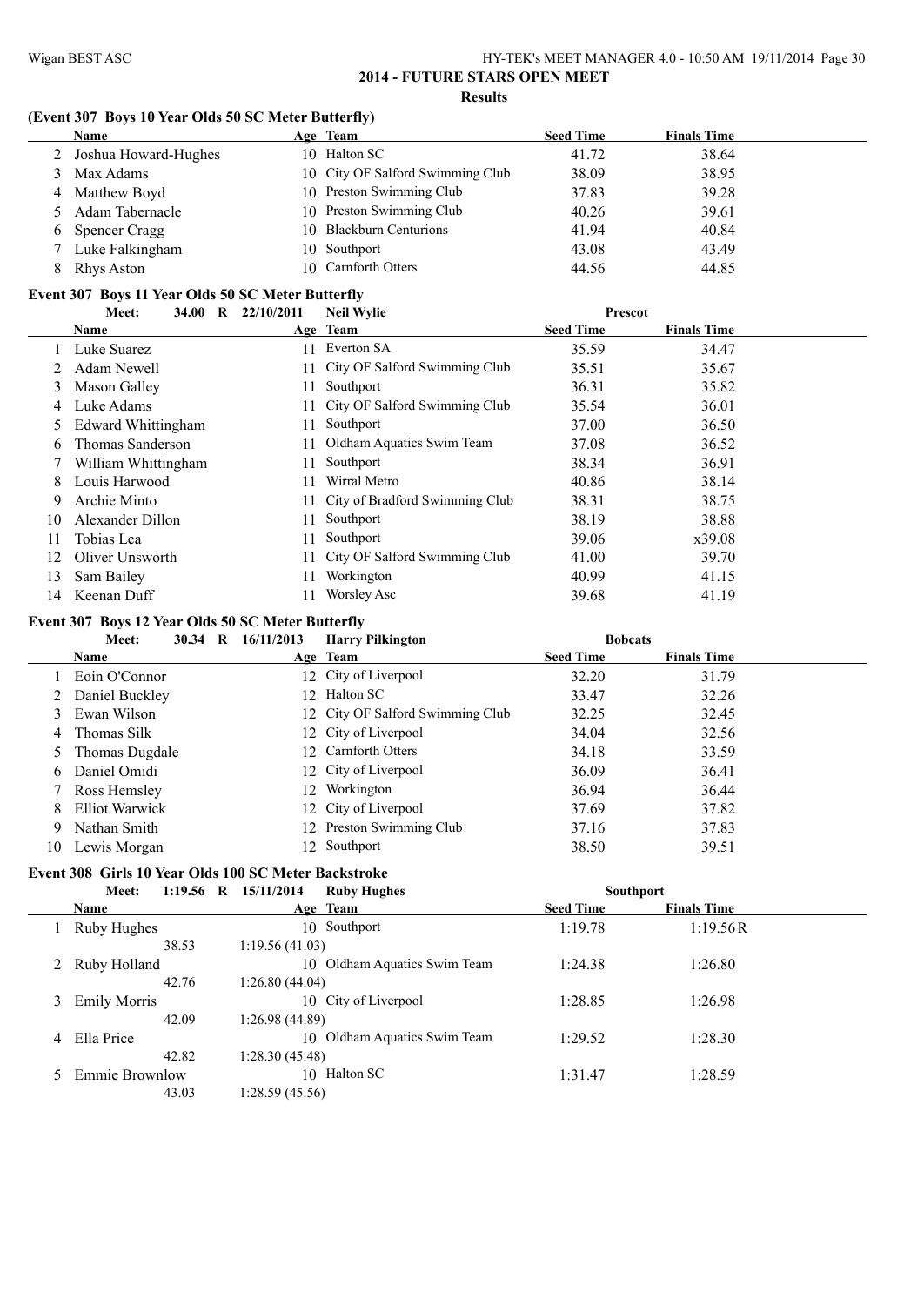#### **(Event 307 Boys 10 Year Olds 50 SC Meter Butterfly)**

| <b>Name</b>            | Age Team                         | <b>Seed Time</b> | <b>Finals Time</b> |
|------------------------|----------------------------------|------------------|--------------------|
| 2 Joshua Howard-Hughes | 10 Halton SC                     | 41.72            | 38.64              |
| 3 Max Adams            | 10 City OF Salford Swimming Club | 38.09            | 38.95              |
| 4 Matthew Boyd         | 10 Preston Swimming Club         | 37.83            | 39.28              |
| 5 Adam Tabernacle      | 10 Preston Swimming Club         | 40.26            | 39.61              |
| 6 Spencer Cragg        | 10 Blackburn Centurions          | 41.94            | 40.84              |
| 7 Luke Falkingham      | 10 Southport                     | 43.08            | 43.49              |
| Rhys Aston             | 10 Carnforth Otters              | 44.56            | 44.85              |

#### **Event 307 Boys 11 Year Olds 50 SC Meter Butterfly**

|    | $\mathbf R$<br><b>34.00</b><br>Meet: | 22/10/2011 | <b>Neil Wylie</b>                 | <b>Prescot</b>   |                    |  |
|----|--------------------------------------|------------|-----------------------------------|------------------|--------------------|--|
|    | Name                                 |            | Age Team                          | <b>Seed Time</b> | <b>Finals Time</b> |  |
|    | Luke Suarez                          | 11         | Everton SA                        | 35.59            | 34.47              |  |
|    | Adam Newell                          |            | 11 City OF Salford Swimming Club  | 35.51            | 35.67              |  |
| 3  | Mason Galley                         | 11         | Southport                         | 36.31            | 35.82              |  |
| 4  | Luke Adams                           |            | 11 City OF Salford Swimming Club  | 35.54            | 36.01              |  |
|    | <b>Edward Whittingham</b>            | 11         | Southport                         | 37.00            | 36.50              |  |
| 6  | Thomas Sanderson                     | 11         | Oldham Aquatics Swim Team         | 37.08            | 36.52              |  |
|    | William Whittingham                  | 11         | Southport                         | 38.34            | 36.91              |  |
| 8  | Louis Harwood                        | 11         | Wirral Metro                      | 40.86            | 38.14              |  |
| 9  | Archie Minto                         |            | 11 City of Bradford Swimming Club | 38.31            | 38.75              |  |
| 10 | Alexander Dillon                     | 11         | Southport                         | 38.19            | 38.88              |  |
| 11 | Tobias Lea                           | 11         | Southport                         | 39.06            | x39.08             |  |
| 12 | Oliver Unsworth                      |            | 11 City OF Salford Swimming Club  | 41.00            | 39.70              |  |
| 13 | Sam Bailey                           |            | Workington                        | 40.99            | 41.15              |  |
| 14 | Keenan Duff                          |            | <b>Worsley Asc</b>                | 39.68            | 41.19              |  |

#### **Event 307 Boys 12 Year Olds 50 SC Meter Butterfly**

|    | Meet:<br>30.34<br>R | 16/11/2013 | <b>Harry Pilkington</b>          | <b>Bobcats</b>   |                    |
|----|---------------------|------------|----------------------------------|------------------|--------------------|
|    | <b>Name</b>         |            | Age Team                         | <b>Seed Time</b> | <b>Finals Time</b> |
|    | Eoin O'Connor       |            | 12 City of Liverpool             | 32.20            | 31.79              |
|    | 2 Daniel Buckley    |            | 12 Halton SC                     | 33.47            | 32.26              |
|    | 3 Ewan Wilson       |            | 12 City OF Salford Swimming Club | 32.25            | 32.45              |
|    | 4 Thomas Silk       |            | 12 City of Liverpool             | 34.04            | 32.56              |
|    | 5 Thomas Dugdale    |            | 12 Carnforth Otters              | 34.18            | 33.59              |
| 6  | Daniel Omidi        |            | 12 City of Liverpool             | 36.09            | 36.41              |
|    | 7 Ross Hemsley      | 12.        | Workington                       | 36.94            | 36.44              |
| 8  | Elliot Warwick      |            | 12 City of Liverpool             | 37.69            | 37.82              |
| 9  | Nathan Smith        |            | 12 Preston Swimming Club         | 37.16            | 37.83              |
| 10 | Lewis Morgan        |            | 12 Southport                     | 38.50            | 39.51              |

# **Event 308 Girls 10 Year Olds 100 SC Meter Backstroke**

| Meet:          |       | 1:19.56 R 15/11/2014 | <b>Ruby Hughes</b>           |                  | <b>Southport</b>   |  |
|----------------|-------|----------------------|------------------------------|------------------|--------------------|--|
| <b>Name</b>    |       |                      | Age Team                     | <b>Seed Time</b> | <b>Finals Time</b> |  |
| Ruby Hughes    |       |                      | 10 Southport                 | 1:19.78          | 1:19.56R           |  |
|                | 38.53 | 1:19.56(41.03)       |                              |                  |                    |  |
| 2 Ruby Holland |       |                      | 10 Oldham Aquatics Swim Team | 1:24.38          | 1:26.80            |  |
|                | 42.76 | 1:26.80(44.04)       |                              |                  |                    |  |
| 3 Emily Morris |       |                      | 10 City of Liverpool         | 1:28.85          | 1:26.98            |  |
|                | 42.09 | 1:26.98(44.89)       |                              |                  |                    |  |
| 4 Ella Price   |       |                      | 10 Oldham Aquatics Swim Team | 1:29.52          | 1:28.30            |  |
|                | 42.82 | 1:28.30(45.48)       |                              |                  |                    |  |
| Emmie Brownlow |       |                      | 10 Halton SC                 | 1:31.47          | 1:28.59            |  |
|                | 43.03 | 1:28.59(45.56)       |                              |                  |                    |  |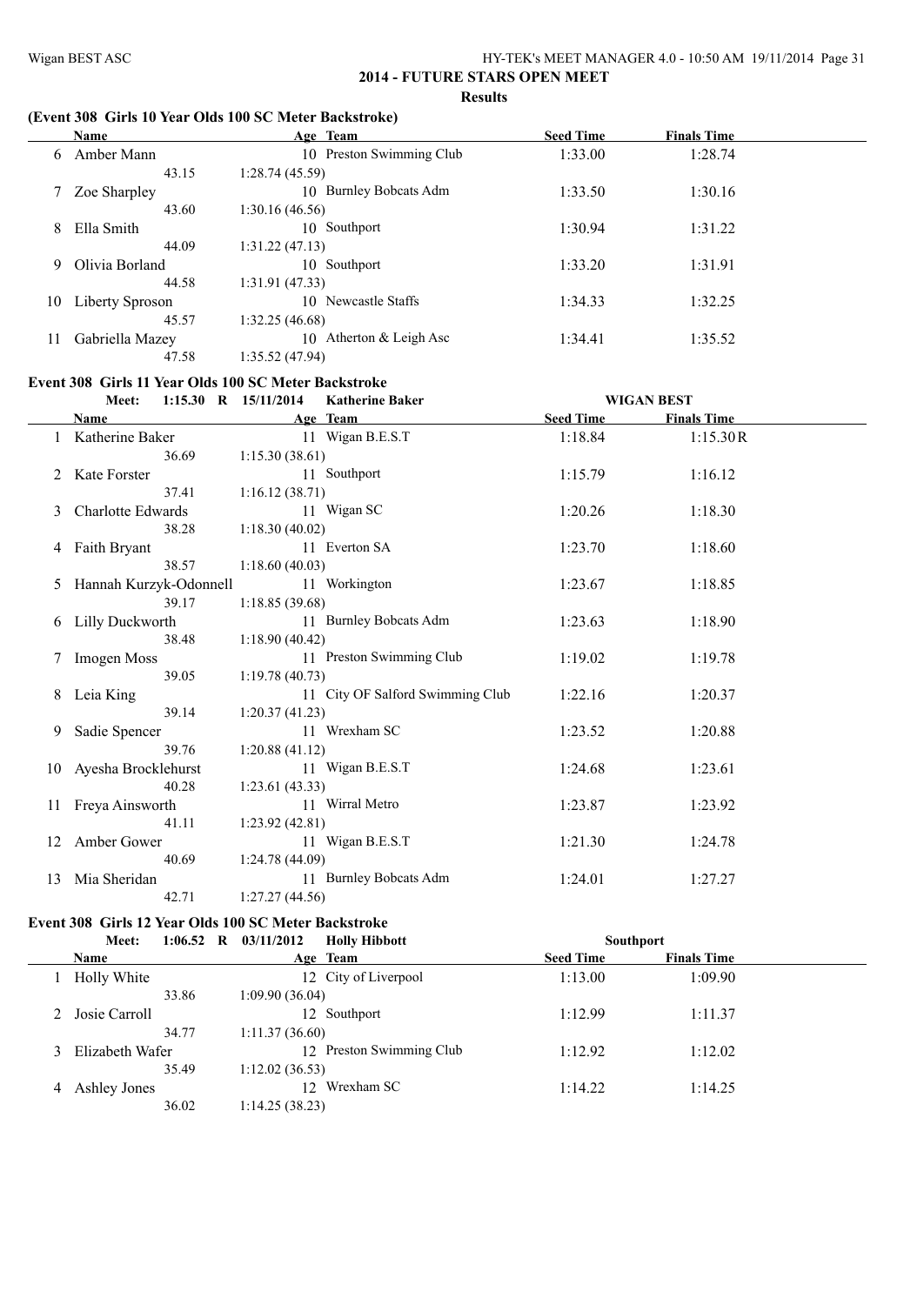# **(Event 308 Girls 10 Year Olds 100 SC Meter Backstroke)**

|    | Name            | Age Team                          | <b>Seed Time</b> | <b>Finals Time</b> |  |
|----|-----------------|-----------------------------------|------------------|--------------------|--|
| 6  | Amber Mann      | 10 Preston Swimming Club          | 1:33.00          | 1:28.74            |  |
|    | 43.15           | 1:28.74(45.59)                    |                  |                    |  |
|    | Zoe Sharpley    | <b>Burnley Bobcats Adm</b><br>10. | 1:33.50          | 1:30.16            |  |
|    | 43.60           | 1:30.16(46.56)                    |                  |                    |  |
| 8  | Ella Smith      | 10 Southport                      | 1:30.94          | 1:31.22            |  |
|    | 44.09           | 1:31.22(47.13)                    |                  |                    |  |
| 9  | Olivia Borland  | 10 Southport                      | 1:33.20          | 1:31.91            |  |
|    | 44.58           | 1:31.91(47.33)                    |                  |                    |  |
| 10 | Liberty Sproson | 10 Newcastle Staffs               | 1:34.33          | 1:32.25            |  |
|    | 45.57           | 1:32.25(46.68)                    |                  |                    |  |
| 11 | Gabriella Mazey | Atherton & Leigh Asc<br>10        | 1:34.41          | 1:35.52            |  |
|    | 47.58           | 1:35.52(47.94)                    |                  |                    |  |

#### **Event 308 Girls 11 Year Olds 100 SC Meter Backstroke**

|                 | $1:15.30$ R $15/11/2014$<br>Meet: |                | <b>Katherine Baker</b>           |                  | <b>WIGAN BEST</b>  |  |
|-----------------|-----------------------------------|----------------|----------------------------------|------------------|--------------------|--|
|                 | Name                              |                | Age Team                         | <b>Seed Time</b> | <b>Finals Time</b> |  |
|                 | 1 Katherine Baker                 |                | 11 Wigan B.E.S.T                 | 1:18.84          | 1:15.30R           |  |
|                 | 36.69                             | 1:15.30(38.61) |                                  |                  |                    |  |
| 2               | Kate Forster                      |                | 11 Southport                     | 1:15.79          | 1:16.12            |  |
|                 | 37.41                             | 1:16.12(38.71) |                                  |                  |                    |  |
| 3               | Charlotte Edwards                 |                | 11 Wigan SC                      | 1:20.26          | 1:18.30            |  |
|                 | 38.28                             | 1:18.30(40.02) |                                  |                  |                    |  |
|                 | 4 Faith Bryant                    |                | 11 Everton SA                    | 1:23.70          | 1:18.60            |  |
|                 | 38.57                             | 1:18.60(40.03) |                                  |                  |                    |  |
| 5               | Hannah Kurzyk-Odonnell            |                | 11 Workington                    | 1:23.67          | 1:18.85            |  |
|                 | 39.17                             | 1:18.85(39.68) |                                  |                  |                    |  |
|                 | 6 Lilly Duckworth                 |                | 11 Burnley Bobcats Adm           | 1:23.63          | 1:18.90            |  |
|                 | 38.48                             | 1:18.90(40.42) |                                  |                  |                    |  |
| $7\overline{ }$ | Imogen Moss                       |                | 11 Preston Swimming Club         | 1:19.02          | 1:19.78            |  |
|                 | 39.05                             | 1:19.78(40.73) |                                  |                  |                    |  |
| 8               | Leia King                         |                | 11 City OF Salford Swimming Club | 1:22.16          | 1:20.37            |  |
|                 | 39.14                             | 1:20.37(41.23) |                                  |                  |                    |  |
| 9               | Sadie Spencer                     |                | 11 Wrexham SC                    | 1:23.52          | 1:20.88            |  |
|                 | 39.76                             | 1:20.88(41.12) |                                  |                  |                    |  |
|                 | 10 Ayesha Brocklehurst            |                | 11 Wigan B.E.S.T                 | 1:24.68          | 1:23.61            |  |
|                 | 40.28                             | 1:23.61(43.33) |                                  |                  |                    |  |
| 11              | Freya Ainsworth                   |                | 11 Wirral Metro                  | 1:23.87          | 1:23.92            |  |
|                 | 41.11                             | 1:23.92(42.81) |                                  |                  |                    |  |
| 12              | Amber Gower                       |                | 11 Wigan B.E.S.T                 | 1:21.30          | 1:24.78            |  |
|                 | 40.69                             | 1:24.78(44.09) |                                  |                  |                    |  |
| 13              | Mia Sheridan                      |                | 11 Burnley Bobcats Adm           | 1:24.01          | 1:27.27            |  |
|                 | 42.71                             | 1:27.27(44.56) |                                  |                  |                    |  |

# **Event 308 Girls 12 Year Olds 100 SC Meter Backstroke**

|   | Meet:               | $1:06.52 \quad R$ | 03/11/2012      | <b>Holly Hibbott</b>     | <b>Southport</b> |                  |  |                    |  |
|---|---------------------|-------------------|-----------------|--------------------------|------------------|------------------|--|--------------------|--|
|   | <b>Name</b>         |                   |                 | Age Team                 |                  | <b>Seed Time</b> |  | <b>Finals Time</b> |  |
|   | Holly White         |                   |                 | 12 City of Liverpool     |                  | 1:13.00          |  | 1:09.90            |  |
|   |                     | 33.86             | 1:09.90(36.04)  |                          |                  |                  |  |                    |  |
|   | 2 Josie Carroll     |                   |                 | 12 Southport             |                  | 1:12.99          |  | 1:11.37            |  |
|   |                     | 34.77             | 1:11.37(36.60)  |                          |                  |                  |  |                    |  |
|   | 3 Elizabeth Wafer   |                   |                 | 12 Preston Swimming Club |                  | 1:12.92          |  | 1:12.02            |  |
|   |                     | 35.49             | 1:12.02(36.53)  |                          |                  |                  |  |                    |  |
| 4 | <b>Ashley Jones</b> |                   | 12 <sup>1</sup> | Wrexham SC               |                  | 1:14.22          |  | 1:14.25            |  |
|   |                     | 36.02             | 1:14.25(38.23)  |                          |                  |                  |  |                    |  |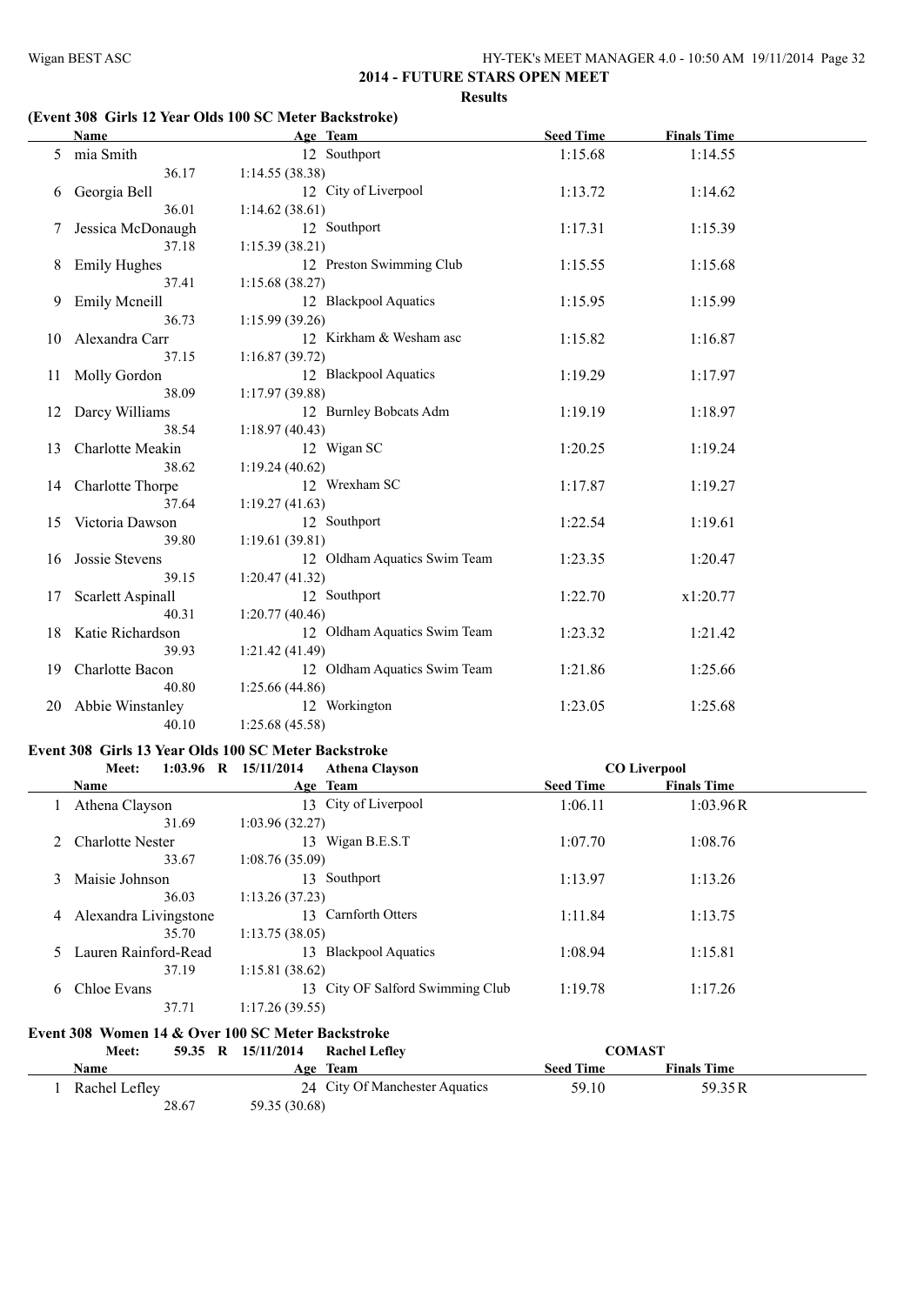# **(Event 308 Girls 12 Year Olds 100 SC Meter Backstroke)**

|    | <b>Name</b>          | Age Team                     | <b>Seed Time</b> | <b>Finals Time</b> |  |
|----|----------------------|------------------------------|------------------|--------------------|--|
| 5  | mia Smith            | 12 Southport                 | 1:15.68          | 1:14.55            |  |
|    | 36.17                | 1:14.55(38.38)               |                  |                    |  |
| 6  | Georgia Bell         | 12 City of Liverpool         | 1:13.72          | 1:14.62            |  |
|    | 36.01                | 1:14.62(38.61)               |                  |                    |  |
| 7  | Jessica McDonaugh    | 12 Southport                 | 1:17.31          | 1:15.39            |  |
|    | 37.18                | 1:15.39(38.21)               |                  |                    |  |
| 8  | <b>Emily Hughes</b>  | 12 Preston Swimming Club     | 1:15.55          | 1:15.68            |  |
|    | 37.41                | 1:15.68(38.27)               |                  |                    |  |
| 9  | <b>Emily Mcneill</b> | 12 Blackpool Aquatics        | 1:15.95          | 1:15.99            |  |
|    | 36.73                | 1:15.99(39.26)               |                  |                    |  |
| 10 | Alexandra Carr       | 12 Kirkham & Wesham asc      | 1:15.82          | 1:16.87            |  |
|    | 37.15                | 1:16.87(39.72)               |                  |                    |  |
| 11 | Molly Gordon         | 12 Blackpool Aquatics        | 1:19.29          | 1:17.97            |  |
|    | 38.09                | 1:17.97(39.88)               |                  |                    |  |
| 12 | Darcy Williams       | 12 Burnley Bobcats Adm       | 1:19.19          | 1:18.97            |  |
|    | 38.54                | 1:18.97(40.43)               |                  |                    |  |
| 13 | Charlotte Meakin     | 12 Wigan SC                  | 1:20.25          | 1:19.24            |  |
|    | 38.62                | 1:19.24(40.62)               |                  |                    |  |
|    | 14 Charlotte Thorpe  | 12 Wrexham SC                | 1:17.87          | 1:19.27            |  |
|    | 37.64                | 1:19.27(41.63)               |                  |                    |  |
| 15 | Victoria Dawson      | 12 Southport                 | 1:22.54          | 1:19.61            |  |
|    | 39.80                | 1:19.61(39.81)               |                  |                    |  |
| 16 | Jossie Stevens       | 12 Oldham Aquatics Swim Team | 1:23.35          | 1:20.47            |  |
|    | 39.15                | 1:20.47(41.32)               |                  |                    |  |
| 17 | Scarlett Aspinall    | 12 Southport                 | 1:22.70          | x1:20.77           |  |
|    | 40.31                | 1:20.77(40.46)               |                  |                    |  |
| 18 | Katie Richardson     | 12 Oldham Aquatics Swim Team | 1:23.32          | 1:21.42            |  |
|    | 39.93                | 1:21.42(41.49)               |                  |                    |  |
| 19 | Charlotte Bacon      | 12 Oldham Aquatics Swim Team | 1:21.86          | 1:25.66            |  |
|    | 40.80                | 1:25.66 (44.86)              |                  |                    |  |
| 20 | Abbie Winstanley     | 12 Workington                | 1:23.05          | 1:25.68            |  |
|    | 40.10                | 1:25.68(45.58)               |                  |                    |  |

#### **Event 308 Girls 13 Year Olds 100 SC Meter Backstroke**

|   | Meet:                   | $1:03.96$ R $15/11/2014$<br><b>Athena Clayson</b> |                  | <b>CO Liverpool</b> |  |
|---|-------------------------|---------------------------------------------------|------------------|---------------------|--|
|   | Name                    | Age Team                                          | <b>Seed Time</b> | <b>Finals Time</b>  |  |
|   | Athena Clayson          | 13 City of Liverpool                              | 1:06.11          | 1:03.96R            |  |
|   | 31.69                   | 1:03.96(32.27)                                    |                  |                     |  |
|   | <b>Charlotte Nester</b> | Wigan B.E.S.T<br>13.                              | 1:07.70          | 1:08.76             |  |
|   | 33.67                   | 1:08.76(35.09)                                    |                  |                     |  |
| 3 | Maisie Johnson          | Southport<br>13                                   | 1:13.97          | 1:13.26             |  |
|   | 36.03                   | 1:13.26(37.23)                                    |                  |                     |  |
| 4 | Alexandra Livingstone   | Carnforth Otters<br>13                            | 1:11.84          | 1:13.75             |  |
|   | 35.70                   | 1:13.75(38.05)                                    |                  |                     |  |
| 5 | Lauren Rainford-Read    | <b>Blackpool Aquatics</b><br>13                   | 1:08.94          | 1:15.81             |  |
|   | 37.19                   | 1:15.81(38.62)                                    |                  |                     |  |
| 6 | Chloe Evans             | 13 City OF Salford Swimming Club                  | 1:19.78          | 1:17.26             |  |
|   | 37.71                   | 1:17.26(39.55)                                    |                  |                     |  |
|   |                         |                                                   |                  |                     |  |

# **Event 308 Women 14 & Over 100 SC Meter Backstroke**

| <b>Meet:</b>  |       | 59.35 R 15/11/2014 | <b>Rachel Leflev</b>           | <b>COMAST</b>    |                    |  |
|---------------|-------|--------------------|--------------------------------|------------------|--------------------|--|
| <b>Name</b>   |       |                    | Age Team                       | <b>Seed Time</b> | <b>Finals Time</b> |  |
| Rachel Lefley |       |                    | 24 City Of Manchester Aquatics | 59.10            | 59.35 R            |  |
|               | 28.67 | 59.35 (30.68)      |                                |                  |                    |  |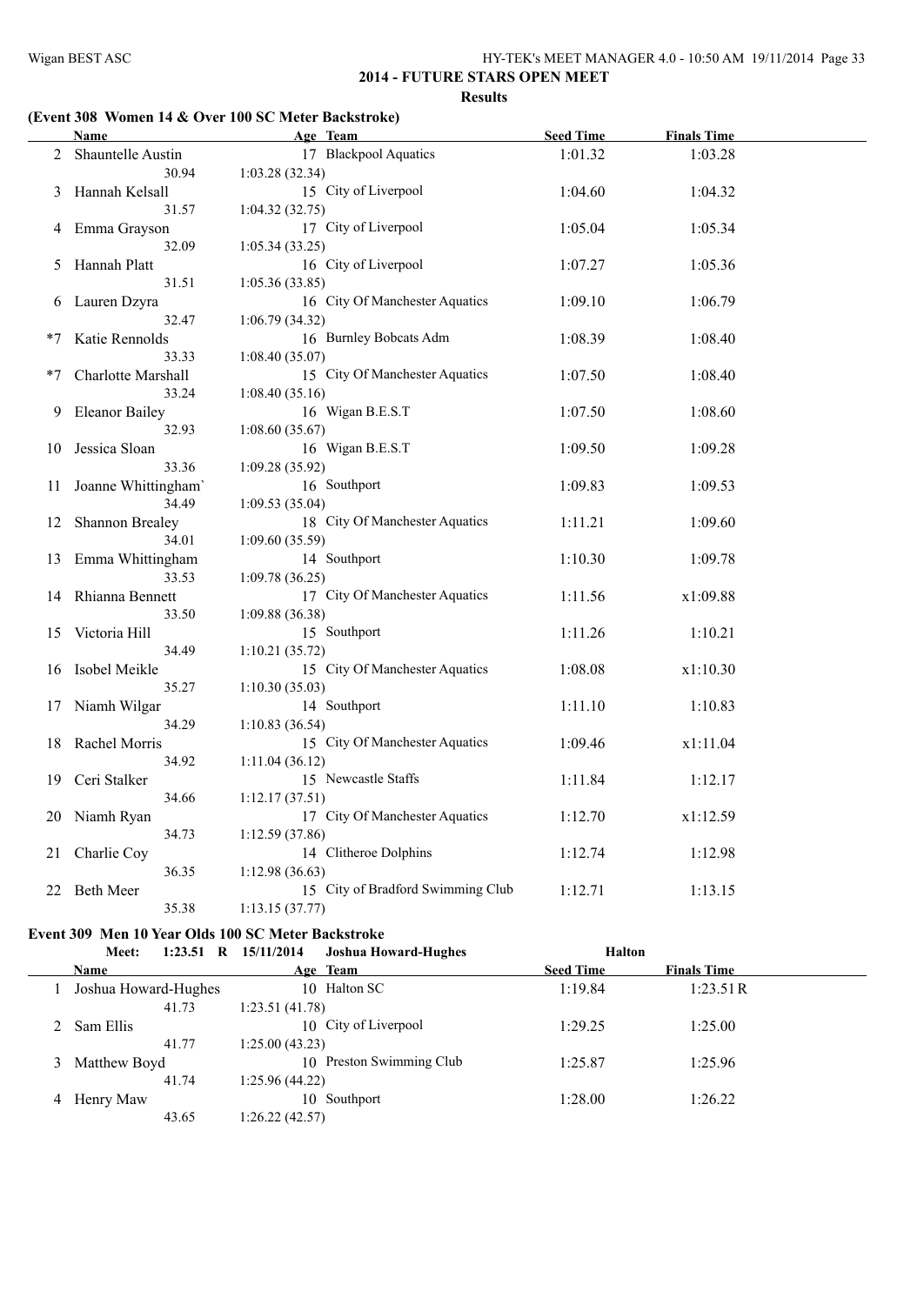# **(Event 308 Women 14 & Over 100 SC Meter Backstroke)**

|      | Name                   | Age Team                          | <b>Seed Time</b> | <b>Finals Time</b> |  |
|------|------------------------|-----------------------------------|------------------|--------------------|--|
|      | 2 Shauntelle Austin    | 17 Blackpool Aquatics             | 1:01.32          | 1:03.28            |  |
|      | 30.94                  | 1:03.28(32.34)                    |                  |                    |  |
| 3    | Hannah Kelsall         | 15 City of Liverpool              | 1:04.60          | 1:04.32            |  |
|      | 31.57                  | 1:04.32(32.75)                    |                  |                    |  |
| 4    | Emma Grayson           | 17 City of Liverpool              | 1:05.04          | 1:05.34            |  |
|      | 32.09                  | 1:05.34(33.25)                    |                  |                    |  |
| 5.   | Hannah Platt           | 16 City of Liverpool              | 1:07.27          | 1:05.36            |  |
|      | 31.51                  | 1:05.36(33.85)                    |                  |                    |  |
| 6    | Lauren Dzyra           | 16 City Of Manchester Aquatics    | 1:09.10          | 1:06.79            |  |
|      | 32.47                  | 1:06.79 (34.32)                   |                  |                    |  |
| $*7$ | Katie Rennolds         | 16 Burnley Bobcats Adm            | 1:08.39          | 1:08.40            |  |
|      | 33.33                  | 1:08.40(35.07)                    |                  |                    |  |
| $*7$ | Charlotte Marshall     | 15 City Of Manchester Aquatics    | 1:07.50          | 1:08.40            |  |
|      | 33.24                  | 1:08.40(35.16)                    |                  |                    |  |
| 9    | <b>Eleanor Bailey</b>  | 16 Wigan B.E.S.T                  | 1:07.50          | 1:08.60            |  |
|      | 32.93                  | 1:08.60(35.67)                    |                  |                    |  |
| 10   | Jessica Sloan          | 16 Wigan B.E.S.T                  | 1:09.50          | 1:09.28            |  |
|      | 33.36                  | 1:09.28(35.92)                    |                  |                    |  |
| 11   | Joanne Whittingham'    | 16 Southport                      | 1:09.83          | 1:09.53            |  |
|      | 34.49                  | 1:09.53(35.04)                    |                  |                    |  |
| 12   | <b>Shannon Brealey</b> | 18 City Of Manchester Aquatics    | 1:11.21          | 1:09.60            |  |
|      | 34.01                  | 1:09.60 (35.59)                   |                  |                    |  |
| 13   | Emma Whittingham       | 14 Southport                      | 1:10.30          | 1:09.78            |  |
|      | 33.53                  | 1:09.78(36.25)                    |                  |                    |  |
|      | 14 Rhianna Bennett     | 17 City Of Manchester Aquatics    | 1:11.56          | x1:09.88           |  |
|      | 33.50                  | 1:09.88(36.38)                    |                  |                    |  |
| 15   | Victoria Hill          | 15 Southport                      | 1:11.26          | 1:10.21            |  |
|      | 34.49                  | 1:10.21(35.72)                    |                  |                    |  |
| 16   | Isobel Meikle          | 15 City Of Manchester Aquatics    | 1:08.08          | x1:10.30           |  |
|      | 35.27                  | 1:10.30(35.03)                    |                  |                    |  |
| 17   | Niamh Wilgar           | 14 Southport                      | 1:11.10          | 1:10.83            |  |
|      | 34.29                  | 1:10.83(36.54)                    |                  |                    |  |
| 18   | Rachel Morris          | 15 City Of Manchester Aquatics    | 1:09.46          | x1:11.04           |  |
|      | 34.92                  | 1:11.04(36.12)                    |                  |                    |  |
| 19   | Ceri Stalker           | 15 Newcastle Staffs               | 1:11.84          | 1:12.17            |  |
|      | 34.66                  | 1:12.17(37.51)                    |                  |                    |  |
| 20   | Niamh Ryan             | 17 City Of Manchester Aquatics    | 1:12.70          | x1:12.59           |  |
|      | 34.73                  | 1:12.59(37.86)                    |                  |                    |  |
| 21   | Charlie Coy            | 14 Clitheroe Dolphins             | 1:12.74          | 1:12.98            |  |
|      | 36.35                  | 1:12.98(36.63)                    |                  |                    |  |
| 22   | <b>Beth Meer</b>       | 15 City of Bradford Swimming Club | 1:12.71          | 1:13.15            |  |
|      | 35.38                  | 1:13.15(37.77)                    |                  |                    |  |

# **Event 309 Men 10 Year Olds 100 SC Meter Backstroke**

|    | Meet:                | 1:23.51 R 15/11/2014<br><b>Joshua Howard-Hughes</b> | <b>Halton</b>    |                    |
|----|----------------------|-----------------------------------------------------|------------------|--------------------|
|    | <b>Name</b>          | Age Team                                            | <b>Seed Time</b> | <b>Finals Time</b> |
|    | Joshua Howard-Hughes | 10 Halton SC                                        | 1:19.84          | 1:23.51R           |
|    | 41.73                | 1:23.51(41.78)                                      |                  |                    |
|    | 2 Sam Ellis          | 10 City of Liverpool                                | 1:29.25          | 1:25.00            |
|    | 41.77                | 1:25.00(43.23)                                      |                  |                    |
| 3. | Matthew Boyd         | 10 Preston Swimming Club                            | 1:25.87          | 1:25.96            |
|    | 41.74                | 1:25.96(44.22)                                      |                  |                    |
| 4  | Henry Maw            | Southport<br>10.                                    | 1:28.00          | 1:26.22            |
|    | 43.65                | 1:26.22(42.57)                                      |                  |                    |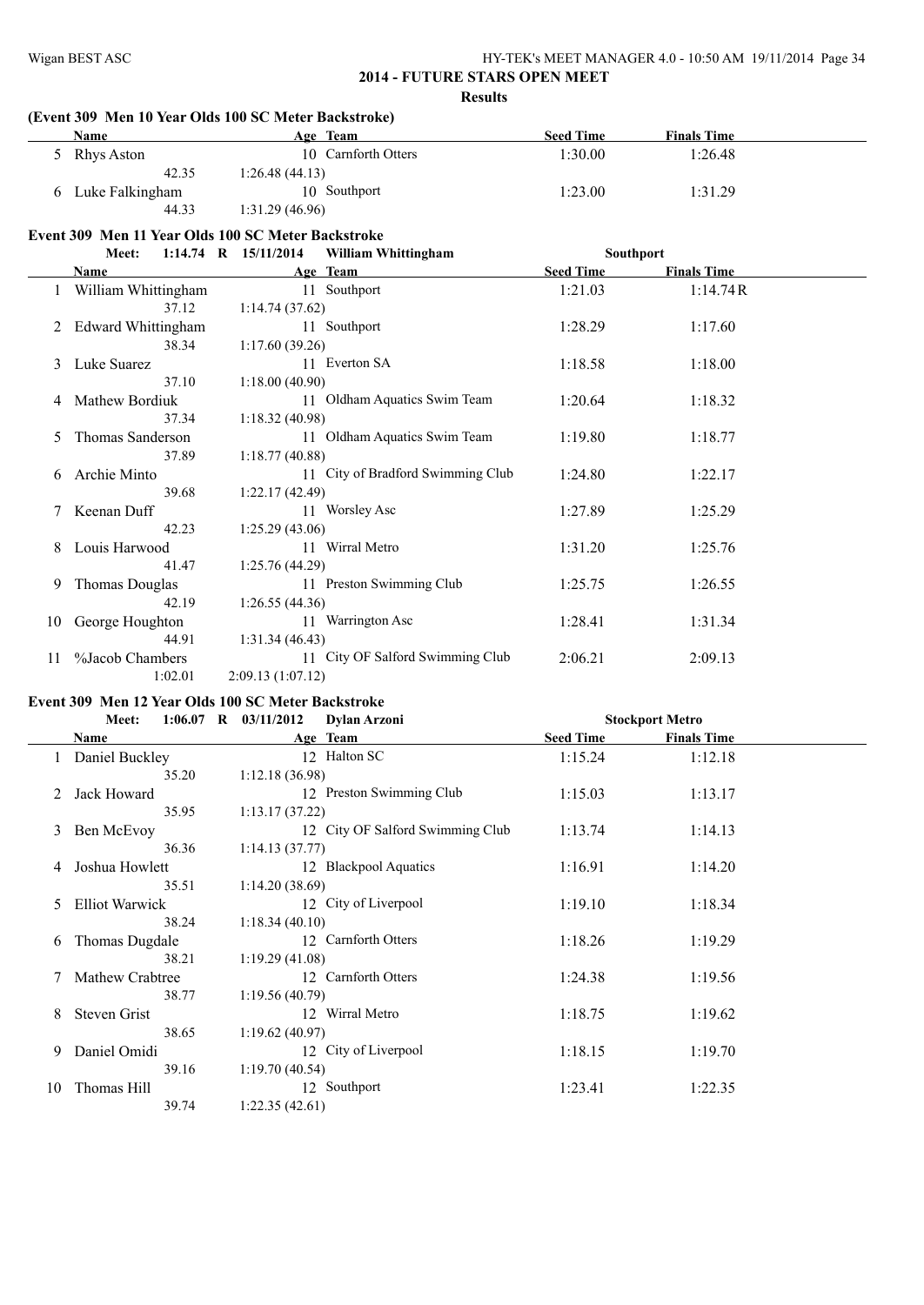|                | (Event 309 Men 10 Year Olds 100 SC Meter Backstroke) |                      |                                   |                  |                    |
|----------------|------------------------------------------------------|----------------------|-----------------------------------|------------------|--------------------|
|                | Name                                                 |                      | Age Team                          | <b>Seed Time</b> | <b>Finals Time</b> |
|                | 5 Rhys Aston                                         |                      | 10 Carnforth Otters               | 1:30.00          | 1:26.48            |
|                | 42.35                                                | 1:26.48(44.13)       |                                   |                  |                    |
|                | 6 Luke Falkingham                                    |                      | 10 Southport                      | 1:23.00          | 1:31.29            |
|                | 44.33                                                | 1:31.29(46.96)       |                                   |                  |                    |
|                | Event 309 Men 11 Year Olds 100 SC Meter Backstroke   |                      |                                   |                  |                    |
|                | Meet:                                                | 1:14.74 R 15/11/2014 | <b>William Whittingham</b>        |                  | Southport          |
|                | Name                                                 |                      | Age Team                          | <b>Seed Time</b> | <b>Finals Time</b> |
|                | 1 William Whittingham                                |                      | 11 Southport                      | 1:21.03          | 1:14.74R           |
|                | 37.12                                                | 1:14.74(37.62)       |                                   |                  |                    |
| $\overline{2}$ | <b>Edward Whittingham</b>                            |                      | 11 Southport                      | 1:28.29          | 1:17.60            |
|                | 38.34                                                | 1:17.60(39.26)       |                                   |                  |                    |
| 3              | Luke Suarez                                          |                      | 11 Everton SA                     | 1:18.58          | 1:18.00            |
|                | 37.10                                                | 1:18.00(40.90)       |                                   |                  |                    |
| 4              | Mathew Bordiuk                                       |                      | 11 Oldham Aquatics Swim Team      | 1:20.64          | 1:18.32            |
|                | 37.34                                                | 1:18.32(40.98)       |                                   |                  |                    |
| 5.             | Thomas Sanderson                                     |                      | 11 Oldham Aquatics Swim Team      | 1:19.80          | 1:18.77            |
|                | 37.89                                                | 1:18.77(40.88)       |                                   |                  |                    |
|                | Archie Minto                                         |                      | 11 City of Bradford Swimming Club | 1:24.80          | 1:22.17            |
|                | 39.68                                                | 1:22.17(42.49)       |                                   |                  |                    |
| 7              | Keenan Duff                                          |                      | 11 Worsley Asc                    | 1:27.89          | 1:25.29            |
|                | 42.23                                                | 1:25.29 (43.06)      |                                   |                  |                    |
| 8              | Louis Harwood                                        |                      | 11 Wirral Metro                   | 1:31.20          | 1:25.76            |
|                | 41.47                                                | 1:25.76(44.29)       |                                   |                  |                    |
| 9              | <b>Thomas Douglas</b>                                |                      | 11 Preston Swimming Club          | 1:25.75          | 1:26.55            |
|                | 42.19                                                | 1:26.55(44.36)       |                                   |                  |                    |
| 10             | George Houghton                                      |                      | 11 Warrington Asc                 | 1:28.41          | 1:31.34            |
|                | 44.91                                                | 1:31.34(46.43)       |                                   |                  |                    |
| 11             | %Jacob Chambers                                      |                      | 11 City OF Salford Swimming Club  | 2:06.21          | 2:09.13            |
|                | 1:02.01                                              | 2:09.13 (1:07.12)    |                                   |                  |                    |

# **Event 309 Men 12 Year Olds 100 SC Meter Backstroke**

|    | Meet:                  | $1:06.07$ R $03/11/2012$<br><b>Dylan Arzoni</b> |                  | <b>Stockport Metro</b> |  |
|----|------------------------|-------------------------------------------------|------------------|------------------------|--|
|    | Name                   | Age Team                                        | <b>Seed Time</b> | <b>Finals Time</b>     |  |
|    | Daniel Buckley         | 12 Halton SC                                    | 1:15.24          | 1:12.18                |  |
|    | 35.20                  | 1:12.18(36.98)                                  |                  |                        |  |
|    | Jack Howard            | 12 Preston Swimming Club                        | 1:15.03          | 1:13.17                |  |
|    | 35.95                  | 1:13.17(37.22)                                  |                  |                        |  |
| 3  | Ben McEvov             | 12 City OF Salford Swimming Club                | 1:13.74          | 1:14.13                |  |
|    | 36.36                  | 1:14.13(37.77)                                  |                  |                        |  |
| 4  | Joshua Howlett         | 12 Blackpool Aquatics                           | 1:16.91          | 1:14.20                |  |
|    | 35.51                  | 1:14.20(38.69)                                  |                  |                        |  |
| 5  | <b>Elliot Warwick</b>  | 12 City of Liverpool                            | 1:19.10          | 1:18.34                |  |
|    | 38.24                  | 1:18.34(40.10)                                  |                  |                        |  |
| 6  | Thomas Dugdale         | 12 Carnforth Otters                             | 1:18.26          | 1:19.29                |  |
|    | 38.21                  | 1:19.29(41.08)                                  |                  |                        |  |
|    | <b>Mathew Crabtree</b> | 12 Carnforth Otters                             | 1:24.38          | 1:19.56                |  |
|    | 38.77                  | 1:19.56(40.79)                                  |                  |                        |  |
| 8  | <b>Steven Grist</b>    | 12 Wirral Metro                                 | 1:18.75          | 1:19.62                |  |
|    | 38.65                  | 1:19.62(40.97)                                  |                  |                        |  |
| 9  | Daniel Omidi           | 12 City of Liverpool                            | 1:18.15          | 1:19.70                |  |
|    | 39.16                  | 1:19.70(40.54)                                  |                  |                        |  |
| 10 | Thomas Hill            | 12 Southport                                    | 1:23.41          | 1:22.35                |  |
|    | 39.74                  | 1:22.35(42.61)                                  |                  |                        |  |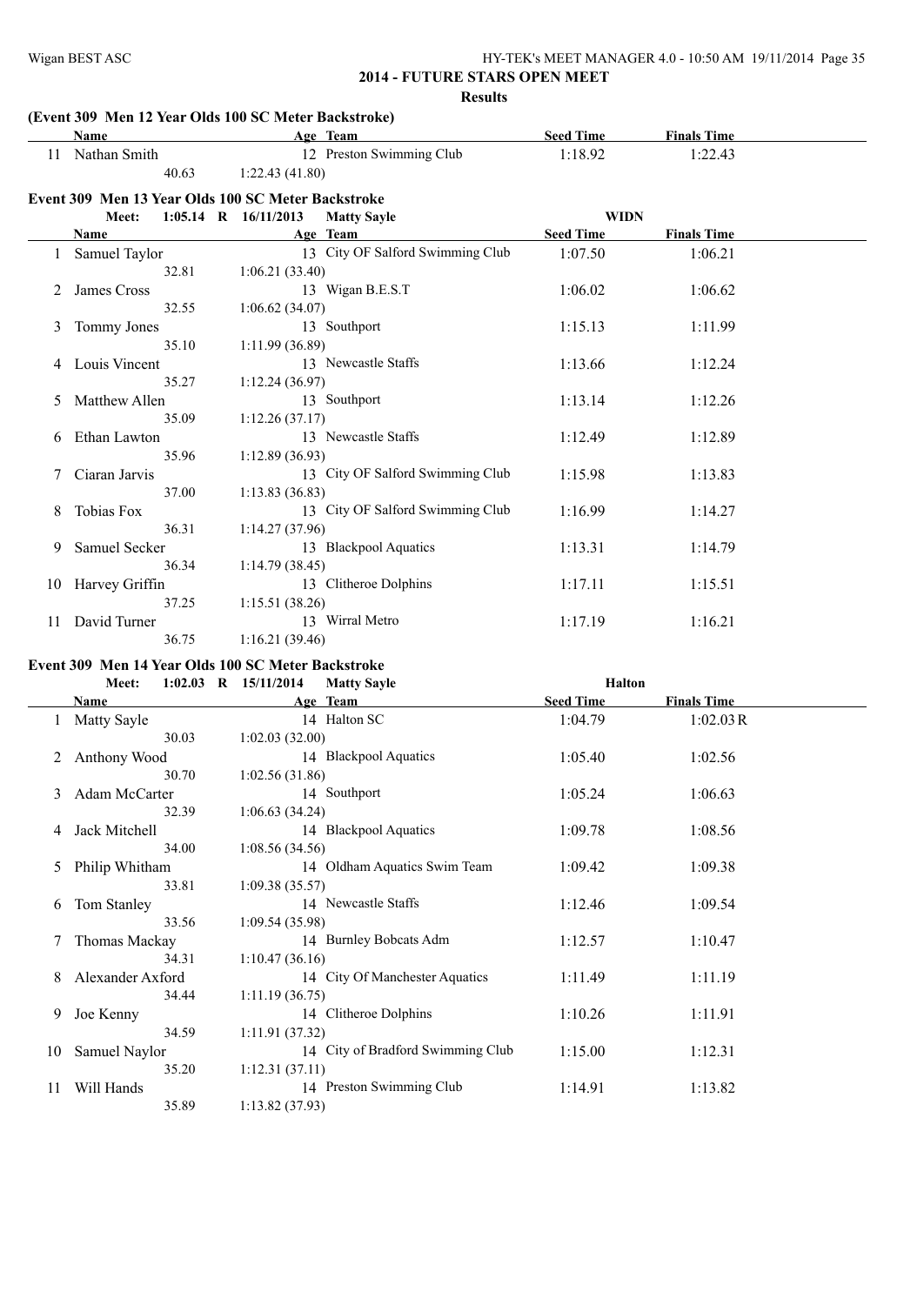# **(Event 309 Men 12 Year Olds 100 SC Meter Backstroke)**

|    | Name                 | $\sigma$ include that $\sigma$ is the second second $\sigma$<br>Age Team | <b>Seed Time</b> | <b>Finals Time</b> |  |
|----|----------------------|--------------------------------------------------------------------------|------------------|--------------------|--|
|    | 11 Nathan Smith      | 12 Preston Swimming Club                                                 | 1:18.92          | 1:22.43            |  |
|    | 40.63                | 1:22.43(41.80)                                                           |                  |                    |  |
|    |                      | Event 309 Men 13 Year Olds 100 SC Meter Backstroke                       |                  |                    |  |
|    | Meet:                | $1:05.14$ R $16/11/2013$<br><b>Matty Sayle</b>                           | <b>WIDN</b>      |                    |  |
|    | <b>Name</b>          | Age Team                                                                 | <b>Seed Time</b> | <b>Finals Time</b> |  |
|    | Samuel Taylor        | 13 City OF Salford Swimming Club                                         | 1:07.50          | 1:06.21            |  |
|    | 32.81                | 1:06.21(33.40)                                                           |                  |                    |  |
| 2  | James Cross          | 13 Wigan B.E.S.T                                                         | 1:06.02          | 1:06.62            |  |
|    | 32.55                | 1:06.62(34.07)                                                           |                  |                    |  |
| 3  | Tommy Jones          | 13 Southport                                                             | 1:15.13          | 1:11.99            |  |
|    | 35.10                | 1:11.99(36.89)                                                           |                  |                    |  |
| 4  | Louis Vincent        | 13 Newcastle Staffs                                                      | 1:13.66          | 1:12.24            |  |
|    | 35.27                | 1:12.24(36.97)                                                           |                  |                    |  |
|    | <b>Matthew Allen</b> | 13 Southport                                                             | 1:13.14          | 1:12.26            |  |
|    | 35.09                | 1:12.26(37.17)                                                           |                  |                    |  |
| 6  | Ethan Lawton         | 13 Newcastle Staffs                                                      | 1:12.49          | 1:12.89            |  |
|    | 35.96                | 1:12.89(36.93)                                                           |                  |                    |  |
|    | Ciaran Jarvis        | 13 City OF Salford Swimming Club                                         | 1:15.98          | 1:13.83            |  |
|    | 37.00                | 1:13.83(36.83)                                                           |                  |                    |  |
| 8  | Tobias Fox           | 13 City OF Salford Swimming Club                                         | 1:16.99          | 1:14.27            |  |
|    | 36.31                | 1:14.27(37.96)                                                           |                  |                    |  |
| 9  | Samuel Secker        | 13 Blackpool Aquatics                                                    | 1:13.31          | 1:14.79            |  |
|    | 36.34                | 1:14.79(38.45)                                                           |                  |                    |  |
| 10 | Harvey Griffin       | 13 Clitheroe Dolphins                                                    | 1:17.11          | 1:15.51            |  |
|    | 37.25                | 1:15.51(38.26)                                                           |                  |                    |  |
| 11 | David Turner         | 13 Wirral Metro                                                          | 1:17.19          | 1:16.21            |  |
|    | 36.75                | 1:16.21(39.46)                                                           |                  |                    |  |

#### **Event 309 Men 14 Year Olds 100 SC Meter Backstroke**

|    | Meet:            | $1:02.03$ R $15/11/2014$ | <b>Matty Sayle</b>                | <b>Halton</b>    |                    |
|----|------------------|--------------------------|-----------------------------------|------------------|--------------------|
|    | Name             |                          | Age Team                          | <b>Seed Time</b> | <b>Finals Time</b> |
|    | Matty Sayle      |                          | 14 Halton SC                      | 1:04.79          | 1:02.03R           |
|    | 30.03            | 1:02.03(32.00)           |                                   |                  |                    |
| 2  | Anthony Wood     |                          | 14 Blackpool Aquatics             | 1:05.40          | 1:02.56            |
|    | 30.70            | 1:02.56(31.86)           |                                   |                  |                    |
| 3  | Adam McCarter    |                          | 14 Southport                      | 1:05.24          | 1:06.63            |
|    | 32.39            | 1:06.63(34.24)           |                                   |                  |                    |
| 4  | Jack Mitchell    |                          | 14 Blackpool Aquatics             | 1:09.78          | 1:08.56            |
|    | 34.00            | 1:08.56(34.56)           |                                   |                  |                    |
| 5  | Philip Whitham   |                          | 14 Oldham Aquatics Swim Team      | 1:09.42          | 1:09.38            |
|    | 33.81            | 1:09.38(35.57)           |                                   |                  |                    |
| 6  | Tom Stanley      |                          | 14 Newcastle Staffs               | 1:12.46          | 1:09.54            |
|    | 33.56            | 1:09.54(35.98)           |                                   |                  |                    |
|    | Thomas Mackay    |                          | 14 Burnley Bobcats Adm            | 1:12.57          | 1:10.47            |
|    | 34.31            | 1:10.47(36.16)           |                                   |                  |                    |
| 8  | Alexander Axford |                          | 14 City Of Manchester Aquatics    | 1:11.49          | 1:11.19            |
|    | 34.44            | 1:11.19(36.75)           |                                   |                  |                    |
| 9. | Joe Kenny        |                          | 14 Clitheroe Dolphins             | 1:10.26          | 1:11.91            |
|    | 34.59            | 1:11.91(37.32)           |                                   |                  |                    |
| 10 | Samuel Naylor    |                          | 14 City of Bradford Swimming Club | 1:15.00          | 1:12.31            |
|    | 35.20            | 1:12.31(37.11)           |                                   |                  |                    |
| 11 | Will Hands       |                          | 14 Preston Swimming Club          | 1:14.91          | 1:13.82            |
|    | 35.89            | 1:13.82(37.93)           |                                   |                  |                    |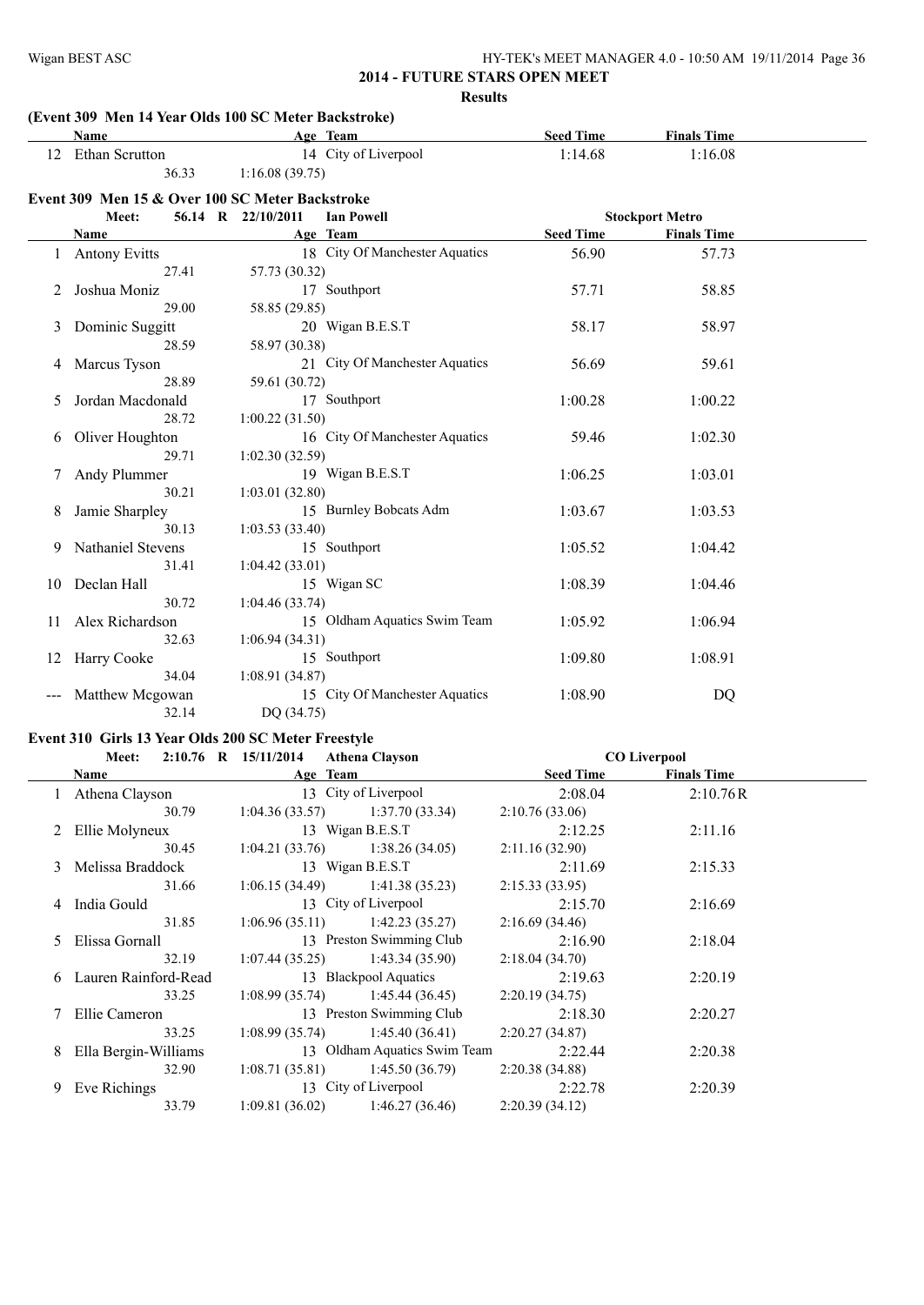| HY-TEK's MEET MANAGER 4.0 - 10:50 AM 19/11/2014 Page 36 |  |
|---------------------------------------------------------|--|
|---------------------------------------------------------|--|

#### **(Event 309 Men 14 Year Olds 100 SC Meter Backstroke)**

|          | 12 Ethan Scrutton                                                                                                                              |                                                                                                                                                                                                                       |                                                     |                                                       |  |
|----------|------------------------------------------------------------------------------------------------------------------------------------------------|-----------------------------------------------------------------------------------------------------------------------------------------------------------------------------------------------------------------------|-----------------------------------------------------|-------------------------------------------------------|--|
|          |                                                                                                                                                | 14 City of Liverpool                                                                                                                                                                                                  | 1:14.68                                             | 1:16.08                                               |  |
|          | 36.33                                                                                                                                          | 1:16.08(39.75)                                                                                                                                                                                                        |                                                     |                                                       |  |
|          | Event 309 Men 15 & Over 100 SC Meter Backstroke                                                                                                |                                                                                                                                                                                                                       |                                                     |                                                       |  |
|          | Meet:                                                                                                                                          | 56.14 R 22/10/2011<br><b>Ian Powell</b>                                                                                                                                                                               |                                                     | <b>Stockport Metro</b>                                |  |
|          | <b>Name</b>                                                                                                                                    | Age Team                                                                                                                                                                                                              | <b>Seed Time</b>                                    | <b>Finals Time</b>                                    |  |
|          | 1 Antony Evitts                                                                                                                                | 18 City Of Manchester Aquatics                                                                                                                                                                                        | 56.90                                               | 57.73                                                 |  |
|          | 27.41                                                                                                                                          | 57.73 (30.32)                                                                                                                                                                                                         |                                                     |                                                       |  |
|          | Joshua Moniz                                                                                                                                   | 17 Southport                                                                                                                                                                                                          | 57.71                                               | 58.85                                                 |  |
|          | 29.00                                                                                                                                          | 58.85 (29.85)                                                                                                                                                                                                         |                                                     |                                                       |  |
| 3        | Dominic Suggitt                                                                                                                                | 20 Wigan B.E.S.T                                                                                                                                                                                                      | 58.17                                               | 58.97                                                 |  |
|          | 28.59                                                                                                                                          | 58.97 (30.38)                                                                                                                                                                                                         |                                                     |                                                       |  |
| 4        | Marcus Tyson                                                                                                                                   | 21 City Of Manchester Aquatics                                                                                                                                                                                        | 56.69                                               | 59.61                                                 |  |
|          | 28.89                                                                                                                                          | 59.61 (30.72)                                                                                                                                                                                                         |                                                     |                                                       |  |
| 5        | Jordan Macdonald                                                                                                                               | 17 Southport                                                                                                                                                                                                          | 1:00.28                                             | 1:00.22                                               |  |
|          | 28.72                                                                                                                                          | 1:00.22(31.50)                                                                                                                                                                                                        |                                                     |                                                       |  |
| 6        | Oliver Houghton                                                                                                                                | 16 City Of Manchester Aquatics                                                                                                                                                                                        | 59.46                                               | 1:02.30                                               |  |
|          | 29.71                                                                                                                                          | 1:02.30(32.59)                                                                                                                                                                                                        |                                                     |                                                       |  |
|          | Andy Plummer                                                                                                                                   | 19 Wigan B.E.S.T                                                                                                                                                                                                      | 1:06.25                                             | 1:03.01                                               |  |
|          | 30.21                                                                                                                                          | 1:03.01(32.80)                                                                                                                                                                                                        |                                                     |                                                       |  |
| 8        | Jamie Sharpley                                                                                                                                 | 15 Burnley Bobcats Adm                                                                                                                                                                                                | 1:03.67                                             | 1:03.53                                               |  |
|          |                                                                                                                                                |                                                                                                                                                                                                                       |                                                     |                                                       |  |
|          |                                                                                                                                                |                                                                                                                                                                                                                       |                                                     |                                                       |  |
|          |                                                                                                                                                |                                                                                                                                                                                                                       |                                                     |                                                       |  |
|          |                                                                                                                                                |                                                                                                                                                                                                                       |                                                     |                                                       |  |
|          |                                                                                                                                                |                                                                                                                                                                                                                       |                                                     |                                                       |  |
|          |                                                                                                                                                |                                                                                                                                                                                                                       |                                                     |                                                       |  |
|          |                                                                                                                                                |                                                                                                                                                                                                                       |                                                     |                                                       |  |
|          |                                                                                                                                                |                                                                                                                                                                                                                       |                                                     |                                                       |  |
|          |                                                                                                                                                |                                                                                                                                                                                                                       |                                                     |                                                       |  |
|          |                                                                                                                                                |                                                                                                                                                                                                                       |                                                     |                                                       |  |
| 10<br>11 | 30.13<br>Nathaniel Stevens<br>31.41<br>Declan Hall<br>30.72<br>Alex Richardson<br>32.63<br>12 Harry Cooke<br>34.04<br>Matthew Mcgowan<br>32.14 | 1:03.53(33.40)<br>15 Southport<br>1:04.42(33.01)<br>15 Wigan SC<br>1:04.46(33.74)<br>15 Oldham Aquatics Swim Team<br>1:06.94(34.31)<br>15 Southport<br>1:08.91(34.87)<br>15 City Of Manchester Aquatics<br>DQ (34.75) | 1:05.52<br>1:08.39<br>1:05.92<br>1:09.80<br>1:08.90 | 1:04.42<br>1:04.46<br>1:06.94<br>1:08.91<br><b>DQ</b> |  |

#### **Event 310 Girls 13 Year Olds 200 SC Meter Freestyle**

|    | Meet:                  | $2:10.76$ R $15/11/2014$ | <b>Athena Clayson</b>             |                  | <b>CO Liverpool</b> |  |
|----|------------------------|--------------------------|-----------------------------------|------------------|---------------------|--|
|    | Name                   |                          | Age Team                          | <b>Seed Time</b> | <b>Finals Time</b>  |  |
|    | 1 Athena Clayson       |                          | 13 City of Liverpool              | 2:08.04          | 2:10.76R            |  |
|    | 30.79                  |                          | $1:04.36(33.57)$ $1:37.70(33.34)$ | 2:10.76(33.06)   |                     |  |
|    | 2 Ellie Molyneux       |                          | 13 Wigan B.E.S.T                  | 2:12.25          | 2:11.16             |  |
|    | 30.45                  |                          | $1:04.21(33.76)$ $1:38.26(34.05)$ | 2:11.16(32.90)   |                     |  |
|    | 3 Melissa Braddock     |                          | 13 Wigan B.E.S.T                  | 2:11.69          | 2:15.33             |  |
|    | 31.66                  |                          | $1:06.15(34.49)$ $1:41.38(35.23)$ | 2:15.33(33.95)   |                     |  |
|    | 4 India Gould          |                          | 13 City of Liverpool              | 2:15.70          | 2:16.69             |  |
|    | 31.85                  |                          | $1:06.96(35.11)$ $1:42.23(35.27)$ | 2:16.69(34.46)   |                     |  |
| 5. | Elissa Gornall         |                          | 13 Preston Swimming Club          | 2:16.90          | 2:18.04             |  |
|    | 32.19                  |                          | $1:07.44(35.25)$ $1:43.34(35.90)$ | 2:18.04(34.70)   |                     |  |
|    | 6 Lauren Rainford-Read |                          | 13 Blackpool Aquatics             | 2:19.63          | 2:20.19             |  |
|    | 33.25                  |                          | $1:08.99(35.74)$ 1:45.44 (36.45)  | 2:20.19(34.75)   |                     |  |
|    | 7 Ellie Cameron        |                          | 13 Preston Swimming Club          | 2:18.30          | 2:20.27             |  |
|    | 33.25                  |                          | $1:08.99(35.74)$ $1:45.40(36.41)$ | 2:20.27(34.87)   |                     |  |
|    | 8 Ella Bergin-Williams |                          | 13 Oldham Aquatics Swim Team      | 2:22.44          | 2:20.38             |  |
|    | 32.90                  |                          | $1:08.71(35.81)$ $1:45.50(36.79)$ | 2:20.38(34.88)   |                     |  |
| 9. | Eve Richings           |                          | 13 City of Liverpool              | 2:22.78          | 2:20.39             |  |
|    | 33.79                  | 1:09.81(36.02)           | 1:46.27 (36.46)                   | 2:20.39(34.12)   |                     |  |
|    |                        |                          |                                   |                  |                     |  |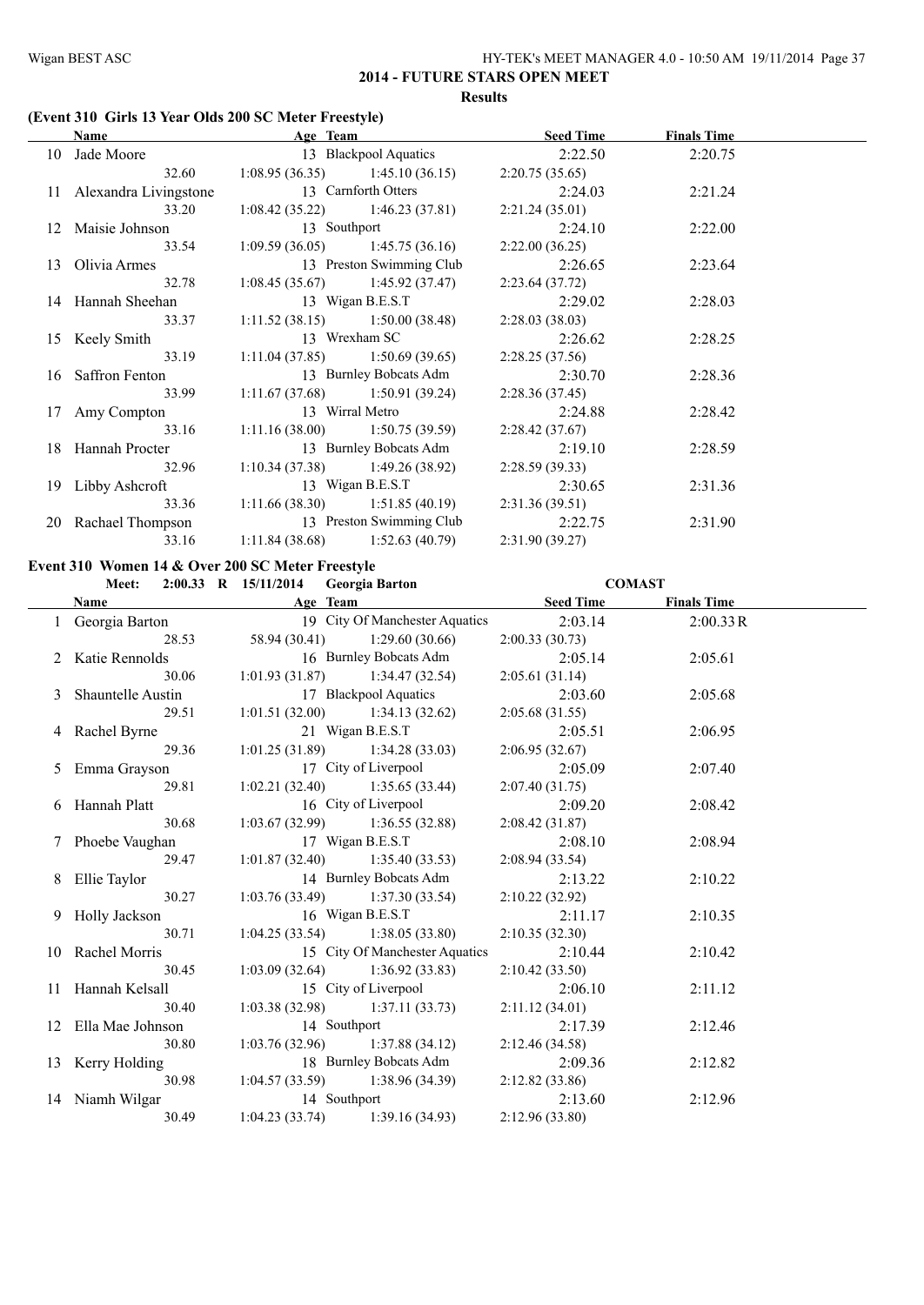#### **(Event 310 Girls 13 Year Olds 200 SC Meter Freestyle)**

| Name                                         | Age Team         |                                   | <b>Seed Time</b> | <b>Finals Time</b> |  |
|----------------------------------------------|------------------|-----------------------------------|------------------|--------------------|--|
| 10 Jade Moore                                |                  | 13 Blackpool Aquatics 2:22.50     |                  | 2:20.75            |  |
| 32.60                                        |                  | $1:08.95(36.35)$ $1:45.10(36.15)$ | 2:20.75(35.65)   |                    |  |
| 11 Alexandra Livingstone                     |                  | 13 Carnforth Otters               | 2:24.03          | 2:21.24            |  |
| 33.20                                        |                  | $1:08.42(35.22)$ $1:46.23(37.81)$ | 2:21.24(35.01)   |                    |  |
| 12 Maisie Johnson                            | 13 Southport     |                                   | 2:24.10          | 2:22.00            |  |
| 33.54                                        |                  | $1:09.59(36.05)$ $1:45.75(36.16)$ | 2:22.00(36.25)   |                    |  |
| 13 Olivia Armes                              |                  | 13 Preston Swimming Club          | 2:26.65          | 2:23.64            |  |
| 32.78                                        |                  | $1:08.45(35.67)$ $1:45.92(37.47)$ | 2:23.64(37.72)   |                    |  |
| 14 Hannah Sheehan                            | 13 Wigan B.E.S.T |                                   | 2:29.02          | 2:28.03            |  |
| 33.37                                        |                  | $1:11.52(38.15)$ $1:50.00(38.48)$ | 2:28.03(38.03)   |                    |  |
| 15 Keely Smith                               |                  | 13 Wrexham SC                     | 2:26.62          | 2:28.25            |  |
| 33.19                                        |                  | $1:11.04(37.85)$ $1:50.69(39.65)$ | 2:28.25(37.56)   |                    |  |
| 16 Saffron Fenton                            |                  | 13 Burnley Bobcats Adm            | 2:30.70          | 2:28.36            |  |
| 33.99                                        |                  | $1:11.67(37.68)$ $1:50.91(39.24)$ | 2:28.36(37.45)   |                    |  |
| 17 Amy Compton                               | 13 Wirral Metro  |                                   | 2:24.88          | 2:28.42            |  |
| 33.16                                        |                  | $1:11.16(38.00)$ $1:50.75(39.59)$ | 2:28.42(37.67)   |                    |  |
| 18 Hannah Procter                            |                  | 13 Burnley Bobcats Adm            | 2:19.10          | 2:28.59            |  |
| 32.96                                        |                  | $1:10.34(37.38)$ $1:49.26(38.92)$ | 2:28.59(39.33)   |                    |  |
| 19 Libby Ashcroft                            |                  | 13 Wigan B.E.S.T                  | 2:30.65          | 2:31.36            |  |
| 33.36                                        |                  | $1:11.66(38.30)$ $1:51.85(40.19)$ | 2:31.36(39.51)   |                    |  |
| 20 Rachael Thompson 13 Preston Swimming Club |                  |                                   | 2:22.75          | 2:31.90            |  |
| 33.16                                        |                  | $1:11.84(38.68)$ $1:52.63(40.79)$ | 2:31.90(39.27)   |                    |  |

#### **Event 310 Women 14 & Over 200 SC Meter Freestyle Meet: 2:00.33 R 15/11/2014 Georgia Barton COMAST**

**Age Team Seed Time Finals Time** 1 Georgia Barton 19 City Of Manchester Aquatics 2:03.14 2:00.33R 28.53 58.94 (30.41) 1:29.60 (30.66) 2:00.33 (30.73) 2 Katie Rennolds 16 Burnley Bobcats Adm 2:05.14 2:05.61 30.06 1:01.93 (31.87) 1:34.47 (32.54) 2:05.61 (31.14) 3 Shauntelle Austin 17 Blackpool Aquatics 2:03.60 2:05.68 29.51 1:01.51 (32.00) 1:34.13 (32.62) 2:05.68 (31.55) 4 Rachel Byrne 21 Wigan B.E.S.T 2:05.51 2:06.95 29.36 1:01.25 (31.89) 1:34.28 (33.03) 2:06.95 (32.67) 5 Emma Grayson 17 City of Liverpool 2:05.09 2:07.40 29.81 1:02.21 (32.40) 1:35.65 (33.44) 2:07.40 (31.75) 6 Hannah Platt 16 City of Liverpool 2:09.20 2:08.42 30.68 1:03.67 (32.99) 1:36.55 (32.88) 2:08.42 (31.87) 7 Phoebe Vaughan 17 Wigan B.E.S.T 2:08.10 2:08.94 29.47 1:01.87 (32.40) 1:35.40 (33.53) 2:08.94 (33.54) 8 Ellie Taylor 14 Burnley Bobcats Adm 2:13.22 2:10.22 30.27 1:03.76 (33.49) 1:37.30 (33.54) 2:10.22 (32.92) 9 Holly Jackson 16 Wigan B.E.S.T 2:11.17 2:10.35 30.71 1:04.25 (33.54) 1:38.05 (33.80) 2:10.35 (32.30) 10 Rachel Morris 15 City Of Manchester Aquatics 2:10.44 2:10.42 30.45 1:03.09 (32.64) 1:36.92 (33.83) 2:10.42 (33.50) 11 Hannah Kelsall 15 City of Liverpool 2:06.10 2:11.12 30.40 1:03.38 (32.98) 1:37.11 (33.73) 2:11.12 (34.01) 12 Ella Mae Johnson 14 Southport 2:17.39 2:12.46 30.80 1:03.76 (32.96) 1:37.88 (34.12) 2:12.46 (34.58) 13 Kerry Holding 18 Burnley Bobcats Adm 2:09.36 2:12.82 30.98 1:04.57 (33.59) 1:38.96 (34.39) 2:12.82 (33.86) 14 Niamh Wilgar 14 Southport 2:13.60 2:12.96 30.49 1:04.23 (33.74) 1:39.16 (34.93) 2:12.96 (33.80)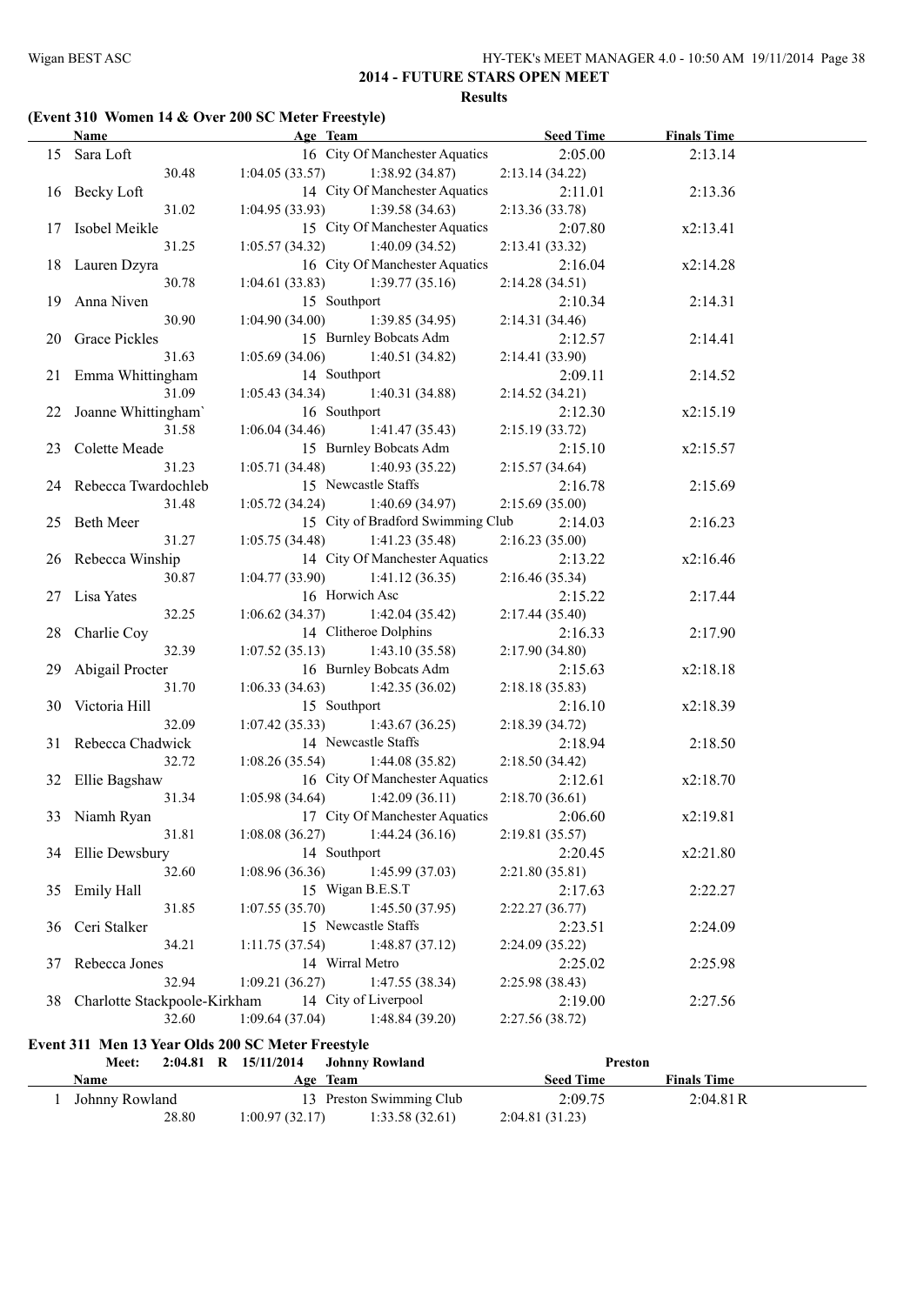## **(Event 310 Women 14 & Over 200 SC Meter Freestyle)**

|   | <b>Name</b>                                       | Age Team                          |                                   | <b>Seed Time</b> | <b>Finals Time</b> |  |
|---|---------------------------------------------------|-----------------------------------|-----------------------------------|------------------|--------------------|--|
|   | 15 Sara Loft                                      |                                   | 16 City Of Manchester Aquatics    | 2:05.00          | 2:13.14            |  |
|   | 30.48                                             | 1:04.05(33.57)                    | 1:38.92(34.87)                    | 2:13.14(34.22)   |                    |  |
|   | 16 Becky Loft                                     |                                   | 14 City Of Manchester Aquatics    | 2:11.01          | 2:13.36            |  |
|   | 31.02                                             | 1:04.95(33.93)                    | 1:39.58(34.63)                    | 2:13.36(33.78)   |                    |  |
|   | 17 Isobel Meikle                                  |                                   | 15 City Of Manchester Aquatics    | 2:07.80          | x2:13.41           |  |
|   | 31.25                                             | 1:05.57(34.32)                    | 1:40.09(34.52)                    | 2:13.41(33.32)   |                    |  |
|   | 18 Lauren Dzyra                                   |                                   | 16 City Of Manchester Aquatics    | 2:16.04          | x2:14.28           |  |
|   | 30.78                                             | 1:04.61(33.83)                    | 1:39.77(35.16)                    | 2:14.28(34.51)   |                    |  |
|   | 19 Anna Niven                                     | 15 Southport                      |                                   | 2:10.34          | 2:14.31            |  |
|   | 30.90                                             | 1:04.90(34.00)                    | 1:39.85(34.95)                    | 2:14.31(34.46)   |                    |  |
|   |                                                   |                                   |                                   |                  |                    |  |
|   | 20 Grace Pickles                                  |                                   | 15 Burnley Bobcats Adm            | 2:12.57          | 2:14.41            |  |
|   | 31.63                                             | 1:05.69(34.06)                    | 1:40.51 (34.82)                   | 2:14.41 (33.90)  |                    |  |
|   | 21 Emma Whittingham                               | 14 Southport                      |                                   | 2:09.11          | 2:14.52            |  |
|   | 31.09                                             | 1:05.43(34.34)                    | 1:40.31(34.88)                    | 2:14.52(34.21)   |                    |  |
|   | 22 Joanne Whittingham'                            | 16 Southport                      |                                   | 2:12.30          | x2:15.19           |  |
|   | 31.58                                             | 1:06.04(34.46)                    | 1:41.47(35.43)                    | 2:15.19(33.72)   |                    |  |
|   | 23 Colette Meade                                  |                                   | 15 Burnley Bobcats Adm            | 2:15.10          | x2:15.57           |  |
|   | 31.23                                             | 1:05.71(34.48)                    | 1:40.93(35.22)                    | 2:15.57(34.64)   |                    |  |
|   | 24 Rebecca Twardochleb                            |                                   | 15 Newcastle Staffs               | 2:16.78          | 2:15.69            |  |
|   | 31.48                                             | 1:05.72(34.24)                    | 1:40.69(34.97)                    | 2:15.69(35.00)   |                    |  |
|   | 25 Beth Meer                                      |                                   | 15 City of Bradford Swimming Club | 2:14.03          | 2:16.23            |  |
|   | 31.27                                             | $1:05.75(34.48)$ $1:41.23(35.48)$ |                                   | 2:16.23(35.00)   |                    |  |
|   | 26 Rebecca Winship                                |                                   | 14 City Of Manchester Aquatics    | 2:13.22          | x2:16.46           |  |
|   | 30.87                                             | $1:04.77(33.90)$ $1:41.12(36.35)$ |                                   | 2:16.46(35.34)   |                    |  |
|   | 27 Lisa Yates                                     | 16 Horwich Asc                    |                                   | 2:15.22          | 2:17.44            |  |
|   | 32.25                                             | 1:06.62(34.37)                    | 1:42.04(35.42)                    | 2:17.44(35.40)   |                    |  |
|   | 28 Charlie Coy                                    |                                   | 14 Clitheroe Dolphins             | 2:16.33          | 2:17.90            |  |
|   | 32.39                                             | 1:07.52(35.13)                    | 1:43.10(35.58)                    | 2:17.90(34.80)   |                    |  |
|   | 29 Abigail Procter                                |                                   | 16 Burnley Bobcats Adm            | 2:15.63          | x2:18.18           |  |
|   | 31.70                                             | 1:06.33(34.63)                    | 1:42.35(36.02)                    | 2:18.18(35.83)   |                    |  |
|   | 30 Victoria Hill                                  | 15 Southport                      |                                   | 2:16.10          | x2:18.39           |  |
|   | 32.09                                             | 1:07.42(35.33)                    | 1:43.67(36.25)                    | 2:18.39(34.72)   |                    |  |
|   | 31 Rebecca Chadwick                               |                                   | 14 Newcastle Staffs               | 2:18.94          | 2:18.50            |  |
|   | 32.72                                             | 1:08.26(35.54)                    |                                   | 2:18.50(34.42)   |                    |  |
|   |                                                   |                                   | 1:44.08(35.82)                    |                  |                    |  |
|   | 32 Ellie Bagshaw                                  |                                   | 16 City Of Manchester Aquatics    | 2:12.61          | x2:18.70           |  |
|   | 31.34                                             | $1:05.98(34.64)$ $1:42.09(36.11)$ |                                   | 2:18.70(36.61)   |                    |  |
|   | 33 Niamh Ryan                                     |                                   | 17 City Of Manchester Aquatics    | 2:06.60          | x2:19.81           |  |
|   | 31.81                                             | 1:08.08(36.27)                    | 1:44.24 (36.16)                   | 2:19.81(35.57)   |                    |  |
|   | 34 Ellie Dewsbury                                 | 14 Southport                      |                                   | 2:20.45          | x2:21.80           |  |
|   | 32.60                                             | 1:08.96(36.36)                    | 1:45.99(37.03)                    | 2:21.80(35.81)   |                    |  |
|   | 35 Emily Hall                                     | 15 Wigan B.E.S.T                  |                                   | 2:17.63          | 2:22.27            |  |
|   | 31.85                                             | 1:07.55(35.70)                    | 1:45.50(37.95)                    | 2:22.27(36.77)   |                    |  |
|   | 36 Ceri Stalker                                   |                                   | 15 Newcastle Staffs               | 2:23.51          | 2:24.09            |  |
|   | 34.21                                             | 1:11.75(37.54)                    | 1:48.87(37.12)                    | 2:24.09(35.22)   |                    |  |
|   | 37 Rebecca Jones                                  | 14 Wirral Metro                   |                                   | 2:25.02          | 2:25.98            |  |
|   | 32.94                                             | 1:09.21(36.27)                    | 1:47.55(38.34)                    | 2:25.98(38.43)   |                    |  |
|   | 38 Charlotte Stackpoole-Kirkham                   |                                   | 14 City of Liverpool              | 2:19.00          | 2:27.56            |  |
|   | 32.60                                             | 1:09.64(37.04)                    | 1:48.84(39.20)                    | 2:27.56 (38.72)  |                    |  |
|   |                                                   |                                   |                                   |                  |                    |  |
|   | Event 311 Men 13 Year Olds 200 SC Meter Freestyle |                                   |                                   |                  |                    |  |
|   | Meet:                                             | 2:04.81 R 15/11/2014              | <b>Johnny Rowland</b>             | Preston          |                    |  |
|   | <b>Name</b>                                       | Age Team                          |                                   | <b>Seed Time</b> | <b>Finals Time</b> |  |
| 1 | Johnny Rowland                                    |                                   | 13 Preston Swimming Club          | 2:09.75          | 2:04.81R           |  |
|   | 28.80                                             | $1:00.97(32.17)$ $1:33.58(32.61)$ |                                   | 2:04.81(31.23)   |                    |  |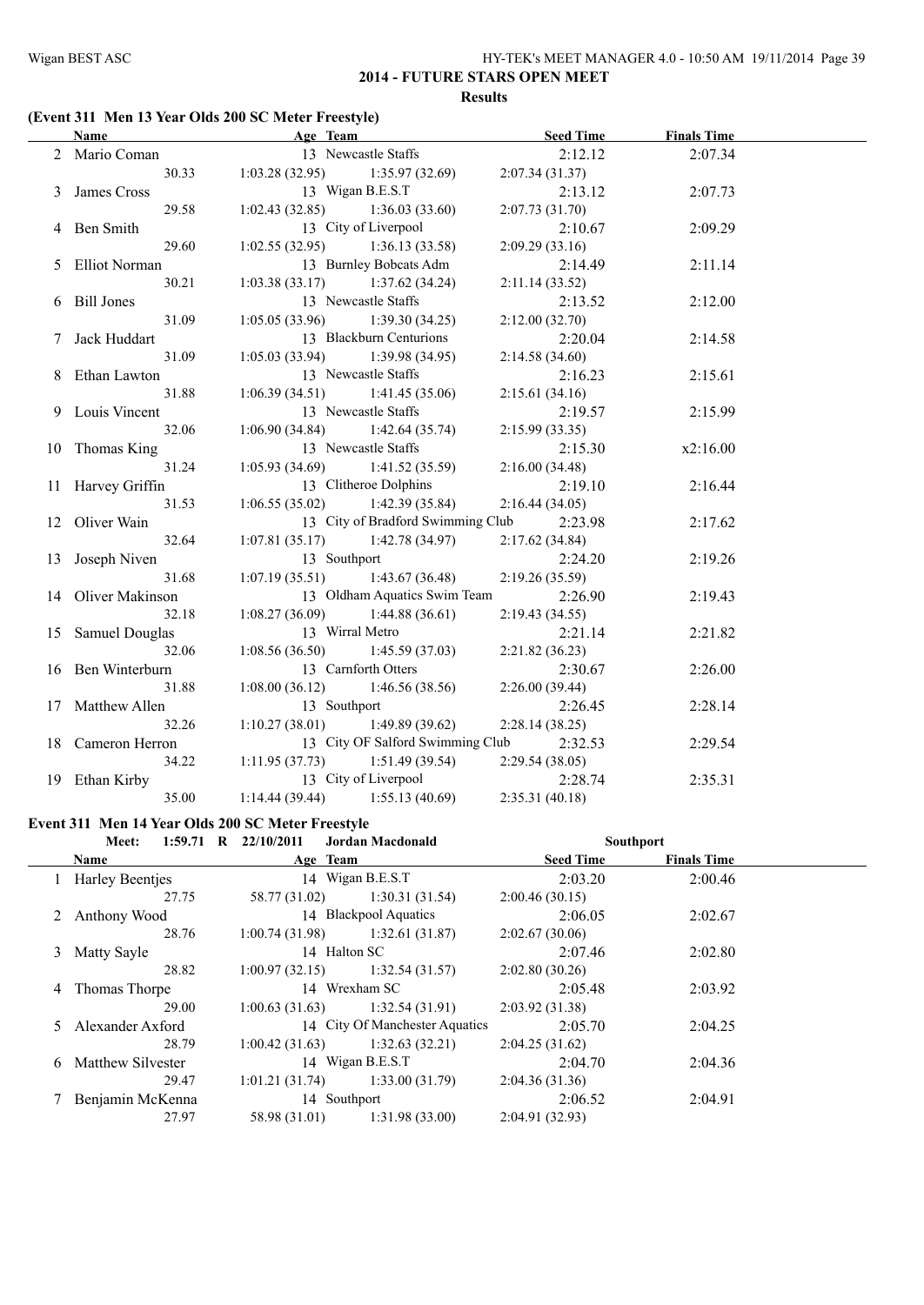#### **(Event 311 Men 13 Year Olds 200 SC Meter Freestyle)**

| <b>Name</b>        | Age Team                          |                                   |                 | <b>Seed Time</b> | <b>Finals Time</b> |  |
|--------------------|-----------------------------------|-----------------------------------|-----------------|------------------|--------------------|--|
| 2 Mario Coman      |                                   | 13 Newcastle Staffs               |                 | 2:12.12          | 2:07.34            |  |
| 30.33              | $1:03.28(32.95)$ $1:35.97(32.69)$ |                                   | 2:07.34(31.37)  |                  |                    |  |
| 3 James Cross      | 13 Wigan B.E.S.T                  |                                   |                 | 2:13.12          | 2:07.73            |  |
| 29.58              | $1:02.43(32.85)$ $1:36.03(33.60)$ |                                   | 2:07.73(31.70)  |                  |                    |  |
| 4 Ben Smith        | 13 City of Liverpool              |                                   |                 | 2:10.67          | 2:09.29            |  |
| 29.60              | $1:02.55(32.95)$ $1:36.13(33.58)$ |                                   | 2:09.29 (33.16) |                  |                    |  |
| 5 Elliot Norman    |                                   | 13 Burnley Bobcats Adm            |                 | 2:14.49          | 2:11.14            |  |
| 30.21              | $1:03.38(33.17)$ $1:37.62(34.24)$ |                                   | 2:11.14(33.52)  |                  |                    |  |
| 6 Bill Jones       | 13 Newcastle Staffs               |                                   |                 | 2:13.52          | 2:12.00            |  |
| 31.09              | $1:05.05(33.96)$ $1:39.30(34.25)$ |                                   | 2:12.00(32.70)  |                  |                    |  |
| Jack Huddart       |                                   | 13 Blackburn Centurions           |                 | 2:20.04          | 2:14.58            |  |
| 31.09              | 1:05.03(33.94)                    | 1:39.98(34.95)                    | 2:14.58(34.60)  |                  |                    |  |
| Ethan Lawton       | 13 Newcastle Staffs               |                                   |                 | 2:16.23          | 2:15.61            |  |
| 31.88              | 1:06.39(34.51)                    | 1:41.45(35.06)                    | 2:15.61(34.16)  |                  |                    |  |
| 9 Louis Vincent    | 13 Newcastle Staffs               |                                   |                 | 2:19.57          | 2:15.99            |  |
| 32.06              | 1:06.90(34.84)                    | 1:42.64(35.74)                    | 2:15.99(33.35)  |                  |                    |  |
| 10 Thomas King     | 13 Newcastle Staffs               |                                   |                 | 2:15.30          | x2:16.00           |  |
| 31.24              | $1:05.93(34.69)$ $1:41.52(35.59)$ |                                   | 2:16.00(34.48)  |                  |                    |  |
| 11 Harvey Griffin  |                                   | 13 Clitheroe Dolphins             |                 | 2:19.10          | 2:16.44            |  |
| 31.53              | $1:06.55(35.02)$ $1:42.39(35.84)$ |                                   | 2:16.44(34.05)  |                  |                    |  |
| 12 Oliver Wain     |                                   | 13 City of Bradford Swimming Club |                 | 2:23.98          | 2:17.62            |  |
| 32.64              | $1:07.81(35.17)$ $1:42.78(34.97)$ |                                   | 2:17.62(34.84)  |                  |                    |  |
| 13 Joseph Niven    | 13 Southport                      |                                   |                 | 2:24.20          | 2:19.26            |  |
| 31.68              | $1:07.19(35.51)$ $1:43.67(36.48)$ |                                   | 2:19.26(35.59)  |                  |                    |  |
| 14 Oliver Makinson |                                   | 13 Oldham Aquatics Swim Team      |                 | 2:26.90          | 2:19.43            |  |
| 32.18              | $1:08.27(36.09)$ 1:44.88 (36.61)  |                                   | 2:19.43(34.55)  |                  |                    |  |
| 15 Samuel Douglas  | 13 Wirral Metro                   |                                   |                 | 2:21.14          | 2:21.82            |  |
| 32.06              | $1:08.56(36.50)$ $1:45.59(37.03)$ |                                   | 2:21.82(36.23)  |                  |                    |  |
| 16 Ben Winterburn  | 13 Carnforth Otters               |                                   |                 | 2:30.67          | 2:26.00            |  |
| 31.88              | $1:08.00(36.12)$ $1:46.56(38.56)$ |                                   | 2:26.00(39.44)  |                  |                    |  |
| 17 Matthew Allen   | 13 Southport                      |                                   |                 | 2:26.45          | 2:28.14            |  |
| 32.26              | $1:10.27(38.01)$ $1:49.89(39.62)$ |                                   | 2:28.14(38.25)  |                  |                    |  |
| 18 Cameron Herron  |                                   | 13 City OF Salford Swimming Club  |                 | 2:32.53          | 2:29.54            |  |
| 34.22              | $1:11.95(37.73)$ $1:51.49(39.54)$ |                                   | 2:29.54(38.05)  |                  |                    |  |
| 19 Ethan Kirby     | 13 City of Liverpool              |                                   |                 | 2:28.74          | 2:35.31            |  |
| 35.00              | $1:14.44(39.44)$ $1:55.13(40.69)$ |                                   | 2:35.31(40.18)  |                  |                    |  |

#### **Event 311 Men 14 Year Olds 200 SC Meter Freestyle**

|   | Meet:                  | 1:59.71 R $22/10/2011$ | Jordan Macdonald                  | <b>Southport</b> |                    |  |
|---|------------------------|------------------------|-----------------------------------|------------------|--------------------|--|
|   | Name                   | Age Team               |                                   | <b>Seed Time</b> | <b>Finals Time</b> |  |
|   | <b>Harley Beentjes</b> |                        | 14 Wigan B.E.S.T                  | 2:03.20          | 2:00.46            |  |
|   | 27.75                  | 58.77 (31.02)          | 1:30.31(31.54)                    | 2:00.46(30.15)   |                    |  |
| 2 | Anthony Wood           |                        | 14 Blackpool Aquatics             | 2:06.05          | 2:02.67            |  |
|   | 28.76                  |                        | $1:00.74(31.98)$ $1:32.61(31.87)$ | 2:02.67(30.06)   |                    |  |
| 3 | Matty Sayle            |                        | 14 Halton SC                      | 2:07.46          | 2:02.80            |  |
|   | 28.82                  | 1:00.97(32.15)         | 1:32.54(31.57)                    | 2:02.80(30.26)   |                    |  |
| 4 | Thomas Thorpe          |                        | 14 Wrexham SC                     | 2:05.48          | 2:03.92            |  |
|   | 29.00                  | 1:00.63(31.63)         | 1:32.54(31.91)                    | 2:03.92(31.38)   |                    |  |
|   | 5 Alexander Axford     |                        | 14 City Of Manchester Aquatics    | 2:05.70          | 2:04.25            |  |
|   | 28.79                  | 1:00.42(31.63)         | 1:32.63(32.21)                    | 2:04.25(31.62)   |                    |  |
| 6 | Matthew Silvester      |                        | 14 Wigan B.E.S.T                  | 2:04.70          | 2:04.36            |  |
|   | 29.47                  | 1:01.21(31.74)         | 1:33.00(31.79)                    | 2:04.36(31.36)   |                    |  |
|   | Benjamin McKenna       |                        | 14 Southport                      | 2:06.52          | 2:04.91            |  |
|   | 27.97                  | 58.98 (31.01)          | 1:31.98(33.00)                    | 2:04.91(32.93)   |                    |  |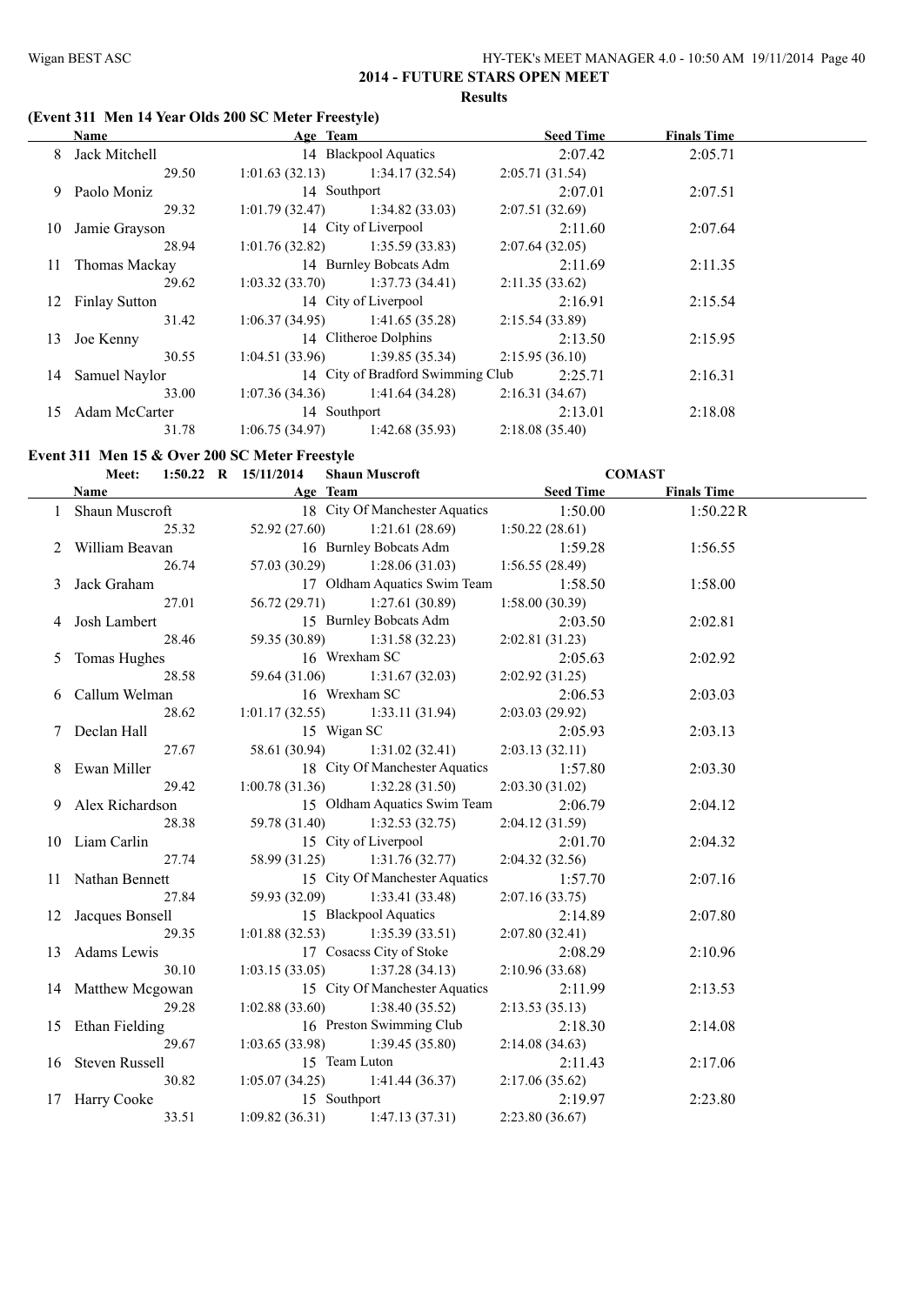#### **(Event 311 Men 14 Year Olds 200 SC Meter Freestyle)**

| <b>Name</b><br>Age Team |                                     |                                   | <b>Seed Time</b> | <b>Finals Time</b> |  |
|-------------------------|-------------------------------------|-----------------------------------|------------------|--------------------|--|
| 8 Jack Mitchell         | 14 Blackpool Aquatics               |                                   | 2:07.42          | 2:05.71            |  |
| 29.50                   | $1:01.63$ (32.13) $1:34.17$ (32.54) |                                   | 2:05.71(31.54)   |                    |  |
| 9 Paolo Moniz           | 14 Southport                        |                                   | 2:07.01          | 2:07.51            |  |
| 29.32                   | $1:01.79(32.47)$ $1:34.82(33.03)$   |                                   | 2:07.51(32.69)   |                    |  |
| 10 Jamie Grayson        |                                     | 14 City of Liverpool              | 2:11.60          | 2:07.64            |  |
| 28.94                   | $1:01.76(32.82)$ $1:35.59(33.83)$   |                                   | 2:07.64(32.05)   |                    |  |
| 11 Thomas Mackay        |                                     | 14 Burnley Bobcats Adm            | 2:11.69          | 2:11.35            |  |
| 29.62                   | $1:03.32(33.70)$ $1:37.73(34.41)$   |                                   | 2:11.35(33.62)   |                    |  |
| 12 Finlay Sutton        |                                     | 14 City of Liverpool              | 2:16.91          | 2:15.54            |  |
| 31.42                   |                                     | $1:06.37(34.95)$ $1:41.65(35.28)$ | 2:15.54(33.89)   |                    |  |
| 13 Joe Kenny            |                                     | 14 Clitheroe Dolphins             | 2:13.50          | 2:15.95            |  |
| 30.55                   |                                     | $1:04.51(33.96)$ $1:39.85(35.34)$ | 2:15.95(36.10)   |                    |  |
| 14 Samuel Naylor        |                                     | 14 City of Bradford Swimming Club | 2:25.71          | 2:16.31            |  |
| 33.00                   |                                     | $1:07.36(34.36)$ $1:41.64(34.28)$ | 2:16.31(34.67)   |                    |  |
| 15 Adam McCarter        | 14 Southport                        |                                   | 2:13.01          | 2:18.08            |  |
| 31.78                   | 1:06.75(34.97)                      | 1:42.68(35.93)                    | 2:18.08(35.40)   |                    |  |

#### **Event 311 Men 15 & Over 200 SC Meter Freestyle**

#### **Meet: 1:50.22 R 15/11/2014 Shaun Muscroft COMAST**

**Name Age Team Seed Time Finals Time** 1 Shaun Muscroft 18 City Of Manchester Aquatics 1:50.00 1:50.22R 25.32 52.92 (27.60) 1:21.61 (28.69) 1:50.22 (28.61) 2 William Beavan 16 Burnley Bobcats Adm 1:59.28 1:56.55 26.74 57.03 (30.29) 1:28.06 (31.03) 1:56.55 (28.49) 3 Jack Graham 17 Oldham Aquatics Swim Team 1:58.50 1:58.00 27.01 56.72 (29.71) 1:27.61 (30.89) 1:58.00 (30.39) 4 Josh Lambert 15 Burnley Bobcats Adm 2:03.50 2:02.81 28.46 59.35 (30.89) 1:31.58 (32.23) 2:02.81 (31.23) 5 Tomas Hughes 16 Wrexham SC 2:05.63 2:02.92 28.58 59.64 (31.06) 1:31.67 (32.03) 2:02.92 (31.25) 6 Callum Welman 16 Wrexham SC 2:06.53 2:03.03 28.62 1:01.17 (32.55) 1:33.11 (31.94) 2:03.03 (29.92) 7 Declan Hall 15 Wigan SC 2:05.93 2:03.13 27.67 58.61 (30.94) 1:31.02 (32.41) 2:03.13 (32.11) 8 Ewan Miller 18 City Of Manchester Aquatics 1:57.80 2:03.30 29.42 1:00.78 (31.36) 1:32.28 (31.50) 2:03.30 (31.02) 9 Alex Richardson 15 Oldham Aquatics Swim Team 2:06.79 2:04.12 28.38 59.78 (31.40) 1:32.53 (32.75) 2:04.12 (31.59) 10 Liam Carlin 15 City of Liverpool 2:01.70 2:04.32 27.74 58.99 (31.25) 1:31.76 (32.77) 2:04.32 (32.56) 11 Nathan Bennett 15 City Of Manchester Aquatics 1:57.70 2:07.16 27.84 59.93 (32.09) 1:33.41 (33.48) 2:07.16 (33.75) 12 Jacques Bonsell 15 Blackpool Aquatics 2:14.89 2:07.80 29.35 1:01.88 (32.53) 1:35.39 (33.51) 2:07.80 (32.41) 13 Adams Lewis 17 Cosacss City of Stoke 2:08.29 2:10.96 30.10 1:03.15 (33.05) 1:37.28 (34.13) 2:10.96 (33.68) 14 Matthew Mcgowan 15 City Of Manchester Aquatics 2:11.99 2:13.53 29.28 1:02.88 (33.60) 1:38.40 (35.52) 2:13.53 (35.13) 15 Ethan Fielding 16 Preston Swimming Club 2:18.30 2:14.08 29.67 1:03.65 (33.98) 1:39.45 (35.80) 2:14.08 (34.63) 16 Steven Russell 15 Team Luton 2:11.43 2:17.06 30.82 1:05.07 (34.25) 1:41.44 (36.37) 2:17.06 (35.62) 17 Harry Cooke 15 Southport 15 2:19.97 2:23.80 33.51 1:09.82 (36.31) 1:47.13 (37.31) 2:23.80 (36.67)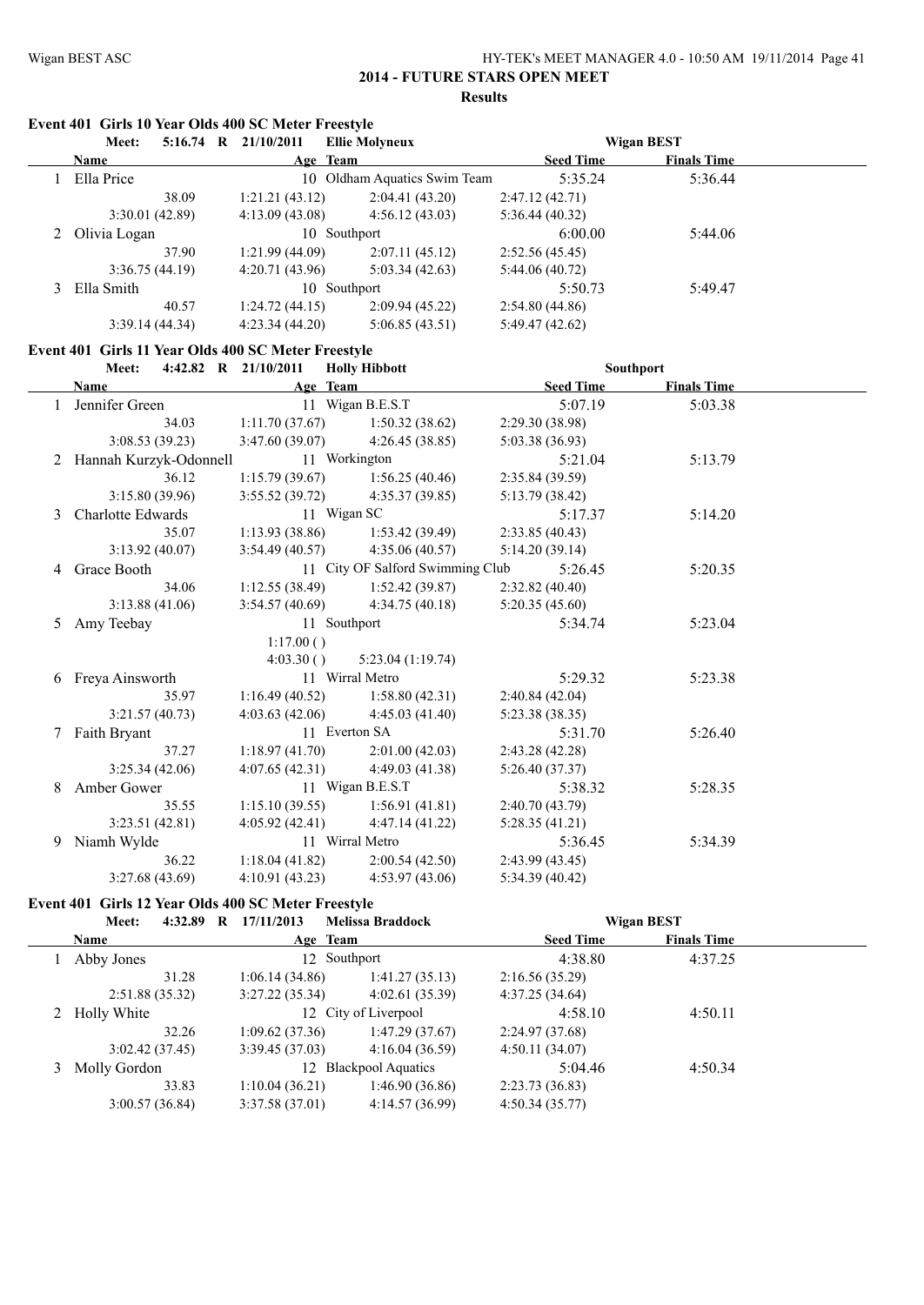**Event 401 Girls 10 Year Olds 400 SC Meter Freestyle**

#### Wigan BEST ASC HY-TEK's MEET MANAGER 4.0 - 10:50 AM 19/11/2014 Page 41

#### **2014 - FUTURE STARS OPEN MEET Results**

|   | Meet:                    |       | 5:16.74 R 21/10/2011                                | <b>Ellie Molyneux</b>               |                  | <b>Wigan BEST</b>  |  |
|---|--------------------------|-------|-----------------------------------------------------|-------------------------------------|------------------|--------------------|--|
|   | Name                     |       |                                                     | Age Team                            | <b>Seed Time</b> | <b>Finals Time</b> |  |
|   | 1 Ella Price             |       |                                                     | 10 Oldham Aquatics Swim Team        | 5:35.24          | 5:36.44            |  |
|   |                          | 38.09 | 1:21.21(43.12)                                      | 2:04.41(43.20)                      | 2:47.12(42.71)   |                    |  |
|   | 3:30.01 (42.89)          |       | 4:13.09(43.08)                                      | 4:56.12(43.03)                      | 5:36.44(40.32)   |                    |  |
|   | 2 Olivia Logan           |       |                                                     | 10 Southport                        | 6:00.00          | 5:44.06            |  |
|   |                          | 37.90 | 1:21.99(44.09)                                      | 2:07.11(45.12)                      | 2:52.56 (45.45)  |                    |  |
|   | 3:36.75(44.19)           |       | 4:20.71 (43.96)                                     | 5:03.34(42.63)                      | 5:44.06(40.72)   |                    |  |
| 3 | Ella Smith               |       |                                                     | 10 Southport                        | 5:50.73          | 5:49.47            |  |
|   |                          | 40.57 | 1:24.72(44.15)                                      | 2:09.94 (45.22)                     | 2:54.80(44.86)   |                    |  |
|   | 3:39.14(44.34)           |       | 4:23.34(44.20)                                      | 5:06.85(43.51)                      | 5:49.47(42.62)   |                    |  |
|   |                          |       | Event 401 Girls 11 Year Olds 400 SC Meter Freestyle |                                     |                  |                    |  |
|   | Meet:                    |       | 4:42.82 R 21/10/2011                                | <b>Holly Hibbott</b>                |                  | <b>Southport</b>   |  |
|   | Name                     |       |                                                     | Age Team                            | <b>Seed Time</b> | <b>Finals Time</b> |  |
|   | 1 Jennifer Green         |       |                                                     | 11 Wigan B.E.S.T                    | 5:07.19          | 5:03.38            |  |
|   |                          | 34.03 | 1:11.70(37.67)                                      | 1:50.32(38.62)                      | 2:29.30 (38.98)  |                    |  |
|   | 3:08.53 (39.23)          |       | 3:47.60 (39.07)                                     | 4:26.45 (38.85)                     | 5:03.38 (36.93)  |                    |  |
|   | 2 Hannah Kurzyk-Odonnell |       |                                                     | 11 Workington                       |                  |                    |  |
|   |                          | 36.12 |                                                     |                                     | 5:21.04          | 5:13.79            |  |
|   | 3:15.80 (39.96)          |       | 1:15.79(39.67)<br>3:55.52 (39.72)                   | 1:56.25(40.46)<br>4:35.37(39.85)    | 2:35.84 (39.59)  |                    |  |
|   |                          |       |                                                     | 11 Wigan SC                         | 5:13.79 (38.42)  |                    |  |
| 3 | Charlotte Edwards        |       |                                                     |                                     | 5:17.37          | 5:14.20            |  |
|   |                          | 35.07 | 1:13.93(38.86)                                      | 1:53.42(39.49)                      | 2:33.85 (40.43)  |                    |  |
|   | 3:13.92(40.07)           |       | 3:54.49(40.57)                                      | 4:35.06(40.57)                      | 5:14.20(39.14)   |                    |  |
|   | 4 Grace Booth            |       |                                                     | 11 City OF Salford Swimming Club    | 5:26.45          | 5:20.35            |  |
|   |                          | 34.06 | 1:12.55(38.49)                                      | 1:52.42(39.87)                      | 2:32.82(40.40)   |                    |  |
|   | 3:13.88(41.06)           |       | 3:54.57(40.69)                                      | 4:34.75(40.18)                      | 5:20.35(45.60)   |                    |  |
| 5 | Amy Teebay               |       |                                                     | 11 Southport                        | 5:34.74          | 5:23.04            |  |
|   |                          |       | 1:17.00()                                           |                                     |                  |                    |  |
|   |                          |       | 4:03.30()                                           | 5:23.04(1:19.74)<br>11 Wirral Metro |                  |                    |  |
|   | 6 Freya Ainsworth        |       |                                                     |                                     | 5:29.32          | 5:23.38            |  |
|   |                          | 35.97 | 1:16.49(40.52)                                      | 1:58.80(42.31)                      | 2:40.84(42.04)   |                    |  |
|   | 3:21.57(40.73)           |       | 4:03.63(42.06)                                      | 4:45.03 (41.40)                     | 5:23.38 (38.35)  |                    |  |
|   | 7 Faith Bryant           |       |                                                     | 11 Everton SA                       | 5:31.70          | 5:26.40            |  |
|   |                          | 37.27 | 1:18.97(41.70)                                      | 2:01.00(42.03)                      | 2:43.28(42.28)   |                    |  |
|   | 3:25.34(42.06)           |       | 4:07.65(42.31)                                      | 4:49.03 (41.38)                     | 5:26.40 (37.37)  |                    |  |
|   | 8 Amber Gower            |       |                                                     | 11 Wigan B.E.S.T                    | 5:38.32          | 5:28.35            |  |
|   |                          | 35.55 | 1:15.10(39.55)                                      | 1:56.91(41.81)                      | 2:40.70(43.79)   |                    |  |
|   | 3:23.51(42.81)           |       | 4:05.92 (42.41)                                     | 4:47.14(41.22)                      | 5:28.35(41.21)   |                    |  |
|   | 9 Niamh Wylde            |       |                                                     | 11 Wirral Metro                     | 5:36.45          | 5:34.39            |  |
|   |                          | 36.22 | 1:18.04(41.82)                                      | 2:00.54(42.50)                      | 2:43.99 (43.45)  |                    |  |
|   | 3:27.68(43.69)           |       | 4:10.91(43.23)                                      | 4:53.97(43.06)                      | 5:34.39(40.42)   |                    |  |
|   |                          |       | Event 401 Girls 12 Year Olds 400 SC Meter Freestyle |                                     |                  |                    |  |
|   | Meet:                    |       | 4:32.89 R 17/11/2013                                | <b>Melissa Braddock</b>             |                  | <b>Wigan BEST</b>  |  |

|   | Name           | Age Team       |                       | <b>Seed Time</b> | <b>Finals Time</b> |  |
|---|----------------|----------------|-----------------------|------------------|--------------------|--|
|   | Abby Jones     | 12 Southport   |                       | 4:38.80          | 4:37.25            |  |
|   | 31.28          | 1:06.14(34.86) | 1:41.27(35.13)        | 2:16.56(35.29)   |                    |  |
|   | 2:51.88(35.32) | 3:27.22(35.34) | 4:02.61(35.39)        | 4:37.25(34.64)   |                    |  |
|   | 2 Holly White  |                | 12 City of Liverpool  | 4:58.10          | 4:50.11            |  |
|   | 32.26          | 1:09.62(37.36) | 1:47.29(37.67)        | 2:24.97(37.68)   |                    |  |
|   | 3:02.42(37.45) | 3:39.45(37.03) | 4:16.04(36.59)        | 4:50.11(34.07)   |                    |  |
| 3 | Molly Gordon   |                | 12 Blackpool Aquatics | 5:04.46          | 4:50.34            |  |
|   | 33.83          | 1:10.04(36.21) | 1:46.90(36.86)        | 2:23.73(36.83)   |                    |  |
|   | 3:00.57(36.84) | 3:37.58(37.01) | 4:14.57 (36.99)       | 4:50.34(35.77)   |                    |  |
|   |                |                |                       |                  |                    |  |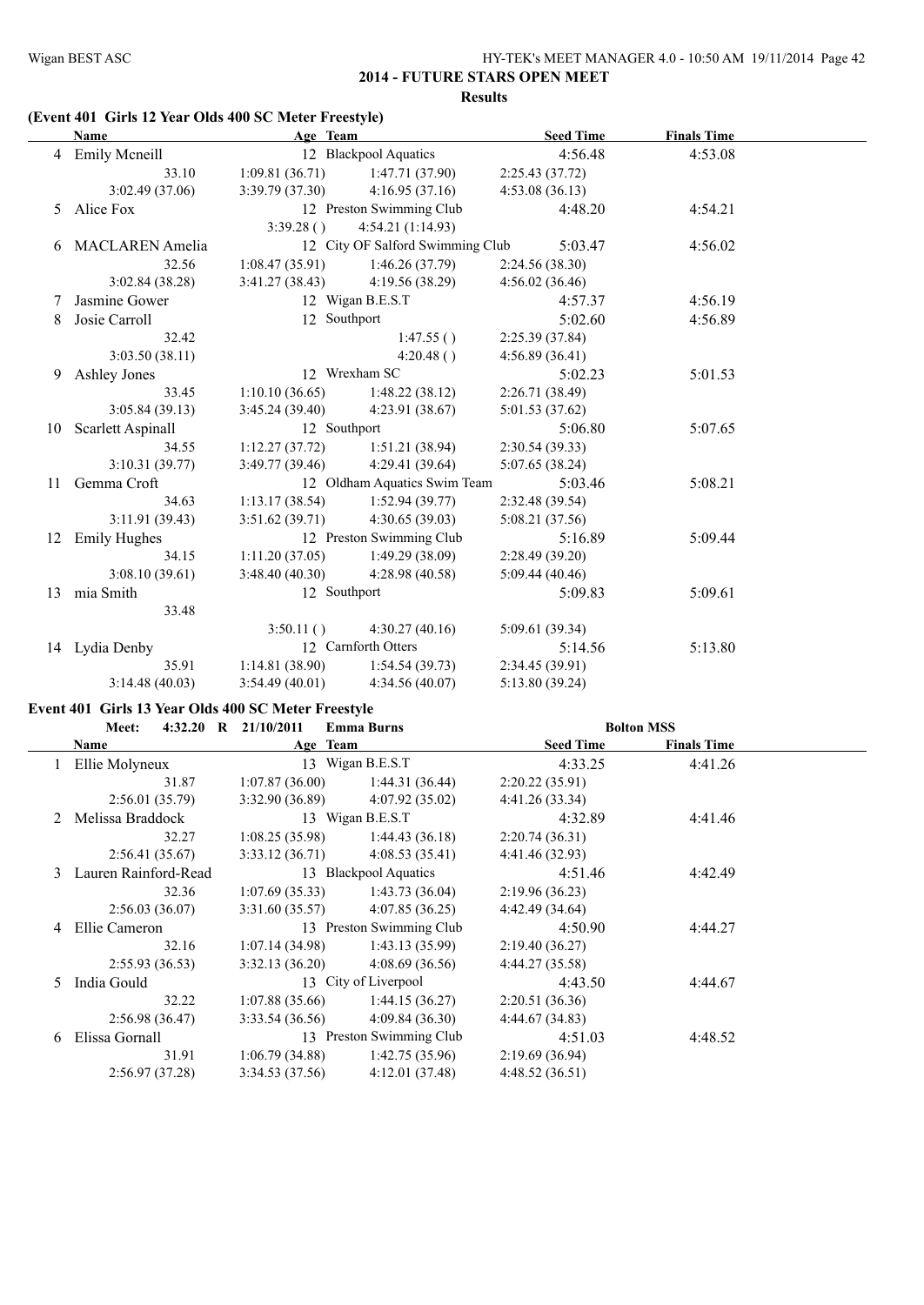#### **(Event 401 Girls 12 Year Olds 400 SC Meter Freestyle)**

|    | Name                   | Age Team       |                                  | <b>Seed Time</b> | <b>Finals Time</b> |  |
|----|------------------------|----------------|----------------------------------|------------------|--------------------|--|
|    | 4 Emily Mcneill        |                | 12 Blackpool Aquatics            | 4:56.48          | 4:53.08            |  |
|    | 33.10                  | 1:09.81(36.71) | 1:47.71 (37.90)                  | 2:25.43(37.72)   |                    |  |
|    | 3:02.49(37.06)         | 3:39.79(37.30) | 4:16.95(37.16)                   | 4:53.08(36.13)   |                    |  |
| 5  | Alice Fox              |                | 12 Preston Swimming Club         | 4:48.20          | 4:54.21            |  |
|    |                        | 3:39.28()      | 4:54.21(1:14.93)                 |                  |                    |  |
| 6  | <b>MACLAREN</b> Amelia |                | 12 City OF Salford Swimming Club | 5:03.47          | 4:56.02            |  |
|    | 32.56                  | 1:08.47(35.91) | 1:46.26 (37.79)                  | 2:24.56 (38.30)  |                    |  |
|    | 3:02.84(38.28)         | 3:41.27(38.43) | 4:19.56 (38.29)                  | 4:56.02(36.46)   |                    |  |
|    | Jasmine Gower          |                | 12 Wigan B.E.S.T                 | 4:57.37          | 4:56.19            |  |
| 8  | Josie Carroll          | 12 Southport   |                                  | 5:02.60          | 4:56.89            |  |
|    | 32.42                  |                | 1:47.55()                        | 2:25.39 (37.84)  |                    |  |
|    | 3:03.50 (38.11)        |                | 4:20.48()                        | 4:56.89(36.41)   |                    |  |
| 9  | <b>Ashley Jones</b>    |                | 12 Wrexham SC                    | 5:02.23          | 5:01.53            |  |
|    | 33.45                  | 1:10.10(36.65) | 1:48.22(38.12)                   | 2:26.71 (38.49)  |                    |  |
|    | 3:05.84(39.13)         | 3:45.24(39.40) | 4:23.91(38.67)                   | 5:01.53 (37.62)  |                    |  |
| 10 | Scarlett Aspinall      | 12 Southport   |                                  | 5:06.80          | 5:07.65            |  |
|    | 34.55                  | 1:12.27(37.72) | 1:51.21(38.94)                   | 2:30.54(39.33)   |                    |  |
|    | 3:10.31(39.77)         | 3:49.77(39.46) | 4:29.41(39.64)                   | 5:07.65(38.24)   |                    |  |
| 11 | Gemma Croft            |                | 12 Oldham Aquatics Swim Team     | 5:03.46          | 5:08.21            |  |
|    | 34.63                  | 1:13.17(38.54) | 1:52.94(39.77)                   | 2:32.48 (39.54)  |                    |  |
|    | 3:11.91(39.43)         | 3:51.62(39.71) | 4:30.65(39.03)                   | 5:08.21 (37.56)  |                    |  |
| 12 | <b>Emily Hughes</b>    |                | 12 Preston Swimming Club         | 5:16.89          | 5:09.44            |  |
|    | 34.15                  | 1:11.20(37.05) | 1:49.29(38.09)                   | 2:28.49(39.20)   |                    |  |
|    | 3:08.10(39.61)         | 3:48.40(40.30) | 4:28.98 (40.58)                  | 5:09.44(40.46)   |                    |  |
| 13 | mia Smith              | 12 Southport   |                                  | 5:09.83          | 5:09.61            |  |
|    | 33.48                  |                |                                  |                  |                    |  |
|    |                        | 3:50.11()      | 4:30.27(40.16)                   | 5:09.61(39.34)   |                    |  |
|    | 14 Lydia Denby         |                | 12 Carnforth Otters              | 5:14.56          | 5:13.80            |  |
|    | 35.91                  | 1:14.81(38.90) | 1:54.54(39.73)                   | 2:34.45 (39.91)  |                    |  |
|    | 3:14.48(40.03)         | 3:54.49(40.01) | 4:34.56(40.07)                   | 5:13.80(39.24)   |                    |  |

#### **Event 401 Girls 13 Year Olds 400 SC Meter Freestyle**

|    | 4:32.20 R $21/10/2011$<br><b>Emma Burns</b><br>Meet: |                |                          | <b>Bolton MSS</b> |                    |  |
|----|------------------------------------------------------|----------------|--------------------------|-------------------|--------------------|--|
|    | Name                                                 | Age Team       |                          | <b>Seed Time</b>  | <b>Finals Time</b> |  |
|    | Ellie Molyneux                                       |                | 13 Wigan B.E.S.T         | 4:33.25           | 4:41.26            |  |
|    | 31.87                                                | 1:07.87(36.00) | 1:44.31(36.44)           | 2:20.22(35.91)    |                    |  |
|    | 2:56.01(35.79)                                       | 3:32.90(36.89) | 4:07.92(35.02)           | 4:41.26(33.34)    |                    |  |
|    | 2 Melissa Braddock                                   |                | 13 Wigan B.E.S.T         | 4:32.89           | 4:41.46            |  |
|    | 32.27                                                | 1:08.25(35.98) | 1:44.43(36.18)           | 2:20.74(36.31)    |                    |  |
|    | 2:56.41(35.67)                                       | 3:33.12(36.71) | 4:08.53(35.41)           | 4:41.46 (32.93)   |                    |  |
|    | 3 Lauren Rainford-Read                               |                | 13 Blackpool Aquatics    | 4:51.46           | 4:42.49            |  |
|    | 32.36                                                | 1:07.69(35.33) | 1:43.73(36.04)           | 2:19.96(36.23)    |                    |  |
|    | 2:56.03(36.07)                                       | 3:31.60(35.57) | 4:07.85(36.25)           | 4:42.49(34.64)    |                    |  |
| 4  | Ellie Cameron                                        |                | 13 Preston Swimming Club | 4:50.90           | 4:44.27            |  |
|    | 32.16                                                | 1:07.14(34.98) | 1:43.13(35.99)           | 2:19.40(36.27)    |                    |  |
|    | 2:55.93(36.53)                                       | 3:32.13(36.20) | 4:08.69(36.56)           | 4:44.27 (35.58)   |                    |  |
| 5. | India Gould                                          |                | 13 City of Liverpool     | 4:43.50           | 4:44.67            |  |
|    | 32.22                                                | 1:07.88(35.66) | 1:44.15(36.27)           | 2:20.51(36.36)    |                    |  |
|    | 2:56.98(36.47)                                       | 3:33.54(36.56) | 4:09.84(36.30)           | 4:44.67(34.83)    |                    |  |
| 6. | Elissa Gornall                                       |                | 13 Preston Swimming Club | 4:51.03           | 4:48.52            |  |
|    | 31.91                                                | 1:06.79(34.88) | 1:42.75(35.96)           | 2:19.69(36.94)    |                    |  |
|    | 2:56.97(37.28)                                       | 3:34.53(37.56) | 4:12.01(37.48)           | 4:48.52(36.51)    |                    |  |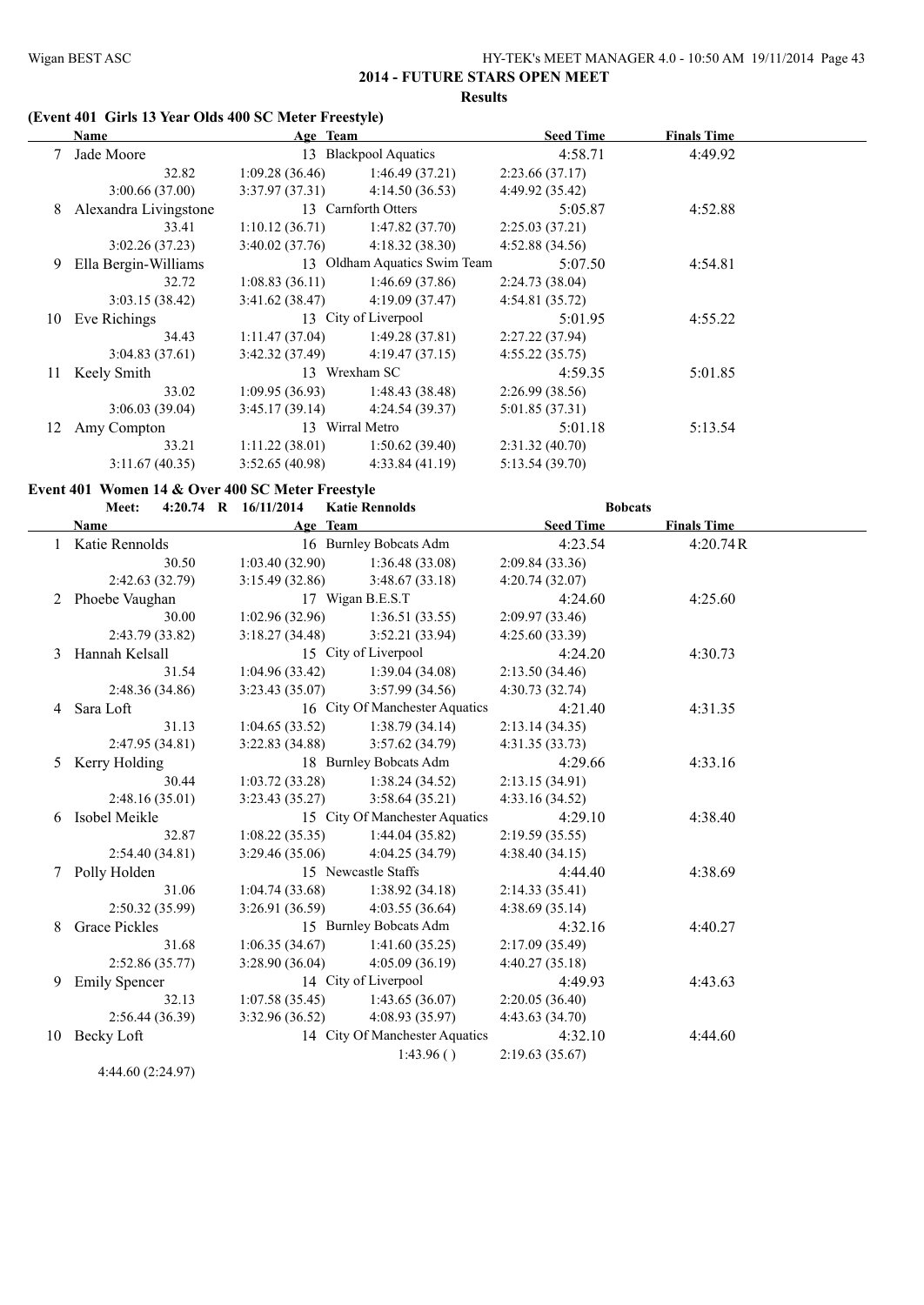#### **(Event 401 Girls 13 Year Olds 400 SC Meter Freestyle)**

|    | Name                  | Age Team              |                              | <b>Seed Time</b> | <b>Finals Time</b> |  |
|----|-----------------------|-----------------------|------------------------------|------------------|--------------------|--|
|    | Jade Moore            | 13 Blackpool Aquatics |                              | 4:58.71          | 4:49.92            |  |
|    | 32.82                 | 1:09.28(36.46)        | 1:46.49(37.21)               | 2:23.66(37.17)   |                    |  |
|    | 3:00.66(37.00)        | 3:37.97(37.31)        | 4:14.50(36.53)               | 4:49.92 (35.42)  |                    |  |
| 8  | Alexandra Livingstone |                       | 13 Carnforth Otters          | 5:05.87          | 4:52.88            |  |
|    | 33.41                 | 1:10.12(36.71)        | 1:47.82(37.70)               | 2:25.03(37.21)   |                    |  |
|    | 3:02.26(37.23)        | 3:40.02(37.76)        | 4:18.32(38.30)               | 4:52.88(34.56)   |                    |  |
| 9  | Ella Bergin-Williams  |                       | 13 Oldham Aquatics Swim Team | 5:07.50          | 4:54.81            |  |
|    | 32.72                 | 1:08.83(36.11)        | 1:46.69(37.86)               | 2:24.73(38.04)   |                    |  |
|    | 3:03.15(38.42)        | 3:41.62(38.47)        | 4:19.09(37.47)               | 4:54.81(35.72)   |                    |  |
| 10 | Eve Richings          |                       | 13 City of Liverpool         | 5:01.95          | 4:55.22            |  |
|    | 34.43                 | 1:11.47(37.04)        | 1:49.28 (37.81)              | 2:27.22(37.94)   |                    |  |
|    | 3:04.83(37.61)        | 3:42.32(37.49)        | 4:19.47(37.15)               | 4:55.22(35.75)   |                    |  |
| 11 | Keely Smith           |                       | 13 Wrexham SC                | 4:59.35          | 5:01.85            |  |
|    | 33.02                 | 1:09.95(36.93)        | 1:48.43(38.48)               | 2:26.99(38.56)   |                    |  |
|    | 3:06.03(39.04)        | 3:45.17(39.14)        | 4:24.54(39.37)               | 5:01.85(37.31)   |                    |  |
| 12 | Amy Compton           |                       | 13 Wirral Metro              | 5:01.18          | 5:13.54            |  |
|    | 33.21                 | 1:11.22(38.01)        | 1:50.62(39.40)               | 2:31.32(40.70)   |                    |  |
|    | 3:11.67(40.35)        | 3:52.65(40.98)        | 4:33.84(41.19)               | 5:13.54 (39.70)  |                    |  |

#### **Event 401 Women 14 & Over 400 SC Meter Freestyle**

#### **Meet: 4:20.74 R 16/11/2014 Katie Rennolds Bobcats**

|    | Name                 | Age Team        |                                | <b>Seed Time</b> | <b>Finals Time</b> |  |
|----|----------------------|-----------------|--------------------------------|------------------|--------------------|--|
|    | Katie Rennolds       |                 | 16 Burnley Bobcats Adm         | 4:23.54          | 4:20.74R           |  |
|    | 30.50                | 1:03.40(32.90)  | 1:36.48(33.08)                 | 2:09.84(33.36)   |                    |  |
|    | 2:42.63(32.79)       | 3:15.49(32.86)  | 3:48.67(33.18)                 | 4:20.74(32.07)   |                    |  |
|    | 2 Phoebe Vaughan     |                 | 17 Wigan B.E.S.T               | 4:24.60          | 4:25.60            |  |
|    | 30.00                | 1:02.96(32.96)  | 1:36.51(33.55)                 | 2:09.97(33.46)   |                    |  |
|    | 2:43.79 (33.82)      | 3:18.27(34.48)  | 3:52.21 (33.94)                | 4:25.60 (33.39)  |                    |  |
| 3  | Hannah Kelsall       |                 | 15 City of Liverpool           |                  | 4:30.73            |  |
|    | 31.54                | 1:04.96(33.42)  | 1:39.04(34.08)                 | 2:13.50(34.46)   |                    |  |
|    | 2:48.36 (34.86)      | 3:23.43(35.07)  | 3:57.99(34.56)                 | 4:30.73 (32.74)  |                    |  |
| 4  | Sara Loft            |                 | 16 City Of Manchester Aquatics | 4:21.40          | 4:31.35            |  |
|    | 31.13                | 1:04.65(33.52)  | 1:38.79(34.14)                 | 2:13.14(34.35)   |                    |  |
|    | 2:47.95(34.81)       | 3:22.83 (34.88) | 3:57.62(34.79)                 | 4:31.35(33.73)   |                    |  |
| 5. | Kerry Holding        |                 | 18 Burnley Bobcats Adm         | 4:29.66          | 4:33.16            |  |
|    | 30.44                | 1:03.72(33.28)  | 1:38.24(34.52)                 | 2:13.15(34.91)   |                    |  |
|    | 2:48.16(35.01)       | 3:23.43(35.27)  | 3:58.64(35.21)                 | 4:33.16(34.52)   |                    |  |
| 6  | Isobel Meikle        |                 | 15 City Of Manchester Aquatics | 4:29.10          | 4:38.40            |  |
|    | 32.87                | 1:08.22(35.35)  | 1:44.04(35.82)                 | 2:19.59(35.55)   |                    |  |
|    | 2:54.40(34.81)       | 3:29.46(35.06)  | 4:04.25 (34.79)                | 4:38.40(34.15)   |                    |  |
| 7  | Polly Holden         |                 | 15 Newcastle Staffs            | 4:44.40          | 4:38.69            |  |
|    | 31.06                | 1:04.74(33.68)  | 1:38.92(34.18)                 | 2:14.33(35.41)   |                    |  |
|    | 2:50.32(35.99)       | 3:26.91(36.59)  | 4:03.55(36.64)                 | 4:38.69(35.14)   |                    |  |
| 8  | <b>Grace Pickles</b> |                 | 15 Burnley Bobcats Adm         | 4:32.16          | 4:40.27            |  |
|    | 31.68                | 1:06.35(34.67)  | 1:41.60(35.25)                 | 2:17.09(35.49)   |                    |  |
|    | 2:52.86 (35.77)      | 3:28.90(36.04)  | 4:05.09(36.19)                 | 4:40.27(35.18)   |                    |  |
| 9  | <b>Emily Spencer</b> |                 | 14 City of Liverpool           | 4:49.93          | 4:43.63            |  |
|    | 32.13                | 1:07.58(35.45)  | 1:43.65(36.07)                 | 2:20.05(36.40)   |                    |  |
|    | 2:56.44(36.39)       | 3:32.96(36.52)  | 4:08.93(35.97)                 | 4:43.63(34.70)   |                    |  |
| 10 | Becky Loft           |                 | 14 City Of Manchester Aquatics | 4:32.10          | 4:44.60            |  |
|    |                      |                 | 1:43.96()                      | 2:19.63(35.67)   |                    |  |

4:44.60 (2:24.97)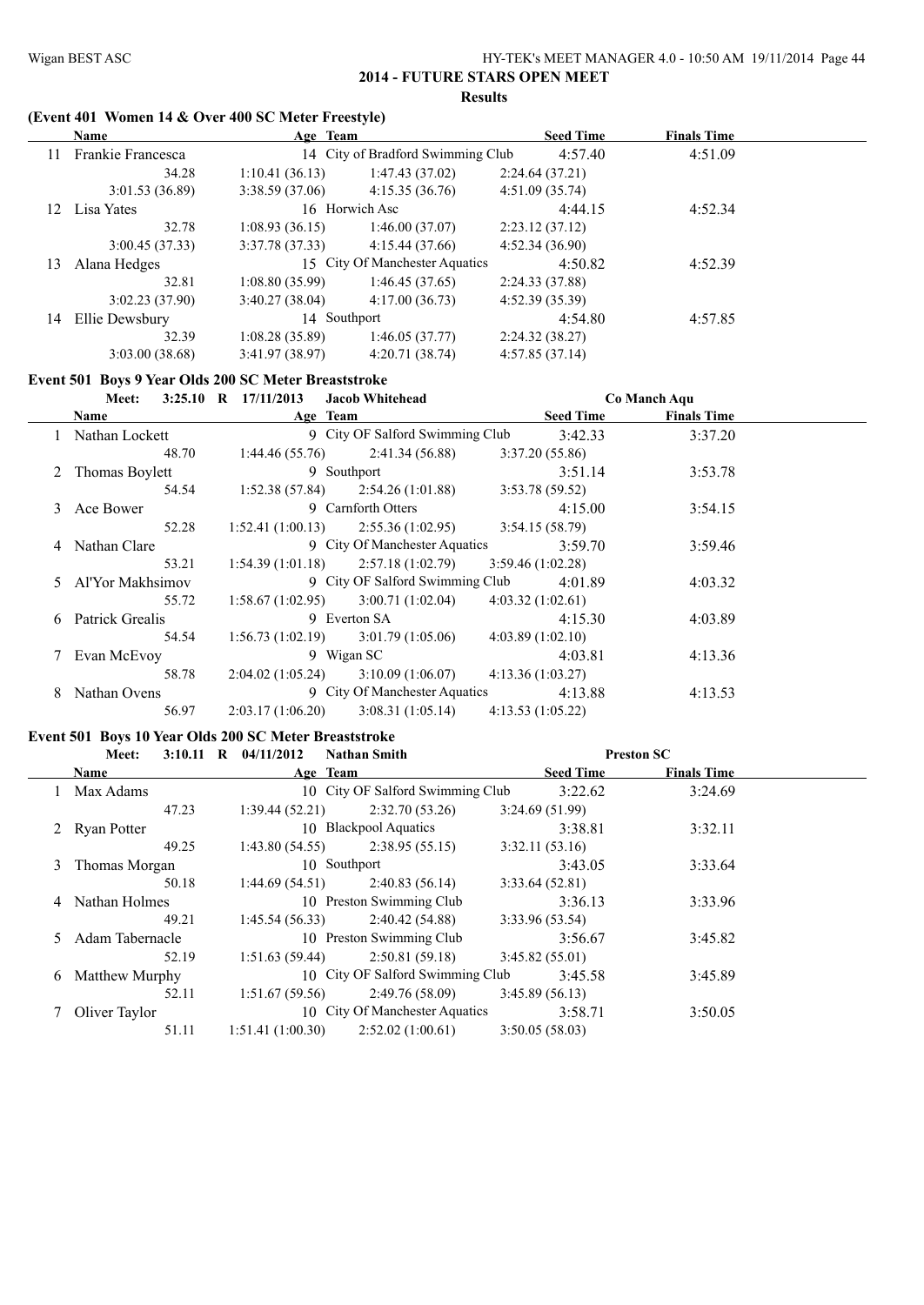#### **(Event 401 Women 14 & Over 400 SC Meter Freestyle)**

|     | <b>Name</b>       | Age Team       |                                   | <b>Seed Time</b> | <b>Finals Time</b> |  |
|-----|-------------------|----------------|-----------------------------------|------------------|--------------------|--|
| 11  | Frankie Francesca |                | 14 City of Bradford Swimming Club | 4:57.40          | 4:51.09            |  |
|     | 34.28             | 1:10.41(36.13) | 1:47.43(37.02)                    | 2:24.64(37.21)   |                    |  |
|     | 3:01.53(36.89)    | 3:38.59(37.06) | 4:15.35(36.76)                    | 4:51.09(35.74)   |                    |  |
| 12. | Lisa Yates        |                | 16 Horwich Asc                    | 4:44.15          | 4:52.34            |  |
|     | 32.78             | 1:08.93(36.15) | 1:46.00(37.07)                    | 2:23.12(37.12)   |                    |  |
|     | 3:00.45(37.33)    | 3:37.78(37.33) | 4:15.44(37.66)                    | 4:52.34(36.90)   |                    |  |
| 13  | Alana Hedges      |                | 15 City Of Manchester Aquatics    | 4:50.82          | 4:52.39            |  |
|     | 32.81             | 1:08.80(35.99) | 1:46.45(37.65)                    | 2:24.33(37.88)   |                    |  |
|     | 3:02.23(37.90)    | 3:40.27(38.04) | 4:17.00(36.73)                    | 4:52.39(35.39)   |                    |  |
| 14  | Ellie Dewsbury    | 14 Southport   |                                   | 4:54.80          | 4:57.85            |  |
|     | 32.39             | 1:08.28(35.89) | 1:46.05(37.77)                    | 2:24.32(38.27)   |                    |  |
|     | 3:03.00(38.68)    | 3:41.97(38.97) | 4:20.71(38.74)                    | 4:57.85(37.14)   |                    |  |

#### **Event 501 Boys 9 Year Olds 200 SC Meter Breaststroke**

|   | <b>Meet:</b>       | $3:25.10$ R $17/11/2013$<br><b>Jacob Whitehead</b> | Co Manch Aqu                           |  |
|---|--------------------|----------------------------------------------------|----------------------------------------|--|
|   | <b>Name</b>        | Age Team                                           | <b>Seed Time</b><br><b>Finals Time</b> |  |
|   | Nathan Lockett     | 9 City OF Salford Swimming Club                    | 3:42.33<br>3:37.20                     |  |
|   | 48.70              | 1:44.46(55.76)<br>2:41.34 (56.88)                  | 3:37.20(55.86)                         |  |
|   | 2 Thomas Boylett   | 9 Southport                                        | 3:51.14<br>3:53.78                     |  |
|   | 54.54              | $1:52.38(57.84)$ $2:54.26(1:01.88)$                | 3:53.78(59.52)                         |  |
| 3 | Ace Bower          | 9 Carnforth Otters                                 | 3:54.15<br>4:15.00                     |  |
|   | 52.28              | $1:52.41(1:00.13)$ $2:55.36(1:02.95)$              | 3:54.15(58.79)                         |  |
|   | 4 Nathan Clare     | 9 City Of Manchester Aquatics                      | 3:59.46<br>3:59.70                     |  |
|   | 53.21              | $1:54.39(1:01.18)$ $2:57.18(1:02.79)$              | 3:59.46(1:02.28)                       |  |
|   | 5 Al'Yor Makhsimov | 9 City OF Salford Swimming Club                    | 4:01.89<br>4:03.32                     |  |
|   | 55.72              | 3:00.71(1:02.04)<br>1:58.67(1:02.95)               | 4:03.32(1:02.61)                       |  |
|   | 6 Patrick Grealis  | 9 Everton SA                                       | 4:15.30<br>4:03.89                     |  |
|   | 54.54              | $1:56.73(1:02.19)$ $3:01.79(1:05.06)$              | 4:03.89(1:02.10)                       |  |
|   | 7 Evan McEvoy      | 9 Wigan SC                                         | 4:13.36<br>4:03.81                     |  |
|   | 58.78              | 2:04.02(1:05.24)<br>3:10.09(1:06.07)               | 4:13.36(1:03.27)                       |  |
| 8 | Nathan Ovens       | 9 City Of Manchester Aquatics                      | 4:13.88<br>4:13.53                     |  |
|   | 56.97              | 3:08.31(1:05.14)<br>2:03.17(1:06.20)               | 4:13.53(1:05.22)                       |  |

#### **Event 501 Boys 10 Year Olds 200 SC Meter Breaststroke**

|    | <b>Meet:</b>      | 3:10.11 R $04/11/2012$<br><b>Nathan Smith</b> |                  | <b>Preston SC</b>  |  |
|----|-------------------|-----------------------------------------------|------------------|--------------------|--|
|    | <b>Name</b>       | Age Team                                      | <b>Seed Time</b> | <b>Finals Time</b> |  |
|    | Max Adams         | 10 City OF Salford Swimming Club              | 3:22.62          | 3:24.69            |  |
|    | 47.23             | 2:32.70(53.26)<br>1:39.44(52.21)              | 3:24.69(51.99)   |                    |  |
|    | 2 Ryan Potter     | 10 Blackpool Aquatics                         | 3:38.81          | 3:32.11            |  |
|    | 49.25             | 2:38.95(55.15)<br>1:43.80(54.55)              | 3:32.11(53.16)   |                    |  |
|    | 3 Thomas Morgan   | 10 Southport                                  | 3:43.05          | 3:33.64            |  |
|    | 50.18             | 1:44.69(54.51)<br>2:40.83(56.14)              | 3:33.64(52.81)   |                    |  |
|    | 4 Nathan Holmes   | 10 Preston Swimming Club                      | 3:36.13          | 3:33.96            |  |
|    | 49.21             | 2:40.42 (54.88)<br>1:45.54(56.33)             | 3:33.96(53.54)   |                    |  |
|    | 5 Adam Tabernacle | 10 Preston Swimming Club                      | 3:56.67          | 3:45.82            |  |
|    | 52.19             | 2:50.81(59.18)<br>1:51.63(59.44)              | 3:45.82(55.01)   |                    |  |
| 6. | Matthew Murphy    | 10 City OF Salford Swimming Club              | 3:45.58          | 3:45.89            |  |
|    | 52.11             | 2:49.76 (58.09)<br>1:51.67(59.56)             | 3:45.89(56.13)   |                    |  |
|    | Oliver Taylor     | 10 City Of Manchester Aquatics                | 3:58.71          | 3:50.05            |  |
|    | 51.11             | 2:52.02(1:00.61)<br>1:51.41(1:00.30)          | 3:50.05(58.03)   |                    |  |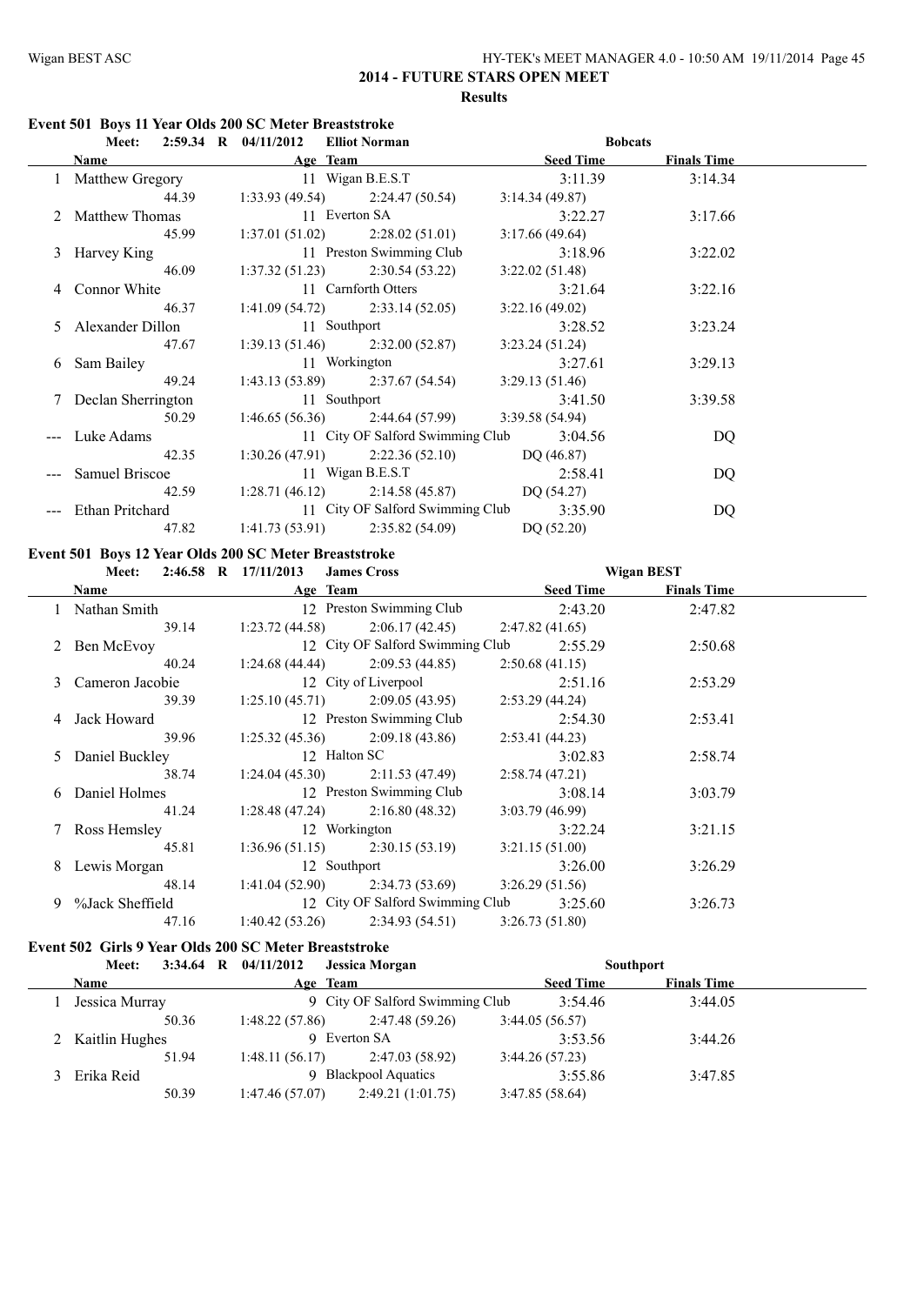#### **Event 501 Boys 11 Year Olds 200 SC Meter Breaststroke**

|                      | Meet: 2:59.34 R 04/11/2012 Elliot Norman            | <b>Bobcats</b>        |         |
|----------------------|-----------------------------------------------------|-----------------------|---------|
|                      | Name Age Team                                       | Seed Time Finals Time |         |
|                      | 1 Matthew Gregory 11 Wigan B.E.S.T 3:11.39          |                       | 3:14.34 |
| 44.39                | $1:33.93(49.54)$ $2:24.47(50.54)$                   | 3:14.34(49.87)        |         |
|                      | 2 Matthew Thomas 11 Everton SA 3:22.27              |                       | 3:17.66 |
| 45.99                | $1:37.01(51.02)$ $2:28.02(51.01)$                   | 3:17.66 (49.64)       |         |
| 3 Harvey King        | 11 Preston Swimming Club                            | 3:18.96               | 3:22.02 |
| 46.09                | $1:37.32(51.23)$ $2:30.54(53.22)$                   | 3:22.02(51.48)        |         |
| 4 Connor White       | 11 Carnforth Otters                                 | 3:21.64               | 3:22.16 |
| 46.37                | $1:41.09(54.72)$ $2:33.14(52.05)$                   | 3:22.16(49.02)        |         |
|                      | 5 Alexander Dillon 11 Southport                     | 3:28.52               | 3:23.24 |
| 47.67                | $1:39.13(51.46)$ $2:32.00(52.87)$ $3:23.24(51.24)$  |                       |         |
| 6 Sam Bailey         | 11 Workington 3:27.61                               |                       | 3:29.13 |
| 49.24                | 1:43.13 (53.89) $2:37.67$ (54.54) $3:29.13$ (51.46) |                       |         |
| 7 Declan Sherrington | 11 Southport                                        | 3:41.50               | 3:39.58 |
| 50.29                | $1:46.65(56.36)$ $2:44.64(57.99)$ $3:39.58(54.94)$  |                       |         |
| --- Luke Adams       | 11 City OF Salford Swimming Club 3:04.56            |                       | DQ      |
| 42.35                | 1:30.26 (47.91) 2:22.36 (52.10) DQ (46.87)          |                       |         |
| --- Samuel Briscoe   | 11 Wigan B.E.S.T 2:58.41                            |                       | DQ      |
| 42.59                | 1:28.71 (46.12) 2:14.58 (45.87) DQ (54.27)          |                       |         |
| --- Ethan Pritchard  | 11 City OF Salford Swimming Club 3:35.90            |                       | DQ      |
| 47.82                | $1:41.73(53.91)$ $2:35.82(54.09)$                   | DQ(52.20)             |         |

#### **Event 501 Boys 12 Year Olds 200 SC Meter Breaststroke**

| <b>Meet:</b>      | 2:46.58 R 17/11/2013<br><b>James Cross</b>         | <b>Wigan BEST</b>               |  |
|-------------------|----------------------------------------------------|---------------------------------|--|
| Name              | Age Team                                           | Seed Time<br><b>Finals Time</b> |  |
| 1 Nathan Smith    | 12 Preston Swimming Club                           | 2:43.20<br>2:47.82              |  |
| 39.14             | $1:23.72(44.58)$ $2:06.17(42.45)$ $2:47.82(41.65)$ |                                 |  |
| 2 Ben McEvoy      | 12 City OF Salford Swimming Club                   | 2:50.68<br>2:55.29              |  |
| 40.24             | $1:24.68(44.44)$ $2:09.53(44.85)$                  | 2:50.68(41.15)                  |  |
| 3 Cameron Jacobie | 12 City of Liverpool                               | 2:53.29<br>2:51.16              |  |
| 39.39             | $1:25.10(45.71)$ $2:09.05(43.95)$                  | 2:53.29(44.24)                  |  |
| 4 Jack Howard     | 12 Preston Swimming Club                           | 2:54.30<br>2:53.41              |  |
| 39.96             | $1:25.32(45.36)$ $2:09.18(43.86)$                  | 2:53.41(44.23)                  |  |
| 5 Daniel Buckley  | 12 Halton SC                                       | 3:02.83<br>2:58.74              |  |
| 38.74             | $1:24.04(45.30)$ $2:11.53(47.49)$                  | 2:58.74(47.21)                  |  |
| 6 Daniel Holmes   | 12 Preston Swimming Club                           | 3:08.14<br>3:03.79              |  |
| 41.24             | $1:28.48(47.24)$ $2:16.80(48.32)$                  | 3:03.79(46.99)                  |  |
| 7 Ross Hemsley    | 12 Workington                                      | 3:22.24<br>3:21.15              |  |
| 45.81             | $1:36.96(51.15)$ $2:30.15(53.19)$                  | 3:21.15(51.00)                  |  |
| 8 Lewis Morgan    | 12 Southport                                       | 3:26.29<br>3:26.00              |  |
| 48.14             | $1:41.04(52.90)$ $2:34.73(53.69)$                  | 3:26.29(51.56)                  |  |
| 9 %Jack Sheffield | 12 City OF Salford Swimming Club 3:25.60           | 3:26.73                         |  |
| 47.16             | 2:34.93 (54.51)<br>1:40.42(53.26)                  | 3:26.73(51.80)                  |  |

# **Event 502 Girls 9 Year Olds 200 SC Meter Breaststroke**<br>Method 3:34.64 B 04/11/2012 **Lessica** Mo

| ртан ма тана з тан маа зоо ме нтаа ргаммаа он<br>Meet: | 3:34.64 R $04/11/2012$ | Jessica Morgan                  |                  | <b>Southport</b>   |  |
|--------------------------------------------------------|------------------------|---------------------------------|------------------|--------------------|--|
| <b>Name</b>                                            | Age Team               |                                 | <b>Seed Time</b> | <b>Finals Time</b> |  |
| Jessica Murray                                         |                        | 9 City OF Salford Swimming Club | 3:54.46          | 3:44.05            |  |
| 50.36                                                  | 1:48.22(57.86)         | 2:47.48(59.26)                  | 3:44.05(56.57)   |                    |  |
| 2 Kaitlin Hughes                                       |                        | 9 Everton SA                    | 3:53.56          | 3:44.26            |  |
| 51.94                                                  | 1:48.11(56.17)         | 2:47.03 (58.92)                 | 3:44.26(57.23)   |                    |  |
| Erika Reid                                             |                        | 9 Blackpool Aquatics            | 3:55.86          | 3:47.85            |  |
| 50.39                                                  | 1:47.46(57.07)         | 2:49.21(1:01.75)                | 3:47.85(58.64)   |                    |  |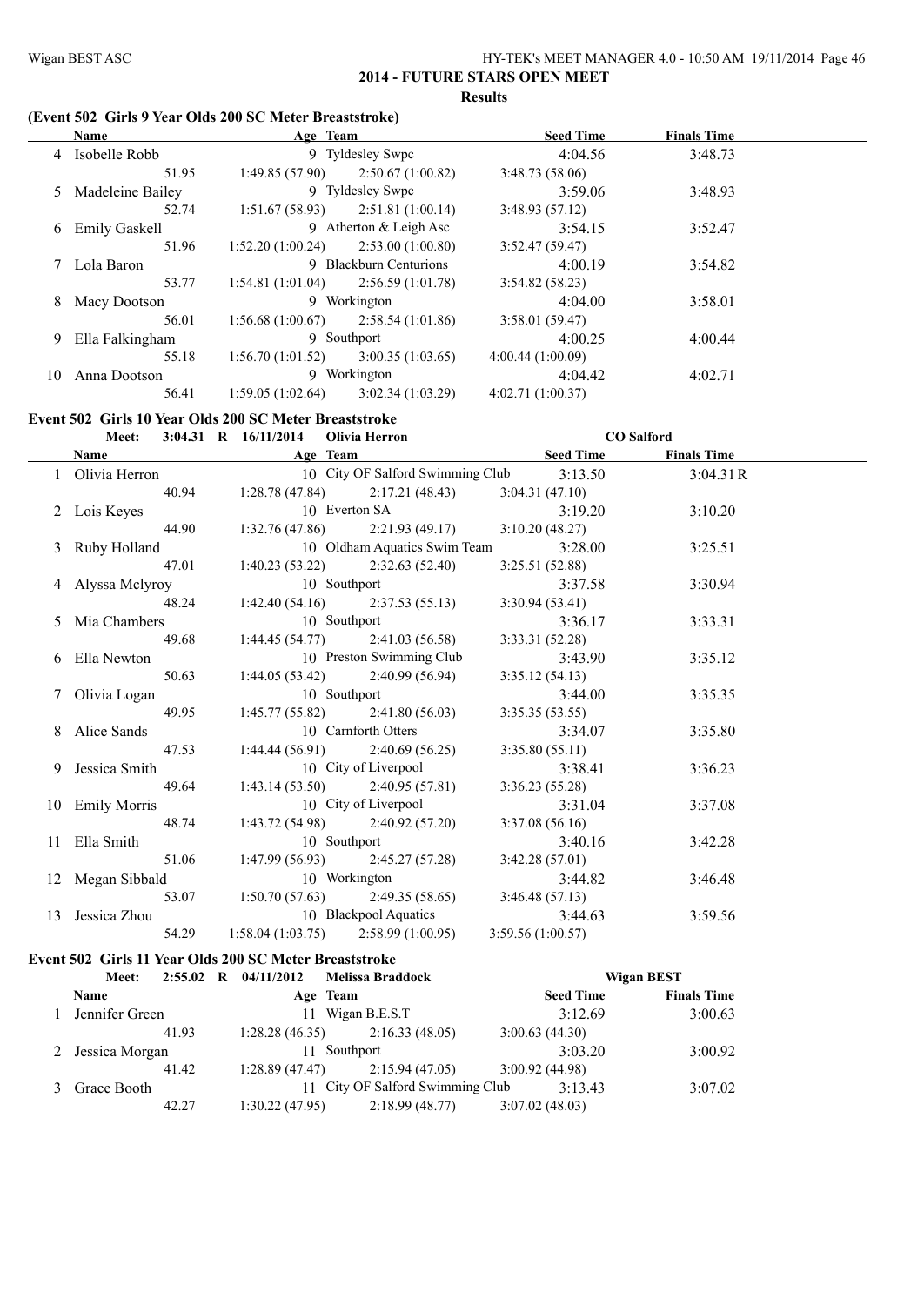#### **(Event 502 Girls 9 Year Olds 200 SC Meter Breaststroke)**

|    | <b>Name</b>          | Age Team         |                          | <b>Seed Time</b> | <b>Finals Time</b> |  |
|----|----------------------|------------------|--------------------------|------------------|--------------------|--|
|    | 4 Isobelle Robb      |                  | 9 Tyldesley Swpc         | 4:04.56          | 3:48.73            |  |
|    | 51.95                | 1:49.85(57.90)   | 2:50.67(1:00.82)         | 3:48.73(58.06)   |                    |  |
|    | 5 Madeleine Bailey   |                  | 9 Tyldesley Swpc         | 3:59.06          | 3:48.93            |  |
|    | 52.74                | 1:51.67(58.93)   | 2:51.81(1:00.14)         | 3:48.93(57.12)   |                    |  |
| 6  | <b>Emily Gaskell</b> |                  | 9 Atherton $&$ Leigh Asc | 3:54.15          | 3:52.47            |  |
|    | 51.96                | 1:52.20(1:00.24) | 2:53.00(1:00.80)         | 3:52.47(59.47)   |                    |  |
|    | 7 Lola Baron         |                  | 9 Blackburn Centurions   | 4:00.19          | 3:54.82            |  |
|    | 53.77                | 1:54.81(1:01.04) | 2:56.59(1:01.78)         | 3:54.82(58.23)   |                    |  |
| 8  | Macy Dootson         |                  | 9 Workington             | 4:04.00          | 3:58.01            |  |
|    | 56.01                | 1:56.68(1:00.67) | 2:58.54(1:01.86)         | 3:58.01(59.47)   |                    |  |
| 9  | Ella Falkingham      |                  | 9 Southport              | 4:00.25          | 4:00.44            |  |
|    | 55.18                | 1:56.70(1:01.52) | 3:00.35(1:03.65)         | 4:00.44(1:00.09) |                    |  |
| 10 | Anna Dootson         | 9                | Workington               | 4:04.42          | 4:02.71            |  |
|    | 56.41                | 1:59.05(1:02.64) | 3:02.34(1:03.29)         | 4:02.71(1:00.37) |                    |  |

# **Event 502 Girls 10 Year Olds 200 SC Meter Breaststroke**

| <b>Meet:</b>     | 3:04.31 R 16/11/2014 Olivia Herron                       | <b>CO</b> Salford |                    |  |
|------------------|----------------------------------------------------------|-------------------|--------------------|--|
|                  | Name Age Team                                            | <u>Seed Time</u>  | <b>Finals Time</b> |  |
|                  | 1 Olivia Herron 10 City OF Salford Swimming Club 3:13.50 |                   | 3:04.31R           |  |
|                  | 40.94 1:28.78 (47.84) 2:17.21 (48.43) 3:04.31 (47.10)    |                   |                    |  |
| 2 Lois Keyes     | 10 Everton SA                                            | 3:19.20           | 3:10.20            |  |
| 44.90            | 1:32.76 (47.86) 2:21.93 (49.17) 3:10.20 (48.27)          |                   |                    |  |
| 3 Ruby Holland   | 10 Oldham Aquatics Swim Team 3:28.00                     |                   | 3:25.51            |  |
| 47.01            | 1:40.23 (53.22) 2:32.63 (52.40) 3:25.51 (52.88)          |                   |                    |  |
| 4 Alyssa Melyroy | 10 Southport                                             | 3:37.58           | 3:30.94            |  |
| 48.24            | $1:42.40(54.16)$ $2:37.53(55.13)$                        | 3:30.94(53.41)    |                    |  |
| 5 Mia Chambers   | 10 Southport                                             | 3:36.17           | 3:33.31            |  |
| 49.68            | $1:44.45(54.77)$ $2:41.03(56.58)$                        | 3:33.31(52.28)    |                    |  |
| 6 Ella Newton    | 10 Preston Swimming Club                                 | 3:43.90           | 3:35.12            |  |
| 50.63            | 1:44.05 (53.42) 2:40.99 (56.94) 3:35.12 (54.13)          |                   |                    |  |
| 7 Olivia Logan   | 10 Southport                                             | 3:44.00           | 3:35.35            |  |
| 49.95            | $1:45.77(55.82)$ $2:41.80(56.03)$                        | 3:35.35(53.55)    |                    |  |
| 8 Alice Sands    | 10 Carnforth Otters                                      | 3:34.07           | 3:35.80            |  |
| 47.53            | $1:44.44(56.91)$ $2:40.69(56.25)$                        | 3:35.80(55.11)    |                    |  |
| 9 Jessica Smith  | 10 City of Liverpool                                     | 3:38.41           | 3:36.23            |  |
| 49.64            | $1:43.14(53.50)$ $2:40.95(57.81)$                        | 3:36.23(55.28)    |                    |  |
| 10 Emily Morris  | 10 City of Liverpool                                     | 3:31.04           | 3:37.08            |  |
| 48.74            | $1:43.72(54.98)$ $2:40.92(57.20)$                        | 3:37.08(56.16)    |                    |  |
| 11 Ella Smith    | 10 Southport                                             | 3:40.16           | 3:42.28            |  |
| 51.06            | $1:47.99(56.93)$ $2:45.27(57.28)$                        | 3:42.28(57.01)    |                    |  |
| 12 Megan Sibbald | 10 Workington                                            | 3:44.82           | 3:46.48            |  |
| 53.07            | $1:50.70(57.63)$ $2:49.35(58.65)$                        | 3:46.48(57.13)    |                    |  |
| 13 Jessica Zhou  | 10 Blackpool Aquatics 3:44.63                            |                   | 3:59.56            |  |
| 54.29            | $1:58.04(1:03.75)$ $2:58.99(1:00.95)$                    | 3:59.56(1:00.57)  |                    |  |

### **Event 502 Girls 11 Year Olds 200 SC Meter Breaststroke**

| <b>Meet:</b>     | 2:55.02 R 04/11/2012 Melissa Braddock | <b>Wigan BEST</b>                      |  |
|------------------|---------------------------------------|----------------------------------------|--|
| <b>Name</b>      | Age Team                              | <b>Finals Time</b><br><b>Seed Time</b> |  |
| Jennifer Green   | 11 Wigan B.E.S.T                      | 3:12.69<br>3:00.63                     |  |
| 41.93            | 2:16.33(48.05)<br>1:28.28(46.35)      | 3:00.63(44.30)                         |  |
| 2 Jessica Morgan | 11 Southport                          | 3:03.20<br>3:00.92                     |  |
| 41.42            | 2:15.94 (47.05)<br>1:28.89(47.47)     | 3:00.92 (44.98)                        |  |
| Grace Booth      | 11 City OF Salford Swimming Club      | 3:13.43<br>3:07.02                     |  |
| 42.27            | 2:18.99(48.77)<br>1:30.22(47.95)      | 3:07.02(48.03)                         |  |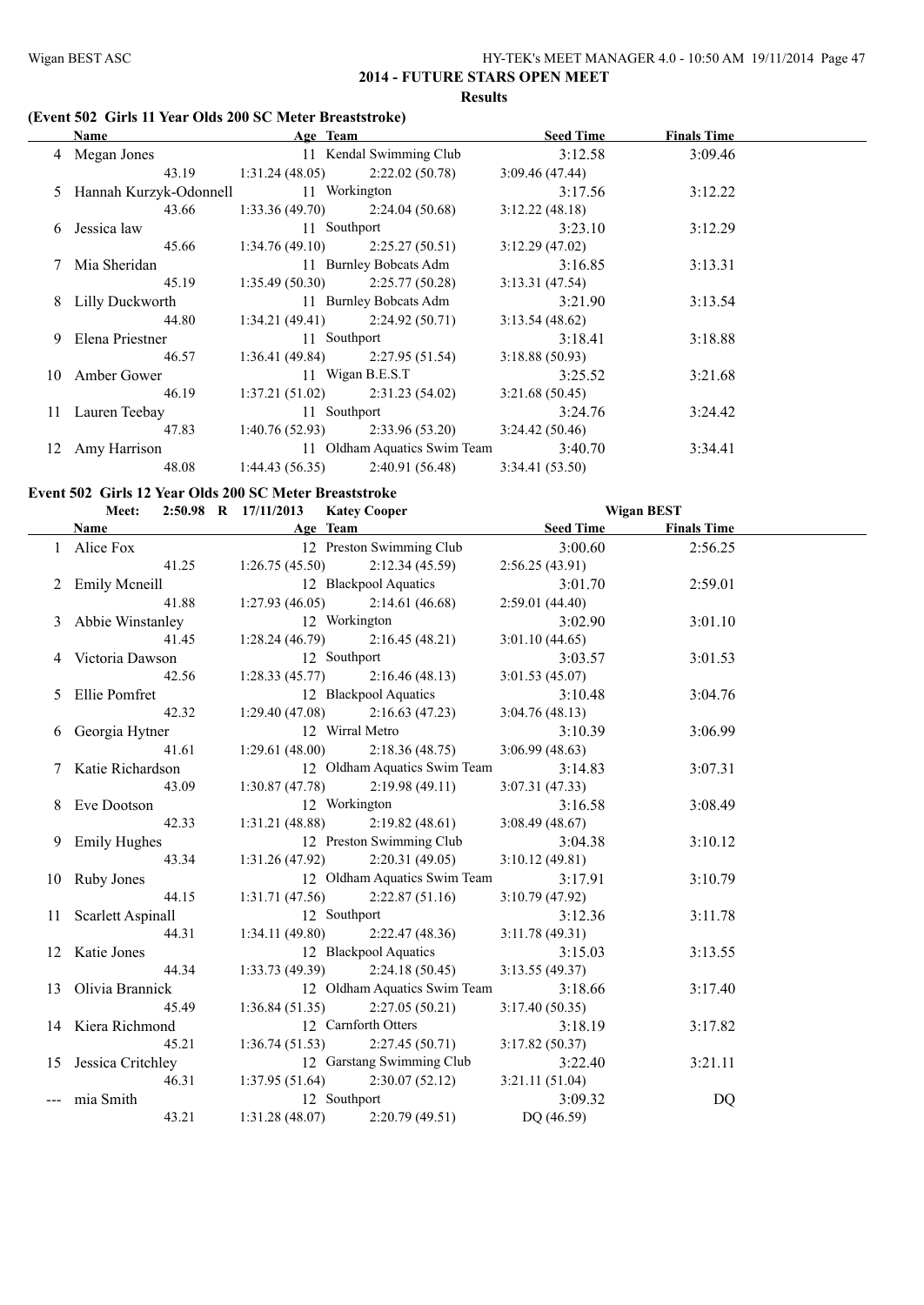#### **(Event 502 Girls 11 Year Olds 200 SC Meter Breaststroke)**

| Name                   |                |                        | <b>Seed Time</b>                                                                                                                                                                                                                                                                                                                | <b>Finals Time</b>           |  |
|------------------------|----------------|------------------------|---------------------------------------------------------------------------------------------------------------------------------------------------------------------------------------------------------------------------------------------------------------------------------------------------------------------------------|------------------------------|--|
| 4 Megan Jones          |                |                        | 3:12.58                                                                                                                                                                                                                                                                                                                         | 3:09.46                      |  |
| 43.19                  | 1:31.24(48.05) | 2:22.02(50.78)         | 3:09.46(47.44)                                                                                                                                                                                                                                                                                                                  |                              |  |
|                        |                |                        | 3:17.56                                                                                                                                                                                                                                                                                                                         | 3:12.22                      |  |
| 43.66                  | 1:33.36(49.70) | 2:24.04 (50.68)        | 3:12.22(48.18)                                                                                                                                                                                                                                                                                                                  |                              |  |
| Jessica law            |                |                        | 3:23.10                                                                                                                                                                                                                                                                                                                         | 3:12.29                      |  |
| 45.66                  | 1:34.76(49.10) | 2:25.27(50.51)         | 3:12.29(47.02)                                                                                                                                                                                                                                                                                                                  |                              |  |
| Mia Sheridan           |                |                        | 3:16.85                                                                                                                                                                                                                                                                                                                         | 3:13.31                      |  |
| 45.19                  |                |                        | 3:13.31(47.54)                                                                                                                                                                                                                                                                                                                  |                              |  |
| <b>Lilly Duckworth</b> |                |                        | 3:21.90                                                                                                                                                                                                                                                                                                                         | 3:13.54                      |  |
| 44.80                  |                |                        | 3:13.54(48.62)                                                                                                                                                                                                                                                                                                                  |                              |  |
| Elena Priestner        |                |                        | 3:18.41                                                                                                                                                                                                                                                                                                                         | 3:18.88                      |  |
| 46.57                  |                | 2:27.95(51.54)         | 3:18.88(50.93)                                                                                                                                                                                                                                                                                                                  |                              |  |
| Amber Gower            |                |                        | 3:25.52                                                                                                                                                                                                                                                                                                                         | 3:21.68                      |  |
| 46.19                  |                |                        | 3:21.68(50.45)                                                                                                                                                                                                                                                                                                                  |                              |  |
| Lauren Teebay          |                |                        | 3:24.76                                                                                                                                                                                                                                                                                                                         | 3:24.42                      |  |
| 47.83                  |                | 2:33.96 (53.20)        | 3:24.42(50.46)                                                                                                                                                                                                                                                                                                                  |                              |  |
| Amy Harrison           |                |                        | 3:40.70                                                                                                                                                                                                                                                                                                                         | 3:34.41                      |  |
| 48.08                  | 1:44.43(56.35) | 2:40.91(56.48)         | 3:34.41(53.50)                                                                                                                                                                                                                                                                                                                  |                              |  |
|                        |                | Hannah Kurzyk-Odonnell | Age Team<br>11 Kendal Swimming Club<br>11 Workington<br>11 Southport<br>11 Burnley Bobcats Adm<br>$1:35.49(50.30)$ $2:25.77(50.28)$<br>11 Burnley Bobcats Adm<br>$1:34.21(49.41)$ $2:24.92(50.71)$<br>11 Southport<br>1:36.41(49.84)<br>11 Wigan B.E.S.T<br>$1:37.21(51.02)$ $2:31.23(54.02)$<br>11 Southport<br>1:40.76(52.93) | 11 Oldham Aquatics Swim Team |  |

#### **Event 502 Girls 12 Year Olds 200 SC Meter Breaststroke**

| Meet:                                                                                                                                                                                                                         |       |                         | 2:50.98 R 17/11/2013 Katey Cooper |                             | <b>Wigan BEST</b> |                    |  |
|-------------------------------------------------------------------------------------------------------------------------------------------------------------------------------------------------------------------------------|-------|-------------------------|-----------------------------------|-----------------------------|-------------------|--------------------|--|
| Name and the same state of the state of the state of the state of the state of the state of the state of the state of the state of the state of the state of the state of the state of the state of the state of the state of |       |                         | Age Team                          | <b>Example 18 Seed Time</b> |                   | <b>Finals Time</b> |  |
| 1 Alice Fox                                                                                                                                                                                                                   |       |                         | 12 Preston Swimming Club          | 3:00.60                     |                   | 2:56.25            |  |
|                                                                                                                                                                                                                               |       | $41.25$ 1:26.75 (45.50) | 2:12.34(45.59)                    | 2:56.25(43.91)              |                   |                    |  |
| 2 Emily Mcneill                                                                                                                                                                                                               |       |                         | 12 Blackpool Aquatics             | 3:01.70                     |                   | 2:59.01            |  |
|                                                                                                                                                                                                                               | 41.88 |                         | $1:27.93(46.05)$ $2:14.61(46.68)$ | 2:59.01(44.40)              |                   |                    |  |
| 3 Abbie Winstanley                                                                                                                                                                                                            |       | 12 Workington           |                                   | 3:02.90                     |                   | 3:01.10            |  |
|                                                                                                                                                                                                                               | 41.45 |                         | $1:28.24(46.79)$ $2:16.45(48.21)$ | 3:01.10(44.65)              |                   |                    |  |
| 4 Victoria Dawson                                                                                                                                                                                                             |       |                         | 12 Southport                      | 3:03.57                     |                   | 3:01.53            |  |
|                                                                                                                                                                                                                               | 42.56 |                         | $1:28.33(45.77)$ $2:16.46(48.13)$ | 3:01.53(45.07)              |                   |                    |  |
| 5 Ellie Pomfret                                                                                                                                                                                                               |       |                         | 12 Blackpool Aquatics             | 3:10.48                     |                   | 3:04.76            |  |
|                                                                                                                                                                                                                               | 42.32 |                         | $1:29.40(47.08)$ $2:16.63(47.23)$ | 3:04.76(48.13)              |                   |                    |  |
| 6 Georgia Hytner                                                                                                                                                                                                              |       |                         | 12 Wirral Metro                   | 3:10.39                     |                   | 3:06.99            |  |
|                                                                                                                                                                                                                               | 41.61 | 1:29.61(48.00)          | 2:18.36(48.75)                    | 3:06.99(48.63)              |                   |                    |  |
| 7 Katie Richardson                                                                                                                                                                                                            |       |                         | 12 Oldham Aquatics Swim Team      | 3:14.83                     |                   | 3:07.31            |  |
|                                                                                                                                                                                                                               | 43.09 |                         | $1:30.87(47.78)$ $2:19.98(49.11)$ | 3:07.31(47.33)              |                   |                    |  |
| 8 Eve Dootson                                                                                                                                                                                                                 |       | 12 Workington           |                                   | 3:16.58                     |                   | 3:08.49            |  |
|                                                                                                                                                                                                                               | 42.33 |                         | $1:31.21(48.88)$ $2:19.82(48.61)$ | 3:08.49(48.67)              |                   |                    |  |
| 9 Emily Hughes                                                                                                                                                                                                                |       |                         | 12 Preston Swimming Club          | 3:04.38                     |                   | 3:10.12            |  |
|                                                                                                                                                                                                                               | 43.34 |                         | $1:31.26(47.92)$ $2:20.31(49.05)$ | 3:10.12(49.81)              |                   |                    |  |
| 10 Ruby Jones                                                                                                                                                                                                                 |       |                         | 12 Oldham Aquatics Swim Team      | 3:17.91                     |                   | 3:10.79            |  |
|                                                                                                                                                                                                                               | 44.15 |                         | $1:31.71(47.56)$ $2:22.87(51.16)$ | 3:10.79(47.92)              |                   |                    |  |
| 11 Scarlett Aspinall                                                                                                                                                                                                          |       |                         | 12 Southport                      | 3:12.36                     |                   | 3:11.78            |  |
|                                                                                                                                                                                                                               | 44.31 | 1:34.11(49.80)          | 2:22.47(48.36)                    | 3:11.78(49.31)              |                   |                    |  |
| 12 Katie Jones                                                                                                                                                                                                                |       |                         | 12 Blackpool Aquatics             | 3:15.03                     |                   | 3:13.55            |  |
|                                                                                                                                                                                                                               | 44.34 |                         | $1:33.73(49.39)$ $2:24.18(50.45)$ | 3:13.55(49.37)              |                   |                    |  |
| 13 Olivia Brannick                                                                                                                                                                                                            |       |                         | 12 Oldham Aquatics Swim Team      | 3:18.66                     |                   | 3:17.40            |  |
|                                                                                                                                                                                                                               | 45.49 |                         | $1:36.84(51.35)$ $2:27.05(50.21)$ | 3:17.40(50.35)              |                   |                    |  |
| 14 Kiera Richmond                                                                                                                                                                                                             |       |                         | 12 Carnforth Otters               | 3:18.19                     |                   | 3:17.82            |  |
|                                                                                                                                                                                                                               | 45.21 |                         | $1:36.74(51.53)$ $2:27.45(50.71)$ | 3:17.82(50.37)              |                   |                    |  |
| 15 Jessica Critchley                                                                                                                                                                                                          |       |                         | 12 Garstang Swimming Club         | 3:22.40                     |                   | 3:21.11            |  |
|                                                                                                                                                                                                                               | 46.31 | 1:37.95(51.64)          | 2:30.07(52.12)                    | 3:21.11(51.04)              |                   |                    |  |
| --- mia Smith                                                                                                                                                                                                                 |       |                         | 12 Southport                      | 3:09.32                     |                   | DQ                 |  |
|                                                                                                                                                                                                                               | 43.21 |                         | $1:31.28(48.07)$ $2:20.79(49.51)$ | DQ (46.59)                  |                   |                    |  |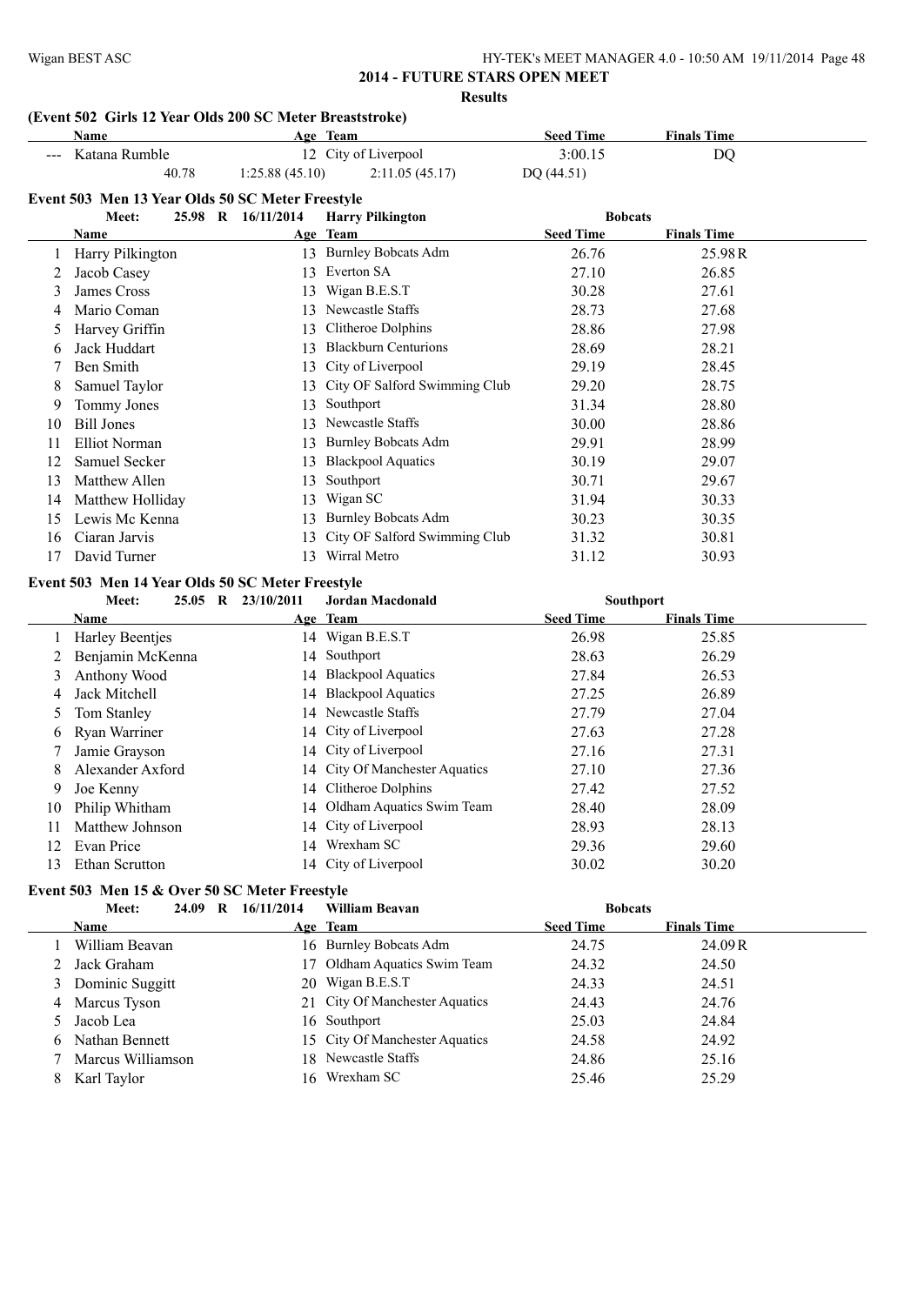# **(Event 502 Girls 12 Year Olds 200 SC Meter Breaststroke)**

|    | Name                                             |                    | Age Team                       | <b>Seed Time</b> | <b>Finals Time</b> |
|----|--------------------------------------------------|--------------------|--------------------------------|------------------|--------------------|
|    | Katana Rumble                                    |                    | 12 City of Liverpool           | 3:00.15          | DQ                 |
|    | 40.78                                            | 1:25.88(45.10)     | 2:11.05(45.17)                 | DQ (44.51)       |                    |
|    | Event 503 Men 13 Year Olds 50 SC Meter Freestyle |                    |                                |                  |                    |
|    | Meet:                                            | 25.98 R 16/11/2014 | <b>Harry Pilkington</b>        | <b>Bobcats</b>   |                    |
|    | Name                                             |                    | Age Team                       | <b>Seed Time</b> | <b>Finals Time</b> |
|    | Harry Pilkington                                 |                    | 13 Burnley Bobcats Adm         | 26.76            | 25.98R             |
| 2  | Jacob Casey                                      | 13                 | Everton SA                     | 27.10            | 26.85              |
| 3  | James Cross                                      | 13                 | Wigan B.E.S.T                  | 30.28            | 27.61              |
|    | Mario Coman                                      |                    | 13 Newcastle Staffs            | 28.73            | 27.68              |
| 4  |                                                  |                    | Clitheroe Dolphins             | 28.86            | 27.98              |
| 5  | Harvey Griffin                                   | 13                 | <b>Blackburn Centurions</b>    |                  |                    |
| 6  | Jack Huddart                                     | 13                 |                                | 28.69            | 28.21              |
| 7  | Ben Smith                                        | 13                 | City of Liverpool              | 29.19            | 28.45              |
| 8  | Samuel Taylor                                    | 13                 | City OF Salford Swimming Club  | 29.20            | 28.75              |
| 9  | Tommy Jones                                      | 13                 | Southport                      | 31.34            | 28.80              |
| 10 | <b>Bill Jones</b>                                | 13                 | Newcastle Staffs               | 30.00            | 28.86              |
| 11 | <b>Elliot Norman</b>                             | 13                 | <b>Burnley Bobcats Adm</b>     | 29.91            | 28.99              |
| 12 | Samuel Secker                                    | 13                 | <b>Blackpool Aquatics</b>      | 30.19            | 29.07              |
| 13 | Matthew Allen                                    | 13                 | Southport                      | 30.71            | 29.67              |
| 14 | Matthew Holliday                                 | 13                 | Wigan SC                       | 31.94            | 30.33              |
| 15 | Lewis Mc Kenna                                   | 13                 | <b>Burnley Bobcats Adm</b>     | 30.23            | 30.35              |
| 16 | Ciaran Jarvis                                    | 13                 | City OF Salford Swimming Club  | 31.32            | 30.81              |
| 17 | David Turner                                     | 13                 | Wirral Metro                   | 31.12            | 30.93              |
|    | Event 503 Men 14 Year Olds 50 SC Meter Freestyle |                    |                                |                  |                    |
|    | Meet:                                            | 25.05 R 23/10/2011 | <b>Jordan Macdonald</b>        | Southport        |                    |
|    | Name                                             |                    | Age Team                       | <b>Seed Time</b> | <b>Finals Time</b> |
| 1  | <b>Harley Beentjes</b>                           |                    | 14 Wigan B.E.S.T               | 26.98            | 25.85              |
| 2  | Benjamin McKenna                                 |                    | 14 Southport                   | 28.63            | 26.29              |
| 3  | Anthony Wood                                     |                    | 14 Blackpool Aquatics          | 27.84            | 26.53              |
| 4  | Jack Mitchell                                    |                    | 14 Blackpool Aquatics          | 27.25            | 26.89              |
| 5  | Tom Stanley                                      |                    | 14 Newcastle Staffs            | 27.79            | 27.04              |
| 6  | Ryan Warriner                                    | 14                 | City of Liverpool              | 27.63            | 27.28              |
| 7  | Jamie Grayson                                    | 14                 | City of Liverpool              | 27.16            | 27.31              |
| 8  | Alexander Axford                                 | 14                 | City Of Manchester Aquatics    | 27.10            | 27.36              |
| 9  | Joe Kenny                                        |                    | 14 Clitheroe Dolphins          | 27.42            | 27.52              |
| 10 | Philip Whitham                                   |                    | 14 Oldham Aquatics Swim Team   | 28.40            | 28.09              |
| 11 | Matthew Johnson                                  |                    | 14 City of Liverpool           | 28.93            | 28.13              |
| 12 | Evan Price                                       |                    | 14 Wrexham SC                  | 29.36            | 29.60              |
| 13 | Ethan Scrutton                                   |                    | 14 City of Liverpool           | 30.02            | 30.20              |
|    |                                                  |                    |                                |                  |                    |
|    | Event 503 Men 15 & Over 50 SC Meter Freestyle    |                    |                                |                  |                    |
|    | Meet:                                            | 24.09 R 16/11/2014 | <b>William Beavan</b>          | <b>Bobcats</b>   |                    |
|    | Name                                             |                    | Age Team                       | <b>Seed Time</b> | <b>Finals Time</b> |
| 1  | William Beavan                                   |                    | 16 Burnley Bobcats Adm         | 24.75            | 24.09R             |
| 2  | Jack Graham                                      |                    | 17 Oldham Aquatics Swim Team   | 24.32            | 24.50              |
| 3  | Dominic Suggitt                                  |                    | 20 Wigan B.E.S.T               | 24.33            | 24.51              |
| 4  | Marcus Tyson                                     | 21                 | City Of Manchester Aquatics    | 24.43            | 24.76              |
| 5  | Jacob Lea                                        |                    | 16 Southport                   | 25.03            | 24.84              |
| 6  | Nathan Bennett                                   |                    | 15 City Of Manchester Aquatics | 24.58            | 24.92              |
| 7  | Marcus Williamson                                |                    | 18 Newcastle Staffs            | 24.86            | 25.16              |
| 8  | Karl Taylor                                      |                    | 16 Wrexham SC                  | 25.46            | 25.29              |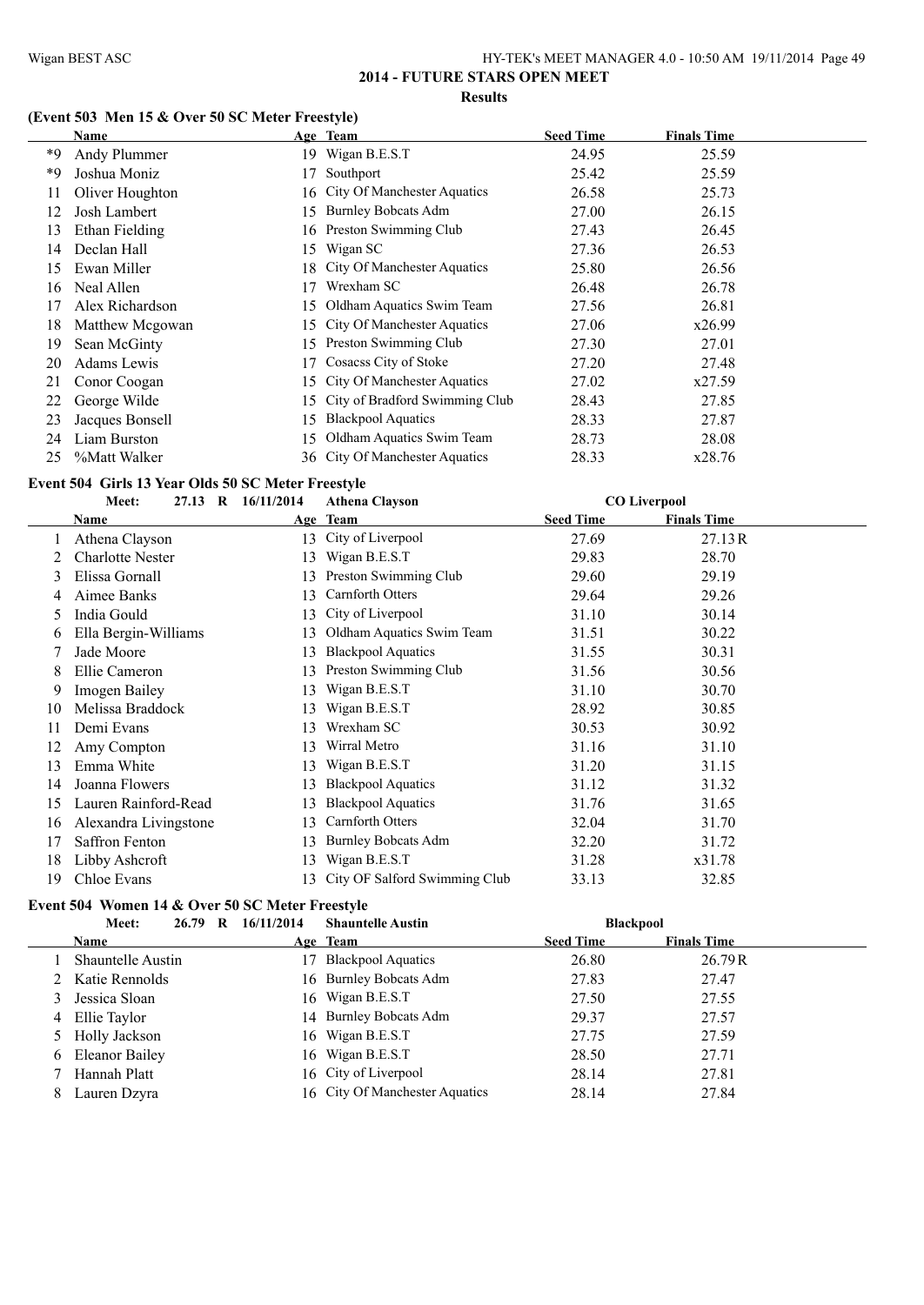#### **(Event 503 Men 15 & Over 50 SC Meter Freestyle)**

|    | Name               |     | Age Team                          | <b>Seed Time</b> | <b>Finals Time</b> |
|----|--------------------|-----|-----------------------------------|------------------|--------------------|
| *9 | Andy Plummer       |     | 19 Wigan B.E.S.T                  | 24.95            | 25.59              |
| *9 | Joshua Moniz       |     | Southport                         | 25.42            | 25.59              |
| 11 | Oliver Houghton    |     | 16 City Of Manchester Aquatics    | 26.58            | 25.73              |
| 12 | Josh Lambert       | 15. | <b>Burnley Bobcats Adm</b>        | 27.00            | 26.15              |
| 13 | Ethan Fielding     |     | 16 Preston Swimming Club          | 27.43            | 26.45              |
| 14 | Declan Hall        | 15  | Wigan SC                          | 27.36            | 26.53              |
| 15 | Ewan Miller        |     | 18 City Of Manchester Aquatics    | 25.80            | 26.56              |
| 16 | Neal Allen         | 17  | Wrexham SC                        | 26.48            | 26.78              |
| 17 | Alex Richardson    |     | 15 Oldham Aquatics Swim Team      | 27.56            | 26.81              |
| 18 | Matthew Mcgowan    |     | 15 City Of Manchester Aquatics    | 27.06            | x26.99             |
| 19 | Sean McGinty       |     | 15 Preston Swimming Club          | 27.30            | 27.01              |
| 20 | <b>Adams Lewis</b> |     | Cosacss City of Stoke             | 27.20            | 27.48              |
| 21 | Conor Coogan       |     | 15 City Of Manchester Aquatics    | 27.02            | x27.59             |
| 22 | George Wilde       |     | 15 City of Bradford Swimming Club | 28.43            | 27.85              |
| 23 | Jacques Bonsell    | 15. | <b>Blackpool Aquatics</b>         | 28.33            | 27.87              |
| 24 | Liam Burston       | 15  | Oldham Aquatics Swim Team         | 28.73            | 28.08              |
| 25 | %Matt Walker       |     | 36 City Of Manchester Aquatics    | 28.33            | x28.76             |

#### **Event 504 Girls 13 Year Olds 50 SC Meter Freestyle**

|    | Meet:                   | 27.13 R 16/11/2014 | <b>Athena Clayson</b>            |                  | <b>CO Liverpool</b> |  |
|----|-------------------------|--------------------|----------------------------------|------------------|---------------------|--|
|    | Name                    |                    | Age Team                         | <b>Seed Time</b> | <b>Finals Time</b>  |  |
|    | Athena Clayson          | 13                 | City of Liverpool                | 27.69            | 27.13R              |  |
|    | <b>Charlotte Nester</b> | 13                 | Wigan B.E.S.T                    | 29.83            | 28.70               |  |
| 3  | Elissa Gornall          | 13                 | Preston Swimming Club            | 29.60            | 29.19               |  |
| 4  | Aimee Banks             | 13                 | Carnforth Otters                 | 29.64            | 29.26               |  |
| 5  | India Gould             | 13                 | City of Liverpool                | 31.10            | 30.14               |  |
| 6  | Ella Bergin-Williams    | 13                 | Oldham Aquatics Swim Team        | 31.51            | 30.22               |  |
|    | Jade Moore              | 13                 | <b>Blackpool Aquatics</b>        | 31.55            | 30.31               |  |
| 8  | Ellie Cameron           | 13                 | Preston Swimming Club            | 31.56            | 30.56               |  |
| 9  | Imogen Bailey           | 13                 | Wigan B.E.S.T                    | 31.10            | 30.70               |  |
| 10 | Melissa Braddock        | 13                 | Wigan B.E.S.T                    | 28.92            | 30.85               |  |
| 11 | Demi Evans              |                    | Wrexham SC                       | 30.53            | 30.92               |  |
| 12 | Amy Compton             | 13                 | Wirral Metro                     | 31.16            | 31.10               |  |
| 13 | Emma White              | 13                 | Wigan B.E.S.T                    | 31.20            | 31.15               |  |
| 14 | Joanna Flowers          | 13                 | <b>Blackpool Aquatics</b>        | 31.12            | 31.32               |  |
| 15 | Lauren Rainford-Read    | 13                 | <b>Blackpool Aquatics</b>        | 31.76            | 31.65               |  |
| 16 | Alexandra Livingstone   | 13                 | Carnforth Otters                 | 32.04            | 31.70               |  |
| 17 | <b>Saffron Fenton</b>   | 13                 | <b>Burnley Bobcats Adm</b>       | 32.20            | 31.72               |  |
| 18 | Libby Ashcroft          | 13                 | Wigan B.E.S.T                    | 31.28            | x31.78              |  |
| 19 | Chloe Evans             |                    | 13 City OF Salford Swimming Club | 33.13            | 32.85               |  |

#### **Event 504 Women 14 & Over 50 SC Meter Freestyle**

|   | Meet:                    | 26.79 R | 16/11/2014 | <b>Shauntelle Austin</b>       | <b>Blackpool</b> |                    |  |
|---|--------------------------|---------|------------|--------------------------------|------------------|--------------------|--|
|   | <b>Name</b>              |         |            | Age Team                       | <b>Seed Time</b> | <b>Finals Time</b> |  |
|   | <b>Shauntelle Austin</b> |         | 17         | <b>Blackpool Aquatics</b>      | 26.80            | 26.79R             |  |
|   | 2 Katie Rennolds         |         |            | 16 Burnley Bobcats Adm         | 27.83            | 27.47              |  |
|   | 3 Jessica Sloan          |         |            | 16 Wigan B.E.S.T               | 27.50            | 27.55              |  |
|   | 4 Ellie Taylor           |         |            | 14 Burnley Bobcats Adm         | 29.37            | 27.57              |  |
|   | 5 Holly Jackson          |         |            | 16 Wigan B.E.S.T               | 27.75            | 27.59              |  |
|   | 6 Eleanor Bailey         |         |            | 16 Wigan B.E.S.T               | 28.50            | 27.71              |  |
|   | Hannah Platt             |         |            | 16 City of Liverpool           | 28.14            | 27.81              |  |
| 8 | Lauren Dzyra             |         |            | 16 City Of Manchester Aquatics | 28.14            | 27.84              |  |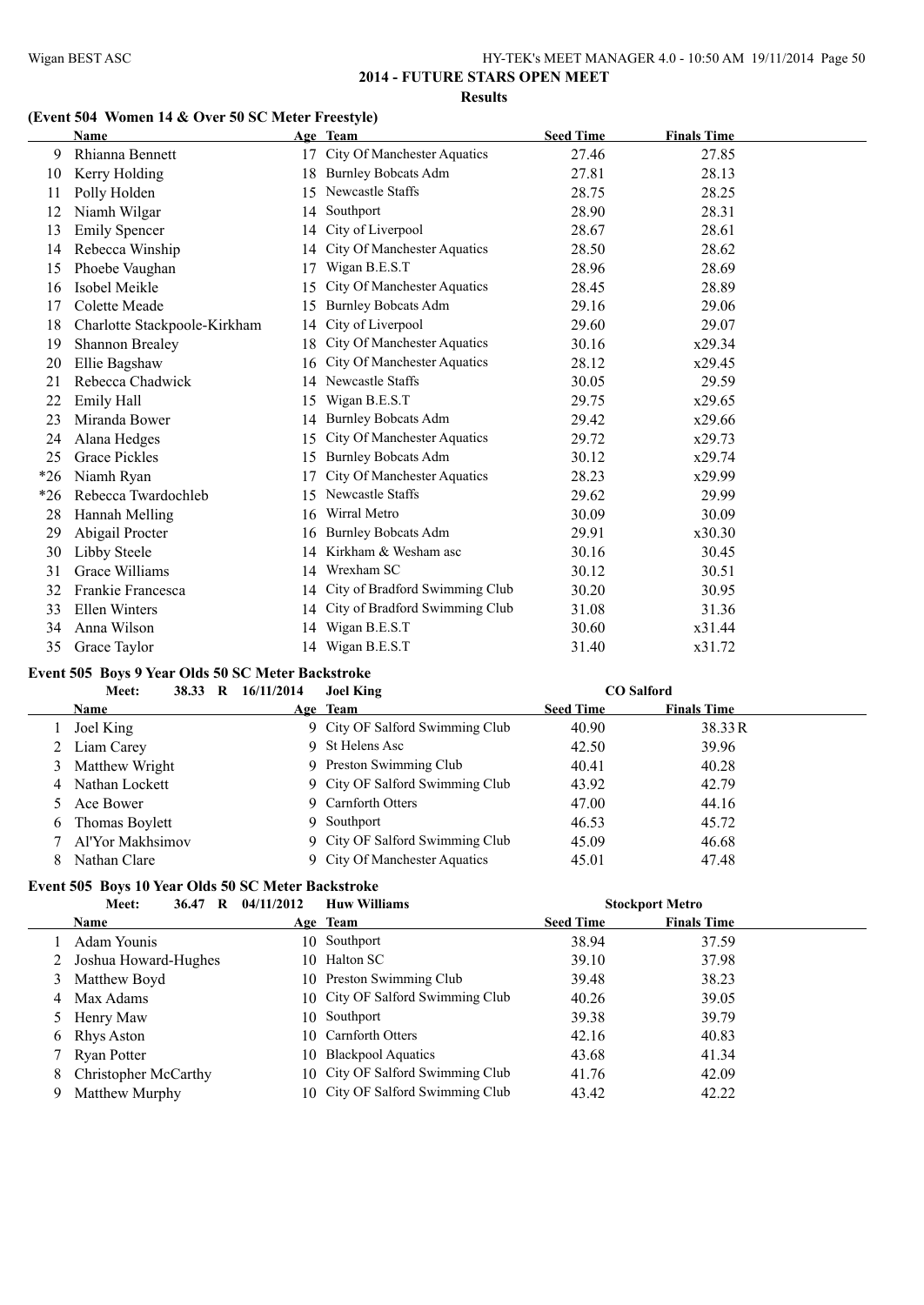# **(Event 504 Women 14 & Over 50 SC Meter Freestyle)**

|       | <b>Name</b>                  |    | Age Team                           | <b>Seed Time</b> | <b>Finals Time</b> |  |
|-------|------------------------------|----|------------------------------------|------------------|--------------------|--|
| 9     | Rhianna Bennett              | 17 | City Of Manchester Aquatics        | 27.46            | 27.85              |  |
| 10    | Kerry Holding                | 18 | <b>Burnley Bobcats Adm</b>         | 27.81            | 28.13              |  |
| 11    | Polly Holden                 | 15 | Newcastle Staffs                   | 28.75            | 28.25              |  |
| 12    | Niamh Wilgar                 | 14 | Southport                          | 28.90            | 28.31              |  |
| 13    | <b>Emily Spencer</b>         | 14 | City of Liverpool                  | 28.67            | 28.61              |  |
| 14    | Rebecca Winship              | 14 | <b>City Of Manchester Aquatics</b> | 28.50            | 28.62              |  |
| 15    | Phoebe Vaughan               | 17 | Wigan B.E.S.T                      | 28.96            | 28.69              |  |
| 16    | Isobel Meikle                | 15 | City Of Manchester Aquatics        | 28.45            | 28.89              |  |
| 17    | Colette Meade                | 15 | <b>Burnley Bobcats Adm</b>         | 29.16            | 29.06              |  |
| 18    | Charlotte Stackpoole-Kirkham | 14 | City of Liverpool                  | 29.60            | 29.07              |  |
| 19    | Shannon Brealey              | 18 | City Of Manchester Aquatics        | 30.16            | x29.34             |  |
| 20    | Ellie Bagshaw                | 16 | <b>City Of Manchester Aquatics</b> | 28.12            | x29.45             |  |
| 21    | Rebecca Chadwick             | 14 | Newcastle Staffs                   | 30.05            | 29.59              |  |
| 22    | Emily Hall                   | 15 | Wigan B.E.S.T                      | 29.75            | x29.65             |  |
| 23    | Miranda Bower                | 14 | <b>Burnley Bobcats Adm</b>         | 29.42            | x29.66             |  |
| 24    | Alana Hedges                 | 15 | City Of Manchester Aquatics        | 29.72            | x29.73             |  |
| 25    | <b>Grace Pickles</b>         | 15 | <b>Burnley Bobcats Adm</b>         | 30.12            | x29.74             |  |
| $*26$ | Niamh Ryan                   | 17 | City Of Manchester Aquatics        | 28.23            | x29.99             |  |
| $*26$ | Rebecca Twardochleb          | 15 | Newcastle Staffs                   | 29.62            | 29.99              |  |
| 28    | Hannah Melling               | 16 | Wirral Metro                       | 30.09            | 30.09              |  |
| 29    | Abigail Procter              | 16 | <b>Burnley Bobcats Adm</b>         | 29.91            | x30.30             |  |
| 30    | Libby Steele                 | 14 | Kirkham & Wesham asc               | 30.16            | 30.45              |  |
| 31    | Grace Williams               | 14 | Wrexham SC                         | 30.12            | 30.51              |  |
| 32    | Frankie Francesca            | 14 | City of Bradford Swimming Club     | 30.20            | 30.95              |  |
| 33    | Ellen Winters                | 14 | City of Bradford Swimming Club     | 31.08            | 31.36              |  |
| 34    | Anna Wilson                  | 14 | Wigan B.E.S.T                      | 30.60            | x31.44             |  |
| 35    | Grace Taylor                 |    | 14 Wigan B.E.S.T                   | 31.40            | x31.72             |  |

# **Event 505 Boys 9 Year Olds 50 SC Meter Backstroke**

| Tent 500 Doys 7 Tear Olds 50 DC Meter Daenströße |            |                                 |                  |                    |  |  |  |  |  |
|--------------------------------------------------|------------|---------------------------------|------------------|--------------------|--|--|--|--|--|
| Meet:<br>38.33<br>- R                            | 16/11/2014 | <b>Joel King</b>                |                  | <b>CO</b> Salford  |  |  |  |  |  |
| <b>Name</b>                                      |            | Age Team                        | <b>Seed Time</b> | <b>Finals Time</b> |  |  |  |  |  |
| Joel King                                        |            | 9 City OF Salford Swimming Club | 40.90            | 38.33R             |  |  |  |  |  |
| 2 Liam Carey                                     |            | 9 St Helens Asc                 | 42.50            | 39.96              |  |  |  |  |  |
| 3 Matthew Wright                                 |            | 9 Preston Swimming Club         | 40.41            | 40.28              |  |  |  |  |  |
| 4 Nathan Lockett                                 |            | 9 City OF Salford Swimming Club | 43.92            | 42.79              |  |  |  |  |  |
| 5 Ace Bower                                      |            | 9 Carnforth Otters              | 47.00            | 44.16              |  |  |  |  |  |
| 6 Thomas Boylett                                 |            | 9 Southport                     | 46.53            | 45.72              |  |  |  |  |  |
| 7 Al'Yor Makhsimov                               |            | 9 City OF Salford Swimming Club | 45.09            | 46.68              |  |  |  |  |  |
| Nathan Clare                                     |            | 9 City Of Manchester Aquatics   | 45.01            | 47.48              |  |  |  |  |  |

#### **Event 505 Boys 10 Year Olds 50 SC Meter Backstroke**

|   | Meet:<br>- R<br>36.47       | 04/11/2012 | <b>Huw Williams</b>              |                  | <b>Stockport Metro</b> |  |
|---|-----------------------------|------------|----------------------------------|------------------|------------------------|--|
|   | Name                        |            | Age Team                         | <b>Seed Time</b> | <b>Finals Time</b>     |  |
|   | Adam Younis                 |            | 10 Southport                     | 38.94            | 37.59                  |  |
|   | 2 Joshua Howard-Hughes      |            | 10 Halton SC                     | 39.10            | 37.98                  |  |
| 3 | Matthew Boyd                |            | 10 Preston Swimming Club         | 39.48            | 38.23                  |  |
|   | 4 Max Adams                 |            | 10 City OF Salford Swimming Club | 40.26            | 39.05                  |  |
|   | 5 Henry Maw                 |            | 10 Southport                     | 39.38            | 39.79                  |  |
|   | 6 Rhys Aston                |            | 10 Carnforth Otters              | 42.16            | 40.83                  |  |
|   | 7 Ryan Potter               |            | 10 Blackpool Aquatics            | 43.68            | 41.34                  |  |
| 8 | <b>Christopher McCarthy</b> |            | 10 City OF Salford Swimming Club | 41.76            | 42.09                  |  |
| 9 | Matthew Murphy              |            | 10 City OF Salford Swimming Club | 43.42            | 42.22                  |  |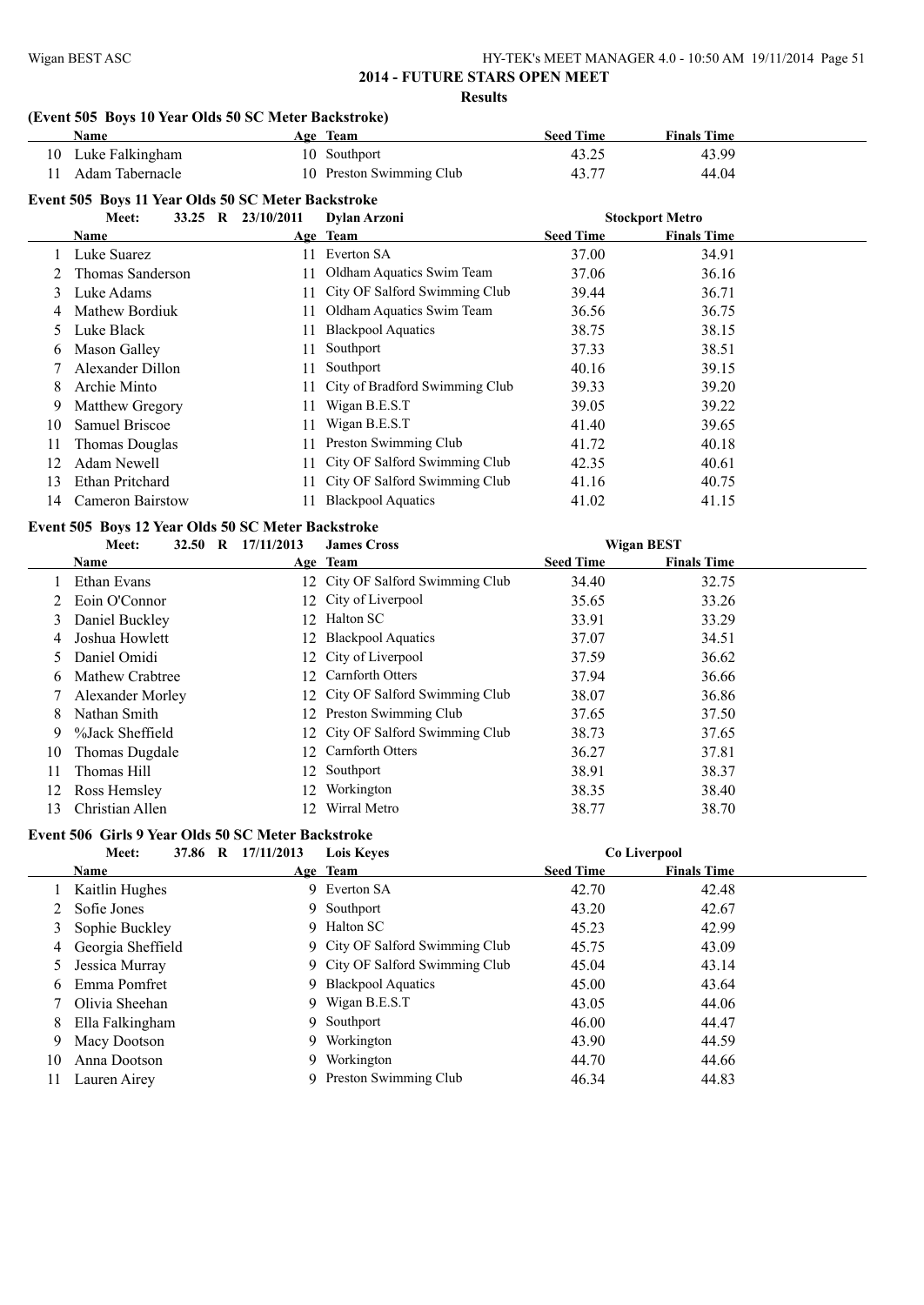#### **(Event 505 Boys 10 Year Olds 50 SC Meter Backstroke)**

|    | (EVEIL 505 DOYS TO TEAT ORD 50 SC METER DACKSTOKE)<br>Name |                    | Age Team                       | <b>Seed Time</b> | <b>Finals Time</b>     |  |
|----|------------------------------------------------------------|--------------------|--------------------------------|------------------|------------------------|--|
| 10 | Luke Falkingham                                            |                    | 10 Southport                   | 43.25            | 43.99                  |  |
| 11 | Adam Tabernacle                                            |                    | 10 Preston Swimming Club       | 43.77            | 44.04                  |  |
|    | Event 505 Boys 11 Year Olds 50 SC Meter Backstroke         |                    |                                |                  |                        |  |
|    | Meet:                                                      | 33.25 R 23/10/2011 | <b>Dylan Arzoni</b>            |                  | <b>Stockport Metro</b> |  |
|    | Name                                                       |                    | Age Team                       | <b>Seed Time</b> | <b>Finals Time</b>     |  |
|    | Luke Suarez                                                | 11                 | Everton SA                     | 37.00            | 34.91                  |  |
|    | Thomas Sanderson                                           | 11                 | Oldham Aquatics Swim Team      | 37.06            | 36.16                  |  |
| 3  | Luke Adams                                                 | 11                 | City OF Salford Swimming Club  | 39.44            | 36.71                  |  |
|    | Mathew Bordiuk                                             | 11                 | Oldham Aquatics Swim Team      | 36.56            | 36.75                  |  |
| 5  | Luke Black                                                 | 11                 | <b>Blackpool Aquatics</b>      | 38.75            | 38.15                  |  |
| 6  | Mason Galley                                               | 11                 | Southport                      | 37.33            | 38.51                  |  |
|    | Alexander Dillon                                           | 11                 | Southport                      | 40.16            | 39.15                  |  |
| 8  | Archie Minto                                               |                    | City of Bradford Swimming Club | 39.33            | 39.20                  |  |
| 9  | Matthew Gregory                                            |                    | Wigan B.E.S.T                  | 39.05            | 39.22                  |  |
| 10 | Samuel Briscoe                                             | 11                 | Wigan B.E.S.T                  | 41.40            | 39.65                  |  |
| 11 | Thomas Douglas                                             |                    | Preston Swimming Club          | 41.72            | 40.18                  |  |
| 12 | Adam Newell                                                |                    | City OF Salford Swimming Club  | 42.35            | 40.61                  |  |
| 13 | Ethan Pritchard                                            | 11                 | City OF Salford Swimming Club  | 41.16            | 40.75                  |  |
| 14 | <b>Cameron Bairstow</b>                                    | 11                 | <b>Blackpool Aquatics</b>      | 41.02            | 41.15                  |  |
|    | Event 505 Boys 12 Year Olds 50 SC Meter Backstroke         |                    |                                |                  |                        |  |
|    | Meet:                                                      | 32.50 R 17/11/2013 | <b>James Cross</b>             |                  | <b>Wigan BEST</b>      |  |
|    | <b>Name</b>                                                |                    | Age Team                       | <b>Seed Time</b> | <b>Finals Time</b>     |  |
|    | Ethan Evans                                                | 12                 | City OF Salford Swimming Club  | 34.40            | 32.75                  |  |
|    | Eoin O'Connor                                              | 12                 | City of Liverpool              | 35.65            | 33.26                  |  |
| 3  | Daniel Buckley                                             | 12                 | Halton SC                      | 33.91            | 33.29                  |  |
| 4  | Joshua Howlett                                             | 12                 | <b>Blackpool Aquatics</b>      | 37.07            | 34.51                  |  |

|    | 5 Daniel Omidi     | 12 City of Liverpool             | 37.59 | 36.62 |
|----|--------------------|----------------------------------|-------|-------|
|    | 6 Mathew Crabtree  | 12 Carnforth Otters              | 37.94 | 36.66 |
|    | 7 Alexander Morley | 12 City OF Salford Swimming Club | 38.07 | 36.86 |
|    | 8 Nathan Smith     | 12 Preston Swimming Club         | 37.65 | 37.50 |
| 9  | %Jack Sheffield    | 12 City OF Salford Swimming Club | 38.73 | 37.65 |
|    | 10 Thomas Dugdale  | 12 Carnforth Otters              | 36.27 | 37.81 |
| 11 | Thomas Hill        | 12 Southport                     | 38.91 | 38.37 |
|    | 12 Ross Hemsley    | 12 Workington                    | 38.35 | 38.40 |
| 13 | Christian Allen    | 12 Wirral Metro                  | 38.77 | 38.70 |
|    |                    |                                  |       |       |

# **Event 506 Girls 9 Year Olds 50 SC Meter Backstroke**

|    | 37.86 R<br>Meet:  | 17/11/2013 | <b>Lois Keves</b>               |                  | Co Liverpool       |  |
|----|-------------------|------------|---------------------------------|------------------|--------------------|--|
|    | <b>Name</b>       |            | Age Team                        | <b>Seed Time</b> | <b>Finals Time</b> |  |
|    | Kaitlin Hughes    |            | 9 Everton SA                    | 42.70            | 42.48              |  |
|    | Sofie Jones       |            | 9 Southport                     | 43.20            | 42.67              |  |
| 3  | Sophie Buckley    |            | 9 Halton SC                     | 45.23            | 42.99              |  |
| 4  | Georgia Sheffield |            | 9 City OF Salford Swimming Club | 45.75            | 43.09              |  |
|    | Jessica Murray    |            | 9 City OF Salford Swimming Club | 45.04            | 43.14              |  |
| b  | Emma Pomfret      |            | 9 Blackpool Aquatics            | 45.00            | 43.64              |  |
|    | Olivia Sheehan    |            | 9 Wigan B.E.S.T                 | 43.05            | 44.06              |  |
| 8  | Ella Falkingham   |            | 9 Southport                     | 46.00            | 44.47              |  |
| 9  | Macy Dootson      | 9.         | Workington                      | 43.90            | 44.59              |  |
| 10 | Anna Dootson      | 9.         | Workington                      | 44.70            | 44.66              |  |
| 11 | Lauren Airey      |            | 9 Preston Swimming Club         | 46.34            | 44.83              |  |
|    |                   |            |                                 |                  |                    |  |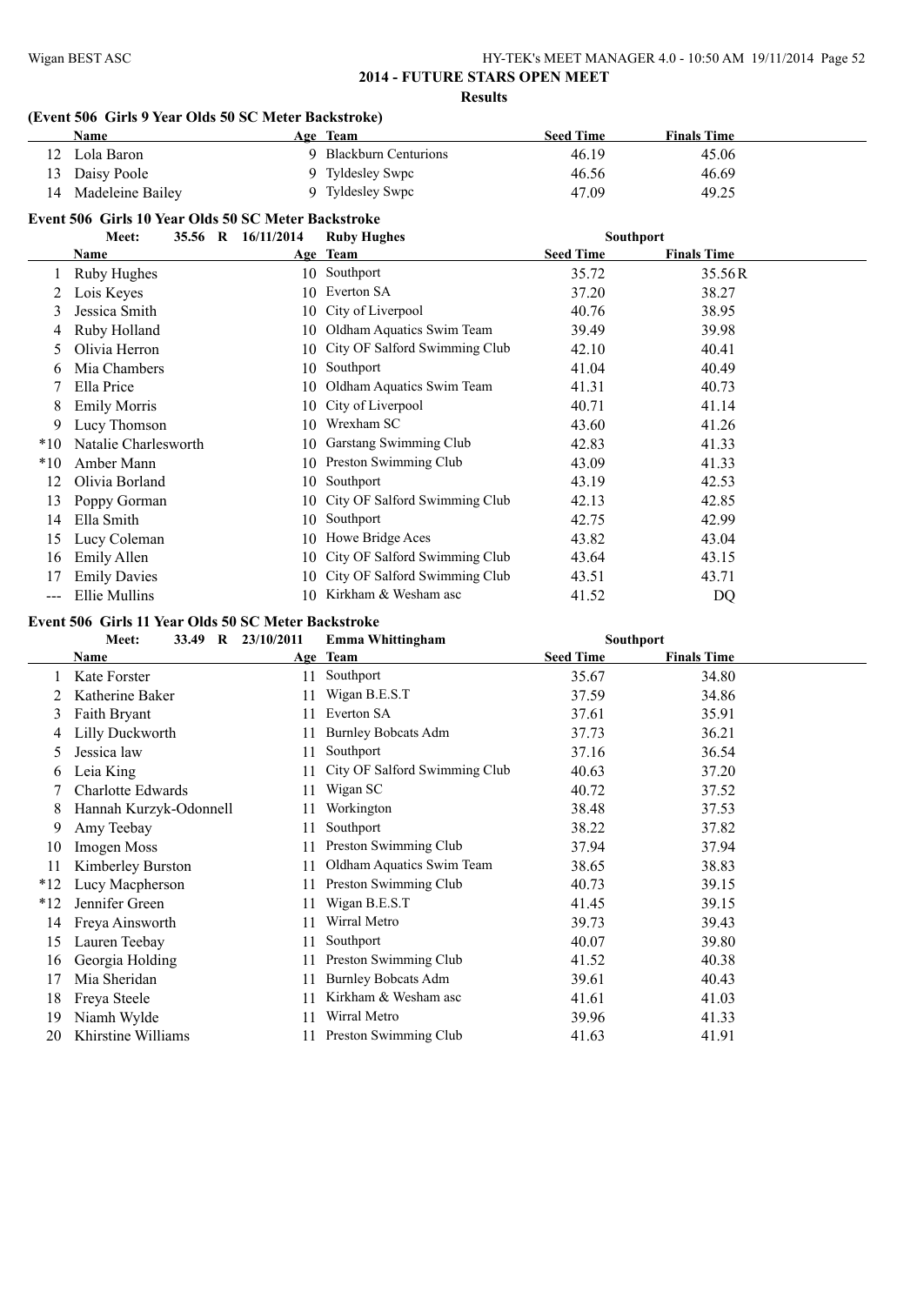#### **(Event 506 Girls 9 Year Olds 50 SC Meter Backstroke)**

|       | Name                                                |                    | Age Team                      | <b>Seed Time</b> | <b>Finals Time</b> |  |
|-------|-----------------------------------------------------|--------------------|-------------------------------|------------------|--------------------|--|
| 12    | Lola Baron                                          |                    | 9 Blackburn Centurions        | 46.19            | 45.06              |  |
| 13    | Daisy Poole                                         |                    | 9 Tyldesley Swpc              | 46.56            | 46.69              |  |
| 14    | Madeleine Bailey                                    |                    | 9 Tyldesley Swpc              | 47.09            | 49.25              |  |
|       | Event 506 Girls 10 Year Olds 50 SC Meter Backstroke |                    |                               |                  |                    |  |
|       | Meet:                                               | 35.56 R 16/11/2014 | <b>Ruby Hughes</b>            | <b>Southport</b> |                    |  |
|       | Name                                                |                    | Age Team                      | <b>Seed Time</b> | <b>Finals Time</b> |  |
|       | Ruby Hughes                                         |                    | 10 Southport                  | 35.72            | 35.56R             |  |
| 2     | Lois Keyes                                          | 10                 | Everton SA                    | 37.20            | 38.27              |  |
| 3     | Jessica Smith                                       | 10                 | City of Liverpool             | 40.76            | 38.95              |  |
|       | Ruby Holland                                        | 10                 | Oldham Aquatics Swim Team     | 39.49            | 39.98              |  |
| 5.    | Olivia Herron                                       | 10                 | City OF Salford Swimming Club | 42.10            | 40.41              |  |
| b     | Mia Chambers                                        | 10                 | Southport                     | 41.04            | 40.49              |  |
|       | Ella Price                                          | 10                 | Oldham Aquatics Swim Team     | 41.31            | 40.73              |  |
| 8     | <b>Emily Morris</b>                                 | 10                 | City of Liverpool             | 40.71            | 41.14              |  |
| 9     | Lucy Thomson                                        | 10                 | Wrexham SC                    | 43.60            | 41.26              |  |
| $*10$ | Natalie Charlesworth                                | 10                 | Garstang Swimming Club        | 42.83            | 41.33              |  |
| $*10$ | Amber Mann                                          | 10                 | Preston Swimming Club         | 43.09            | 41.33              |  |
| 12    | Olivia Borland                                      | 10                 | Southport                     | 43.19            | 42.53              |  |
| 13    | Poppy Gorman                                        | 10                 | City OF Salford Swimming Club | 42.13            | 42.85              |  |
| 14    | Ella Smith                                          | 10                 | Southport                     | 42.75            | 42.99              |  |
| 15    | Lucy Coleman                                        | 10                 | Howe Bridge Aces              | 43.82            | 43.04              |  |
| 16    | Emily Allen                                         | 10                 | City OF Salford Swimming Club | 43.64            | 43.15              |  |
| 17    | <b>Emily Davies</b>                                 | 10                 | City OF Salford Swimming Club | 43.51            | 43.71              |  |
| ---   | Ellie Mullins                                       |                    | 10 Kirkham & Wesham asc       | 41.52            | DQ                 |  |

#### **Event 506 Girls 11 Year Olds 50 SC Meter Backstroke**

|              | Meet:<br>33.49<br>$\mathbf R$ | 23/10/2011 | Emma Whittingham              | <b>Southport</b> |                    |  |
|--------------|-------------------------------|------------|-------------------------------|------------------|--------------------|--|
|              | Name                          |            | Age Team                      | <b>Seed Time</b> | <b>Finals Time</b> |  |
|              | Kate Forster                  | 11         | Southport                     | 35.67            | 34.80              |  |
|              | Katherine Baker               | 11         | Wigan B.E.S.T                 | 37.59            | 34.86              |  |
| 3            | Faith Bryant                  | 11         | Everton SA                    | 37.61            | 35.91              |  |
| 4            | Lilly Duckworth               |            | <b>Burnley Bobcats Adm</b>    | 37.73            | 36.21              |  |
| 5            | Jessica law                   | 11         | Southport                     | 37.16            | 36.54              |  |
| <sub>0</sub> | Leia King                     |            | City OF Salford Swimming Club | 40.63            | 37.20              |  |
|              | <b>Charlotte Edwards</b>      | 11         | Wigan SC                      | 40.72            | 37.52              |  |
| 8            | Hannah Kurzyk-Odonnell        |            | Workington                    | 38.48            | 37.53              |  |
| 9            | Amy Teebay                    | 11         | Southport                     | 38.22            | 37.82              |  |
| 10           | Imogen Moss                   | 11         | Preston Swimming Club         | 37.94            | 37.94              |  |
| 11           | Kimberley Burston             |            | Oldham Aquatics Swim Team     | 38.65            | 38.83              |  |
| $*12$        | Lucy Macpherson               | 11         | Preston Swimming Club         | 40.73            | 39.15              |  |
| $*12$        | Jennifer Green                |            | Wigan B.E.S.T                 | 41.45            | 39.15              |  |
| 14           | Freya Ainsworth               |            | Wirral Metro                  | 39.73            | 39.43              |  |
| 15           | Lauren Teebay                 | 11         | Southport                     | 40.07            | 39.80              |  |
| 16           | Georgia Holding               |            | Preston Swimming Club         | 41.52            | 40.38              |  |
| 17           | Mia Sheridan                  | 11         | <b>Burnley Bobcats Adm</b>    | 39.61            | 40.43              |  |
| 18           | Freya Steele                  |            | Kirkham & Wesham asc          | 41.61            | 41.03              |  |
| 19           | Niamh Wylde                   | 11         | Wirral Metro                  | 39.96            | 41.33              |  |
| 20           | Khirstine Williams            |            | Preston Swimming Club         | 41.63            | 41.91              |  |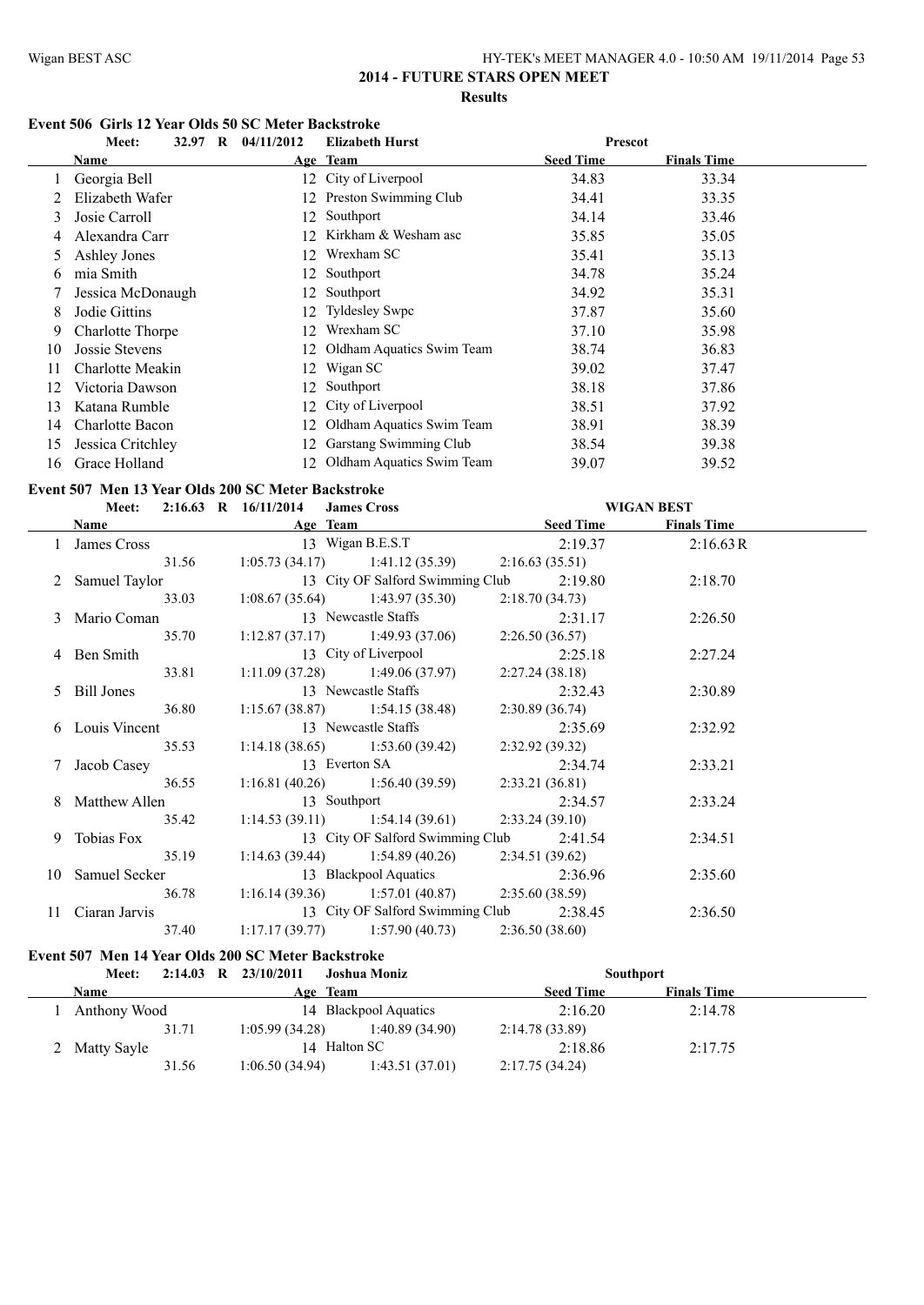#### **Event 506 Girls 12 Year Olds 50 SC Meter Backstroke**

|               | $\mathbf{R}$<br>Meet:<br>32.97 | 04/11/2012 | <b>Elizabeth Hurst</b>       | <b>Prescot</b>   |                    |  |
|---------------|--------------------------------|------------|------------------------------|------------------|--------------------|--|
|               | Name                           |            | Age Team                     | <b>Seed Time</b> | <b>Finals Time</b> |  |
|               | Georgia Bell                   |            | 12 City of Liverpool         | 34.83            | 33.34              |  |
|               | Elizabeth Wafer                |            | 12 Preston Swimming Club     | 34.41            | 33.35              |  |
| 3             | Josie Carroll                  | 12         | Southport                    | 34.14            | 33.46              |  |
|               | Alexandra Carr                 |            | 12 Kirkham & Wesham asc      | 35.85            | 35.05              |  |
| $\mathcal{L}$ | Ashley Jones                   | 12         | Wrexham SC                   | 35.41            | 35.13              |  |
| 6.            | mia Smith                      | 12         | Southport                    | 34.78            | 35.24              |  |
|               | Jessica McDonaugh              |            | 12 Southport                 | 34.92            | 35.31              |  |
| 8             | Jodie Gittins                  |            | 12 Tyldesley Swpc            | 37.87            | 35.60              |  |
| 9             | Charlotte Thorpe               | 12.        | Wrexham SC                   | 37.10            | 35.98              |  |
| 10            | Jossie Stevens                 |            | 12 Oldham Aquatics Swim Team | 38.74            | 36.83              |  |
| 11            | Charlotte Meakin               | 12         | Wigan SC                     | 39.02            | 37.47              |  |
| 12            | Victoria Dawson                |            | 12 Southport                 | 38.18            | 37.86              |  |
| 13            | Katana Rumble                  | 12         | City of Liverpool            | 38.51            | 37.92              |  |
| 14            | Charlotte Bacon                | 12         | Oldham Aquatics Swim Team    | 38.91            | 38.39              |  |
| 15            | Jessica Critchley              | 12.        | Garstang Swimming Club       | 38.54            | 39.38              |  |
| 16            | Grace Holland                  | 12         | Oldham Aquatics Swim Team    | 39.07            | 39.52              |  |

#### **Event 507 Men 13 Year Olds 200 SC Meter Backstroke**

|                                                                                                                                                                                                                               |       | Meet: 2:16.63 R 16/11/2014 James Cross |                                                           |         | <b>WIGAN BEST</b>  |  |
|-------------------------------------------------------------------------------------------------------------------------------------------------------------------------------------------------------------------------------|-------|----------------------------------------|-----------------------------------------------------------|---------|--------------------|--|
| Name and the same state of the state of the state of the state of the state of the state of the state of the state of the state of the state of the state of the state of the state of the state of the state of the state of |       |                                        | Age Team Seed Time                                        |         | <b>Finals Time</b> |  |
|                                                                                                                                                                                                                               |       |                                        | 1 James Cross 13 Wigan B.E.S.T 2:19.37                    |         | 2:16.63R           |  |
|                                                                                                                                                                                                                               | 31.56 |                                        | 1:05.73 (34.17) 1:41.12 (35.39) 2:16.63 (35.51)           |         |                    |  |
| 2 Samuel Taylor                                                                                                                                                                                                               |       |                                        | 13 City OF Salford Swimming Club 2:19.80                  |         | 2:18.70            |  |
|                                                                                                                                                                                                                               |       |                                        | 33.03 1:08.67 (35.64) 1:43.97 (35.30) 2:18.70 (34.73)     |         |                    |  |
| 3 Mario Coman                                                                                                                                                                                                                 |       |                                        | 13 Newcastle Staffs 2:31.17                               |         | 2:26.50            |  |
|                                                                                                                                                                                                                               | 35.70 |                                        | 1:12.87 (37.17) 1:49.93 (37.06) 2:26.50 (36.57)           |         |                    |  |
| 4 Ben Smith                                                                                                                                                                                                                   |       |                                        | 13 City of Liverpool                                      | 2:25.18 | 2:27.24            |  |
|                                                                                                                                                                                                                               | 33.81 |                                        | $1:11.09(37.28)$ $1:49.06(37.97)$ $2:27.24(38.18)$        |         |                    |  |
| 5 Bill Jones                                                                                                                                                                                                                  |       |                                        | 13 Newcastle Staffs                                       | 2:32.43 | 2:30.89            |  |
|                                                                                                                                                                                                                               | 36.80 |                                        | 1:15.67 (38.87) 1:54.15 (38.48) 2:30.89 (36.74)           |         |                    |  |
| 6 Louis Vincent                                                                                                                                                                                                               |       |                                        | 13 Newcastle Staffs 2:35.69                               |         | 2:32.92            |  |
|                                                                                                                                                                                                                               | 35.53 |                                        | 1:14.18 (38.65) 1:53.60 (39.42) 2:32.92 (39.32)           |         |                    |  |
| 7 Jacob Casey                                                                                                                                                                                                                 |       |                                        | 13 Everton SA 2:34.74                                     |         | 2:33.21            |  |
| 36.55                                                                                                                                                                                                                         |       |                                        | 1:16.81 (40.26) 1:56.40 (39.59) 2:33.21 (36.81)           |         |                    |  |
| 8 Matthew Allen                                                                                                                                                                                                               |       |                                        | 13 Southport 2:34.57                                      |         | 2:33.24            |  |
| 35.42                                                                                                                                                                                                                         |       |                                        | 1:14.53 (39.11) 1:54.14 (39.61) 2:33.24 (39.10)           |         |                    |  |
| 9 Tobias Fox                                                                                                                                                                                                                  |       |                                        | 13 City OF Salford Swimming Club 2:41.54                  |         | 2:34.51            |  |
|                                                                                                                                                                                                                               | 35.19 |                                        | 1:14.63 (39.44) 1:54.89 (40.26) 2:34.51 (39.62)           |         |                    |  |
| 10 Samuel Secker                                                                                                                                                                                                              |       |                                        | 13 Blackpool Aquatics 2:36.96                             |         | 2:35.60            |  |
|                                                                                                                                                                                                                               |       |                                        | 36.78 1:16.14 (39.36) 1:57.01 (40.87) 2:35.60 (38.59)     |         |                    |  |
|                                                                                                                                                                                                                               |       |                                        | 11 Ciaran Jarvis 13 City OF Salford Swimming Club 2:38.45 |         | 2:36.50            |  |
| 37.40                                                                                                                                                                                                                         |       |                                        | 1:17.17 (39.77) 1:57.90 (40.73) 2:36.50 (38.60)           |         |                    |  |

#### **Event 507 Men 14 Year Olds 200 SC Meter Backstroke**

| Meet:         | $2:14.03$ R $23/10/2011$<br>Joshua Moniz | <b>Southport</b>                       |  |
|---------------|------------------------------------------|----------------------------------------|--|
| Name          | Age Team                                 | <b>Finals Time</b><br><b>Seed Time</b> |  |
| Anthony Wood  | 14 Blackpool Aquatics                    | 2:16.20<br>2:14.78                     |  |
| 31.71         | 1:05.99(34.28)<br>1:40.89 (34.90)        | 2:14.78 (33.89)                        |  |
| 2 Matty Sayle | 14 Halton SC                             | 2:18.86<br>2:17.75                     |  |
| 31.56         | 1:06.50(34.94)<br>1:43.51(37.01)         | 2:17.75(34.24)                         |  |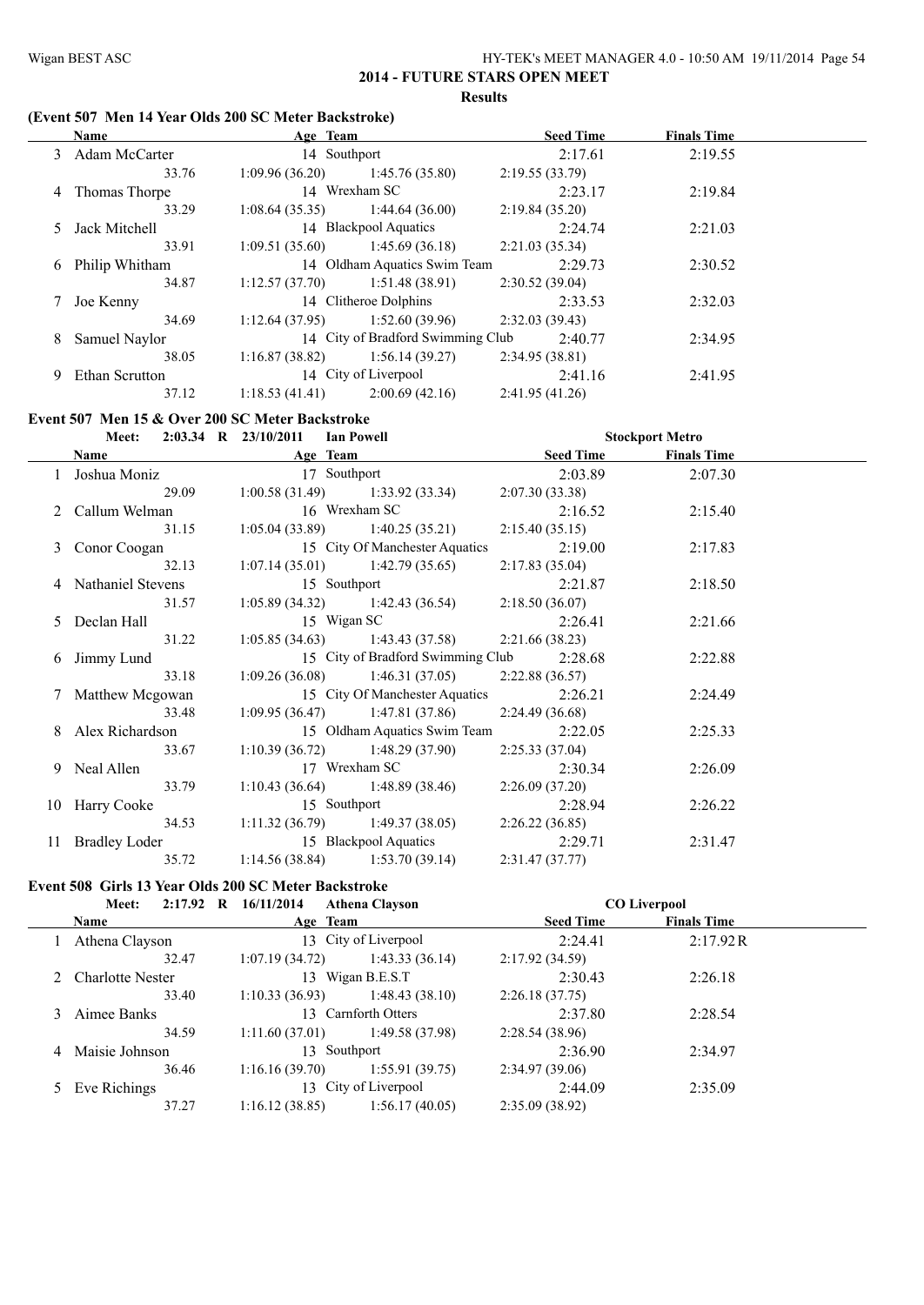#### **(Event 507 Men 14 Year Olds 200 SC Meter Backstroke)**

|   | Name             | Age Team                          |                                   | <b>Seed Time</b> | <b>Finals Time</b> |  |
|---|------------------|-----------------------------------|-----------------------------------|------------------|--------------------|--|
|   | 3 Adam McCarter  | 14 Southport                      |                                   | 2:17.61          | 2:19.55            |  |
|   | 33.76            | 1:09.96(36.20)                    | 1:45.76(35.80)                    | 2:19.55(33.79)   |                    |  |
| 4 | Thomas Thorpe    |                                   | 14 Wrexham SC                     | 2:23.17          | 2:19.84            |  |
|   | 33.29            | $1:08.64(35.35)$ $1:44.64(36.00)$ |                                   | 2:19.84(35.20)   |                    |  |
|   | 5 Jack Mitchell  |                                   | 14 Blackpool Aquatics             | 2:24.74          | 2:21.03            |  |
|   | 33.91            | 1:09.51(35.60)                    | 1:45.69(36.18)                    | 2:21.03(35.34)   |                    |  |
|   | 6 Philip Whitham |                                   | 14 Oldham Aquatics Swim Team      | 2:29.73          | 2:30.52            |  |
|   | 34.87            | 1:12.57(37.70)                    | 1:51.48(38.91)                    | 2:30.52(39.04)   |                    |  |
| 7 | Joe Kenny        |                                   | 14 Clitheroe Dolphins             | 2:33.53          | 2:32.03            |  |
|   | 34.69            | 1:12.64(37.95)                    | 1:52.60(39.96)                    | 2:32.03(39.43)   |                    |  |
| 8 | Samuel Naylor    |                                   | 14 City of Bradford Swimming Club | 2:40.77          | 2:34.95            |  |
|   | 38.05            | 1:16.87(38.82)                    | 1:56.14(39.27)                    | 2:34.95(38.81)   |                    |  |
| 9 | Ethan Scrutton   |                                   | 14 City of Liverpool              | 2:41.16          | 2:41.95            |  |
|   | 37.12            | 1:18.53(41.41)                    | 2:00.69(42.16)                    | 2:41.95(41.26)   |                    |  |

#### **Event 507 Men 15 & Over 200 SC Meter Backstroke**

| Meet: 2:03.34 R 23/10/2011 Ian Powell          |              |                                   |                                                       | <b>Stockport Metro</b> |         |  |
|------------------------------------------------|--------------|-----------------------------------|-------------------------------------------------------|------------------------|---------|--|
| Name Age Team                                  |              |                                   |                                                       | Seed Time Finals Time  |         |  |
| 1 Joshua Moniz 17 Southport                    |              |                                   |                                                       | 2:03.89                | 2:07.30 |  |
| 29.09                                          |              |                                   | $1:00.58(31.49)$ $1:33.92(33.34)$ $2:07.30(33.38)$    |                        |         |  |
| 2 Callum Welman 16 Wrexham SC                  |              |                                   | 2:16.52                                               |                        | 2:15.40 |  |
|                                                |              |                                   | $1:05.04(33.89)$ $1:40.25(35.21)$ $2:15.40(35.15)$    |                        |         |  |
| 3 Conor Coogan                                 |              | 15 City Of Manchester Aquatics    | 2:19.00                                               |                        | 2:17.83 |  |
| 32.13                                          |              |                                   | $1:07.14(35.01)$ $1:42.79(35.65)$ $2:17.83(35.04)$    |                        |         |  |
| 4 Nathaniel Stevens                            |              | 15 Southport                      | 2:21.87                                               |                        | 2:18.50 |  |
| 31.57                                          |              |                                   | $1:05.89(34.32)$ $1:42.43(36.54)$ $2:18.50(36.07)$    |                        |         |  |
| 5 Declan Hall                                  |              |                                   | 15 Wigan SC 2:26.41                                   |                        | 2:21.66 |  |
| 31.22                                          |              |                                   | $1:05.85(34.63)$ $1:43.43(37.58)$ $2:21.66(38.23)$    |                        |         |  |
| 6 Jimmy Lund                                   |              |                                   | 15 City of Bradford Swimming Club 2:28.68             |                        | 2:22.88 |  |
| 33.18                                          |              |                                   | $1:09.26(36.08)$ $1:46.31(37.05)$ $2:22.88(36.57)$    |                        |         |  |
| 7 Matthew Mcgowan                              |              |                                   | 15 City Of Manchester Aquatics 2:26.21                |                        | 2:24.49 |  |
| 33.48                                          |              |                                   | $1:09.95(36.47)$ $1:47.81(37.86)$ $2:24.49(36.68)$    |                        |         |  |
| 8 Alex Richardson                              |              |                                   | 15 Oldham Aquatics Swim Team 2:22.05                  |                        | 2:25.33 |  |
| 33.67                                          |              | $1:10.39(36.72)$ $1:48.29(37.90)$ | 2:25.33 (37.04)                                       |                        |         |  |
| 9 Neal Allen                                   |              | 17 Wrexham SC                     | 2:30.34                                               |                        | 2:26.09 |  |
| 33.79                                          |              |                                   | 1:10.43 (36.64) 1:48.89 (38.46) 2:26.09 (37.20)       |                        |         |  |
| 10 Harry Cooke                                 | 15 Southport |                                   | 2:28.94                                               |                        | 2:26.22 |  |
|                                                |              |                                   | 34.53 1:11.32 (36.79) 1:49.37 (38.05) 2:26.22 (36.85) |                        |         |  |
| 11 Bradley Loder 15 Blackpool Aquatics 2:29.71 |              |                                   |                                                       |                        | 2:31.47 |  |
| 35.72                                          |              | $1:14.56(38.84)$ $1:53.70(39.14)$ | 2:31.47(37.77)                                        |                        |         |  |

# **Event 508 Girls 13 Year Olds 200 SC Meter Backstroke**

| <b>Seed Time</b><br><b>Finals Time</b><br><b>Name</b><br>Age Team<br>13 City of Liverpool<br>Athena Clayson<br>2:24.41<br>2:17.92R<br>1:43.33(36.14)<br>1:07.19(34.72)<br>32.47<br>2:17.92(34.59)<br>13 Wigan B.E.S.T<br>2 Charlotte Nester<br>2:26.18<br>2:30.43<br>1:48.43(38.10)<br>1:10.33(36.93)<br>33.40<br>2:26.18(37.75)<br>13 Carnforth Otters<br>2:28.54<br>2:37.80<br>Aimee Banks<br>1:49.58 (37.98)<br>34.59<br>1:11.60(37.01)<br>2:28.54(38.96)<br>13 Southport<br>Maisie Johnson<br>2:34.97<br>2:36.90<br>4<br>36.46<br>1:55.91(39.75)<br>2:34.97(39.06)<br>1:16.16(39.70)<br>13 City of Liverpool<br>2:35.09<br>5 Eve Richings<br>2:44.09<br>1:16.12(38.85)<br>1:56.17(40.05)<br>37.27<br>2:35.09(38.92) | <b>Meet:</b> | 2:17.92 R 16/11/2014 | <b>Athena Clayson</b> | <b>CO Liverpool</b> |  |
|-------------------------------------------------------------------------------------------------------------------------------------------------------------------------------------------------------------------------------------------------------------------------------------------------------------------------------------------------------------------------------------------------------------------------------------------------------------------------------------------------------------------------------------------------------------------------------------------------------------------------------------------------------------------------------------------------------------------------|--------------|----------------------|-----------------------|---------------------|--|
|                                                                                                                                                                                                                                                                                                                                                                                                                                                                                                                                                                                                                                                                                                                         |              |                      |                       |                     |  |
|                                                                                                                                                                                                                                                                                                                                                                                                                                                                                                                                                                                                                                                                                                                         |              |                      |                       |                     |  |
|                                                                                                                                                                                                                                                                                                                                                                                                                                                                                                                                                                                                                                                                                                                         |              |                      |                       |                     |  |
|                                                                                                                                                                                                                                                                                                                                                                                                                                                                                                                                                                                                                                                                                                                         |              |                      |                       |                     |  |
|                                                                                                                                                                                                                                                                                                                                                                                                                                                                                                                                                                                                                                                                                                                         |              |                      |                       |                     |  |
|                                                                                                                                                                                                                                                                                                                                                                                                                                                                                                                                                                                                                                                                                                                         |              |                      |                       |                     |  |
|                                                                                                                                                                                                                                                                                                                                                                                                                                                                                                                                                                                                                                                                                                                         |              |                      |                       |                     |  |
|                                                                                                                                                                                                                                                                                                                                                                                                                                                                                                                                                                                                                                                                                                                         |              |                      |                       |                     |  |
|                                                                                                                                                                                                                                                                                                                                                                                                                                                                                                                                                                                                                                                                                                                         |              |                      |                       |                     |  |
|                                                                                                                                                                                                                                                                                                                                                                                                                                                                                                                                                                                                                                                                                                                         |              |                      |                       |                     |  |
|                                                                                                                                                                                                                                                                                                                                                                                                                                                                                                                                                                                                                                                                                                                         |              |                      |                       |                     |  |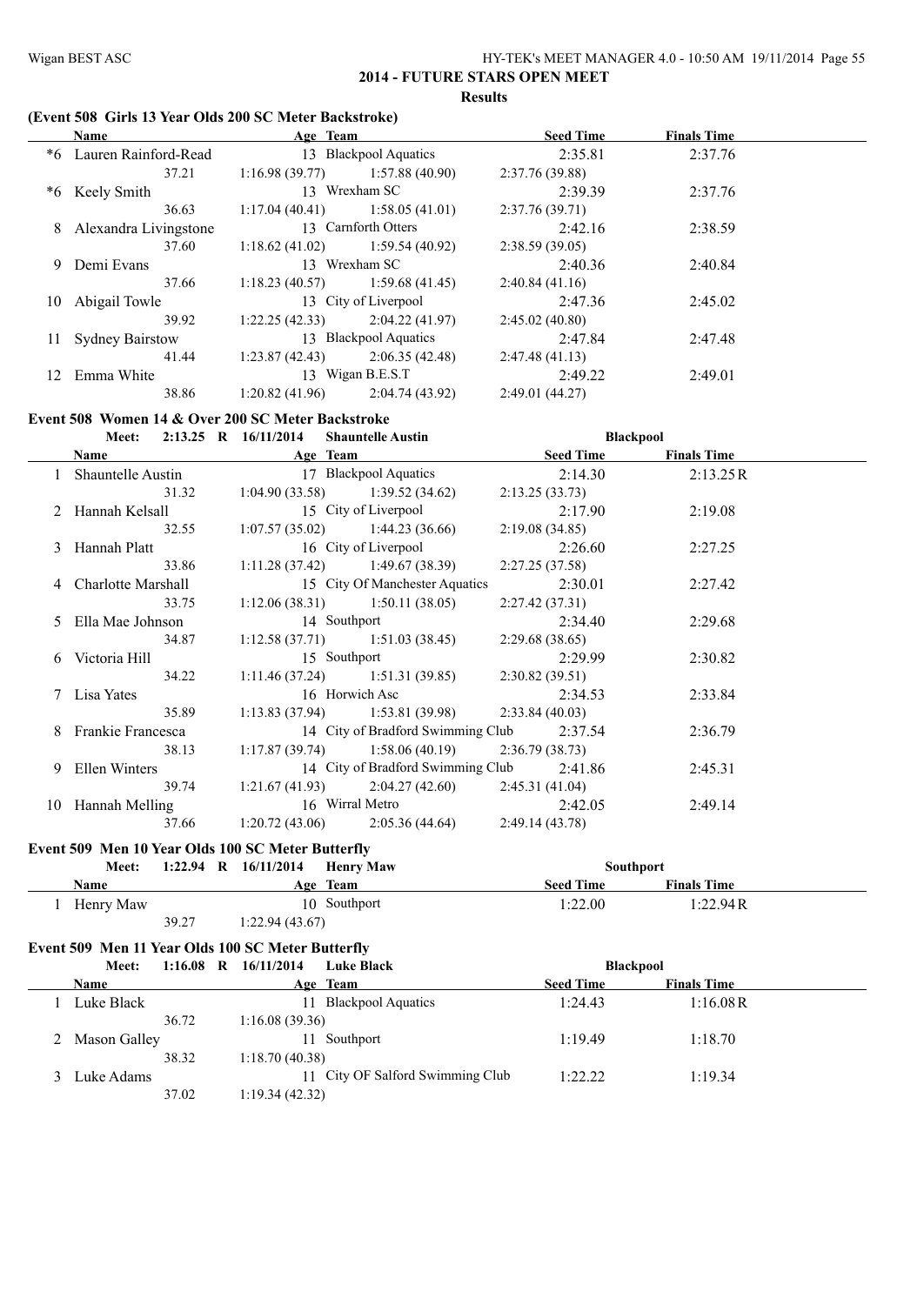#### **(Event 508 Girls 13 Year Olds 200 SC Meter Backstroke)**

|     | Name                   | Age Team        |                       | <b>Seed Time</b> | <b>Finals Time</b> |  |
|-----|------------------------|-----------------|-----------------------|------------------|--------------------|--|
| *6  | Lauren Rainford-Read   |                 | 13 Blackpool Aquatics | 2:35.81          | 2:37.76            |  |
|     | 37.21                  | 1:16.98(39.77)  | 1:57.88(40.90)        | 2:37.76(39.88)   |                    |  |
| *6  | Keely Smith            |                 | 13 Wrexham SC         | 2:39.39          | 2:37.76            |  |
|     | 36.63                  | 1:17.04(40.41)  | 1:58.05(41.01)        | 2:37.76(39.71)   |                    |  |
| 8   | Alexandra Livingstone  |                 | 13 Carnforth Otters   | 2:42.16          | 2:38.59            |  |
|     | 37.60                  | 1:18.62(41.02)  | 1:59.54(40.92)        | 2:38.59(39.05)   |                    |  |
| 9   | Demi Evans             |                 | 13 Wrexham SC         | 2:40.36          | 2:40.84            |  |
|     | 37.66                  | 1:18.23(40.57)  | 1:59.68(41.45)        | 2:40.84(41.16)   |                    |  |
| 10  | Abigail Towle          |                 | 13 City of Liverpool  | 2:47.36          | 2:45.02            |  |
|     | 39.92                  | 1:22.25(42.33)  | 2:04.22(41.97)        | 2:45.02(40.80)   |                    |  |
| 11  | <b>Sydney Bairstow</b> |                 | 13 Blackpool Aquatics | 2:47.84          | 2:47.48            |  |
|     | 41.44                  | 1:23.87(42.43)  | 2:06.35(42.48)        | 2:47.48(41.13)   |                    |  |
| 12. | Emma White             |                 | 13 Wigan B.E.S.T      | 2:49.22          | 2:49.01            |  |
|     | 38.86                  | 1:20.82 (41.96) | 2:04.74(43.92)        | 2:49.01(44.27)   |                    |  |
|     |                        |                 |                       |                  |                    |  |

#### **Event 508 Women 14 & Over 200 SC Meter Backstroke**

| Meet: 2:13.25 R 16/11/2014 Shauntelle Austin |              |                                                 |                 | <b>Blackpool</b>   |  |
|----------------------------------------------|--------------|-------------------------------------------------|-----------------|--------------------|--|
|                                              |              | <b>Name Seed Time Age Team Seed Time</b>        |                 | <b>Finals Time</b> |  |
|                                              |              | Shauntelle Austin 17 Blackpool Aquatics         | 2:14.30         | 2:13.25R           |  |
| 31.32                                        |              | $1:04.90(33.58)$ $1:39.52(34.62)$               | 2:13.25(33.73)  |                    |  |
| 2 Hannah Kelsall                             |              | 15 City of Liverpool 2:17.90                    |                 | 2:19.08            |  |
|                                              |              | 32.55 1:07.57 (35.02) 1:44.23 (36.66)           | 2:19.08(34.85)  |                    |  |
| 3 Hannah Platt                               |              | 16 City of Liverpool 2:26.60                    |                 | 2:27.25            |  |
| 33.86                                        |              | $1:11.28(37.42)$ $1:49.67(38.39)$               | 2:27.25 (37.58) |                    |  |
| 4 Charlotte Marshall                         |              | 15 City Of Manchester Aquatics                  | 2:30.01         | 2:27.42            |  |
| 33.75                                        |              | $1:12.06(38.31)$ $1:50.11(38.05)$               | 2:27.42(37.31)  |                    |  |
| 5 Ella Mae Johnson                           | 14 Southport |                                                 | 2:34.40         | 2:29.68            |  |
| 34.87                                        |              | 1:12.58 (37.71) 1:51.03 (38.45) 2:29.68 (38.65) |                 |                    |  |
| 6 Victoria Hill                              | 15 Southport |                                                 | 2:29.99         | 2:30.82            |  |
| 34.22                                        |              | 1:11.46 (37.24) 1:51.31 (39.85) 2:30.82 (39.51) |                 |                    |  |
| 7 Lisa Yates                                 |              | 16 Horwich Asc 2:34.53                          |                 | 2:33.84            |  |
| 35.89                                        |              | 1:13.83 (37.94) 1:53.81 (39.98) 2:33.84 (40.03) |                 |                    |  |
| 8 Frankie Francesca                          |              | 14 City of Bradford Swimming Club 2:37.54       |                 | 2:36.79            |  |
| 38.13                                        |              | 1:17.87 (39.74) 1:58.06 (40.19) 2:36.79 (38.73) |                 |                    |  |
| 9 Ellen Winters                              |              | 14 City of Bradford Swimming Club 2:41.86       |                 | 2:45.31            |  |
| 39.74                                        |              | 1:21.67 (41.93) 2:04.27 (42.60) 2:45.31 (41.04) |                 |                    |  |
| 10 Hannah Melling                            |              | 16 Wirral Metro 2:42.05                         |                 | 2:49.14            |  |
| 37.66                                        |              | 1:20.72 (43.06) 2:05.36 (44.64) 2:49.14 (43.78) |                 |                    |  |

#### **Event 509 Men 10 Year Olds 100 SC Meter Butterfly**

| Meet:       | 1:22.94 R $16/11/2014$ |                | <b>Henry Maw</b> |                  | <b>Southport</b>   |  |
|-------------|------------------------|----------------|------------------|------------------|--------------------|--|
| <b>Name</b> |                        |                | Age Team         | <b>Seed Time</b> | <b>Finals Time</b> |  |
| Henry Maw   |                        |                | 10 Southport     | 1:22.00          | 1:22.94R           |  |
|             | 39.27                  | 1:22.94(43.67) |                  |                  |                    |  |

# **Event 509 Men 11 Year Olds 100 SC Meter Butterfly**

| Meet:          | $1:16.08$ R | 16/11/2014     | <b>Luke Black</b>                | <b>Blackpool</b> |                    |  |
|----------------|-------------|----------------|----------------------------------|------------------|--------------------|--|
| <b>Name</b>    |             |                | Age Team                         | <b>Seed Time</b> | <b>Finals Time</b> |  |
| Luke Black     |             | 11             | <b>Blackpool Aquatics</b>        | 1:24.43          | 1:16.08R           |  |
|                | 36.72       | 1:16.08(39.36) |                                  |                  |                    |  |
| 2 Mason Galley |             | 11             | Southport                        | 1:19.49          | 1:18.70            |  |
|                | 38.32       | 1:18.70(40.38) |                                  |                  |                    |  |
| 3 Luke Adams   |             |                | 11 City OF Salford Swimming Club | 1:22.22          | 1:19.34            |  |
|                | 37.02       | 1:19.34(42.32) |                                  |                  |                    |  |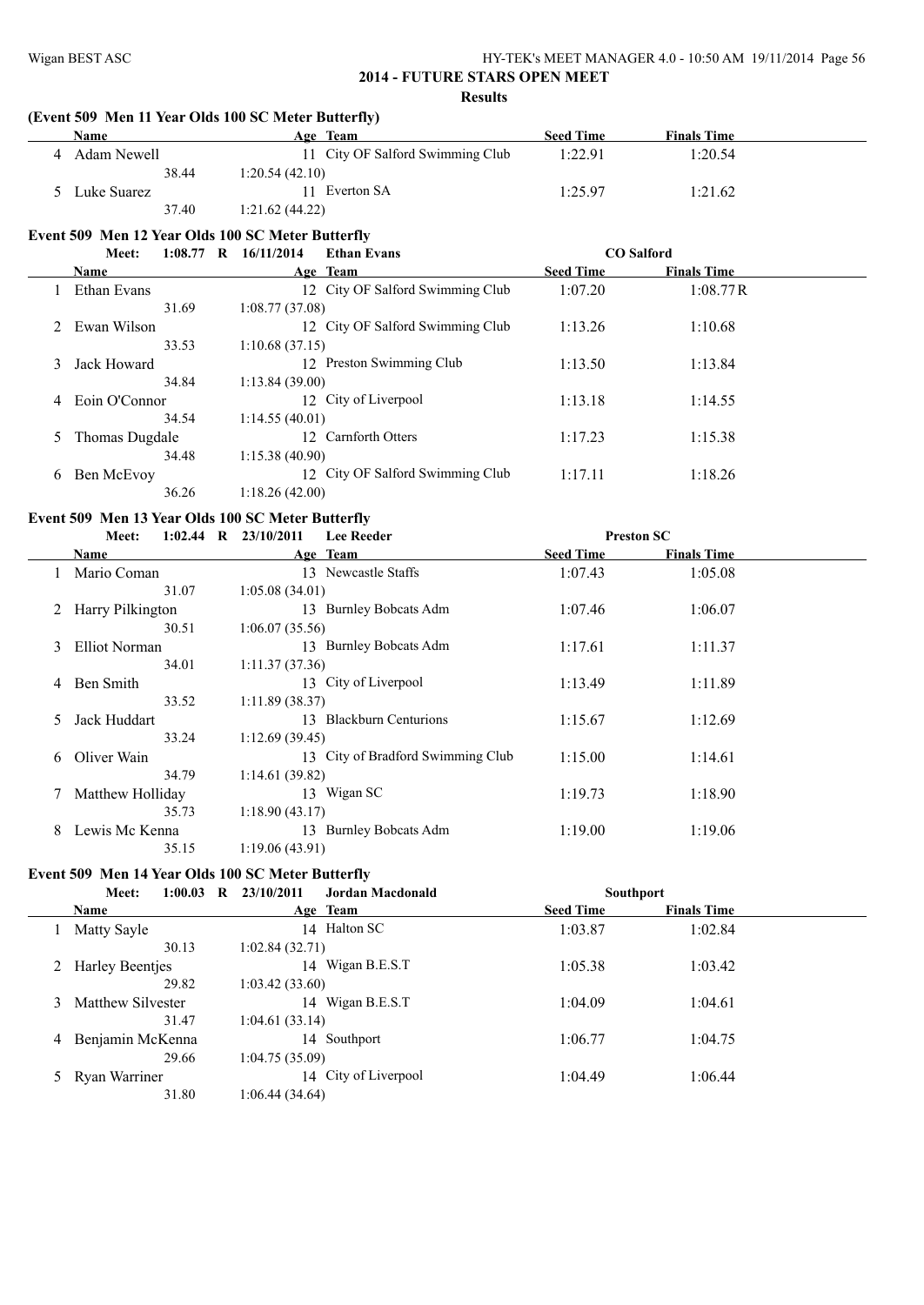|                | Name                                                       | (Event 509 Men 11 Year Olds 100 SC Meter Butterfly)<br>Age Team | <b>Seed Time</b> | <b>Finals Time</b> |
|----------------|------------------------------------------------------------|-----------------------------------------------------------------|------------------|--------------------|
|                | 4 Adam Newell                                              | 11 City OF Salford Swimming Club                                | 1:22.91          | 1:20.54            |
|                | 38.44                                                      | 1:20.54(42.10)                                                  |                  |                    |
|                | 5 Luke Suarez                                              | 11 Everton SA                                                   | 1:25.97          | 1:21.62            |
|                | 37.40                                                      | 1:21.62(44.22)                                                  |                  |                    |
|                | Event 509 Men 12 Year Olds 100 SC Meter Butterfly          |                                                                 |                  |                    |
|                | Meet:                                                      | 1:08.77 R 16/11/2014<br><b>Ethan Evans</b>                      |                  | <b>CO</b> Salford  |
|                | Name                                                       | Age Team                                                        | <b>Seed Time</b> | <b>Finals Time</b> |
|                | 1 Ethan Evans                                              | 12 City OF Salford Swimming Club                                | 1:07.20          | 1:08.77R           |
|                | 31.69                                                      | 1:08.77(37.08)                                                  |                  |                    |
| 2              | Ewan Wilson                                                | 12 City OF Salford Swimming Club                                | 1:13.26          | 1:10.68            |
|                | 33.53                                                      | 1:10.68(37.15)                                                  |                  |                    |
| 3              | Jack Howard                                                | 12 Preston Swimming Club                                        | 1:13.50          | 1:13.84            |
|                | 34.84                                                      | 1:13.84 (39.00)                                                 |                  |                    |
| 4              | Eoin O'Connor                                              | 12 City of Liverpool                                            | 1:13.18          | 1:14.55            |
|                | 34.54                                                      | 1:14.55(40.01)                                                  |                  |                    |
| 5              | Thomas Dugdale                                             | 12 Carnforth Otters                                             | 1:17.23          | 1:15.38            |
|                | 34.48                                                      | 1:15.38(40.90)                                                  |                  |                    |
| 6              | Ben McEvoy                                                 | 12 City OF Salford Swimming Club                                | 1:17.11          | 1:18.26            |
|                |                                                            |                                                                 |                  |                    |
|                | 36.26                                                      | 1:18.26(42.00)                                                  |                  |                    |
|                |                                                            |                                                                 |                  |                    |
|                | Event 509 Men 13 Year Olds 100 SC Meter Butterfly<br>Meet: | <b>Lee Reeder</b>                                               |                  |                    |
|                | Name                                                       | 1:02.44 R 23/10/2011                                            | <b>Seed Time</b> | <b>Preston SC</b>  |
|                |                                                            | Age Team                                                        |                  | <b>Finals Time</b> |
|                | 1 Mario Coman<br>31.07                                     | 13 Newcastle Staffs                                             | 1:07.43          | 1:05.08            |
| $\overline{2}$ | Harry Pilkington                                           | 1:05.08(34.01)<br>13 Burnley Bobcats Adm                        | 1:07.46          | 1:06.07            |
|                | 30.51                                                      | 1:06.07(35.56)                                                  |                  |                    |
| 3              | Elliot Norman                                              | 13 Burnley Bobcats Adm                                          | 1:17.61          | 1:11.37            |
|                | 34.01                                                      | 1:11.37(37.36)                                                  |                  |                    |
| 4              | Ben Smith                                                  | 13 City of Liverpool                                            | 1:13.49          | 1:11.89            |
|                | 33.52                                                      | 1:11.89(38.37)                                                  |                  |                    |
| 5              | Jack Huddart                                               | 13 Blackburn Centurions                                         | 1:15.67          | 1:12.69            |
|                | 33.24                                                      | 1:12.69(39.45)                                                  |                  |                    |
| 6              | Oliver Wain                                                | 13 City of Bradford Swimming Club                               | 1:15.00          | 1:14.61            |
|                | 34.79                                                      | 1:14.61(39.82)                                                  |                  |                    |
| 7              | Matthew Holliday                                           | 13 Wigan SC                                                     | 1:19.73          | 1:18.90            |
|                | 35.73                                                      | 1:18.90(43.17)                                                  |                  |                    |
| 8              | Lewis Mc Kenna<br>35.15                                    | 13 Burnley Bobcats Adm<br>1:19.06(43.91)                        | 1:19.00          | 1:19.06            |

|   | 1:00.03<br>$\mathbf R$<br>Meet: | 23/10/2011<br>Jordan Macdonald | <b>Southport</b>                       |  |
|---|---------------------------------|--------------------------------|----------------------------------------|--|
|   | Name                            | Age Team                       | <b>Seed Time</b><br><b>Finals Time</b> |  |
|   | Matty Sayle                     | 14 Halton SC                   | 1:02.84<br>1:03.87                     |  |
|   | 30.13                           | 1:02.84(32.71)                 |                                        |  |
|   | 2 Harley Beentjes               | 14 Wigan B.E.S.T               | 1:05.38<br>1:03.42                     |  |
|   | 29.82                           | 1:03.42(33.60)                 |                                        |  |
| 3 | Matthew Silvester               | 14 Wigan B.E.S.T               | 1:04.61<br>1:04.09                     |  |
|   | 31.47                           | 1:04.61(33.14)                 |                                        |  |
| 4 | Benjamin McKenna                | 14 Southport                   | 1:06.77<br>1:04.75                     |  |
|   | 29.66                           | 1:04.75(35.09)                 |                                        |  |
|   | Ryan Warriner                   | 14 City of Liverpool           | 1:06.44<br>1:04.49                     |  |
|   | 31.80                           | 1:06.44 (34.64)                |                                        |  |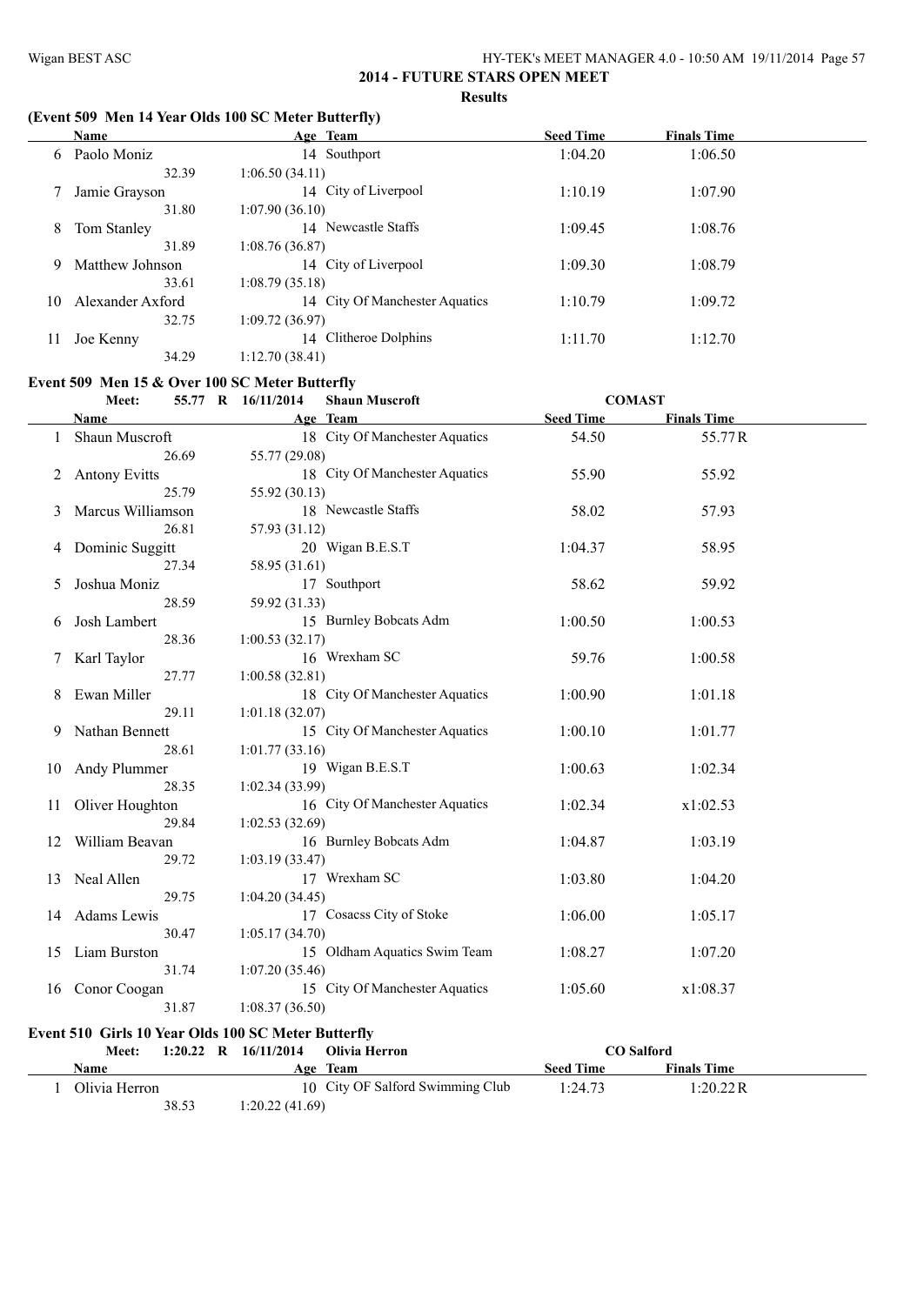#### **(Event 509 Men 14 Year Olds 100 SC Meter Butterfly)**

|    | Name             | Age Team                       | <b>Seed Time</b> | <b>Finals Time</b> |  |
|----|------------------|--------------------------------|------------------|--------------------|--|
| 6  | Paolo Moniz      | 14 Southport                   | 1:04.20          | 1:06.50            |  |
|    | 32.39            | 1:06.50(34.11)                 |                  |                    |  |
|    | Jamie Grayson    | 14 City of Liverpool           | 1:10.19          | 1:07.90            |  |
|    | 31.80            | 1:07.90(36.10)                 |                  |                    |  |
| 8  | Tom Stanley      | 14 Newcastle Staffs            | 1:09.45          | 1:08.76            |  |
|    | 31.89            | 1:08.76(36.87)                 |                  |                    |  |
| 9  | Matthew Johnson  | 14 City of Liverpool           | 1:09.30          | 1:08.79            |  |
|    | 33.61            | 1:08.79(35.18)                 |                  |                    |  |
| 10 | Alexander Axford | 14 City Of Manchester Aquatics | 1:10.79          | 1:09.72            |  |
|    | 32.75            | 1:09.72(36.97)                 |                  |                    |  |
|    | Joe Kenny        | 14 Clitheroe Dolphins          | 1:11.70          | 1:12.70            |  |
|    | 34.29            | 1:12.70(38.41)                 |                  |                    |  |

#### **Event 509 Men 15 & Over 100 SC Meter Butterfly**

|    | Meet:                | 55.77 R 16/11/2014 | <b>Shaun Muscroft</b>          | <b>COMAST</b>    |                    |  |
|----|----------------------|--------------------|--------------------------------|------------------|--------------------|--|
|    | Name                 |                    | Age Team                       | <b>Seed Time</b> | <b>Finals Time</b> |  |
|    | Shaun Muscroft       |                    | 18 City Of Manchester Aquatics | 54.50            | 55.77R             |  |
|    | 26.69                | 55.77 (29.08)      |                                |                  |                    |  |
| 2  | <b>Antony Evitts</b> |                    | 18 City Of Manchester Aquatics | 55.90            | 55.92              |  |
|    | 25.79                | 55.92 (30.13)      |                                |                  |                    |  |
| 3  | Marcus Williamson    |                    | 18 Newcastle Staffs            | 58.02            | 57.93              |  |
|    | 26.81                | 57.93 (31.12)      |                                |                  |                    |  |
| 4  | Dominic Suggitt      |                    | 20 Wigan B.E.S.T               | 1:04.37          | 58.95              |  |
|    | 27.34                | 58.95 (31.61)      |                                |                  |                    |  |
| 5  | Joshua Moniz         |                    | 17 Southport                   | 58.62            | 59.92              |  |
|    | 28.59                | 59.92 (31.33)      |                                |                  |                    |  |
| 6  | Josh Lambert         |                    | 15 Burnley Bobcats Adm         | 1:00.50          | 1:00.53            |  |
|    | 28.36                | 1:00.53(32.17)     |                                |                  |                    |  |
|    | Karl Taylor          |                    | 16 Wrexham SC                  | 59.76            | 1:00.58            |  |
|    | 27.77                | 1:00.58(32.81)     |                                |                  |                    |  |
| 8  | Ewan Miller          |                    | 18 City Of Manchester Aquatics | 1:00.90          | 1:01.18            |  |
|    | 29.11                | 1:01.18(32.07)     |                                |                  |                    |  |
| 9  | Nathan Bennett       |                    | 15 City Of Manchester Aquatics | 1:00.10          | 1:01.77            |  |
|    | 28.61                | 1:01.77(33.16)     |                                |                  |                    |  |
| 10 | Andy Plummer         |                    | 19 Wigan B.E.S.T               | 1:00.63          | 1:02.34            |  |
|    | 28.35                | 1:02.34(33.99)     |                                |                  |                    |  |
| 11 | Oliver Houghton      |                    | 16 City Of Manchester Aquatics | 1:02.34          | x1:02.53           |  |
|    | 29.84                | 1:02.53(32.69)     |                                |                  |                    |  |
| 12 | William Beavan       |                    | 16 Burnley Bobcats Adm         | 1:04.87          | 1:03.19            |  |
|    | 29.72                | 1:03.19(33.47)     |                                |                  |                    |  |
| 13 | Neal Allen           |                    | 17 Wrexham SC                  | 1:03.80          | 1:04.20            |  |
|    | 29.75                | 1:04.20(34.45)     |                                |                  |                    |  |
| 14 | Adams Lewis          |                    | 17 Cosacss City of Stoke       | 1:06.00          | 1:05.17            |  |
|    | 30.47                | 1:05.17(34.70)     |                                |                  |                    |  |
|    | 15 Liam Burston      |                    | 15 Oldham Aquatics Swim Team   | 1:08.27          | 1:07.20            |  |
|    | 31.74                | 1:07.20(35.46)     |                                |                  |                    |  |
| 16 | Conor Coogan         |                    | 15 City Of Manchester Aquatics | 1:05.60          | x1:08.37           |  |
|    | 31.87                | 1:08.37(36.50)     |                                |                  |                    |  |
|    |                      |                    |                                |                  |                    |  |

# **Event 510 Girls 10 Year Olds 100 SC Meter Butterfly**

| Meet:         | $1:20.22$ R | 16/11/2014     | Olivia Herron                    | CO Salford       |                    |  |
|---------------|-------------|----------------|----------------------------------|------------------|--------------------|--|
| Name          |             |                | Age Team                         | <b>Seed Time</b> | <b>Finals Time</b> |  |
| Olivia Herron |             |                | 10 City OF Salford Swimming Club | 1:24.73          | 1:20.22R           |  |
|               | 38.53       | 1:20.22(41.69) |                                  |                  |                    |  |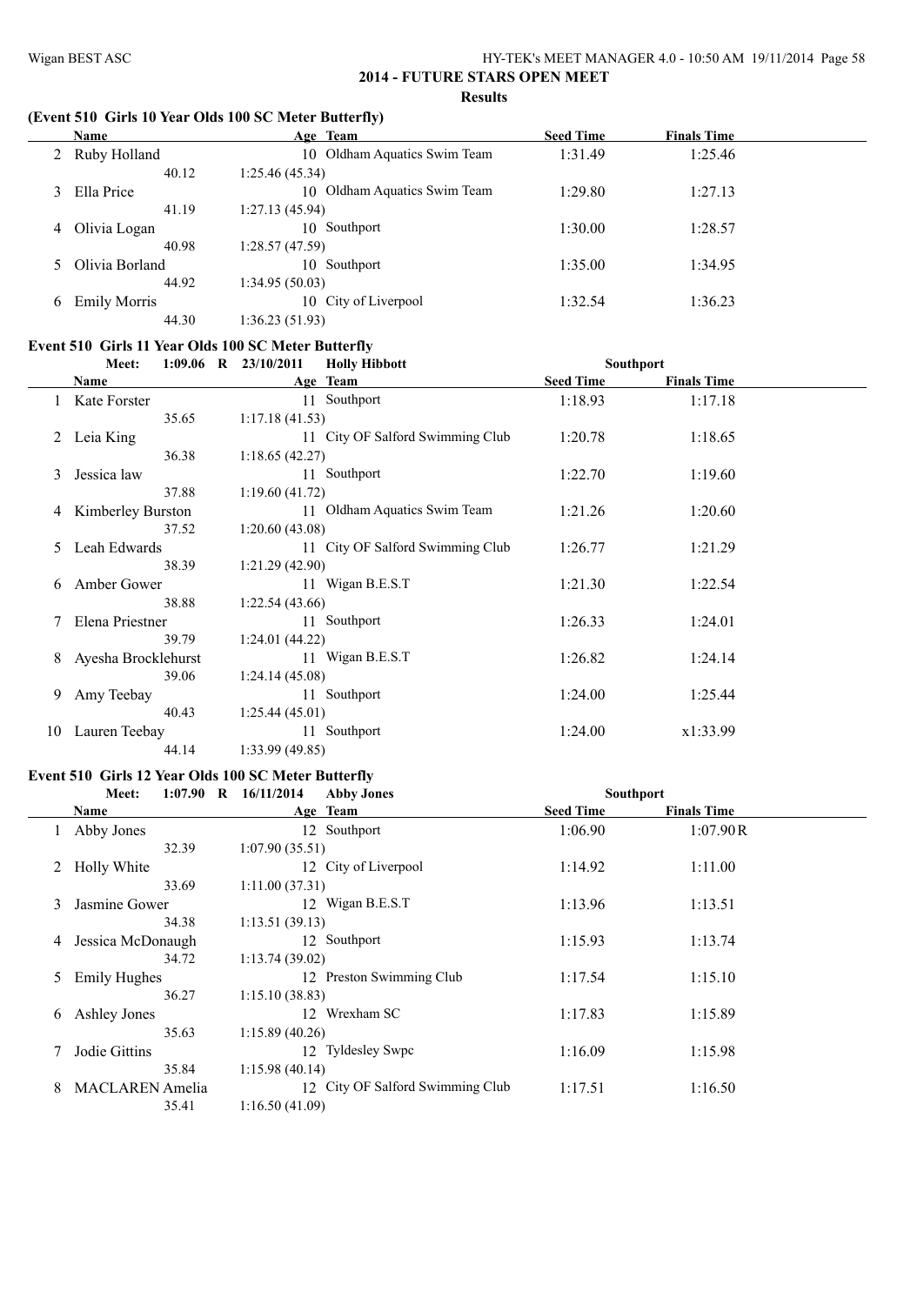#### **(Event 510 Girls 10 Year Olds 100 SC Meter Butterfly)**

|   | Name                | Age Team                         | <b>Seed Time</b> | <b>Finals Time</b> |  |
|---|---------------------|----------------------------------|------------------|--------------------|--|
|   | 2 Ruby Holland      | 10 Oldham Aquatics Swim Team     | 1:31.49          | 1:25.46            |  |
|   | 40.12               | 1:25.46 (45.34)                  |                  |                    |  |
| 3 | Ella Price          | Oldham Aquatics Swim Team<br>10. | 1:29.80          | 1:27.13            |  |
|   | 41.19               | 1:27.13(45.94)                   |                  |                    |  |
| 4 | Olivia Logan        | 10 Southport                     | 1:30.00          | 1:28.57            |  |
|   | 40.98               | 1:28.57 (47.59)                  |                  |                    |  |
|   | 5 Olivia Borland    | 10 Southport                     | 1:35.00          | 1:34.95            |  |
|   | 44.92               | 1:34.95 (50.03)                  |                  |                    |  |
| 6 | <b>Emily Morris</b> | 10 City of Liverpool             | 1:32.54          | 1:36.23            |  |
|   | 44.30               | 1:36.23(51.93)                   |                  |                    |  |

# **Event 510 Girls 11 Year Olds 100 SC Meter Butterfly**

|    | Meet:               | $1:09.06$ R $23/10/2011$ | <b>Holly Hibbott</b>             | <b>Southport</b> |                    |  |
|----|---------------------|--------------------------|----------------------------------|------------------|--------------------|--|
|    | Name                |                          | Age Team                         | <b>Seed Time</b> | <b>Finals Time</b> |  |
|    | Kate Forster        |                          | 11 Southport                     | 1:18.93          | 1:17.18            |  |
|    | 35.65               | 1:17.18(41.53)           |                                  |                  |                    |  |
|    | Leia King           |                          | 11 City OF Salford Swimming Club | 1:20.78          | 1:18.65            |  |
|    | 36.38               | 1:18.65(42.27)           |                                  |                  |                    |  |
| 3  | Jessica law         |                          | 11 Southport                     | 1:22.70          | 1:19.60            |  |
|    | 37.88               | 1:19.60(41.72)           |                                  |                  |                    |  |
| 4  | Kimberley Burston   |                          | 11 Oldham Aquatics Swim Team     | 1:21.26          | 1:20.60            |  |
|    | 37.52               | 1:20.60(43.08)           |                                  |                  |                    |  |
| 5  | Leah Edwards        |                          | 11 City OF Salford Swimming Club | 1:26.77          | 1:21.29            |  |
|    | 38.39               | 1:21.29(42.90)           |                                  |                  |                    |  |
| 6  | Amber Gower         |                          | 11 Wigan B.E.S.T                 | 1:21.30          | 1:22.54            |  |
|    | 38.88               | 1:22.54(43.66)           |                                  |                  |                    |  |
|    | Elena Priestner     |                          | 11 Southport                     | 1:26.33          | 1:24.01            |  |
|    | 39.79               | 1:24.01(44.22)           |                                  |                  |                    |  |
| 8  | Ayesha Brocklehurst |                          | 11 Wigan B.E.S.T                 | 1:26.82          | 1:24.14            |  |
|    | 39.06               | 1:24.14(45.08)           |                                  |                  |                    |  |
| 9  | Amy Teebay          |                          | 11 Southport                     | 1:24.00          | 1:25.44            |  |
|    | 40.43               | 1:25.44(45.01)           |                                  |                  |                    |  |
| 10 | Lauren Teebay       |                          | 11 Southport                     | 1:24.00          | x1:33.99           |  |
|    | 44.14               | 1:33.99(49.85)           |                                  |                  |                    |  |

#### **Event 510 Girls 12 Year Olds 100 SC Meter Butterfly**

|    | Meet:                  | $1:07.90$ R $16/11/2014$<br><b>Abby Jones</b> | Southport        |                    |  |
|----|------------------------|-----------------------------------------------|------------------|--------------------|--|
|    | Name                   | Age Team                                      | <b>Seed Time</b> | <b>Finals Time</b> |  |
|    | Abby Jones             | 12 Southport                                  | 1:06.90          | 1:07.90R           |  |
|    | 32.39                  | 1:07.90(35.51)                                |                  |                    |  |
|    | Holly White            | 12 City of Liverpool                          | 1:14.92          | 1:11.00            |  |
|    | 33.69                  | 1:11.00(37.31)                                |                  |                    |  |
| 3  | Jasmine Gower          | 12 Wigan B.E.S.T                              | 1:13.96          | 1:13.51            |  |
|    | 34.38                  | 1:13.51(39.13)                                |                  |                    |  |
| 4  | Jessica McDonaugh      | 12 Southport                                  | 1:15.93          | 1:13.74            |  |
|    | 34.72                  | 1:13.74(39.02)                                |                  |                    |  |
| 5. | <b>Emily Hughes</b>    | 12 Preston Swimming Club                      | 1:17.54          | 1:15.10            |  |
|    | 36.27                  | 1:15.10(38.83)                                |                  |                    |  |
| 6  | Ashley Jones           | 12 Wrexham SC                                 | 1:17.83          | 1:15.89            |  |
|    | 35.63                  | 1:15.89(40.26)                                |                  |                    |  |
|    | Jodie Gittins          | <b>Tyldesley Swpc</b><br>12                   | 1:16.09          | 1:15.98            |  |
|    | 35.84                  | 1:15.98(40.14)                                |                  |                    |  |
| 8  | <b>MACLAREN</b> Amelia | 12 City OF Salford Swimming Club              | 1:17.51          | 1:16.50            |  |
|    | 35.41                  | 1:16.50(41.09)                                |                  |                    |  |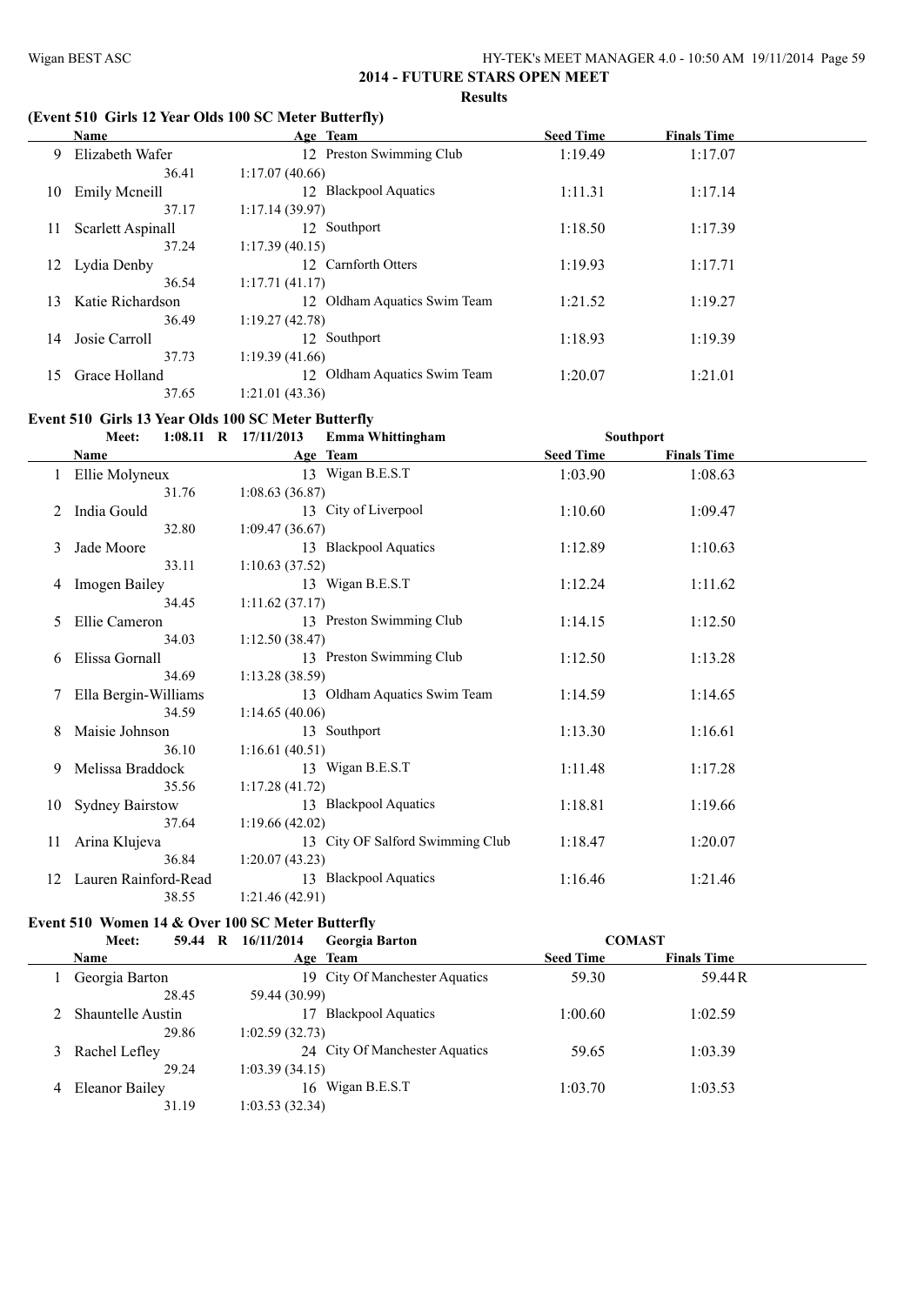$\frac{1}{2}$ 

#### **2014 - FUTURE STARS OPEN MEET Results**

#### **(Event 510 Girls 12 Year Olds 100 SC Meter Butterfly)**

|    | Name              | Age Team                        | <b>Seed Time</b> | <b>Finals Time</b> |  |
|----|-------------------|---------------------------------|------------------|--------------------|--|
| 9. | Elizabeth Wafer   | 12 Preston Swimming Club        | 1:19.49          | 1:17.07            |  |
|    | 36.41             | 1:17.07(40.66)                  |                  |                    |  |
| 10 | Emily Meneill     | 12 Blackpool Aquatics           | 1:11.31          | 1:17.14            |  |
|    | 37.17             | 1:17.14(39.97)                  |                  |                    |  |
| 11 | Scarlett Aspinall | 12 Southport                    | 1:18.50          | 1:17.39            |  |
|    | 37.24             | 1:17.39(40.15)                  |                  |                    |  |
| 12 | Lydia Denby       | 12 Carnforth Otters             | 1:19.93          | 1:17.71            |  |
|    | 36.54             | 1:17.71(41.17)                  |                  |                    |  |
| 13 | Katie Richardson  | Oldham Aquatics Swim Team<br>12 | 1:21.52          | 1:19.27            |  |
|    | 36.49             | 1:19.27(42.78)                  |                  |                    |  |
| 14 | Josie Carroll     | 12 Southport                    | 1:18.93          | 1:19.39            |  |
|    | 37.73             | 1:19.39(41.66)                  |                  |                    |  |
| 15 | Grace Holland     | Oldham Aquatics Swim Team<br>12 | 1:20.07          | 1:21.01            |  |
|    | 37.65             | 1:21.01(43.36)                  |                  |                    |  |

#### **Event 510 Girls 13 Year Olds 100 SC Meter Butterfly**

|    | Meet:                  | $1:08.11$ R $17/11/2013$ | Emma Whittingham                 | Southport        |                    |  |
|----|------------------------|--------------------------|----------------------------------|------------------|--------------------|--|
|    | <b>Name</b>            |                          | Age Team                         | <b>Seed Time</b> | <b>Finals Time</b> |  |
|    | Ellie Molyneux         |                          | 13 Wigan B.E.S.T                 | 1:03.90          | 1:08.63            |  |
|    | 31.76                  | 1:08.63(36.87)           |                                  |                  |                    |  |
|    | India Gould            |                          | 13 City of Liverpool             | 1:10.60          | 1:09.47            |  |
|    | 32.80                  | 1:09.47(36.67)           |                                  |                  |                    |  |
| 3  | Jade Moore             |                          | 13 Blackpool Aquatics            | 1:12.89          | 1:10.63            |  |
|    | 33.11                  | 1:10.63(37.52)           |                                  |                  |                    |  |
| 4  | Imogen Bailey          |                          | 13 Wigan B.E.S.T                 | 1:12.24          | 1:11.62            |  |
|    | 34.45                  | 1:11.62(37.17)           |                                  |                  |                    |  |
| 5  | Ellie Cameron          |                          | 13 Preston Swimming Club         | 1:14.15          | 1:12.50            |  |
|    | 34.03                  | 1:12.50(38.47)           |                                  |                  |                    |  |
| 6  | Elissa Gornall         |                          | 13 Preston Swimming Club         | 1:12.50          | 1:13.28            |  |
|    | 34.69                  | 1:13.28(38.59)           |                                  |                  |                    |  |
|    | Ella Bergin-Williams   |                          | 13 Oldham Aquatics Swim Team     | 1:14.59          | 1:14.65            |  |
|    | 34.59                  | 1:14.65(40.06)           |                                  |                  |                    |  |
| 8  | Maisie Johnson         |                          | 13 Southport                     | 1:13.30          | 1:16.61            |  |
|    | 36.10                  | 1:16.61(40.51)           |                                  |                  |                    |  |
| 9  | Melissa Braddock       |                          | 13 Wigan B.E.S.T                 | 1:11.48          | 1:17.28            |  |
|    | 35.56                  | 1:17.28(41.72)           |                                  |                  |                    |  |
| 10 | <b>Sydney Bairstow</b> |                          | 13 Blackpool Aquatics            | 1:18.81          | 1:19.66            |  |
|    | 37.64                  | 1:19.66(42.02)           |                                  |                  |                    |  |
| 11 | Arina Klujeva          |                          | 13 City OF Salford Swimming Club | 1:18.47          | 1:20.07            |  |
|    | 36.84                  | 1:20.07(43.23)           |                                  |                  |                    |  |
| 12 | Lauren Rainford-Read   |                          | 13 Blackpool Aquatics            | 1:16.46          | 1:21.46            |  |
|    | 38.55                  | 1:21.46(42.91)           |                                  |                  |                    |  |

#### **Event 510 Women 14 & Over 100 SC Meter Butterfly**

| - R<br>Meet:<br>59.44    | 16/11/2014<br>Georgia Barton   | <b>COMAST</b>    |                    |  |
|--------------------------|--------------------------------|------------------|--------------------|--|
| <b>Name</b>              | Age Team                       | <b>Seed Time</b> | <b>Finals Time</b> |  |
| Georgia Barton           | 19 City Of Manchester Aquatics | 59.30            | 59.44R             |  |
| 28.45                    | 59.44 (30.99)                  |                  |                    |  |
| <b>Shauntelle Austin</b> | <b>Blackpool Aquatics</b>      | 1:00.60          | 1:02.59            |  |
| 29.86                    | 1:02.59(32.73)                 |                  |                    |  |
| 3 Rachel Lefley          | 24 City Of Manchester Aquatics | 59.65            | 1:03.39            |  |
| 29.24                    | 1:03.39(34.15)                 |                  |                    |  |
| 4 Eleanor Bailey         | 16 Wigan B.E.S.T               | 1:03.70          | 1:03.53            |  |
| 31.19                    | 1:03.53(32.34)                 |                  |                    |  |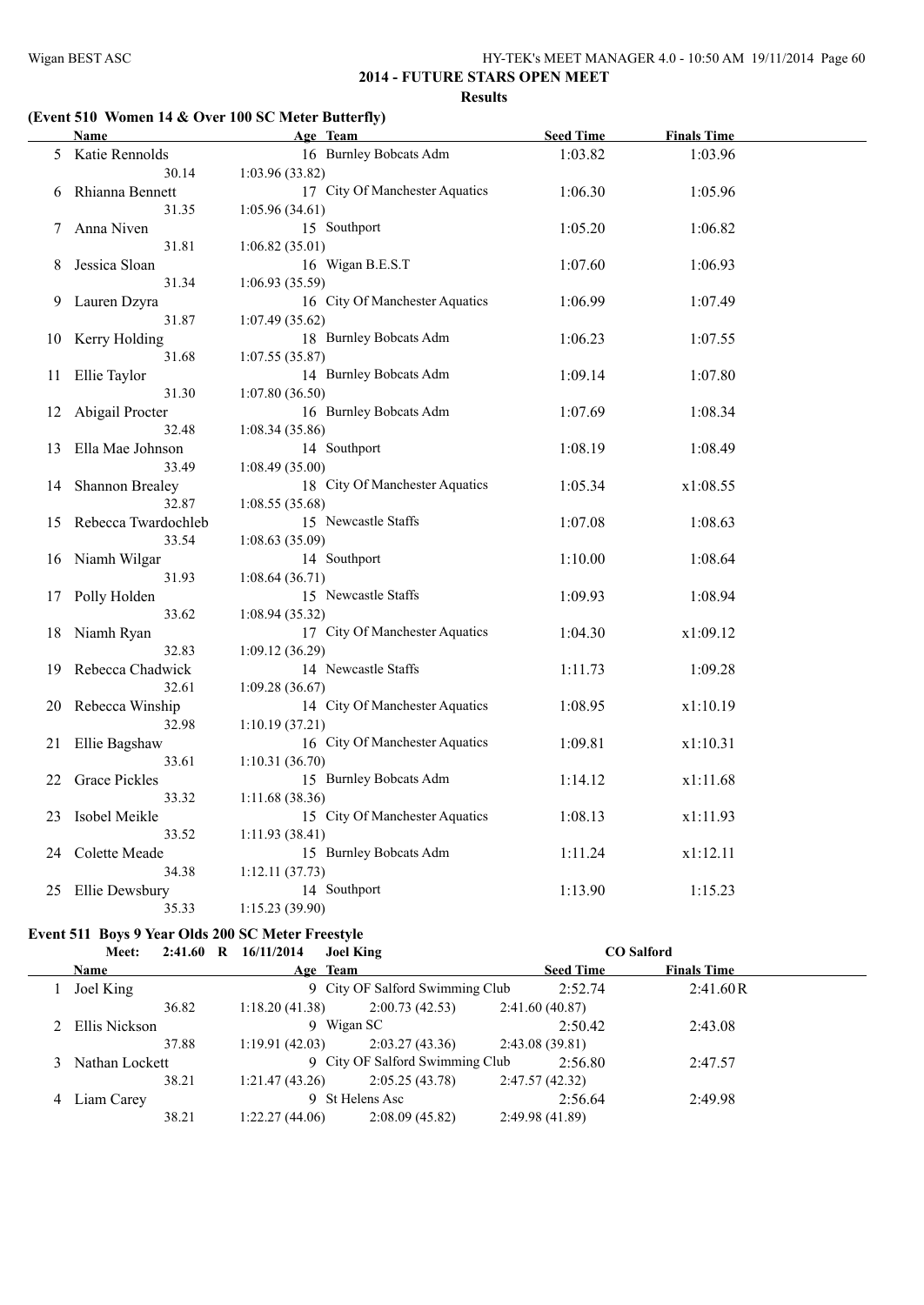# **(Event 510 Women 14 & Over 100 SC Meter Butterfly)**

|    | <b>Name</b>         | Age Team                       | <b>Seed Time</b> | <b>Finals Time</b> |  |
|----|---------------------|--------------------------------|------------------|--------------------|--|
|    | 5 Katie Rennolds    | 16 Burnley Bobcats Adm         | 1:03.82          | 1:03.96            |  |
|    | 30.14               | 1:03.96(33.82)                 |                  |                    |  |
| 6  | Rhianna Bennett     | 17 City Of Manchester Aquatics | 1:06.30          | 1:05.96            |  |
|    | 31.35               | 1:05.96(34.61)                 |                  |                    |  |
| 7. | Anna Niven          | 15 Southport                   | 1:05.20          | 1:06.82            |  |
|    | 31.81               | 1:06.82(35.01)                 |                  |                    |  |
| 8  | Jessica Sloan       | 16 Wigan B.E.S.T               | 1:07.60          | 1:06.93            |  |
|    | 31.34               | 1:06.93 (35.59)                |                  |                    |  |
| 9  | Lauren Dzyra        | 16 City Of Manchester Aquatics | 1:06.99          | 1:07.49            |  |
|    | 31.87               | 1:07.49(35.62)                 |                  |                    |  |
| 10 | Kerry Holding       | 18 Burnley Bobcats Adm         | 1:06.23          | 1:07.55            |  |
|    | 31.68               | 1:07.55(35.87)                 |                  |                    |  |
| 11 | Ellie Taylor        | 14 Burnley Bobcats Adm         | 1:09.14          | 1:07.80            |  |
|    | 31.30               | 1:07.80 (36.50)                |                  |                    |  |
| 12 | Abigail Procter     | 16 Burnley Bobcats Adm         | 1:07.69          | 1:08.34            |  |
|    | 32.48               | 1:08.34(35.86)                 |                  |                    |  |
| 13 | Ella Mae Johnson    | 14 Southport                   | 1:08.19          | 1:08.49            |  |
|    | 33.49               | 1:08.49(35.00)                 |                  |                    |  |
| 14 | Shannon Brealey     | 18 City Of Manchester Aquatics | 1:05.34          | x1:08.55           |  |
|    | 32.87               | 1:08.55(35.68)                 |                  |                    |  |
| 15 | Rebecca Twardochleb | 15 Newcastle Staffs            | 1:07.08          | 1:08.63            |  |
|    | 33.54               | 1:08.63 (35.09)                |                  |                    |  |
|    | 16 Niamh Wilgar     | 14 Southport                   | 1:10.00          | 1:08.64            |  |
|    | 31.93               | 1:08.64(36.71)                 |                  |                    |  |
|    | 17 Polly Holden     | 15 Newcastle Staffs            | 1:09.93          | 1:08.94            |  |
|    | 33.62               | 1:08.94(35.32)                 |                  |                    |  |
| 18 | Niamh Ryan          | 17 City Of Manchester Aquatics | 1:04.30          | x1:09.12           |  |
|    | 32.83               | 1:09.12(36.29)                 |                  |                    |  |
| 19 | Rebecca Chadwick    | 14 Newcastle Staffs            | 1:11.73          | 1:09.28            |  |
|    | 32.61               | 1:09.28(36.67)                 |                  |                    |  |
| 20 | Rebecca Winship     | 14 City Of Manchester Aquatics | 1:08.95          | x1:10.19           |  |
|    | 32.98               | 1:10.19(37.21)                 |                  |                    |  |
| 21 | Ellie Bagshaw       | 16 City Of Manchester Aquatics | 1:09.81          | x1:10.31           |  |
|    | 33.61               | 1:10.31(36.70)                 |                  |                    |  |
| 22 | Grace Pickles       | 15 Burnley Bobcats Adm         | 1:14.12          | x1:11.68           |  |
|    | 33.32               | 1:11.68(38.36)                 |                  |                    |  |
| 23 | Isobel Meikle       | 15 City Of Manchester Aquatics | 1:08.13          | x1:11.93           |  |
|    | 33.52               | 1:11.93 (38.41)                |                  |                    |  |
| 24 | Colette Meade       | 15 Burnley Bobcats Adm         | 1:11.24          | x1:12.11           |  |
|    | 34.38               | 1:12.11(37.73)                 |                  |                    |  |
| 25 | Ellie Dewsbury      | 14 Southport                   | 1:13.90          | 1:15.23            |  |
|    | 35.33               | 1:15.23(39.90)                 |                  |                    |  |

# **Event 511 Boys 9 Year Olds 200 SC Meter Freestyle**

|   | Meet:          |       | 2:41.60 R 16/11/2014 | <b>Joel King</b> |                                 |                |                  | <b>CO</b> Salford  |  |
|---|----------------|-------|----------------------|------------------|---------------------------------|----------------|------------------|--------------------|--|
|   | Name           |       |                      | Age Team         |                                 |                | <b>Seed Time</b> | <b>Finals Time</b> |  |
|   | Joel King      |       |                      |                  | 9 City OF Salford Swimming Club |                | 2:52.74          | 2:41.60R           |  |
|   |                | 36.82 | 1:18.20(41.38)       |                  | 2:00.73(42.53)                  | 2:41.60(40.87) |                  |                    |  |
|   | Ellis Nickson  |       |                      | 9 Wigan SC       |                                 |                | 2:50.42          | 2:43.08            |  |
|   |                | 37.88 | 1:19.91(42.03)       |                  | 2:03.27(43.36)                  | 2:43.08(39.81) |                  |                    |  |
|   | Nathan Lockett |       |                      |                  | 9 City OF Salford Swimming Club |                | 2:56.80          | 2:47.57            |  |
|   |                | 38.21 | 1:21.47(43.26)       |                  | 2:05.25(43.78)                  | 2:47.57(42.32) |                  |                    |  |
| 4 | Liam Carey     |       |                      | 9 St Helens Asc  |                                 |                | 2:56.64          | 2:49.98            |  |
|   |                | 38.21 | 1:22.27(44.06)       |                  | 2:08.09(45.82)                  | 2:49.98(41.89) |                  |                    |  |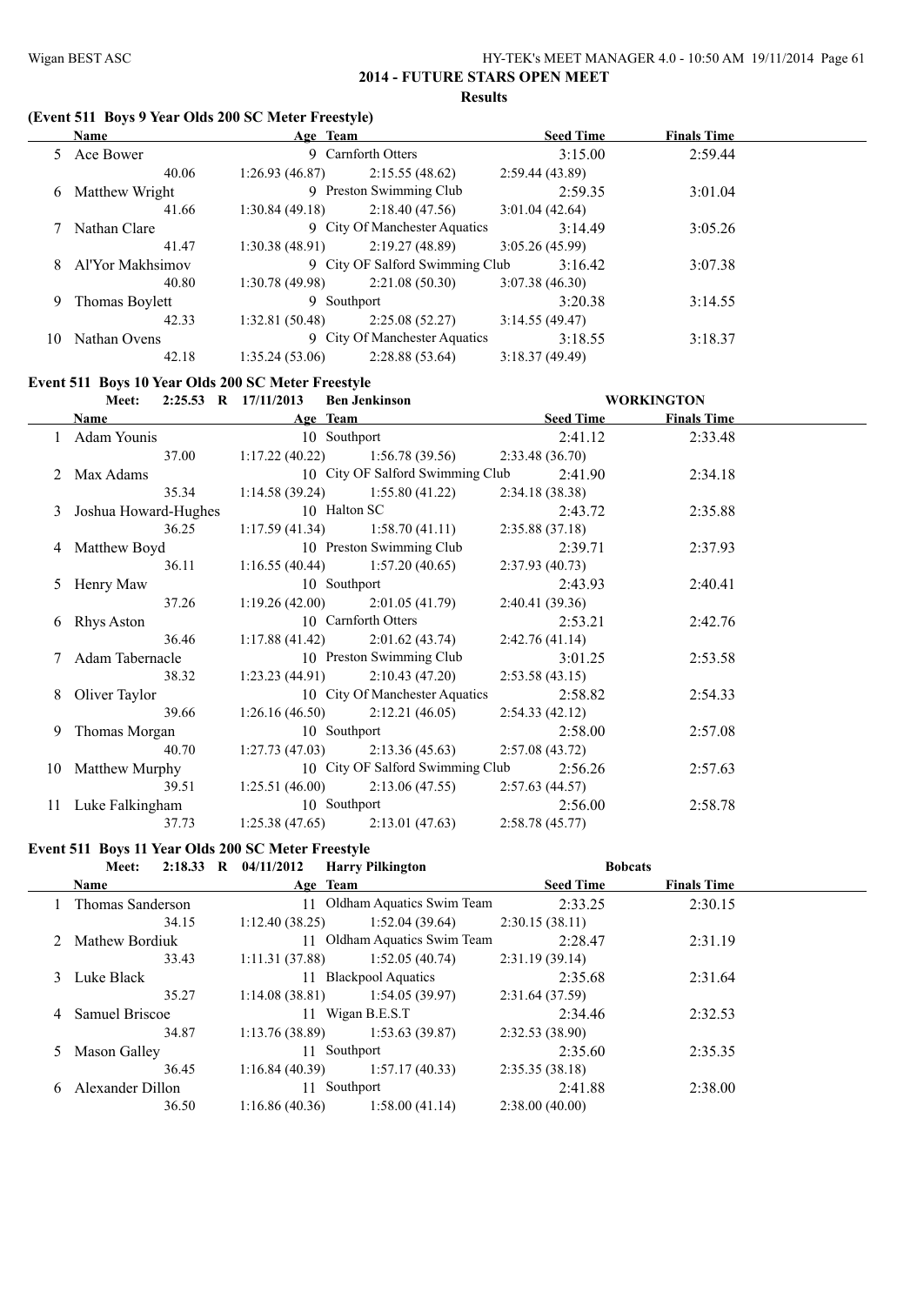#### **(Event 511 Boys 9 Year Olds 200 SC Meter Freestyle)**

|    | <b>Name</b>      | Age Team       |                                 | <b>Seed Time</b> | <b>Finals Time</b> |  |
|----|------------------|----------------|---------------------------------|------------------|--------------------|--|
|    | 5 Ace Bower      |                | 9 Carnforth Otters              | 3:15.00          | 2:59.44            |  |
|    | 40.06            | 1:26.93(46.87) | 2:15.55(48.62)                  | 2:59.44(43.89)   |                    |  |
| 6. | Matthew Wright   |                | 9 Preston Swimming Club         | 2:59.35          | 3:01.04            |  |
|    | 41.66            | 1:30.84(49.18) | 2:18.40(47.56)                  | 3:01.04(42.64)   |                    |  |
|    | 7 Nathan Clare   |                | 9 City Of Manchester Aquatics   | 3:14.49          | 3:05.26            |  |
|    | 41.47            | 1:30.38(48.91) | 2:19.27(48.89)                  | 3:05.26(45.99)   |                    |  |
| 8. | Al'Yor Makhsimov |                | 9 City OF Salford Swimming Club | 3:16.42          | 3:07.38            |  |
|    | 40.80            | 1:30.78(49.98) | 2:21.08(50.30)                  | 3:07.38(46.30)   |                    |  |
| 9. | Thomas Boylett   | 9 Southport    |                                 | 3:20.38          | 3:14.55            |  |
|    | 42.33            | 1:32.81(50.48) | 2:25.08(52.27)                  | 3:14.55(49.47)   |                    |  |
| 10 | Nathan Ovens     |                | 9 City Of Manchester Aquatics   | 3:18.55          | 3:18.37            |  |
|    | 42.18            | 1:35.24(53.06) | 2:28.88(53.64)                  | 3:18.37(49.49)   |                    |  |

#### **Event 511 Boys 10 Year Olds 200 SC Meter Freestyle**

| <b>Meet:</b>                    | 2:25.53 R 17/11/2013 Ben Jenkinson                 |          |                  | <b>WORKINGTON</b>  |  |
|---------------------------------|----------------------------------------------------|----------|------------------|--------------------|--|
| <b>Name</b>                     |                                                    | Age Team | <b>Seed Time</b> | <b>Finals Time</b> |  |
| 1 Adam Younis                   | 10 Southport                                       |          | 2:41.12          | 2:33.48            |  |
| 37.00                           | 1:17.22 (40.22) 1:56.78 (39.56) 2:33.48 (36.70)    |          |                  |                    |  |
| 2 Max Adams                     | 10 City OF Salford Swimming Club 2:41.90           |          |                  | 2:34.18            |  |
| 35.34                           | 1:14.58 (39.24) 1:55.80 (41.22) 2:34.18 (38.38)    |          |                  |                    |  |
| 3 Joshua Howard-Hughes          | 10 Halton SC                                       |          | 2:43.72          | 2:35.88            |  |
| 36.25                           | 1:17.59 (41.34) 1:58.70 (41.11) 2:35.88 (37.18)    |          |                  |                    |  |
| 4 Matthew Boyd                  | 10 Preston Swimming Club                           |          | 2:39.71          | 2:37.93            |  |
| 36.11                           | 1:16.55 (40.44) 1:57.20 (40.65) 2:37.93 (40.73)    |          |                  |                    |  |
| 5 Henry Maw                     | 10 Southport                                       |          | 2:43.93          | 2:40.41            |  |
| 37.26                           | 1:19.26 (42.00) 2:01.05 (41.79) 2:40.41 (39.36)    |          |                  |                    |  |
| 6 Rhys Aston                    | 10 Carnforth Otters                                |          | 2:53.21          | 2:42.76            |  |
| 36.46                           | 1:17.88 (41.42) 2:01.62 (43.74) 2:42.76 (41.14)    |          |                  |                    |  |
| 7 Adam Tabernacle               | 10 Preston Swimming Club                           |          | 3:01.25          | 2:53.58            |  |
| 38.32                           | $1:23.23(44.91)$ $2:10.43(47.20)$                  |          | 2:53.58(43.15)   |                    |  |
| 8 Oliver Taylor                 | 10 City Of Manchester Aquatics 2:58.82             |          |                  | 2:54.33            |  |
| 39.66                           | $1:26.16(46.50)$ $2:12.21(46.05)$                  |          | 2:54.33(42.12)   |                    |  |
| 9 Thomas Morgan                 | 10 Southport                                       |          | 2:58.00          | 2:57.08            |  |
| 40.70                           | $1:27.73(47.03)$ $2:13.36(45.63)$                  |          | 2:57.08(43.72)   |                    |  |
| 10 Matthew Murphy               | 10 City OF Salford Swimming Club 2:56.26           |          |                  | 2:57.63            |  |
| 39.51                           | 1:25.51 (46.00) 2:13.06 (47.55) 2:57.63 (44.57)    |          |                  |                    |  |
| 11 Luke Falkingham 10 Southport |                                                    |          | 2:56.00          | 2:58.78            |  |
| 37.73                           | $1:25.38(47.65)$ $2:13.01(47.63)$ $2:58.78(45.77)$ |          |                  |                    |  |

#### **Event 511 Boys 11 Year Olds 200 SC Meter Freestyle**

|    | Meet:            | 2:18.33 R $04/11/2012$ | <b>Harry Pilkington</b>      | <b>Bobcats</b>   |                    |  |
|----|------------------|------------------------|------------------------------|------------------|--------------------|--|
|    | <b>Name</b>      | Age Team               |                              | <b>Seed Time</b> | <b>Finals Time</b> |  |
|    | Thomas Sanderson | 11                     | Oldham Aquatics Swim Team    | 2:33.25          | 2:30.15            |  |
|    | 34.15            | 1:12.40(38.25)         | 1:52.04(39.64)               | 2:30.15(38.11)   |                    |  |
|    | 2 Mathew Bordiuk |                        | 11 Oldham Aquatics Swim Team | 2:28.47          | 2:31.19            |  |
|    | 33.43            | 1:11.31(37.88)         | 1:52.05(40.74)               | 2:31.19(39.14)   |                    |  |
|    | 3 Luke Black     |                        | 11 Blackpool Aquatics        | 2:35.68          | 2:31.64            |  |
|    | 35.27            | 1:14.08(38.81)         | 1:54.05(39.97)               | 2:31.64(37.59)   |                    |  |
| 4  | Samuel Briscoe   |                        | 11 Wigan B.E.S.T             |                  | 2:32.53            |  |
|    | 34.87            | 1:13.76(38.89)         | 1:53.63(39.87)               | 2:32.53(38.90)   |                    |  |
| 5. | Mason Galley     |                        | 11 Southport                 | 2:35.60          | 2:35.35            |  |
|    | 36.45            | 1:16.84(40.39)         | 1:57.17(40.33)               | 2:35.35(38.18)   |                    |  |
| 6  | Alexander Dillon |                        | 11 Southport                 | 2:41.88          | 2:38.00            |  |
|    | 36.50            | 1:16.86(40.36)         | 1:58.00(41.14)               | 2:38.00(40.00)   |                    |  |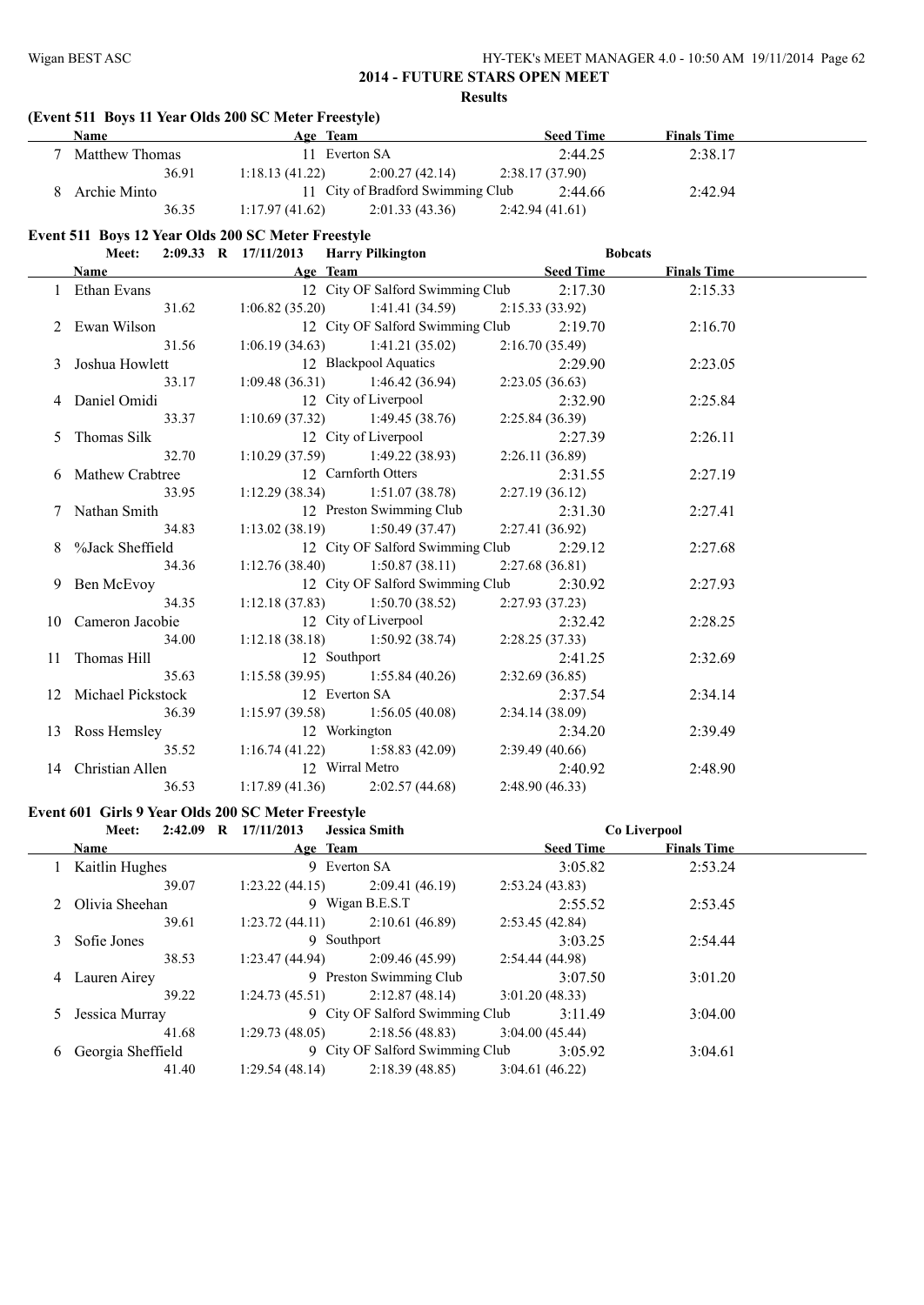|    | (Event 511 Boys 11 Year Olds 200 SC Meter Freestyle)<br>Name | Age Team             |                                   | <b>Seed Time</b> | <b>Finals Time</b> |  |
|----|--------------------------------------------------------------|----------------------|-----------------------------------|------------------|--------------------|--|
|    | 7 Matthew Thomas                                             | 11 Everton SA        |                                   | 2:44.25          | 2:38.17            |  |
|    | 36.91                                                        | 1:18.13(41.22)       | 2:00.27(42.14)                    | 2:38.17(37.90)   |                    |  |
|    | 8 Archie Minto                                               |                      | 11 City of Bradford Swimming Club | 2:44.66          | 2:42.94            |  |
|    | 36.35                                                        | 1:17.97(41.62)       | 2:01.33(43.36)                    | 2:42.94(41.61)   |                    |  |
|    | Event 511 Boys 12 Year Olds 200 SC Meter Freestyle           |                      |                                   |                  |                    |  |
|    | Meet:                                                        | 2:09.33 R 17/11/2013 | <b>Harry Pilkington</b>           |                  | <b>Bobcats</b>     |  |
|    | Name                                                         | Age Team             |                                   | <b>Seed Time</b> | <b>Finals Time</b> |  |
|    | 1 Ethan Evans                                                |                      | 12 City OF Salford Swimming Club  | 2:17.30          | 2:15.33            |  |
|    | 31.62                                                        | 1:06.82(35.20)       | 1:41.41(34.59)                    | 2:15.33(33.92)   |                    |  |
|    | 2 Ewan Wilson                                                |                      | 12 City OF Salford Swimming Club  | 2:19.70          | 2:16.70            |  |
|    | 31.56                                                        | 1:06.19(34.63)       | 1:41.21(35.02)                    | 2:16.70(35.49)   |                    |  |
| 3  | Joshua Howlett                                               |                      | 12 Blackpool Aquatics             | 2:29.90          | 2:23.05            |  |
|    | 33.17                                                        | 1:09.48(36.31)       | 1:46.42(36.94)                    | 2:23.05(36.63)   |                    |  |
|    | Daniel Omidi                                                 |                      | 12 City of Liverpool              | 2:32.90          | 2:25.84            |  |
|    | 33.37                                                        | 1:10.69(37.32)       | 1:49.45(38.76)                    | 2:25.84(36.39)   |                    |  |
| 5  | Thomas Silk                                                  |                      | 12 City of Liverpool              | 2:27.39          | 2:26.11            |  |
|    | 32.70                                                        | 1:10.29(37.59)       | 1:49.22(38.93)                    | 2:26.11(36.89)   |                    |  |
| 6  | Mathew Crabtree                                              |                      | 12 Carnforth Otters               | 2:31.55          | 2:27.19            |  |
|    | 33.95                                                        | 1:12.29(38.34)       | 1:51.07(38.78)                    | 2:27.19(36.12)   |                    |  |
| 7  | Nathan Smith                                                 |                      | 12 Preston Swimming Club          | 2:31.30          | 2:27.41            |  |
|    | 34.83                                                        | 1:13.02(38.19)       | 1:50.49(37.47)                    | 2:27.41 (36.92)  |                    |  |
| 8  | %Jack Sheffield                                              |                      | 12 City OF Salford Swimming Club  | 2:29.12          | 2:27.68            |  |
|    | 34.36                                                        | 1:12.76(38.40)       | 1:50.87(38.11)                    | 2:27.68(36.81)   |                    |  |
| 9. | Ben McEvoy                                                   |                      | 12 City OF Salford Swimming Club  | 2:30.92          | 2:27.93            |  |
|    | 34.35                                                        | 1:12.18(37.83)       | 1:50.70(38.52)                    | 2:27.93 (37.23)  |                    |  |
| 10 | Cameron Jacobie                                              |                      | 12 City of Liverpool              | 2:32.42          | 2:28.25            |  |
|    | 34.00                                                        | 1:12.18(38.18)       | 1:50.92(38.74)                    | 2:28.25(37.33)   |                    |  |
| 11 | Thomas Hill                                                  | 12 Southport         |                                   | 2:41.25          | 2:32.69            |  |
|    | 35.63                                                        | 1:15.58(39.95)       | 1:55.84(40.26)                    | 2:32.69(36.85)   |                    |  |
|    | 12 Michael Pickstock                                         | 12 Everton SA        |                                   | 2:37.54          | 2:34.14            |  |
|    | 36.39                                                        | 1:15.97(39.58)       | 1:56.05(40.08)                    | 2:34.14(38.09)   |                    |  |
|    | 13 Ross Hemsley                                              | 12 Workington        |                                   | 2:34.20          | 2:39.49            |  |
|    | 35.52                                                        | 1:16.74(41.22)       | 1:58.83(42.09)                    | 2:39.49(40.66)   |                    |  |
|    | 14 Christian Allen                                           | 12 Wirral Metro      |                                   | 2:40.92          | 2:48.90            |  |
|    | 36.53                                                        | 1:17.89(41.36)       | 2:02.57(44.68)                    | 2:48.90(46.33)   |                    |  |

# **Event 601 Girls 9 Year Olds 200 SC Meter Freestyle**

|   | <b>Meet:</b>      | 2:42.09 R 17/11/2013 | <b>Jessica Smith</b>              |                  | Co Liverpool       |  |
|---|-------------------|----------------------|-----------------------------------|------------------|--------------------|--|
|   | <b>Name</b>       | Age Team             |                                   | <b>Seed Time</b> | <b>Finals Time</b> |  |
|   | 1 Kaitlin Hughes  |                      | 9 Everton SA                      | 3:05.82          | 2:53.24            |  |
|   | 39.07             | 1:23.22(44.15)       | 2:09.41(46.19)                    | 2:53.24(43.83)   |                    |  |
|   | 2 Olivia Sheehan  |                      | 9 Wigan B.E.S.T                   | 2:55.52          | 2:53.45            |  |
|   | 39.61             |                      | $1:23.72(44.11)$ $2:10.61(46.89)$ | 2:53.45(42.84)   |                    |  |
|   | 3 Sofie Jones     | 9 Southport          |                                   | 3:03.25          | 2:54.44            |  |
|   | 38.53             | 1:23.47 (44.94)      | 2:09.46 (45.99)                   | 2:54.44(44.98)   |                    |  |
|   | 4 Lauren Airey    |                      | 9 Preston Swimming Club           | 3:07.50          | 3:01.20            |  |
|   | 39.22             | 1:24.73(45.51)       | 2:12.87(48.14)                    | 3:01.20(48.33)   |                    |  |
|   | 5 Jessica Murray  |                      | 9 City OF Salford Swimming Club   | 3:11.49          | 3:04.00            |  |
|   | 41.68             | 1:29.73(48.05)       | 2:18.56(48.83)                    | 3:04.00(45.44)   |                    |  |
| 6 | Georgia Sheffield |                      | 9 City OF Salford Swimming Club   | 3:05.92          | 3:04.61            |  |
|   | 41.40             | 1:29.54(48.14)       | 2:18.39(48.85)                    | 3:04.61(46.22)   |                    |  |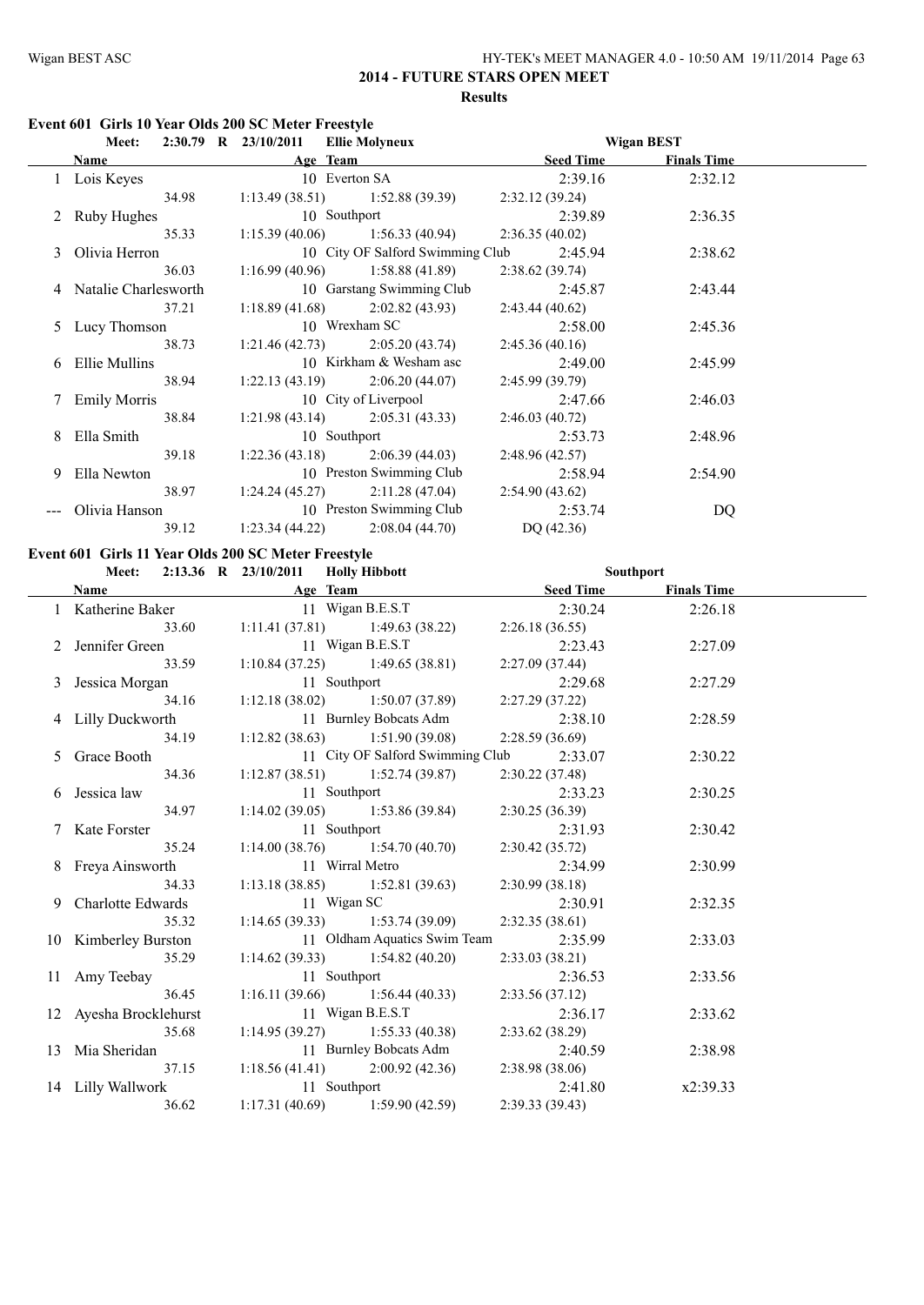| HY-TEK's MEET MANAGER 4.0 - 10:50 AM 19/11/2014 Page 63 |
|---------------------------------------------------------|
|---------------------------------------------------------|

# **Event 601 Girls 10 Year Olds 200 SC Meter Freestyle**

|   | <b>Meet:</b>           | 2:30.79 R 23/10/2011 Ellie Molyneux                | <b>Wigan BEST</b> |                    |
|---|------------------------|----------------------------------------------------|-------------------|--------------------|
|   | <b>Name</b>            | Age Team                                           | Seed Time         | <b>Finals Time</b> |
|   | 1 Lois Keyes           | 10 Everton SA                                      | 2:39.16           | 2:32.12            |
|   | 34.98                  | $1:13.49(38.51)$ $1:52.88(39.39)$ $2:32.12(39.24)$ |                   |                    |
|   | 2 Ruby Hughes          | 10 Southport                                       | 2:39.89           | 2:36.35            |
|   | 35.33                  | 1:15.39 (40.06) 1:56.33 (40.94) 2:36.35 (40.02)    |                   |                    |
|   | 3 Olivia Herron        | 10 City OF Salford Swimming Club                   | 2:45.94           | 2:38.62            |
|   | 36.03                  | $1:16.99(40.96)$ $1:58.88(41.89)$                  | 2:38.62(39.74)    |                    |
|   | 4 Natalie Charlesworth | 10 Garstang Swimming Club                          | 2:45.87           | 2:43.44            |
|   | 37.21                  | $1:18.89(41.68)$ $2:02.82(43.93)$                  | 2:43.44(40.62)    |                    |
|   | 5 Lucy Thomson         | 10 Wrexham SC                                      | 2:58.00           | 2:45.36            |
|   | 38.73                  | 1:21.46 (42.73) 2:05.20 (43.74) 2:45.36 (40.16)    |                   |                    |
|   | 6 Ellie Mullins        | 10 Kirkham & Wesham asc                            | 2:49.00           | 2:45.99            |
|   | 38.94                  | $1:22.13(43.19)$ $2:06.20(44.07)$                  | 2:45.99 (39.79)   |                    |
|   | 7 Emily Morris         | 10 City of Liverpool                               | 2:47.66           | 2:46.03            |
|   | 38.84                  | $1:21.98(43.14)$ $2:05.31(43.33)$                  | 2:46.03(40.72)    |                    |
| 8 | Ella Smith             | 10 Southport                                       | 2:53.73           | 2:48.96            |
|   | 39.18                  | $1:22.36(43.18)$ $2:06.39(44.03)$                  | 2:48.96(42.57)    |                    |
|   | 9 Ella Newton          | 10 Preston Swimming Club                           | 2:58.94           | 2:54.90            |
|   | 38.97                  | $1:24.24(45.27)$ $2:11.28(47.04)$ $2:54.90(43.62)$ |                   |                    |
|   | Olivia Hanson          | 10 Preston Swimming Club                           | 2:53.74           | DQ                 |
|   | 39.12                  | 1:23.34(44.22)<br>2:08.04 (44.70)                  | DQ $(42.36)$      |                    |

# **Event 601 Girls 11 Year Olds 200 SC Meter Freestyle**

|                        | Meet: 2:13.36 R 23/10/2011 Holly Hibbott                               |                                          | Southport |  |
|------------------------|------------------------------------------------------------------------|------------------------------------------|-----------|--|
|                        | <b>Name</b> Mage Team Seed Time Finals Time                            |                                          |           |  |
| 1 Katherine Baker      | 11 Wigan B.E.S.T                                                       | 2:30.24                                  | 2:26.18   |  |
|                        | $33.60$ 1:11.41 (37.81) 1:49.63 (38.22)                                | 2:26.18(36.55)                           |           |  |
| 2 Jennifer Green       | 11 Wigan B.E.S.T 2:23.43                                               |                                          | 2:27.09   |  |
|                        | 33.59 1:10.84 (37.25) 1:49.65 (38.81)                                  | 2:27.09 (37.44)                          |           |  |
| 3 Jessica Morgan       | 11 Southport<br>1:12.18 (38.02) 1:50.07 (37.89) 2:27.29 (3.1 Rumlar B. | 2:29.68                                  | 2:27.29   |  |
| 34.16                  |                                                                        | 2:27.29 (37.22)                          |           |  |
| 4 Lilly Duckworth      | 11 Burnley Bobcats Adm 2:38.10                                         |                                          | 2:28.59   |  |
| 34.19                  | $1:12.82(38.63)$ $1:51.90(39.08)$                                      | 2:28.59(36.69)                           |           |  |
| 5 Grace Booth          |                                                                        | 11 City OF Salford Swimming Club 2:33.07 | 2:30.22   |  |
| 34.36                  | $1:12.87(38.51)$ $1:52.74(39.87)$                                      | 2:30.22 (37.48)                          |           |  |
| 6 Jessica law          | 11 Southport                                                           | 2:33.23                                  | 2:30.25   |  |
| 34.97                  | $1:14.02(39.05)$ $1:53.86(39.84)$                                      | 2:30.25(36.39)                           |           |  |
| 7 Kate Forster         | 11 Southport                                                           | 2:31.93                                  | 2:30.42   |  |
| 35.24                  | $11$ Soumport<br>1:14.00 (38.76) 1:54.70 (40.70)                       | 2:30.42(35.72)                           |           |  |
| 8 Freya Ainsworth      | 11 Wirral Metro                                                        | 2:34.99                                  | 2:30.99   |  |
| 34.33                  | $1:13.18(38.85)$ $1:52.81(39.63)$                                      | 2:30.99(38.18)                           |           |  |
| 9 Charlotte Edwards    | 11 Wigan SC                                                            | 2:30.91                                  | 2:32.35   |  |
| 35.32                  | $1:14.65(39.33)$ $1:53.74(39.09)$                                      | 2:32.35(38.61)                           |           |  |
| 10 Kimberley Burston   | 11 Oldham Aquatics Swim Team 2:35.99                                   |                                          | 2:33.03   |  |
| 35.29                  | $1:14.62(39.33)$ $1:54.82(40.20)$                                      | 2:33.03(38.21)                           |           |  |
| 11 Amy Teebay          | 11 Southport                                                           | 2:36.53                                  | 2:33.56   |  |
| 36.45                  | 1:16.11 (39.66) 1:56.44 (40.33)                                        | 2:33.56(37.12)                           |           |  |
| 12 Ayesha Brocklehurst | 11 Wigan B.E.S.T                                                       | 2:36.17                                  | 2:33.62   |  |
| 35.68                  | $1:14.95(39.27)$ $1:55.33(40.38)$                                      | 2:33.62 (38.29)                          |           |  |
| 13 Mia Sheridan        | 11 Burnley Bobcats Adm                                                 | 2:40.59                                  | 2:38.98   |  |
|                        | $37.15$ 1:18.56 (41.41) 2:00.92 (42.36)                                | 2:38.98(38.06)                           |           |  |
| 14 Lilly Wallwork      | 11 Southport                                                           | 2:41.80                                  | x2:39.33  |  |
| 36.62                  | $1:17.31(40.69)$ $1:59.90(42.59)$                                      | 2:39.33(39.43)                           |           |  |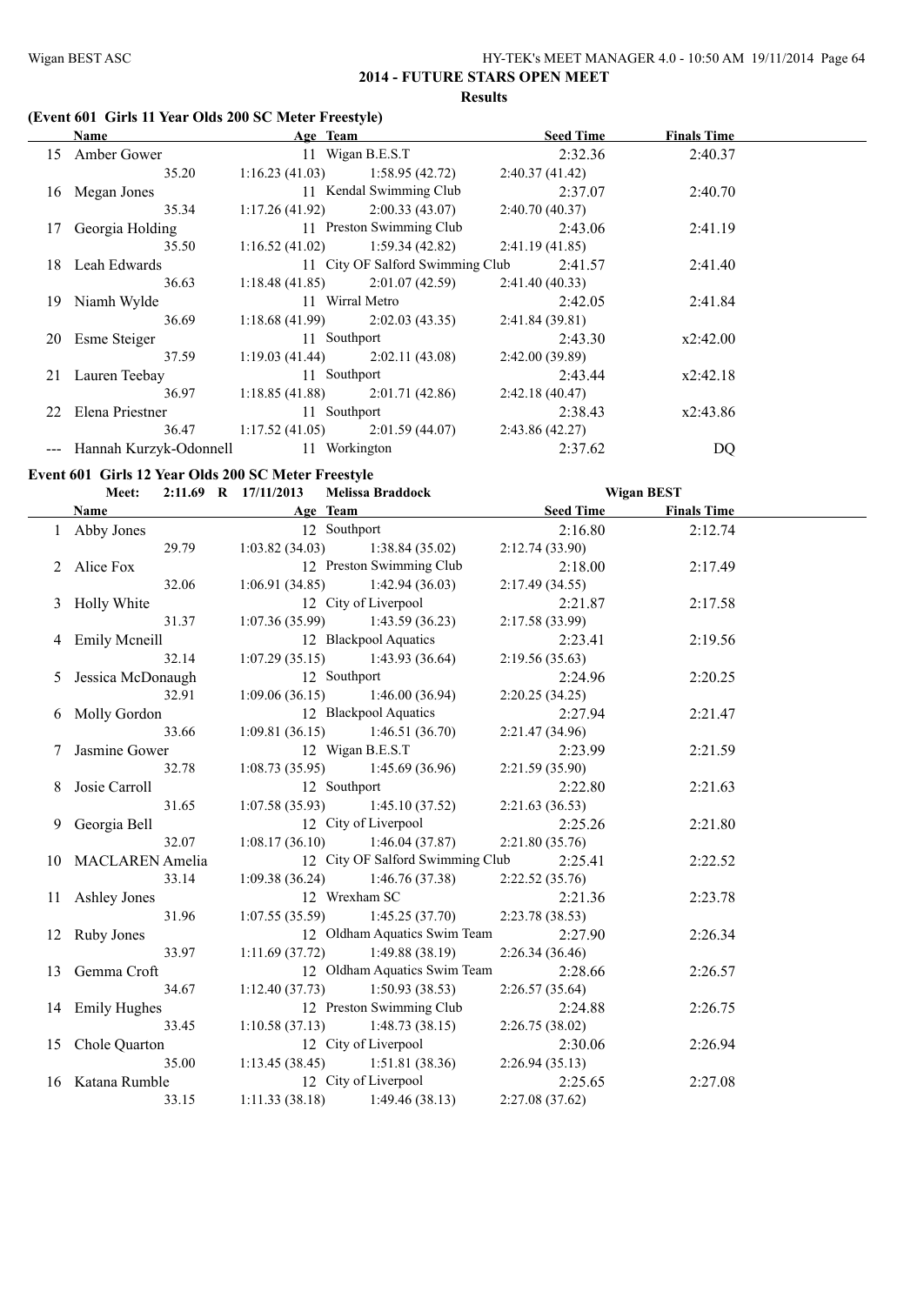#### **(Event 601 Girls 11 Year Olds 200 SC Meter Freestyle)**

|     | Name                       | Age Team                          |                                   |                | <b>Seed Time</b> | <b>Finals Time</b> |  |
|-----|----------------------------|-----------------------------------|-----------------------------------|----------------|------------------|--------------------|--|
| 15  | Amber Gower                |                                   | 11 Wigan B.E.S.T                  |                | 2:32.36          | 2:40.37            |  |
|     | 35.20                      | $1:16.23(41.03)$ $1:58.95(42.72)$ |                                   | 2:40.37(41.42) |                  |                    |  |
| 16  | Megan Jones                |                                   | 11 Kendal Swimming Club           |                | 2:37.07          | 2:40.70            |  |
|     | 35.34                      | 1:17.26(41.92)                    | 2:00.33(43.07)                    | 2:40.70(40.37) |                  |                    |  |
| 17  | Georgia Holding            |                                   | 11 Preston Swimming Club          |                | 2:43.06          | 2:41.19            |  |
|     | 35.50                      |                                   | $1:16.52(41.02)$ $1:59.34(42.82)$ | 2:41.19(41.85) |                  |                    |  |
|     | 18 Leah Edwards            |                                   | 11 City OF Salford Swimming Club  |                | 2:41.57          | 2:41.40            |  |
|     | 36.63                      | 1:18.48(41.85)                    | 2:01.07(42.59)                    | 2:41.40(40.33) |                  |                    |  |
| 19. | Niamh Wylde                |                                   | 11 Wirral Metro                   |                | 2:42.05          | 2:41.84            |  |
|     | 36.69                      |                                   | $1:18.68(41.99)$ $2:02.03(43.35)$ | 2:41.84(39.81) |                  |                    |  |
| 20  | Esme Steiger               | 11 Southport                      |                                   |                | 2:43.30          | x2:42.00           |  |
|     | 37.59                      | 1:19.03(41.44)                    | 2:02.11(43.08)                    | 2:42.00(39.89) |                  |                    |  |
| 21  | Lauren Teebay              | 11 Southport                      |                                   |                | 2:43.44          | x2:42.18           |  |
|     | 36.97                      |                                   | $1:18.85(41.88)$ $2:01.71(42.86)$ | 2:42.18(40.47) |                  |                    |  |
|     | 22 Elena Priestner         | 11 Southport                      |                                   |                | 2:38.43          | x2:43.86           |  |
|     | 36.47                      |                                   | $1:17.52(41.05)$ $2:01.59(44.07)$ | 2:43.86(42.27) |                  |                    |  |
|     | --- Hannah Kurzyk-Odonnell | 11 Workington                     |                                   |                | 2:37.62          | DQ                 |  |

#### **Event 601 Girls 12 Year Olds 200 SC Meter Freestyle**

|   | EVENT OUT GITTS 12 TEAT ORDS 200 SC METEL FTEESTYJE<br><b>Meet:</b> | 2:11.69 R 17/11/2013              | Melissa Braddock                  |                  | <b>Wigan BEST</b>  |  |
|---|---------------------------------------------------------------------|-----------------------------------|-----------------------------------|------------------|--------------------|--|
|   | <b>Name</b>                                                         | Age Team                          |                                   | <b>Seed Time</b> | <b>Finals Time</b> |  |
|   | 1 Abby Jones                                                        | 12 Southport                      |                                   | 2:16.80          | 2:12.74            |  |
|   | 29.79                                                               |                                   | $1:03.82(34.03)$ $1:38.84(35.02)$ | 2:12.74(33.90)   |                    |  |
|   | 2 Alice Fox                                                         |                                   | 12 Preston Swimming Club          | 2:18.00          | 2:17.49            |  |
|   | 32.06                                                               | $1:06.91(34.85)$ $1:42.94(36.03)$ |                                   | 2:17.49(34.55)   |                    |  |
|   | 3 Holly White                                                       |                                   | 12 City of Liverpool              | 2:21.87          | 2:17.58            |  |
|   | 31.37                                                               | $1:07.36(35.99)$ 1:43.59 (36.23)  |                                   | 2:17.58(33.99)   |                    |  |
|   | 4 Emily Meneill                                                     |                                   | 12 Blackpool Aquatics             | 2:23.41          | 2:19.56            |  |
|   | 32.14                                                               | $1:07.29(35.15)$ 1:43.93 (36.64)  |                                   | 2:19.56(35.63)   |                    |  |
|   | 5 Jessica McDonaugh                                                 | 12 Southport                      |                                   | 2:24.96          | 2:20.25            |  |
|   | 32.91                                                               | $1:09.06(36.15)$ $1:46.00(36.94)$ |                                   | 2:20.25(34.25)   |                    |  |
|   | 6 Molly Gordon                                                      | 12 Blackpool Aquatics             |                                   | 2:27.94          | 2:21.47            |  |
|   | 33.66                                                               | $1:09.81(36.15)$ $1:46.51(36.70)$ |                                   | 2:21.47(34.96)   |                    |  |
|   | 7 Jasmine Gower                                                     |                                   | 12 Wigan B.E.S.T                  | 2:23.99          | 2:21.59            |  |
|   | 32.78                                                               | $1:08.73(35.95)$ $1:45.69(36.96)$ |                                   | 2:21.59(35.90)   |                    |  |
| 8 | Josie Carroll                                                       | 12 Southport                      |                                   | 2:22.80          | 2:21.63            |  |
|   | 31.65                                                               |                                   | $1:07.58(35.93)$ $1:45.10(37.52)$ | 2:21.63(36.53)   |                    |  |
|   | 9 Georgia Bell                                                      |                                   | 12 City of Liverpool              | 2:25.26          | 2:21.80            |  |
|   | 32.07                                                               | 1:08.17(36.10)                    | 1:46.04(37.87)                    | 2:21.80(35.76)   |                    |  |
|   | 10 MACLAREN Amelia                                                  |                                   | 12 City OF Salford Swimming Club  | 2:25.41          | 2:22.52            |  |
|   | 33.14                                                               |                                   | $1:09.38(36.24)$ $1:46.76(37.38)$ | 2:22.52(35.76)   |                    |  |
|   | 11 Ashley Jones                                                     | 12 Wrexham SC                     |                                   | 2:21.36          | 2:23.78            |  |
|   | 31.96                                                               |                                   | $1:07.55(35.59)$ $1:45.25(37.70)$ | 2:23.78(38.53)   |                    |  |
|   | 12 Ruby Jones                                                       |                                   | 12 Oldham Aquatics Swim Team      | 2:27.90          | 2:26.34            |  |
|   | 33.97                                                               | $1:11.69(37.72)$ 1:49.88 (38.19)  |                                   | 2:26.34(36.46)   |                    |  |
|   | 13 Gemma Croft                                                      |                                   | 12 Oldham Aquatics Swim Team      | 2:28.66          | 2:26.57            |  |
|   | 34.67                                                               | $1:12.40(37.73)$ $1:50.93(38.53)$ |                                   | 2:26.57(35.64)   |                    |  |
|   | 14 Emily Hughes                                                     |                                   | 12 Preston Swimming Club          | 2:24.88          | 2:26.75            |  |
|   | 33.45                                                               | $1:10.58(37.13)$ $1:48.73(38.15)$ |                                   | 2:26.75(38.02)   |                    |  |
|   | 15 Chole Quarton                                                    |                                   | 12 City of Liverpool              | 2:30.06          | 2:26.94            |  |
|   | 35.00                                                               |                                   | $1:13.45(38.45)$ $1:51.81(38.36)$ | 2:26.94(35.13)   |                    |  |
|   | 16 Katana Rumble                                                    |                                   | 12 City of Liverpool              | 2:25.65          | 2:27.08            |  |
|   | 33.15                                                               | $1:11.33(38.18)$ $1:49.46(38.13)$ |                                   | 2:27.08 (37.62)  |                    |  |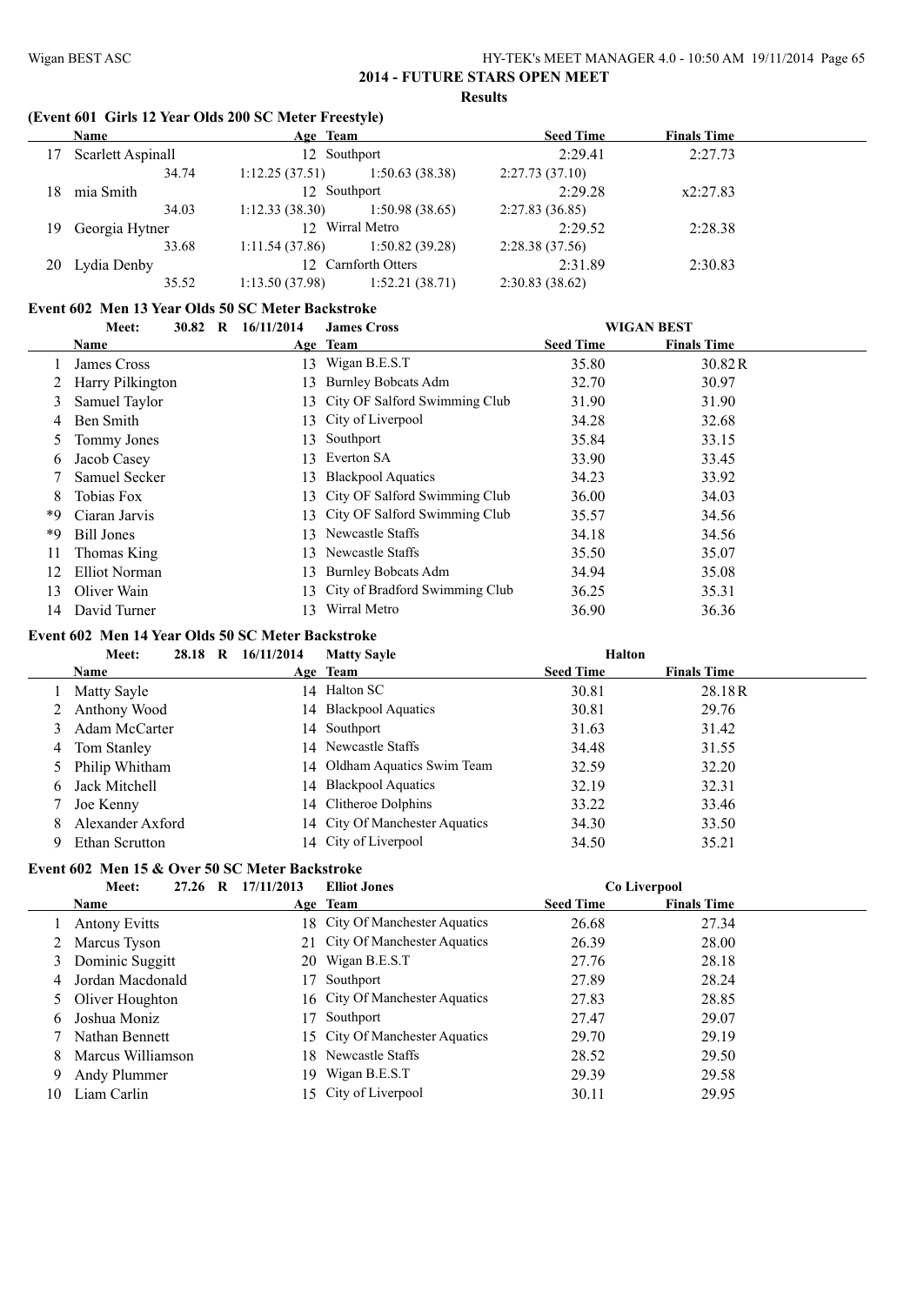#### **(Event 601 Girls 12 Year Olds 200 SC Meter Freestyle)**

|     | Name              | Age Team       |                     | <b>Seed Time</b> | <b>Finals Time</b> |  |
|-----|-------------------|----------------|---------------------|------------------|--------------------|--|
| 17  | Scarlett Aspinall | 12 Southport   |                     | 2:29.41          | 2:27.73            |  |
|     | 34.74             | 1:12.25(37.51) | 1:50.63(38.38)      | 2:27.73(37.10)   |                    |  |
| 18. | mia Smith         | 12 Southport   |                     | 2:29.28          | x2:27.83           |  |
|     | 34.03             | 1:12.33(38.30) | 1:50.98(38.65)      | 2:27.83(36.85)   |                    |  |
|     | 19 Georgia Hytner |                | 12 Wirral Metro     | 2:29.52          | 2:28.38            |  |
|     | 33.68             | 1:11.54(37.86) | 1:50.82(39.28)      | 2:28.38(37.56)   |                    |  |
| 20  | Lydia Denby       |                | 12 Carnforth Otters | 2:31.89          | 2:30.83            |  |
|     | 35.52             | 1:13.50(37.98) | 1:52.21(38.71)      | 2:30.83(38.62)   |                    |  |

#### **Event 602 Men 13 Year Olds 50 SC Meter Backstroke**

|    | 30.82 R<br>Meet:  | 16/11/2014 | <b>James Cross</b>                |                  | <b>WIGAN BEST</b>  |  |
|----|-------------------|------------|-----------------------------------|------------------|--------------------|--|
|    | Name              |            | Age Team                          | <b>Seed Time</b> | <b>Finals Time</b> |  |
|    | James Cross       | 13         | Wigan B.E.S.T                     | 35.80            | 30.82R             |  |
|    | Harry Pilkington  | 13.        | <b>Burnley Bobcats Adm</b>        | 32.70            | 30.97              |  |
| 3  | Samuel Taylor     |            | 13 City OF Salford Swimming Club  | 31.90            | 31.90              |  |
| 4  | Ben Smith         |            | 13 City of Liverpool              | 34.28            | 32.68              |  |
| 5  | Tommy Jones       |            | 13 Southport                      | 35.84            | 33.15              |  |
| 6  | Jacob Casey       | 13.        | Everton SA                        | 33.90            | 33.45              |  |
|    | Samuel Secker     | 13.        | <b>Blackpool Aquatics</b>         | 34.23            | 33.92              |  |
| 8  | Tobias Fox        |            | 13 City OF Salford Swimming Club  | 36.00            | 34.03              |  |
| *9 | Ciaran Jarvis     |            | 13 City OF Salford Swimming Club  | 35.57            | 34.56              |  |
| *9 | <b>Bill Jones</b> | 13.        | Newcastle Staffs                  | 34.18            | 34.56              |  |
| 11 | Thomas King       | 13.        | Newcastle Staffs                  | 35.50            | 35.07              |  |
| 12 | Elliot Norman     | 13.        | <b>Burnley Bobcats Adm</b>        | 34.94            | 35.08              |  |
| 13 | Oliver Wain       |            | 13 City of Bradford Swimming Club | 36.25            | 35.31              |  |
| 14 | David Turner      | 13.        | Wirral Metro                      | 36.90            | 36.36              |  |

#### **Event 602 Men 14 Year Olds 50 SC Meter Backstroke**

|   | Meet:            | 28.18 R | 16/11/2014 | <b>Matty Sayle</b>             | <b>Halton</b>    |                    |  |
|---|------------------|---------|------------|--------------------------------|------------------|--------------------|--|
|   | <b>Name</b>      |         |            | Age Team                       | <b>Seed Time</b> | <b>Finals Time</b> |  |
|   | Matty Sayle      |         |            | 14 Halton SC                   | 30.81            | 28.18R             |  |
| 2 | Anthony Wood     |         |            | 14 Blackpool Aquatics          | 30.81            | 29.76              |  |
|   | Adam McCarter    |         |            | 14 Southport                   | 31.63            | 31.42              |  |
| 4 | Tom Stanley      |         |            | 14 Newcastle Staffs            | 34.48            | 31.55              |  |
|   | 5 Philip Whitham |         |            | 14 Oldham Aquatics Swim Team   | 32.59            | 32.20              |  |
| 6 | Jack Mitchell    |         |            | 14 Blackpool Aquatics          | 32.19            | 32.31              |  |
|   | Joe Kenny        |         |            | 14 Clitheroe Dolphins          | 33.22            | 33.46              |  |
| 8 | Alexander Axford |         |            | 14 City Of Manchester Aquatics | 34.30            | 33.50              |  |
|   | Ethan Scrutton   |         |            | 14 City of Liverpool           | 34.50            | 35.21              |  |

# **Event 602 Men 15 & Over 50 SC Meter Backstroke**

|    | Meet:<br>27.26       | 17/11/2013<br>R | <b>Elliot Jones</b>            |                  | Co Liverpool       |  |
|----|----------------------|-----------------|--------------------------------|------------------|--------------------|--|
|    | <b>Name</b>          |                 | Age Team                       | <b>Seed Time</b> | <b>Finals Time</b> |  |
|    | <b>Antony Evitts</b> |                 | 18 City Of Manchester Aquatics | 26.68            | 27.34              |  |
|    | 2 Marcus Tyson       |                 | 21 City Of Manchester Aquatics | 26.39            | 28.00              |  |
|    | 3 Dominic Suggitt    |                 | 20 Wigan B.E.S.T               | 27.76            | 28.18              |  |
|    | 4 Jordan Macdonald   | 17              | Southport                      | 27.89            | 28.24              |  |
|    | 5 Oliver Houghton    |                 | 16 City Of Manchester Aquatics | 27.83            | 28.85              |  |
| 6  | Joshua Moniz         | 17              | Southport                      | 27.47            | 29.07              |  |
|    | Nathan Bennett       |                 | 15 City Of Manchester Aquatics | 29.70            | 29.19              |  |
| 8  | Marcus Williamson    | 18.             | Newcastle Staffs               | 28.52            | 29.50              |  |
| 9  | Andy Plummer         |                 | 19 Wigan B.E.S.T               | 29.39            | 29.58              |  |
| 10 | Liam Carlin          |                 | 15 City of Liverpool           | 30.11            | 29.95              |  |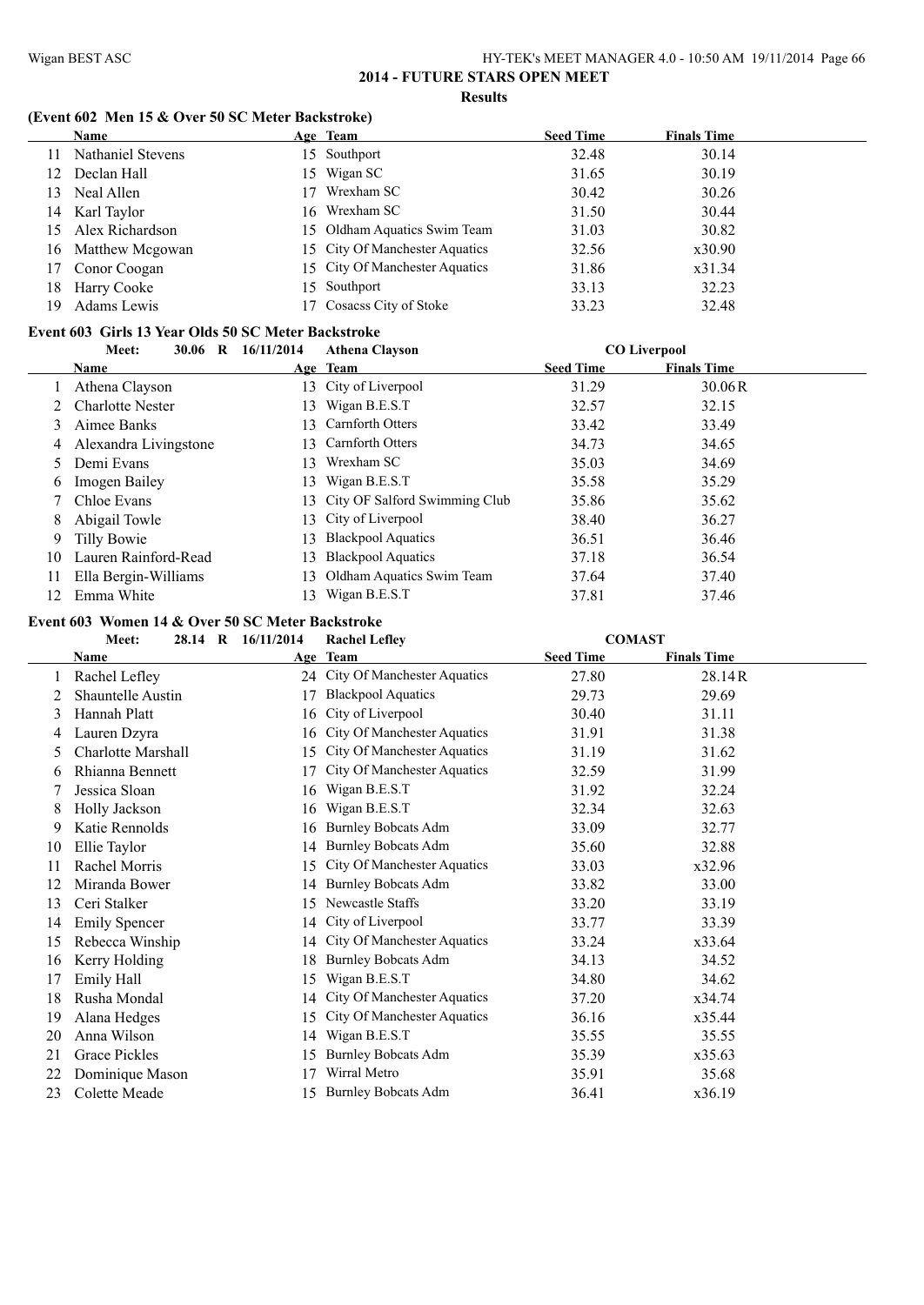#### **(Event 602 Men 15 & Over 50 SC Meter Backstroke)**

|     | <b>Name</b>       |    | Age Team                       | <b>Seed Time</b> | <b>Finals Time</b> |
|-----|-------------------|----|--------------------------------|------------------|--------------------|
|     | Nathaniel Stevens |    | 15 Southport                   | 32.48            | 30.14              |
| 12  | Declan Hall       |    | 15 Wigan SC                    | 31.65            | 30.19              |
| 13  | Neal Allen        | 17 | Wrexham SC                     | 30.42            | 30.26              |
| 14  | Karl Taylor       |    | 16 Wrexham SC                  | 31.50            | 30.44              |
| 15  | Alex Richardson   |    | 15 Oldham Aquatics Swim Team   | 31.03            | 30.82              |
| 16. | Matthew Mcgowan   |    | 15 City Of Manchester Aquatics | 32.56            | x30.90             |
| 17  | Conor Coogan      |    | 15 City Of Manchester Aquatics | 31.86            | x31.34             |
| 18  | Harry Cooke       |    | 15 Southport                   | 33.13            | 32.23              |
| 19  | Adams Lewis       |    | 17 Cosacss City of Stoke       | 33.23            | 32.48              |

#### **Event 603 Girls 13 Year Olds 50 SC Meter Backstroke**

|    | Meet:<br>30.06 R        | 16/11/2014 | <b>Athena Clayson</b>            |                  | <b>CO</b> Liverpool |  |
|----|-------------------------|------------|----------------------------------|------------------|---------------------|--|
|    | <b>Name</b>             |            | Age Team                         | <b>Seed Time</b> | <b>Finals Time</b>  |  |
|    | Athena Clayson          |            | 13 City of Liverpool             | 31.29            | 30.06R              |  |
|    | <b>Charlotte Nester</b> | 13         | Wigan B.E.S.T                    | 32.57            | 32.15               |  |
| 3  | Aimee Banks             |            | 13 Carnforth Otters              | 33.42            | 33.49               |  |
| 4  | Alexandra Livingstone   |            | 13 Carnforth Otters              | 34.73            | 34.65               |  |
|    | Demi Evans              | 13.        | Wrexham SC                       | 35.03            | 34.69               |  |
| 6  | Imogen Bailey           | 13         | Wigan B.E.S.T                    | 35.58            | 35.29               |  |
|    | Chloe Evans             |            | 13 City OF Salford Swimming Club | 35.86            | 35.62               |  |
| 8  | Abigail Towle           |            | 13 City of Liverpool             | 38.40            | 36.27               |  |
| 9  | Tilly Bowie             | 13.        | <b>Blackpool Aquatics</b>        | 36.51            | 36.46               |  |
| 10 | Lauren Rainford-Read    | 13.        | <b>Blackpool Aquatics</b>        | 37.18            | 36.54               |  |
|    | Ella Bergin-Williams    | 13.        | Oldham Aquatics Swim Team        | 37.64            | 37.40               |  |
| 12 | Emma White              |            | 13 Wigan B.E.S.T                 | 37.81            | 37.46               |  |

#### **Event 603 Women 14 & Over 50 SC Meter Backstroke**

| Meet:                | 16/11/2014 | <b>Rachel Lefley</b>            |                                                                                      |                    |               |
|----------------------|------------|---------------------------------|--------------------------------------------------------------------------------------|--------------------|---------------|
| <b>Name</b>          |            |                                 | <b>Seed Time</b>                                                                     | <b>Finals Time</b> |               |
| Rachel Lefley        |            |                                 | 27.80                                                                                | 28.14R             |               |
| Shauntelle Austin    | 17         | <b>Blackpool Aquatics</b>       | 29.73                                                                                | 29.69              |               |
| Hannah Platt         | 16         | City of Liverpool               | 30.40                                                                                | 31.11              |               |
| Lauren Dzyra         |            | City Of Manchester Aquatics     | 31.91                                                                                | 31.38              |               |
| Charlotte Marshall   |            | City Of Manchester Aquatics     | 31.19                                                                                | 31.62              |               |
| Rhianna Bennett      | 17         | City Of Manchester Aquatics     | 32.59                                                                                | 31.99              |               |
| Jessica Sloan        | 16         | Wigan B.E.S.T                   | 31.92                                                                                | 32.24              |               |
| Holly Jackson        | 16         | Wigan B.E.S.T                   | 32.34                                                                                | 32.63              |               |
| Katie Rennolds       | 16         | <b>Burnley Bobcats Adm</b>      | 33.09                                                                                | 32.77              |               |
| Ellie Taylor         |            | <b>Burnley Bobcats Adm</b>      | 35.60                                                                                | 32.88              |               |
| Rachel Morris        |            | City Of Manchester Aquatics     | 33.03                                                                                | x32.96             |               |
| Miranda Bower        |            | <b>Burnley Bobcats Adm</b>      | 33.82                                                                                | 33.00              |               |
| Ceri Stalker         | 15         | Newcastle Staffs                | 33.20                                                                                | 33.19              |               |
| <b>Emily Spencer</b> |            | City of Liverpool               | 33.77                                                                                | 33.39              |               |
| Rebecca Winship      |            | City Of Manchester Aquatics     | 33.24                                                                                | x33.64             |               |
| Kerry Holding        | 18         | <b>Burnley Bobcats Adm</b>      | 34.13                                                                                | 34.52              |               |
| Emily Hall           | 15         | Wigan B.E.S.T                   | 34.80                                                                                | 34.62              |               |
| Rusha Mondal         |            | City Of Manchester Aquatics     | 37.20                                                                                | x34.74             |               |
| Alana Hedges         |            | City Of Manchester Aquatics     | 36.16                                                                                | x35.44             |               |
| Anna Wilson          |            | Wigan B.E.S.T                   | 35.55                                                                                | 35.55              |               |
| Grace Pickles        | 15         | <b>Burnley Bobcats Adm</b>      | 35.39                                                                                | x35.63             |               |
| Dominique Mason      | 17         | Wirral Metro                    | 35.91                                                                                | 35.68              |               |
| Colette Meade        |            | <b>Burnley Bobcats Adm</b>      | 36.41                                                                                | x36.19             |               |
|                      |            | 28.14 R<br>15<br>15<br>15<br>15 | Age Team<br>24 City Of Manchester Aquatics<br>16<br>14<br>14<br>14<br>14<br>14<br>14 |                    | <b>COMAST</b> |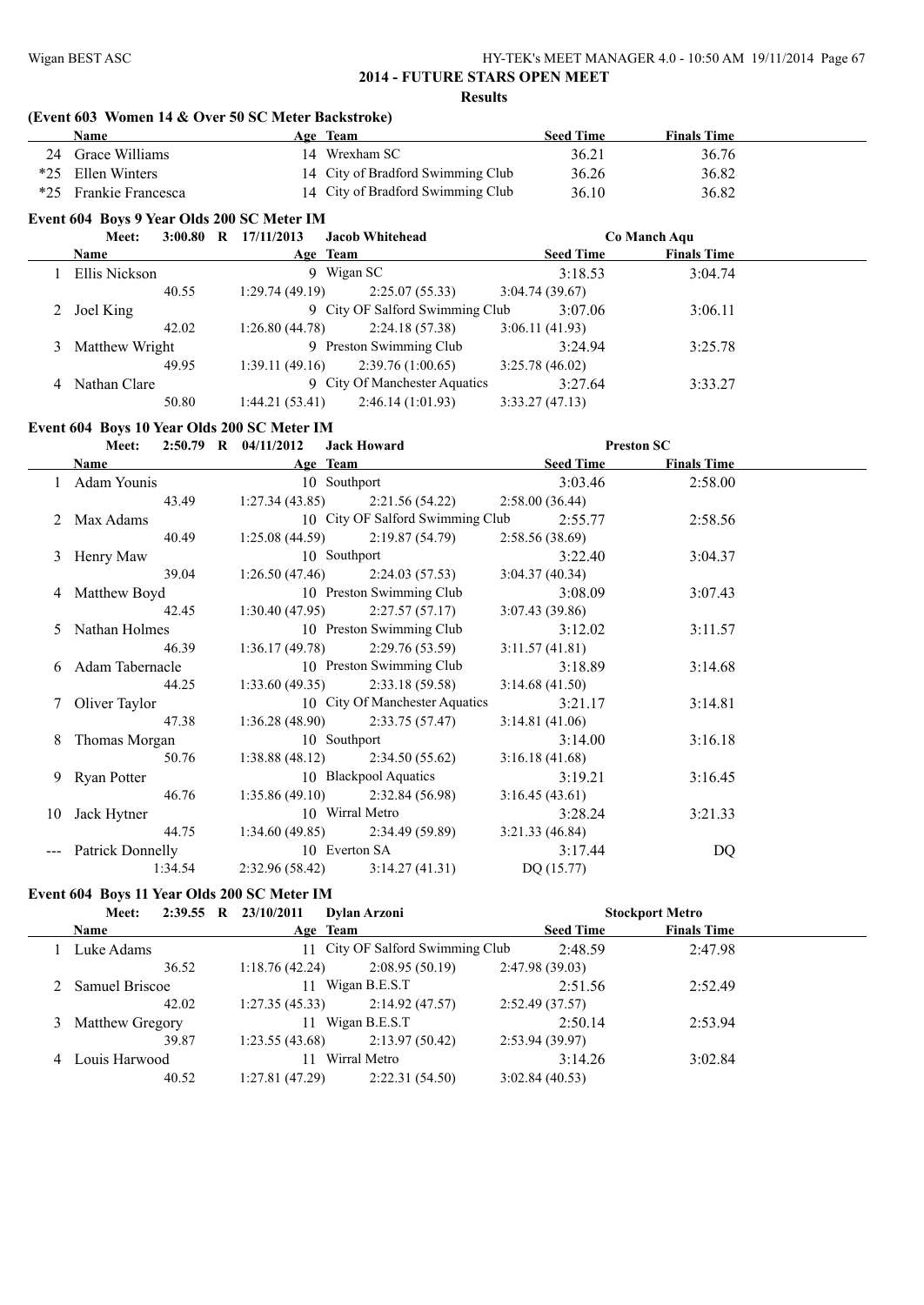#### **(Event 603 Women 14 & Over 50 SC Meter Backstroke)**

|       | Name              |       |                                             | Age Team                          | <b>Seed Time</b> | <b>Finals Time</b> |  |
|-------|-------------------|-------|---------------------------------------------|-----------------------------------|------------------|--------------------|--|
| 24    | Grace Williams    |       |                                             | 14 Wrexham SC                     | 36.21            | 36.76              |  |
| $*25$ | Ellen Winters     |       |                                             | 14 City of Bradford Swimming Club | 36.26            | 36.82              |  |
| $*25$ | Frankie Francesca |       |                                             | 14 City of Bradford Swimming Club | 36.10            | 36.82              |  |
|       |                   |       | Event 604 Boys 9 Year Olds 200 SC Meter IM  |                                   |                  |                    |  |
|       | Meet:             |       | $3:00.80$ R $17/11/2013$                    | <b>Jacob Whitehead</b>            |                  | Co Manch Aqu       |  |
|       | Name              |       |                                             | Age Team                          | <b>Seed Time</b> | <b>Finals Time</b> |  |
|       | Ellis Nickson     |       |                                             | 9 Wigan SC                        | 3:18.53          | 3:04.74            |  |
|       |                   | 40.55 | 1:29.74(49.19)                              | 2:25.07(55.33)                    | 3:04.74(39.67)   |                    |  |
| 2     | Joel King         |       |                                             | 9 City OF Salford Swimming Club   | 3:07.06          | 3:06.11            |  |
|       |                   | 42.02 | 1:26.80(44.78)                              | 2:24.18(57.38)                    | 3:06.11(41.93)   |                    |  |
| 3     | Matthew Wright    |       |                                             | 9 Preston Swimming Club           | 3:24.94          | 3:25.78            |  |
|       |                   | 49.95 | 1:39.11(49.16)                              | 2:39.76(1:00.65)                  | 3:25.78(46.02)   |                    |  |
| 4     | Nathan Clare      |       |                                             | 9 City Of Manchester Aquatics     | 3:27.64          | 3:33.27            |  |
|       |                   | 50.80 | 1:44.21(53.41)                              | 2:46.14(1:01.93)                  | 3:33.27(47.13)   |                    |  |
|       |                   |       | Event 604 Boys 10 Year Olds 200 SC Meter IM |                                   |                  |                    |  |
|       | Meet:             |       | $2:50.79$ R $04/11/2012$                    | <b>Jack Howard</b>                |                  | <b>Preston SC</b>  |  |
|       | Name              |       |                                             | Age Team                          | <b>Seed Time</b> | <b>Finals Time</b> |  |
|       | Adam Vounis       |       |                                             | 10 Southport                      | 3.03A6           | 2.5800             |  |

| Adam Younis                    |                 | 10 Southport                                       | 3:03.46        | 2:58.00 |
|--------------------------------|-----------------|----------------------------------------------------|----------------|---------|
| 43.49                          |                 | $1:27.34(43.85)$ $2:21.56(54.22)$ $2:58.00(36.44)$ |                |         |
| 2 Max Adams                    |                 | 10 City OF Salford Swimming Club 2:55.77           |                | 2:58.56 |
| 40.49                          |                 | $1:25.08(44.59)$ $2:19.87(54.79)$                  | 2:58.56(38.69) |         |
| 3 Henry Maw                    |                 | 10 Southport                                       | 3:22.40        | 3:04.37 |
| 39.04                          |                 | 1:26.50 (47.46) 2:24.03 (57.53) 3:04.37 (40.34)    |                |         |
| 4 Matthew Boyd                 |                 | 10 Preston Swimming Club                           | 3:08.09        | 3:07.43 |
| 42.45                          |                 | $1:30.40(47.95)$ $2:27.57(57.17)$ $3:07.43(39.86)$ |                |         |
| 5 Nathan Holmes                |                 | 10 Preston Swimming Club                           | 3:12.02        | 3:11.57 |
| 46.39                          |                 | $1:36.17(49.78)$ $2:29.76(53.59)$ $3:11.57(41.81)$ |                |         |
| 6 Adam Tabernacle              |                 | 10 Preston Swimming Club                           | 3:18.89        | 3:14.68 |
| 44.25                          |                 | $1:33.60(49.35)$ $2:33.18(59.58)$                  | 3:14.68(41.50) |         |
| 7 Oliver Taylor                |                 | 10 City Of Manchester Aquatics                     | 3:21.17        | 3:14.81 |
| 47.38                          |                 | $1:36.28(48.90)$ $2:33.75(57.47)$                  | 3:14.81(41.06) |         |
| 8 Thomas Morgan                | 10 Southport    |                                                    | 3:14.00        | 3:16.18 |
| 50.76                          |                 | $1:38.88(48.12)$ $2:34.50(55.62)$                  | 3:16.18(41.68) |         |
| 9 Ryan Potter                  |                 | 10 Blackpool Aquatics                              | 3:19.21        | 3:16.45 |
| 46.76                          |                 | $1:35.86(49.10)$ $2:32.84(56.98)$                  | 3:16.45(43.61) |         |
| 10 Jack Hytner                 | 10 Wirral Metro |                                                    | 3:28.24        | 3:21.33 |
| 44.75                          |                 | $1:34.60(49.85)$ $2:34.49(59.89)$                  | 3:21.33(46.84) |         |
| Patrick Donnelly 10 Everton SA |                 |                                                    | 3:17.44        | DQ      |
| 1:34.54                        |                 | $2:32.96(58.42)$ $3:14.27(41.31)$ DQ (15.77)       |                |         |

#### **Event 604 Boys 11 Year Olds 200 SC Meter IM**

| Meet:             |    | <b>Dylan Arzoni</b>  |                                                                                              |                                  |                        |
|-------------------|----|----------------------|----------------------------------------------------------------------------------------------|----------------------------------|------------------------|
| <b>Name</b>       |    |                      | <b>Seed Time</b>                                                                             | <b>Finals Time</b>               |                        |
| Luke Adams        |    |                      | 2:48.59                                                                                      | 2:47.98                          |                        |
| 36.52             |    | 2:08.95(50.19)       | 2:47.98(39.03)                                                                               |                                  |                        |
| 2 Samuel Briscoe  |    | Wigan B.E.S.T        | 2:51.56                                                                                      | 2:52.49                          |                        |
| 42.02             |    | 2:14.92(47.57)       | 2:52.49(37.57)                                                                               |                                  |                        |
| 3 Matthew Gregory |    | Wigan B.E.S.T        | 2:50.14                                                                                      | 2:53.94                          |                        |
| 39.87             |    | 2:13.97(50.42)       | 2:53.94(39.97)                                                                               |                                  |                        |
| 4 Louis Harwood   | 11 | Wirral Metro         | 3:14.26                                                                                      | 3:02.84                          |                        |
| 40.52             |    | 2:22.31(54.50)       | 3:02.84(40.53)                                                                               |                                  |                        |
|                   |    | 2:39.55 R 23/10/2011 | Age Team<br>1:18.76(42.24)<br>11<br>1:27.35(45.33)<br>11<br>1:23.55(43.68)<br>1:27.81(47.29) | 11 City OF Salford Swimming Club | <b>Stockport Metro</b> |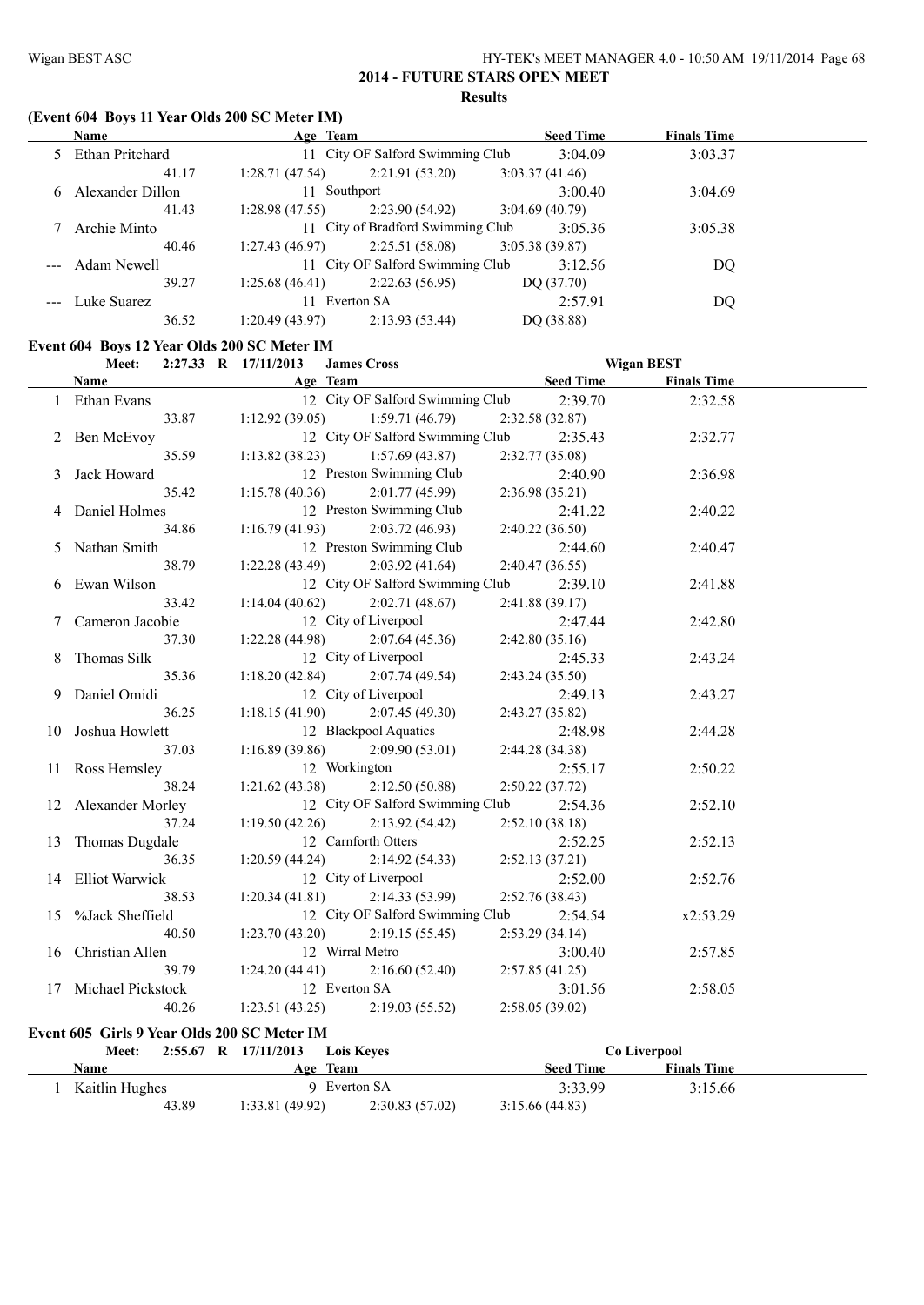# **(Event 604 Boys 11 Year Olds 200 SC Meter IM)**

| Name              | Age Team       |                                   | <b>Seed Time</b> | <b>Finals Time</b> |  |
|-------------------|----------------|-----------------------------------|------------------|--------------------|--|
| 5 Ethan Pritchard |                | 11 City OF Salford Swimming Club  | 3:04.09          | 3:03.37            |  |
| 41.17             | 1:28.71(47.54) | 2:21.91 (53.20)                   | 3:03.37(41.46)   |                    |  |
| Alexander Dillon  | 11 Southport   |                                   | 3:00.40          | 3:04.69            |  |
| 41.43             | 1:28.98(47.55) | 2:23.90 (54.92)                   | 3:04.69(40.79)   |                    |  |
| Archie Minto      |                | 11 City of Bradford Swimming Club | 3:05.36          | 3:05.38            |  |
| 40.46             |                | $1:27.43(46.97)$ $2:25.51(58.08)$ | 3:05.38(39.87)   |                    |  |
| --- Adam Newell   |                | 11 City OF Salford Swimming Club  | 3:12.56          | DO                 |  |
| 39.27             | 1:25.68(46.41) | 2:22.63(56.95)                    | DQ(37.70)        |                    |  |
| Luke Suarez       | 11 Everton SA  |                                   | 2:57.91          | DO                 |  |
| 36.52             | 1:20.49(43.97) | 2:13.93(53.44)                    | DQ (38.88)       |                    |  |

#### **Event 604 Boys 12 Year Olds 200 SC Meter IM**

| Meet:                |       | 2:27.33 R 17/11/2013 James Cross |                                   |                             | <b>Wigan BEST</b>  |  |
|----------------------|-------|----------------------------------|-----------------------------------|-----------------------------|--------------------|--|
| Name                 |       | <b>Example 2018</b> Age Team     |                                   | <b>Example 18 Seed Time</b> | <b>Finals Time</b> |  |
| 1 Ethan Evans        |       |                                  | 12 City OF Salford Swimming Club  | 2:39.70                     | 2:32.58            |  |
|                      | 33.87 |                                  | $1:12.92(39.05)$ $1:59.71(46.79)$ | 2:32.58(32.87)              |                    |  |
| 2 Ben McEvoy         |       |                                  | 12 City OF Salford Swimming Club  | 2:35.43                     | 2:32.77            |  |
|                      | 35.59 |                                  | $1:13.82(38.23)$ $1:57.69(43.87)$ | 2:32.77 (35.08)             |                    |  |
| 3 Jack Howard        |       |                                  | 12 Preston Swimming Club          | 2:40.90                     | 2:36.98            |  |
|                      | 35.42 | 1:15.78(40.36)                   | 2:01.77 (45.99)                   | 2:36.98(35.21)              |                    |  |
| 4 Daniel Holmes      |       |                                  | 12 Preston Swimming Club          | 2:41.22                     | 2:40.22            |  |
|                      | 34.86 | 1:16.79(41.93)                   | 2:03.72(46.93)                    | 2:40.22(36.50)              |                    |  |
| 5 Nathan Smith       |       |                                  | 12 Preston Swimming Club          | 2:44.60                     | 2:40.47            |  |
|                      | 38.79 | 1:22.28(43.49)                   | 2:03.92(41.64)                    | 2:40.47(36.55)              |                    |  |
| 6 Ewan Wilson        |       |                                  | 12 City OF Salford Swimming Club  | 2:39.10                     | 2:41.88            |  |
|                      | 33.42 | 1:14.04(40.62)                   | 2:02.71(48.67)                    | 2:41.88(39.17)              |                    |  |
| 7 Cameron Jacobie    |       |                                  | 12 City of Liverpool              | 2:47.44                     | 2:42.80            |  |
|                      | 37.30 | 1:22.28(44.98)                   | 2:07.64(45.36)                    | 2:42.80(35.16)              |                    |  |
| 8 Thomas Silk        |       |                                  | 12 City of Liverpool              | 2:45.33                     | 2:43.24            |  |
|                      | 35.36 |                                  | $1:18.20(42.84)$ $2:07.74(49.54)$ | 2:43.24(35.50)              |                    |  |
| 9 Daniel Omidi       |       |                                  | 12 City of Liverpool              | 2:49.13                     | 2:43.27            |  |
|                      | 36.25 |                                  | $1:18.15(41.90)$ $2:07.45(49.30)$ | 2:43.27(35.82)              |                    |  |
| 10 Joshua Howlett    |       |                                  | 12 Blackpool Aquatics             | 2:48.98                     | 2:44.28            |  |
|                      | 37.03 |                                  | $1:16.89(39.86)$ $2:09.90(53.01)$ | 2:44.28(34.38)              |                    |  |
| 11 Ross Hemsley      |       | 12 Workington                    |                                   | 2:55.17                     | 2:50.22            |  |
|                      | 38.24 |                                  | $1:21.62(43.38)$ $2:12.50(50.88)$ | 2:50.22(37.72)              |                    |  |
| 12 Alexander Morley  |       |                                  | 12 City OF Salford Swimming Club  | 2:54.36                     | 2:52.10            |  |
|                      | 37.24 |                                  | $1:19.50(42.26)$ $2:13.92(54.42)$ | 2:52.10(38.18)              |                    |  |
| 13 Thomas Dugdale    |       |                                  | 12 Carnforth Otters               | 2:52.25                     | 2:52.13            |  |
|                      | 36.35 |                                  | $1:20.59(44.24)$ $2:14.92(54.33)$ | 2:52.13(37.21)              |                    |  |
| 14 Elliot Warwick    |       |                                  | 12 City of Liverpool              | 2:52.00                     | 2:52.76            |  |
|                      | 38.53 |                                  | $1:20.34(41.81)$ $2:14.33(53.99)$ | 2:52.76(38.43)              |                    |  |
| 15 %Jack Sheffield   |       |                                  | 12 City OF Salford Swimming Club  | 2:54.54                     | x2:53.29           |  |
|                      | 40.50 |                                  | $1:23.70(43.20)$ $2:19.15(55.45)$ | 2:53.29(34.14)              |                    |  |
| 16 Christian Allen   |       |                                  | 12 Wirral Metro                   | 3:00.40                     | 2:57.85            |  |
|                      | 39.79 | 1:24.20(44.41)                   | 2:16.60(52.40)                    | 2:57.85(41.25)              |                    |  |
| 17 Michael Pickstock |       |                                  | 12 Everton SA                     | 3:01.56                     | 2:58.05            |  |
|                      | 40.26 |                                  | $1:23.51(43.25)$ $2:19.03(55.52)$ | 2:58.05(39.02)              |                    |  |
|                      |       |                                  |                                   |                             |                    |  |

#### **Event 605 Girls 9 Year Olds 200 SC Meter IM**

| <b>Meet:</b>   | $2:55.67$ R $17/11/2013$<br><b>Lois Keves</b> | Co Liverpool                           |
|----------------|-----------------------------------------------|----------------------------------------|
| Name           | Age Team                                      | <b>Finals Time</b><br><b>Seed Time</b> |
| Kaitlin Hughes | 9 Everton SA                                  | 3:33.99<br>3:15.66                     |
| 43.89          | 2:30.83(57.02)<br>1:33.81(49.92)              | 3:15.66(44.83)                         |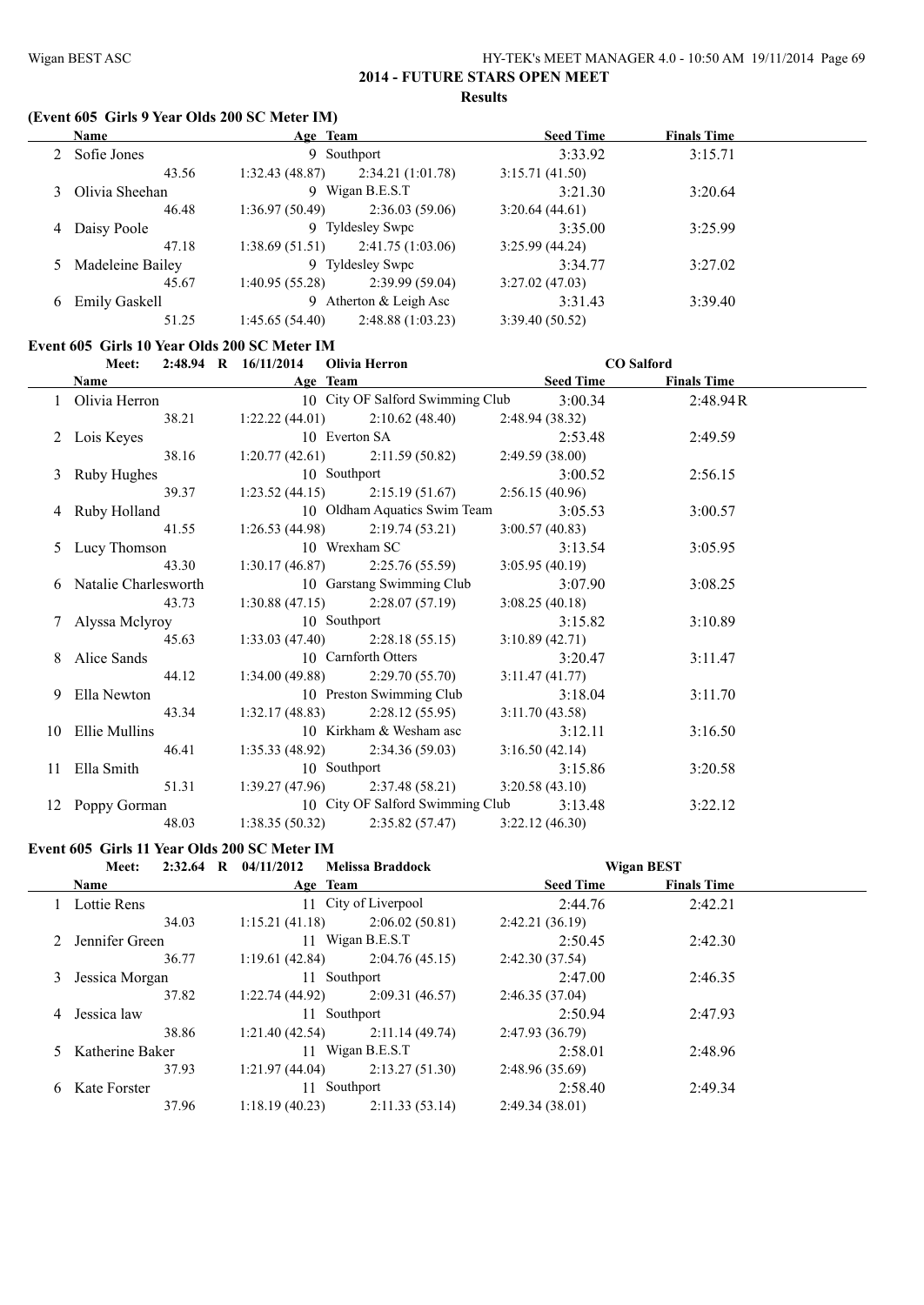#### Wigan BEST ASC HY-TEK's MEET MANAGER 4.0 - 10:50 AM 19/11/2014 Page 69 **2014 - FUTURE STARS OPEN MEET**

#### **Results**

#### **(Event 605 Girls 9 Year Olds 200 SC Meter IM)**

| Name               | Age Team                    |                   | <b>Seed Time</b> | <b>Finals Time</b> |  |
|--------------------|-----------------------------|-------------------|------------------|--------------------|--|
| 2 Sofie Jones      |                             | 9 Southport       | 3:33.92          | 3:15.71            |  |
| 43.56              | 1:32.43(48.87)              | 2:34.21(1:01.78)  | 3:15.71(41.50)   |                    |  |
| 3 Olivia Sheehan   |                             | 9 Wigan B.E.S.T   | 3:21.30          | 3:20.64            |  |
| 46.48              | 1:36.97(50.49)              | 2:36.03(59.06)    | 3:20.64(44.61)   |                    |  |
| 4 Daisy Poole      |                             | 9 Tyldesley Swpc  | 3:35.00          | 3:25.99            |  |
| 47.18              | 1:38.69(51.51)              | 2:41.75 (1:03.06) | 3:25.99(44.24)   |                    |  |
| 5 Madeleine Bailey |                             | 9 Tyldesley Swpc  | 3:34.77          | 3:27.02            |  |
| 45.67              | 1:40.95(55.28)              | 2:39.99(59.04)    | 3:27.02(47.03)   |                    |  |
| 6 Emily Gaskell    | Atherton $&$ Leigh Asc<br>9 |                   | 3:31.43          | 3:39.40            |  |
| 51.25              | 1:45.65(54.40)              | 2:48.88(1:03.23)  | 3:39.40(50.52)   |                    |  |

#### **Event 605 Girls 10 Year Olds 200 SC Meter IM**

|                        | Meet: 2:48.94 R 16/11/2014 Olivia Herron                                             |                | <b>CO</b> Salford |
|------------------------|--------------------------------------------------------------------------------------|----------------|-------------------|
|                        | <b>Name Seed Time Seed Time Finals Time Age Team Seed Time Seed Time Finals Time</b> |                |                   |
| 1 Olivia Herron        | 10 City OF Salford Swimming Club 3:00.34                                             |                | 2:48.94R          |
| 38.21                  | $1:22.22(44.01)$ $2:10.62(48.40)$ $2:48.94(38.32)$                                   |                |                   |
| 2 Lois Keyes           | 10 Everton SA 2:53.4<br>1:20.77 (42.61) 2:11.59 (50.82) 2:49.59 (38.00)              | 2:53.48        | 2:49.59           |
| 38.16                  |                                                                                      |                |                   |
| 3 Ruby Hughes          | 10 Southport                                                                         | 3:00.52        | 2:56.15           |
| 39.37                  | 1:23.52 (44.15) 2:15.19 (51.67) 2:56.15 (40.96)                                      |                |                   |
| 4 Ruby Holland         | 10 Oldham Aquatics Swim Team 3:05.53                                                 |                | 3:00.57           |
| 41.55                  | $1:26.53(44.98)$ $2:19.74(53.21)$                                                    | 3:00.57(40.83) |                   |
| 5 Lucy Thomson         | 10 Wrexham SC                                                                        | 3:13.54        | 3:05.95           |
| 43.30                  | $1:30.17(46.87)$ $2:25.76(55.59)$ $3:05.95(40.19)$                                   |                |                   |
| 6 Natalie Charlesworth | 10 Garstang Swimming Club                                                            | 3:07.90        | 3:08.25           |
| 43.73                  | $1:30.88(47.15)$ $2:28.07(57.19)$                                                    | 3:08.25(40.18) |                   |
| 7 Alyssa Melyroy       | 10 Southport                                                                         | 3:15.82        | 3:10.89           |
| 45.63                  | 1:33.03 (47.40) 2:28.18 (55.15) 3:10.89 (42.71)                                      |                |                   |
| 8 Alice Sands          | 10 Carnforth Otters                                                                  | 3:20.47        | 3:11.47           |
| 44.12                  | $1:34.00(49.88)$ $2:29.70(55.70)$                                                    | 3:11.47(41.77) |                   |
| 9 Ella Newton          | 10 Preston Swimming Club                                                             | 3:18.04        | 3:11.70           |
| 43.34                  | $1:32.17(48.83)$ $2:28.12(55.95)$                                                    | 3:11.70(43.58) |                   |
| 10 Ellie Mullins       | 10 Kirkham & Wesham asc                                                              | 3:12.11        | 3:16.50           |
| 46.41                  | $1:35.33(48.92)$ $2:34.36(59.03)$ $3:16.50(42.14)$                                   |                |                   |
| 11 Ella Smith          | 10 Southport                                                                         | 3:15.86        | 3:20.58           |
|                        | 51.31 1:39.27 (47.96) 2:37.48 (58.21) 3:20.58 (43.10)                                |                |                   |
| 12 Poppy Gorman        | 10 City OF Salford Swimming Club 3:13.48                                             |                | 3:22.12           |
| 48.03                  | $1:38.35(50.32)$ $2:35.82(57.47)$ $3:22.12(46.30)$                                   |                |                   |

#### **Event 605 Girls 11 Year Olds 200 SC Meter IM**

|    | $2:32.64$ R<br>Meet: | 04/11/2012     | <b>Melissa Braddock</b> |                                        | <b>Wigan BEST</b> |  |
|----|----------------------|----------------|-------------------------|----------------------------------------|-------------------|--|
|    | <b>Name</b>          | Age Team       |                         | <b>Seed Time</b><br><b>Finals Time</b> |                   |  |
|    | Lottie Rens          |                | 11 City of Liverpool    | 2:44.76                                | 2:42.21           |  |
|    | 34.03                | 1:15.21(41.18) | 2:06.02(50.81)          | 2:42.21(36.19)                         |                   |  |
|    | 2 Jennifer Green     |                | 11 Wigan B.E.S.T        | 2:50.45                                | 2:42.30           |  |
|    | 36.77                | 1:19.61(42.84) | 2:04.76(45.15)          | 2:42.30(37.54)                         |                   |  |
|    | 3 Jessica Morgan     |                | 11 Southport            |                                        | 2:46.35           |  |
|    | 37.82                | 1:22.74(44.92) | 2:09.31(46.57)          | 2:46.35(37.04)                         |                   |  |
| 4  | Jessica law          |                | 11 Southport            |                                        | 2:47.93           |  |
|    | 38.86                | 1:21.40(42.54) | 2:11.14(49.74)          | 2:47.93(36.79)                         |                   |  |
|    | 5 Katherine Baker    |                | 11 Wigan B.E.S.T        | 2:58.01                                | 2:48.96           |  |
|    | 37.93                | 1:21.97(44.04) | 2:13.27(51.30)          | 2:48.96(35.69)                         |                   |  |
| 6. | Kate Forster         | 11 Southport   |                         | 2:58.40                                | 2:49.34           |  |
|    | 37.96                | 1:18.19(40.23) | 2:11.33(53.14)          | 2:49.34(38.01)                         |                   |  |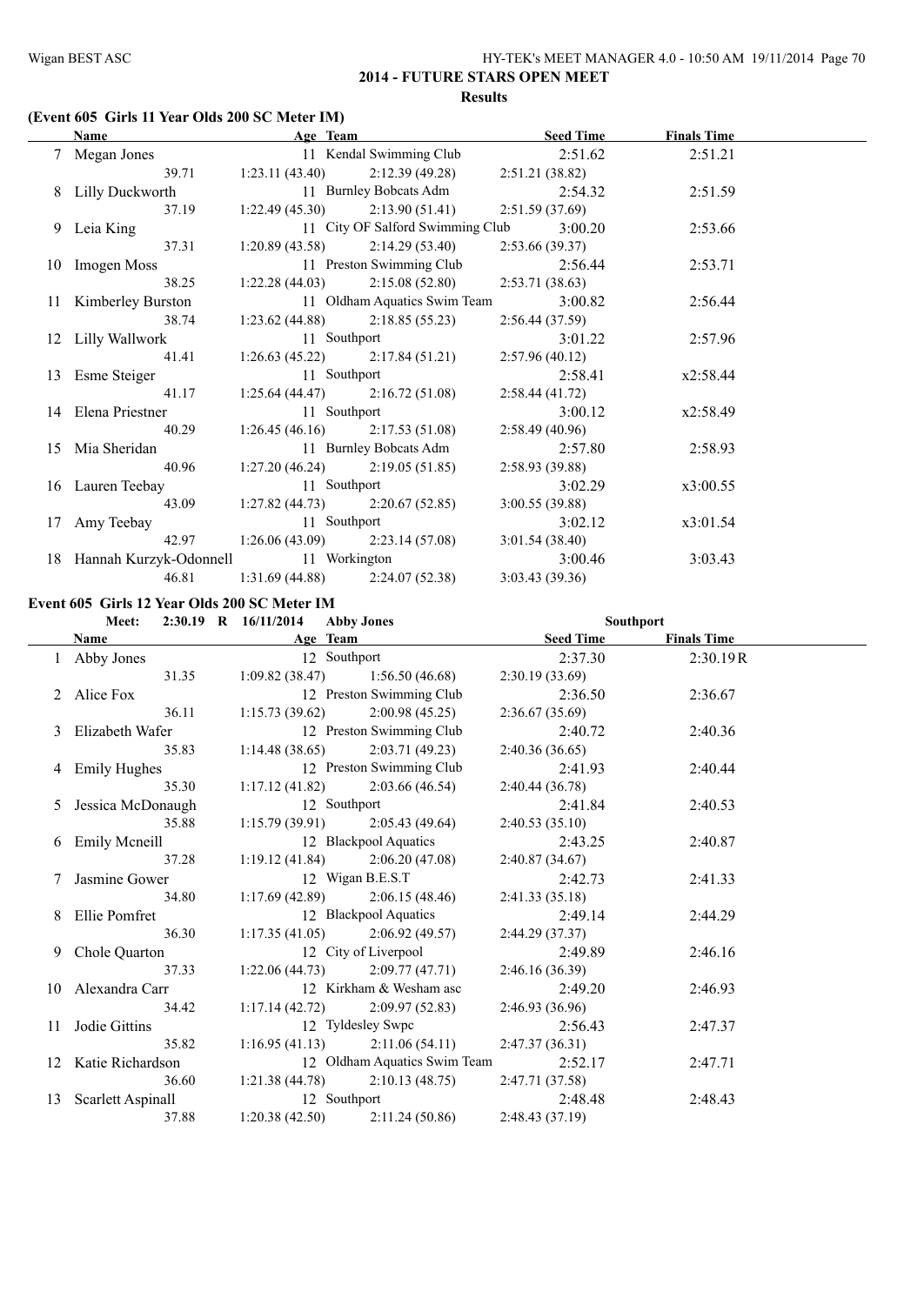#### **(Event 605 Girls 11 Year Olds 200 SC Meter IM)**

| <b>Name</b>                             |                                   | Age Team and the state of the state of the state of the state of the state of the state of the state of the state of the state of the state of the state of the state of the state of the state of the state of the state of t | <b>Seed Time</b> | <b>Finals Time</b> |  |
|-----------------------------------------|-----------------------------------|--------------------------------------------------------------------------------------------------------------------------------------------------------------------------------------------------------------------------------|------------------|--------------------|--|
| 7 Megan Jones                           |                                   | 11 Kendal Swimming Club                                                                                                                                                                                                        | 2:51.62          | 2:51.21            |  |
| 39.71                                   |                                   | $1:23.11(43.40)$ $2:12.39(49.28)$                                                                                                                                                                                              | 2:51.21 (38.82)  |                    |  |
| 8 Lilly Duckworth                       |                                   | 11 Burnley Bobcats Adm 2:54.32                                                                                                                                                                                                 |                  | 2:51.59            |  |
| 37.19                                   |                                   | $1:22.49(45.30)$ $2:13.90(51.41)$                                                                                                                                                                                              | 2:51.59(37.69)   |                    |  |
| 9 Leia King                             |                                   | 11 City OF Salford Swimming Club                                                                                                                                                                                               | 3:00.20          | 2:53.66            |  |
| 37.31                                   |                                   | $1:20.89(43.58)$ $2:14.29(53.40)$                                                                                                                                                                                              | 2:53.66(39.37)   |                    |  |
| 10 Imogen Moss                          |                                   | 11 Preston Swimming Club                                                                                                                                                                                                       | 2:56.44          | 2:53.71            |  |
| 38.25                                   |                                   | $1:22.28(44.03)$ $2:15.08(52.80)$                                                                                                                                                                                              | 2:53.71(38.63)   |                    |  |
| 11 Kimberley Burston                    |                                   | 11 Oldham Aquatics Swim Team                                                                                                                                                                                                   | 3:00.82          | 2:56.44            |  |
| 38.74                                   | $1:23.62(44.88)$ $2:18.85(55.23)$ |                                                                                                                                                                                                                                | 2:56.44(37.59)   |                    |  |
| 12 Lilly Wallwork                       | 11 Southport                      |                                                                                                                                                                                                                                | 3:01.22          | 2:57.96            |  |
| 41.41                                   |                                   | $1:26.63(45.22)$ $2:17.84(51.21)$                                                                                                                                                                                              | 2:57.96(40.12)   |                    |  |
| 13 Esme Steiger                         | 11 Southport                      |                                                                                                                                                                                                                                | 2:58.41          | x2:58.44           |  |
| 41.17                                   |                                   | $1:25.64(44.47)$ $2:16.72(51.08)$                                                                                                                                                                                              | 2:58.44 (41.72)  |                    |  |
| 14 Elena Priestner                      | 11 Southport                      |                                                                                                                                                                                                                                | 3:00.12          | x2:58.49           |  |
| 40.29                                   |                                   | $1:26.45(46.16)$ $2:17.53(51.08)$                                                                                                                                                                                              | 2:58.49(40.96)   |                    |  |
| 15 Mia Sheridan                         |                                   | 11 Burnley Bobcats Adm                                                                                                                                                                                                         | 2:57.80          | 2:58.93            |  |
| 40.96                                   |                                   | $1:27.20(46.24)$ $2:19.05(51.85)$                                                                                                                                                                                              | 2:58.93(39.88)   |                    |  |
| 16 Lauren Teebay                        | 11 Southport                      |                                                                                                                                                                                                                                | 3:02.29          | x3:00.55           |  |
| 43.09                                   |                                   | $1:27.82(44.73)$ $2:20.67(52.85)$                                                                                                                                                                                              | 3:00.55(39.88)   |                    |  |
| 17 Amy Teebay                           | 11 Southport                      |                                                                                                                                                                                                                                | 3:02.12          | x3:01.54           |  |
| 42.97                                   |                                   | $1:26.06(43.09)$ $2:23.14(57.08)$                                                                                                                                                                                              | 3:01.54(38.40)   |                    |  |
| 18 Hannah Kurzyk-Odonnell 11 Workington |                                   |                                                                                                                                                                                                                                | 3:00.46          | 3:03.43            |  |
| 46.81                                   |                                   | $1:31.69(44.88)$ $2:24.07(52.38)$                                                                                                                                                                                              | 3:03.43(39.36)   |                    |  |

#### **Event 605 Girls 12 Year Olds 200 SC Meter IM**

#### **Meet: 2:30.19 R 16/11/2014 Abby Jones Southport**

| <b>Name</b>         |          |                                                                                                                                                                                                                                                                                                                                                                                                                                                                                                |                                                                                                                                                                                                                                                                                                                                                                                                                                                                                                                                                     |
|---------------------|----------|------------------------------------------------------------------------------------------------------------------------------------------------------------------------------------------------------------------------------------------------------------------------------------------------------------------------------------------------------------------------------------------------------------------------------------------------------------------------------------------------|-----------------------------------------------------------------------------------------------------------------------------------------------------------------------------------------------------------------------------------------------------------------------------------------------------------------------------------------------------------------------------------------------------------------------------------------------------------------------------------------------------------------------------------------------------|
|                     | Age Team | <b>Seed Time</b>                                                                                                                                                                                                                                                                                                                                                                                                                                                                               | <b>Finals Time</b>                                                                                                                                                                                                                                                                                                                                                                                                                                                                                                                                  |
| 1 Abby Jones        |          | 2:37.30                                                                                                                                                                                                                                                                                                                                                                                                                                                                                        | 2:30.19R                                                                                                                                                                                                                                                                                                                                                                                                                                                                                                                                            |
|                     |          |                                                                                                                                                                                                                                                                                                                                                                                                                                                                                                |                                                                                                                                                                                                                                                                                                                                                                                                                                                                                                                                                     |
| 2 Alice Fox         |          | 2:36.50                                                                                                                                                                                                                                                                                                                                                                                                                                                                                        | 2:36.67                                                                                                                                                                                                                                                                                                                                                                                                                                                                                                                                             |
|                     |          | 2:36.67(35.69)                                                                                                                                                                                                                                                                                                                                                                                                                                                                                 |                                                                                                                                                                                                                                                                                                                                                                                                                                                                                                                                                     |
| 3 Elizabeth Wafer   |          | 2:40.72                                                                                                                                                                                                                                                                                                                                                                                                                                                                                        | 2:40.36                                                                                                                                                                                                                                                                                                                                                                                                                                                                                                                                             |
| 35.83               |          | 2:40.36(36.65)                                                                                                                                                                                                                                                                                                                                                                                                                                                                                 |                                                                                                                                                                                                                                                                                                                                                                                                                                                                                                                                                     |
| 4 Emily Hughes      |          | 2:41.93                                                                                                                                                                                                                                                                                                                                                                                                                                                                                        | 2:40.44                                                                                                                                                                                                                                                                                                                                                                                                                                                                                                                                             |
| 35.30               |          |                                                                                                                                                                                                                                                                                                                                                                                                                                                                                                |                                                                                                                                                                                                                                                                                                                                                                                                                                                                                                                                                     |
| 5 Jessica McDonaugh |          |                                                                                                                                                                                                                                                                                                                                                                                                                                                                                                | 2:40.53                                                                                                                                                                                                                                                                                                                                                                                                                                                                                                                                             |
| 35.88               |          |                                                                                                                                                                                                                                                                                                                                                                                                                                                                                                |                                                                                                                                                                                                                                                                                                                                                                                                                                                                                                                                                     |
| 6 Emily Mcneill     |          | 2:43.25                                                                                                                                                                                                                                                                                                                                                                                                                                                                                        | 2:40.87                                                                                                                                                                                                                                                                                                                                                                                                                                                                                                                                             |
|                     |          |                                                                                                                                                                                                                                                                                                                                                                                                                                                                                                |                                                                                                                                                                                                                                                                                                                                                                                                                                                                                                                                                     |
| Jasmine Gower       |          | 2:42.73                                                                                                                                                                                                                                                                                                                                                                                                                                                                                        | 2:41.33                                                                                                                                                                                                                                                                                                                                                                                                                                                                                                                                             |
|                     |          | 2:41.33(35.18)                                                                                                                                                                                                                                                                                                                                                                                                                                                                                 |                                                                                                                                                                                                                                                                                                                                                                                                                                                                                                                                                     |
| 8 Ellie Pomfret     |          | 2:49.14                                                                                                                                                                                                                                                                                                                                                                                                                                                                                        | 2:44.29                                                                                                                                                                                                                                                                                                                                                                                                                                                                                                                                             |
| 36.30               |          | 2:44.29 (37.37)                                                                                                                                                                                                                                                                                                                                                                                                                                                                                |                                                                                                                                                                                                                                                                                                                                                                                                                                                                                                                                                     |
| 9 Chole Quarton     |          | 2:49.89                                                                                                                                                                                                                                                                                                                                                                                                                                                                                        | 2:46.16                                                                                                                                                                                                                                                                                                                                                                                                                                                                                                                                             |
| 37.33               |          |                                                                                                                                                                                                                                                                                                                                                                                                                                                                                                |                                                                                                                                                                                                                                                                                                                                                                                                                                                                                                                                                     |
| 10 Alexandra Carr   |          | 2:49.20                                                                                                                                                                                                                                                                                                                                                                                                                                                                                        | 2:46.93                                                                                                                                                                                                                                                                                                                                                                                                                                                                                                                                             |
| 34.42               |          |                                                                                                                                                                                                                                                                                                                                                                                                                                                                                                |                                                                                                                                                                                                                                                                                                                                                                                                                                                                                                                                                     |
| 11 Jodie Gittins    |          | 2:56.43                                                                                                                                                                                                                                                                                                                                                                                                                                                                                        | 2:47.37                                                                                                                                                                                                                                                                                                                                                                                                                                                                                                                                             |
| 35.82               |          |                                                                                                                                                                                                                                                                                                                                                                                                                                                                                                |                                                                                                                                                                                                                                                                                                                                                                                                                                                                                                                                                     |
|                     |          |                                                                                                                                                                                                                                                                                                                                                                                                                                                                                                | 2:47.71                                                                                                                                                                                                                                                                                                                                                                                                                                                                                                                                             |
| 36.60               |          |                                                                                                                                                                                                                                                                                                                                                                                                                                                                                                |                                                                                                                                                                                                                                                                                                                                                                                                                                                                                                                                                     |
|                     |          | 2:48.48                                                                                                                                                                                                                                                                                                                                                                                                                                                                                        | 2:48.43                                                                                                                                                                                                                                                                                                                                                                                                                                                                                                                                             |
| 37.88               |          |                                                                                                                                                                                                                                                                                                                                                                                                                                                                                                |                                                                                                                                                                                                                                                                                                                                                                                                                                                                                                                                                     |
|                     | 34.80    | 12 Southport<br>31.35 1:09.82 (38.47) 1:56.50 (46.68)<br>12 Preston Swimming Club<br>$36.11$ 1:15.73 (39.62) 2:00.98 (45.25)<br>12 Preston Swimming Club<br>$1:14.48(38.65)$ $2:03.71(49.23)$<br>$1:17.12(41.82)$ $2:03.66(46.54)$<br>12 Southport<br>37.28 1:19.12 (41.84) 2:06.20 (47.08)<br>12 Wigan B.E.S.T<br>$1:17.69(42.89)$ $2:06.15(48.46)$<br>$1:17.35(41.05)$ $2:06.92(49.57)$<br>12 Kirkham & Wesham asc<br>$1:16.95(41.13)$ $2:11.06(54.11)$<br>13 Scarlett Aspinall 12 Southport | 2:30.19 (33.69)<br>12 Preston Swimming Club<br>2:40.44 (36.78)<br>2:41.84<br>$1:15.79(39.91)$ $2:05.43(49.64)$ $2:40.53(35.10)$<br>12 Blackpool Aquatics<br>2:40.87(34.67)<br>12 Blackpool Aquatics<br>12 City of Liverpool<br>$1:22.06(44.73)$ $2:09.77(47.71)$ $2:46.16(36.39)$<br>$1:17.14(42.72)$ $2:09.97(52.83)$ $2:46.93(36.96)$<br>12 Tyldesley Swpc<br>2:47.37(36.31)<br>12 Katie Richardson 12 Oldham Aquatics Swim Team 2:52.17<br>$1:21.38(44.78)$ $2:10.13(48.75)$ $2:47.71(37.58)$<br>1:20.38 (42.50) 2:11.24 (50.86) 2:48.43 (37.19) |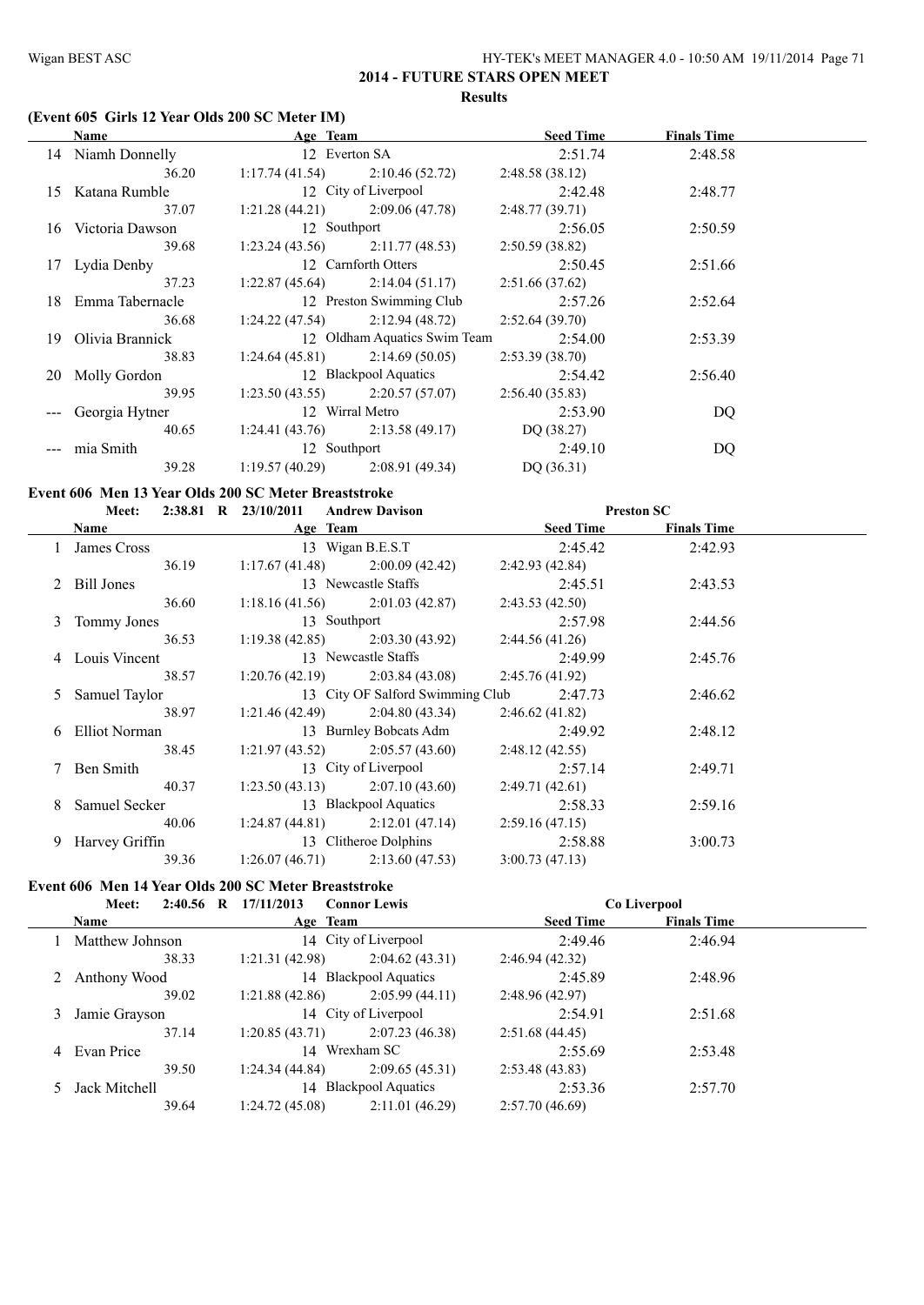#### **(Event 605 Girls 12 Year Olds 200 SC Meter IM)**

|     | <b>Name</b>        | Age Team       |                                   | <b>Seed Time</b> | <b>Finals Time</b> |  |
|-----|--------------------|----------------|-----------------------------------|------------------|--------------------|--|
|     | 14 Niamh Donnelly  |                | 12 Everton SA                     | 2:51.74          | 2:48.58            |  |
|     | 36.20              |                | $1:17.74(41.54)$ $2:10.46(52.72)$ | 2:48.58(38.12)   |                    |  |
|     | 15 Katana Rumble   |                | 12 City of Liverpool              | 2:42.48          | 2:48.77            |  |
|     | 37.07              |                | $1:21.28(44.21)$ $2:09.06(47.78)$ | 2:48.77(39.71)   |                    |  |
|     | 16 Victoria Dawson | 12 Southport   |                                   | 2:56.05          | 2:50.59            |  |
|     | 39.68              |                | $1:23.24(43.56)$ $2:11.77(48.53)$ | 2:50.59(38.82)   |                    |  |
|     | 17 Lydia Denby     |                | 12 Carnforth Otters               | 2:50.45          | 2:51.66            |  |
|     | 37.23              |                | $1:22.87(45.64)$ $2:14.04(51.17)$ | 2:51.66(37.62)   |                    |  |
| 18. | Emma Tabernacle    |                | 12 Preston Swimming Club          | 2:57.26          | 2:52.64            |  |
|     | 36.68              |                | $1:24.22(47.54)$ $2:12.94(48.72)$ | 2:52.64(39.70)   |                    |  |
|     | 19 Olivia Brannick |                | 12 Oldham Aquatics Swim Team      | 2:54.00          | 2:53.39            |  |
|     | 38.83              |                | $1:24.64(45.81)$ $2:14.69(50.05)$ | 2:53.39(38.70)   |                    |  |
|     | 20 Molly Gordon    |                | 12 Blackpool Aquatics             | 2:54.42          | 2:56.40            |  |
|     | 39.95              |                | $1:23.50(43.55)$ $2:20.57(57.07)$ | 2:56.40(35.83)   |                    |  |
|     | Georgia Hytner     |                | 12 Wirral Metro                   | 2:53.90          | DQ                 |  |
|     | 40.65              |                | $1:24.41(43.76)$ $2:13.58(49.17)$ | DQ (38.27)       |                    |  |
|     | mia Smith          | 12 Southport   |                                   | 2:49.10          | DQ                 |  |
|     | 39.28              | 1:19.57(40.29) | 2:08.91(49.34)                    | DQ(36.31)        |                    |  |

#### **Event 606 Men 13 Year Olds 200 SC Meter Breaststroke**

|   | <b>Meet:</b>     | $2:38.81$ R $23/10/2011$<br><b>Andrew Davison</b> |                  | <b>Preston SC</b>  |  |
|---|------------------|---------------------------------------------------|------------------|--------------------|--|
|   | Name             | Age Team                                          | <b>Seed Time</b> | <b>Finals Time</b> |  |
|   | 1 James Cross    | 13 Wigan B.E.S.T                                  | 2:45.42          | 2:42.93            |  |
|   | 36.19            | $1:17.67(41.48)$ $2:00.09(42.42)$                 | 2:42.93(42.84)   |                    |  |
|   | 2 Bill Jones     | 13 Newcastle Staffs                               | 2:45.51          | 2:43.53            |  |
|   | 36.60            | $1:18.16(41.56)$ $2:01.03(42.87)$                 | 2:43.53(42.50)   |                    |  |
|   | 3 Tommy Jones    | 13 Southport                                      | 2:57.98          | 2:44.56            |  |
|   | 36.53            | $1:19.38(42.85)$ $2:03.30(43.92)$                 | 2:44.56(41.26)   |                    |  |
|   | 4 Louis Vincent  | 13 Newcastle Staffs                               | 2:49.99          | 2:45.76            |  |
|   | 38.57            | $1:20.76(42.19)$ $2:03.84(43.08)$                 | 2:45.76(41.92)   |                    |  |
|   | 5 Samuel Taylor  | 13 City OF Salford Swimming Club                  | 2:47.73          | 2:46.62            |  |
|   | 38.97            | $1:21.46(42.49)$ $2:04.80(43.34)$                 | 2:46.62(41.82)   |                    |  |
|   | 6 Elliot Norman  | 13 Burnley Bobcats Adm                            | 2:49.92          | 2:48.12            |  |
|   | 38.45            | $1:21.97(43.52)$ $2:05.57(43.60)$                 | 2:48.12(42.55)   |                    |  |
|   | 7 Ben Smith      | 13 City of Liverpool                              | 2:57.14          | 2:49.71            |  |
|   | 40.37            | $1:23.50(43.13)$ $2:07.10(43.60)$                 | 2:49.71(42.61)   |                    |  |
| 8 | Samuel Secker    | 13 Blackpool Aquatics                             | 2:58.33          | 2:59.16            |  |
|   | 40.06            | $1:24.87(44.81)$ $2:12.01(47.14)$                 | 2:59.16(47.15)   |                    |  |
|   | 9 Harvey Griffin | 13 Clitheroe Dolphins                             | 2:58.88          | 3:00.73            |  |
|   | 39.36            | $1:26.07(46.71)$ $2:13.60(47.53)$                 | 3:00.73(47.13)   |                    |  |

#### **Event 606 Men 14 Year Olds 200 SC Meter Breaststroke**

| $2:40.56$ R<br>Meet: | 17/11/2013     | <b>Connor Lewis</b>   |                  | Co Liverpool       |  |
|----------------------|----------------|-----------------------|------------------|--------------------|--|
| <b>Name</b>          |                | Age Team              | <b>Seed Time</b> | <b>Finals Time</b> |  |
| Matthew Johnson      |                | 14 City of Liverpool  | 2:49.46          | 2:46.94            |  |
| 38.33                | 1:21.31(42.98) | 2:04.62(43.31)        | 2:46.94(42.32)   |                    |  |
| Anthony Wood         |                | 14 Blackpool Aquatics | 2:45.89          | 2:48.96            |  |
| 39.02                | 1:21.88(42.86) | 2:05.99(44.11)        | 2:48.96(42.97)   |                    |  |
| Jamie Grayson        |                | 14 City of Liverpool  | 2:54.91          | 2:51.68            |  |
| 37.14                | 1:20.85(43.71) | 2:07.23(46.38)        | 2:51.68(44.45)   |                    |  |
| 4 Evan Price         | 14             | Wrexham SC            | 2:55.69          | 2:53.48            |  |
| 39.50                | 1:24.34(44.84) | 2:09.65(45.31)        | 2:53.48(43.83)   |                    |  |
| Jack Mitchell        |                | 14 Blackpool Aquatics | 2:53.36          | 2:57.70            |  |
| 39.64                | 1:24.72(45.08) | 2:11.01(46.29)        | 2:57.70(46.69)   |                    |  |
|                      |                |                       |                  |                    |  |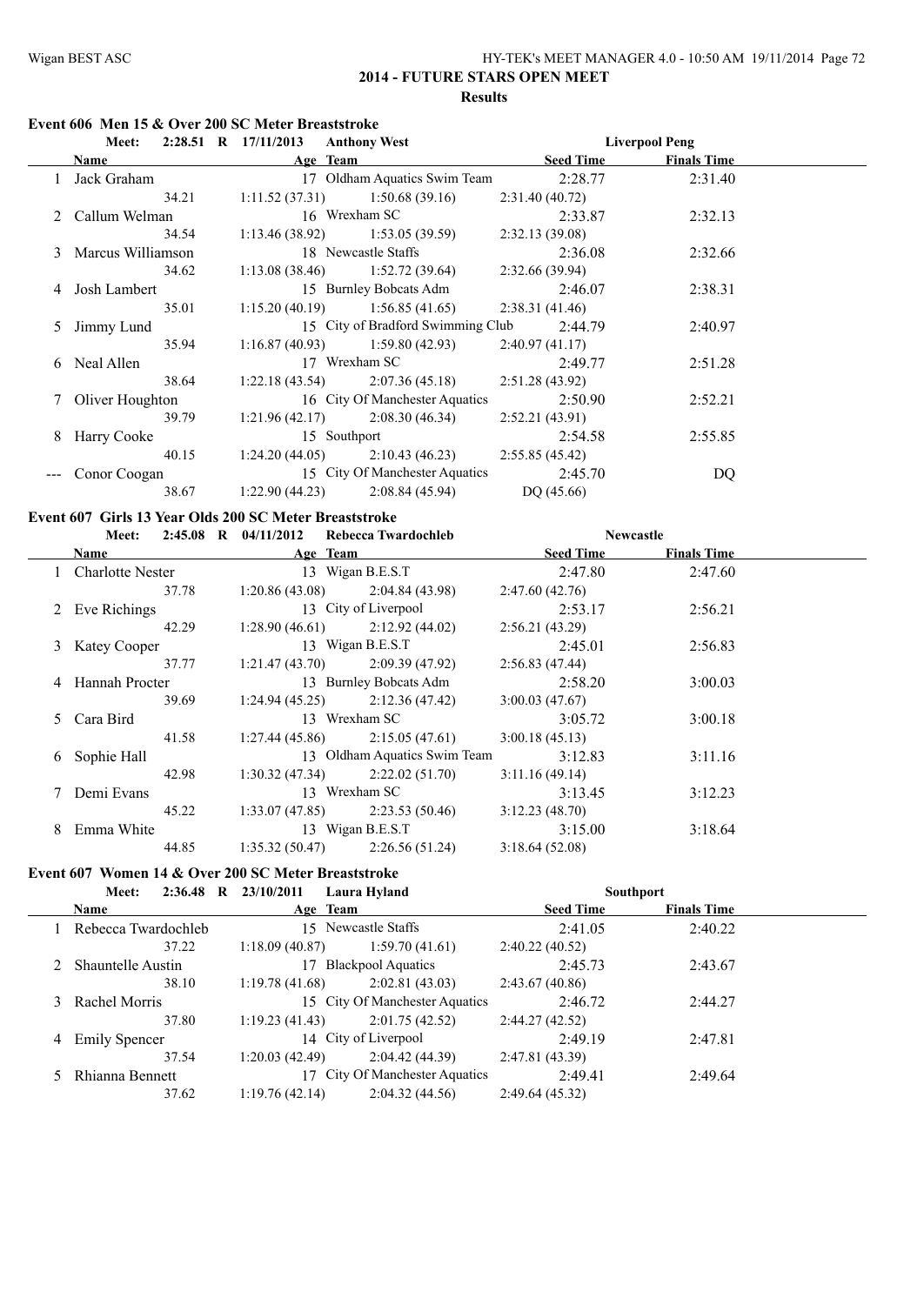#### **Event 606 Men 15 & Over 200 SC Meter Breaststroke**

|    | Meet:               | $2:28.51$ R $17/11/2013$<br><b>Anthony West</b> |                  | <b>Liverpool Peng</b> |
|----|---------------------|-------------------------------------------------|------------------|-----------------------|
|    | Name                | Age Team                                        | <b>Seed Time</b> | <b>Finals Time</b>    |
|    | Jack Graham         | 17 Oldham Aquatics Swim Team                    | 2:28.77          | 2:31.40               |
|    | 34.21               | $1:11.52(37.31)$ $1:50.68(39.16)$               | 2:31.40(40.72)   |                       |
|    | 2 Callum Welman     | 16 Wrexham SC                                   | 2:33.87          | 2:32.13               |
|    | 34.54               | $1:13.46(38.92)$ $1:53.05(39.59)$               | 2:32.13(39.08)   |                       |
|    | 3 Marcus Williamson | 18 Newcastle Staffs                             | 2:36.08          | 2:32.66               |
|    | 34.62               | $1:13.08(38.46)$ $1:52.72(39.64)$               | 2:32.66(39.94)   |                       |
|    | Josh Lambert        | 15 Burnley Bobcats Adm                          | 2:46.07          | 2:38.31               |
|    | 35.01               | $1:15.20(40.19)$ $1:56.85(41.65)$               | 2:38.31(41.46)   |                       |
| 5  | Jimmy Lund          | 15 City of Bradford Swimming Club               | 2:44.79          | 2:40.97               |
|    | 35.94               | $1:16.87(40.93)$ $1:59.80(42.93)$               | 2:40.97(41.17)   |                       |
| 6. | Neal Allen          | 17 Wrexham SC                                   | 2:49.77          | 2:51.28               |
|    | 38.64               | $1:22.18(43.54)$ $2:07.36(45.18)$               | 2:51.28(43.92)   |                       |
|    | 7 Oliver Houghton   | 16 City Of Manchester Aquatics                  | 2:50.90          | 2:52.21               |
|    | 39.79               | $1:21.96(42.17)$ $2:08.30(46.34)$               | 2:52.21(43.91)   |                       |
| 8  | Harry Cooke         | 15 Southport                                    | 2:54.58          | 2:55.85               |
|    | 40.15               | $1:24.20(44.05)$ $2:10.43(46.23)$               | 2:55.85(45.42)   |                       |
|    | Conor Coogan        | 15 City Of Manchester Aquatics                  | 2:45.70          | DQ                    |
|    | 38.67               | 2:08.84(45.94)<br>1:22.90(44.23)                | DQ (45.66)       |                       |
|    |                     |                                                 |                  |                       |

#### **Event 607 Girls 13 Year Olds 200 SC Meter Breaststroke**

|   |                    |                | Meet: 2:45.08 R 04/11/2012 Rebecca Twardochleb | <b>Newcastle</b> |                    |  |
|---|--------------------|----------------|------------------------------------------------|------------------|--------------------|--|
|   | <b>Name</b>        |                | Age Team                                       | <b>Seed Time</b> | <b>Finals Time</b> |  |
|   | 1 Charlotte Nester |                | 13 Wigan B.E.S.T                               | 2:47.80          | 2:47.60            |  |
|   | 37.78              |                | $1:20.86(43.08)$ $2:04.84(43.98)$              | 2:47.60(42.76)   |                    |  |
|   | 2 Eve Richings     |                | 13 City of Liverpool                           | 2:53.17          | 2:56.21            |  |
|   | 42.29              |                | $1:28.90(46.61)$ $2:12.92(44.02)$              | 2:56.21(43.29)   |                    |  |
|   | 3 Katey Cooper     |                | 13 Wigan B.E.S.T                               | 2:45.01          | 2:56.83            |  |
|   | 37.77              |                | $1:21.47(43.70)$ $2:09.39(47.92)$              | 2:56.83(47.44)   |                    |  |
|   | 4 Hannah Procter   |                | 13 Burnley Bobcats Adm                         | 2:58.20          | 3:00.03            |  |
|   | 39.69              |                | $1:24.94(45.25)$ $2:12.36(47.42)$              | 3:00.03(47.67)   |                    |  |
|   | 5 Cara Bird        |                | 13 Wrexham SC                                  | 3:05.72          | 3:00.18            |  |
|   | 41.58              |                | $1:27.44(45.86)$ $2:15.05(47.61)$              | 3:00.18(45.13)   |                    |  |
|   | 6 Sophie Hall      |                | 13 Oldham Aquatics Swim Team                   | 3:12.83          | 3:11.16            |  |
|   | 42.98              |                | $1:30.32(47.34)$ $2:22.02(51.70)$              | 3:11.16(49.14)   |                    |  |
|   | 7 Demi Evans       |                | 13 Wrexham SC                                  | 3:13.45          | 3:12.23            |  |
|   | 45.22              |                | $1:33.07(47.85)$ $2:23.53(50.46)$              | 3:12.23(48.70)   |                    |  |
| 8 | Emma White         |                | 13 Wigan B.E.S.T                               | 3:15.00          | 3:18.64            |  |
|   | 44.85              | 1:35.32(50.47) | 2:26.56(51.24)                                 | 3:18.64(52.08)   |                    |  |

# **Event 607 Women 14 & Over 200 SC Meter Breaststroke**

| $2:36.48$ R<br><b>Meet:</b> | 23/10/2011     | Laura Hyland                   |                  | <b>Southport</b>   |  |
|-----------------------------|----------------|--------------------------------|------------------|--------------------|--|
| <b>Name</b>                 | Age Team       |                                | <b>Seed Time</b> | <b>Finals Time</b> |  |
| 1 Rebecca Twardochleb       |                | 15 Newcastle Staffs            | 2:41.05          | 2:40.22            |  |
| 37.22                       | 1:18.09(40.87) | 1:59.70(41.61)                 | 2:40.22(40.52)   |                    |  |
| 2 Shauntelle Austin         | 17             | <b>Blackpool Aquatics</b>      | 2:45.73          | 2:43.67            |  |
| 38.10                       | 1:19.78(41.68) | 2:02.81(43.03)                 | 2:43.67(40.86)   |                    |  |
| 3 Rachel Morris             |                | 15 City Of Manchester Aquatics | 2:46.72          | 2:44.27            |  |
| 37.80                       | 1:19.23(41.43) | 2:01.75(42.52)                 | 2:44.27(42.52)   |                    |  |
| 4 Emily Spencer             |                | 14 City of Liverpool           | 2:49.19          | 2:47.81            |  |
| 37.54                       | 1:20.03(42.49) | 2:04.42(44.39)                 | 2:47.81(43.39)   |                    |  |
| Rhianna Bennett             |                | 17 City Of Manchester Aquatics | 2:49.41          | 2:49.64            |  |
| 37.62                       | 1:19.76(42.14) | 2:04.32(44.56)                 | 2:49.64(45.32)   |                    |  |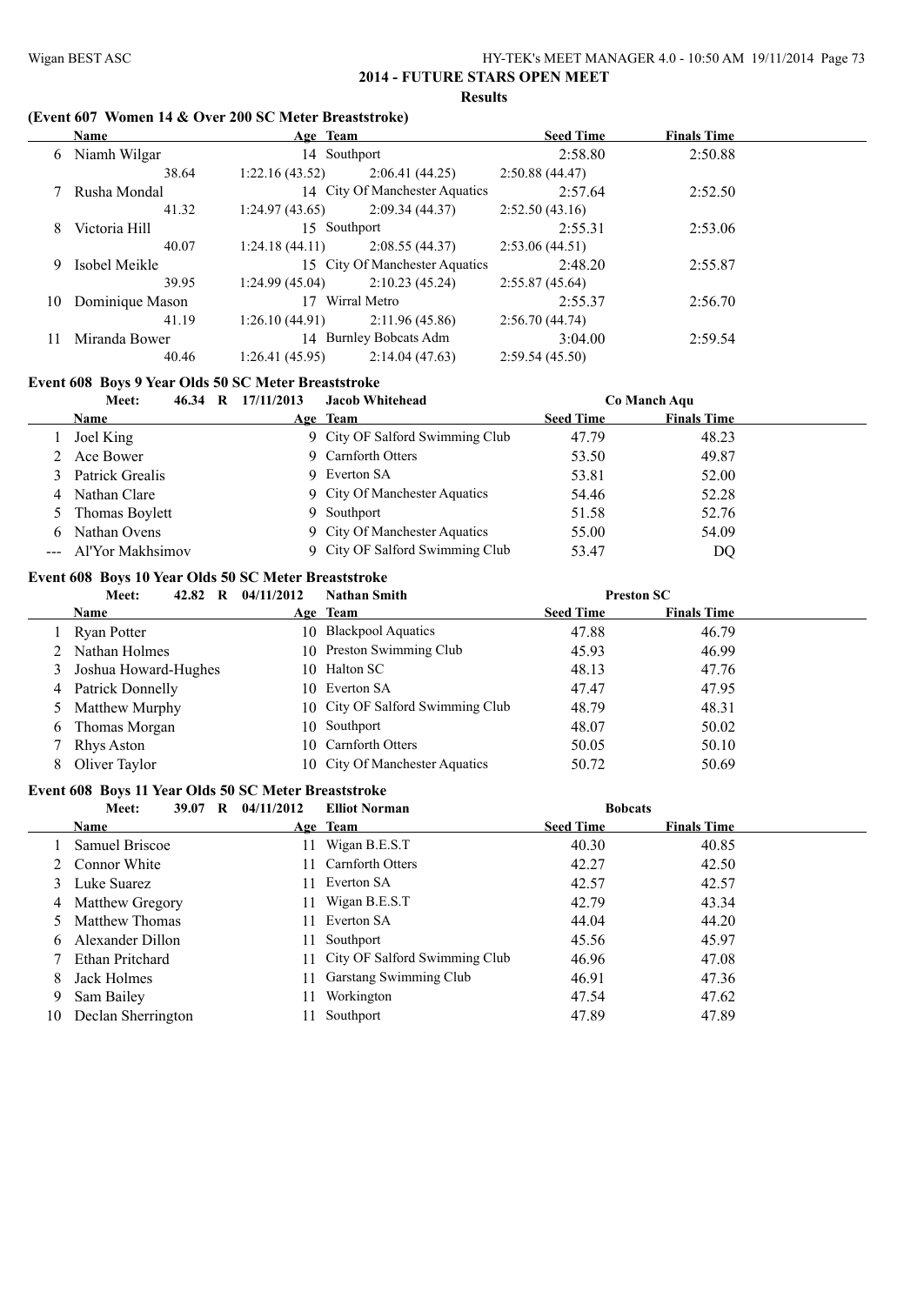## **(Event 607 Women 14 & Over 200 SC Meter Breaststroke)**

|    | <b>Name</b>     | Age Team        |                                | <b>Seed Time</b> | <b>Finals Time</b> |  |
|----|-----------------|-----------------|--------------------------------|------------------|--------------------|--|
|    | 6 Niamh Wilgar  | 14 Southport    |                                | 2:58.80          | 2:50.88            |  |
|    | 38.64           | 1:22.16(43.52)  | 2:06.41(44.25)                 | 2:50.88(44.47)   |                    |  |
|    | 7 Rusha Mondal  |                 | 14 City Of Manchester Aquatics | 2:57.64          | 2:52.50            |  |
|    | 41.32           | 1:24.97(43.65)  | 2:09.34(44.37)                 | 2:52.50(43.16)   |                    |  |
| 8  | Victoria Hill   | 15 Southport    |                                | 2:55.31          | 2:53.06            |  |
|    | 40.07           | 1:24.18(44.11)  | 2:08.55(44.37)                 | 2:53.06(44.51)   |                    |  |
| 9. | Isobel Meikle   |                 | 15 City Of Manchester Aquatics | 2:48.20          | 2:55.87            |  |
|    | 39.95           | 1:24.99(45.04)  | 2:10.23(45.24)                 | 2:55.87(45.64)   |                    |  |
| 10 | Dominique Mason | 17 Wirral Metro |                                | 2:55.37          | 2:56.70            |  |
|    | 41.19           | 1:26.10(44.91)  | 2:11.96(45.86)                 | 2:56.70(44.74)   |                    |  |
|    | Miranda Bower   |                 | 14 Burnley Bobcats Adm         | 3:04.00          | 2:59.54            |  |
|    | 40.46           | 1:26.41(45.95)  | 2:14.04(47.63)                 | 2:59.54(45.50)   |                    |  |

## **Event 608 Boys 9 Year Olds 50 SC Meter Breaststroke**

|    | Meet:<br>46.34<br>R  | 17/11/2013 | <b>Jacob Whitehead</b>          |                  | Co Manch Aqu       |  |
|----|----------------------|------------|---------------------------------|------------------|--------------------|--|
|    | <b>Name</b>          |            | Age Team                        | <b>Seed Time</b> | <b>Finals Time</b> |  |
|    | Joel King            |            | 9 City OF Salford Swimming Club | 47.79            | 48.23              |  |
|    | 2 Ace Bower          |            | 9 Carnforth Otters              | 53.50            | 49.87              |  |
|    | 3 Patrick Grealis    |            | 9 Everton SA                    | 53.81            | 52.00              |  |
|    | 4 Nathan Clare       |            | 9 City Of Manchester Aquatics   | 54.46            | 52.28              |  |
|    | 5 Thomas Boylett     | 9          | Southport                       | 51.58            | 52.76              |  |
| 6. | Nathan Ovens         |            | 9 City Of Manchester Aquatics   | 55.00            | 54.09              |  |
|    | --- Al'Yor Makhsimov |            | 9 City OF Salford Swimming Club | 53.47            | DQ                 |  |

## **Event 608 Boys 10 Year Olds 50 SC Meter Breaststroke**

|    | 42.82 R<br>Meet:       | 04/11/2012 | <b>Nathan Smith</b>              | <b>Preston SC</b> |                    |  |
|----|------------------------|------------|----------------------------------|-------------------|--------------------|--|
|    | <b>Name</b>            |            | Age Team                         | <b>Seed Time</b>  | <b>Finals Time</b> |  |
|    | Ryan Potter            |            | 10 Blackpool Aquatics            | 47.88             | 46.79              |  |
|    | 2 Nathan Holmes        |            | 10 Preston Swimming Club         | 45.93             | 46.99              |  |
|    | 3 Joshua Howard-Hughes |            | 10 Halton SC                     | 48.13             | 47.76              |  |
|    | 4 Patrick Donnelly     |            | 10 Everton SA                    | 47.47             | 47.95              |  |
|    | 5 Matthew Murphy       |            | 10 City OF Salford Swimming Club | 48.79             | 48.31              |  |
|    | 6 Thomas Morgan        |            | 10 Southport                     | 48.07             | 50.02              |  |
|    | Rhys Aston             |            | 10 Carnforth Otters              | 50.05             | 50.10              |  |
| 8. | Oliver Taylor          |            | 10 City Of Manchester Aquatics   | 50.72             | 50.69              |  |

# **Event 608 Boys 11 Year Olds 50 SC Meter Breaststroke**<br>Mosting 30.07 B 04/11/2012 Flligt Norn

|    | Meet:<br>39.07<br>R | 04/11/2012 | <b>Elliot Norman</b>             | <b>Bobcats</b>   |                    |  |
|----|---------------------|------------|----------------------------------|------------------|--------------------|--|
|    | <b>Name</b>         |            | Age Team                         | <b>Seed Time</b> | <b>Finals Time</b> |  |
|    | Samuel Briscoe      | 11.        | Wigan B.E.S.T                    | 40.30            | 40.85              |  |
|    | 2 Connor White      |            | 11 Carnforth Otters              | 42.27            | 42.50              |  |
|    | 3 Luke Suarez       | 11.        | Everton SA                       | 42.57            | 42.57              |  |
|    | 4 Matthew Gregory   | 11.        | Wigan B.E.S.T                    | 42.79            | 43.34              |  |
|    | 5 Matthew Thomas    |            | 11 Everton SA                    | 44.04            | 44.20              |  |
|    | 6 Alexander Dillon  | 11.        | Southport                        | 45.56            | 45.97              |  |
|    | Ethan Pritchard     |            | 11 City OF Salford Swimming Club | 46.96            | 47.08              |  |
| 8  | Jack Holmes         | 11         | Garstang Swimming Club           | 46.91            | 47.36              |  |
| 9  | Sam Bailey          | 11         | Workington                       | 47.54            | 47.62              |  |
| 10 | Declan Sherrington  |            | Southport                        | 47.89            | 47.89              |  |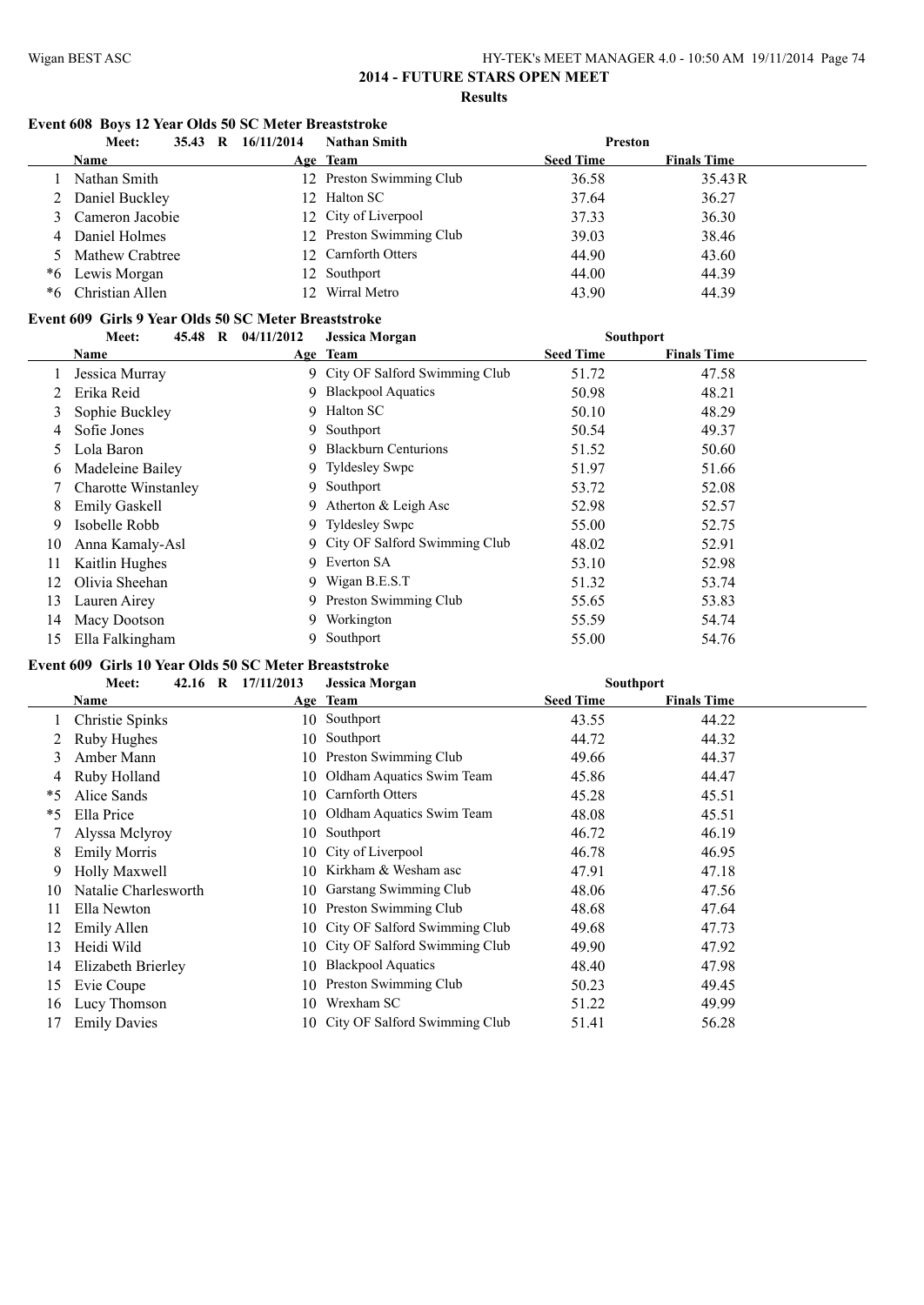## **Event 608 Boys 12 Year Olds 50 SC Meter Breaststroke**

|    | Meet:<br>35.43<br>R | 16/11/2014      | <b>Nathan Smith</b>      | Preston          |                    |
|----|---------------------|-----------------|--------------------------|------------------|--------------------|
|    | <b>Name</b>         |                 | Age Team                 | <b>Seed Time</b> | <b>Finals Time</b> |
|    | Nathan Smith        |                 | 12 Preston Swimming Club | 36.58            | 35.43 R            |
|    | 2 Daniel Buckley    |                 | 12 Halton SC             | 37.64            | 36.27              |
|    | 3 Cameron Jacobie   |                 | 12 City of Liverpool     | 37.33            | 36.30              |
|    | 4 Daniel Holmes     |                 | 12 Preston Swimming Club | 39.03            | 38.46              |
|    | 5 Mathew Crabtree   |                 | 12 Carnforth Otters      | 44.90            | 43.60              |
| *6 | Lewis Morgan        |                 | 12 Southport             | 44.00            | 44.39              |
| *6 | Christian Allen     | 12 <sub>1</sub> | Wirral Metro             | 43.90            | 44.39              |

#### **Event 609 Girls 9 Year Olds 50 SC Meter Breaststroke**

|    | 45.48 R<br>Meet:           | 04/11/2012 | <b>Jessica Morgan</b>           | <b>Southport</b> |                    |  |
|----|----------------------------|------------|---------------------------------|------------------|--------------------|--|
|    | Name                       |            | Age Team                        | <b>Seed Time</b> | <b>Finals Time</b> |  |
|    | Jessica Murray             |            | 9 City OF Salford Swimming Club | 51.72            | 47.58              |  |
|    | Erika Reid                 |            | 9 Blackpool Aquatics            | 50.98            | 48.21              |  |
| 3  | Sophie Buckley             | 9          | Halton SC                       | 50.10            | 48.29              |  |
| 4  | Sofie Jones                | 9.         | Southport                       | 50.54            | 49.37              |  |
| 5  | Lola Baron                 |            | 9 Blackburn Centurions          | 51.52            | 50.60              |  |
| 6  | Madeleine Bailey           |            | 9 Tyldesley Swpc                | 51.97            | 51.66              |  |
|    | <b>Charotte Winstanley</b> |            | 9 Southport                     | 53.72            | 52.08              |  |
| 8  | <b>Emily Gaskell</b>       |            | 9 Atherton & Leigh Asc          | 52.98            | 52.57              |  |
| 9  | Isobelle Robb              |            | 9 Tyldesley Swpc                | 55.00            | 52.75              |  |
| 10 | Anna Kamaly-Asl            |            | 9 City OF Salford Swimming Club | 48.02            | 52.91              |  |
| 11 | Kaitlin Hughes             |            | 9 Everton SA                    | 53.10            | 52.98              |  |
| 12 | Olivia Sheehan             |            | 9 Wigan B.E.S.T                 | 51.32            | 53.74              |  |
| 13 | Lauren Airey               |            | 9 Preston Swimming Club         | 55.65            | 53.83              |  |
| 14 | Macy Dootson               | 9.         | Workington                      | 55.59            | 54.74              |  |
| 15 | Ella Falkingham            |            | Southport                       | 55.00            | 54.76              |  |

## **Event 609 Girls 10 Year Olds 50 SC Meter Breaststroke**

|    | LVCIII OVZ ANIIS TV TCAL QRUS JV SU IVICICI DICASISILVNC |                    |                                  |                  |                    |  |
|----|----------------------------------------------------------|--------------------|----------------------------------|------------------|--------------------|--|
|    | Meet:                                                    | 42.16 R 17/11/2013 | <b>Jessica Morgan</b>            | <b>Southport</b> |                    |  |
|    | Name                                                     |                    | Age Team                         | <b>Seed Time</b> | <b>Finals Time</b> |  |
|    | Christie Spinks                                          |                    | 10 Southport                     | 43.55            | 44.22              |  |
|    | Ruby Hughes                                              | 10                 | Southport                        | 44.72            | 44.32              |  |
| 3  | Amber Mann                                               | 10.                | Preston Swimming Club            | 49.66            | 44.37              |  |
| 4  | Ruby Holland                                             | 10.                | Oldham Aquatics Swim Team        | 45.86            | 44.47              |  |
| *5 | Alice Sands                                              | 10.                | Carnforth Otters                 | 45.28            | 45.51              |  |
| *5 | Ella Price                                               |                    | 10 Oldham Aquatics Swim Team     | 48.08            | 45.51              |  |
|    | Alyssa Melyroy                                           | 10                 | Southport                        | 46.72            | 46.19              |  |
| 8  | <b>Emily Morris</b>                                      |                    | 10 City of Liverpool             | 46.78            | 46.95              |  |
| 9  | Holly Maxwell                                            | 10.                | Kirkham & Wesham asc             | 47.91            | 47.18              |  |
| 10 | Natalie Charlesworth                                     | 10.                | Garstang Swimming Club           | 48.06            | 47.56              |  |
| 11 | Ella Newton                                              | 10                 | Preston Swimming Club            | 48.68            | 47.64              |  |
| 12 | Emily Allen                                              | 10-                | City OF Salford Swimming Club    | 49.68            | 47.73              |  |
| 13 | Heidi Wild                                               |                    | 10 City OF Salford Swimming Club | 49.90            | 47.92              |  |
| 14 | Elizabeth Brierley                                       | 10                 | <b>Blackpool Aquatics</b>        | 48.40            | 47.98              |  |
| 15 | Evie Coupe                                               | 10.                | Preston Swimming Club            | 50.23            | 49.45              |  |
| 16 | Lucy Thomson                                             | 10                 | Wrexham SC                       | 51.22            | 49.99              |  |
| 17 | <b>Emily Davies</b>                                      |                    | 10 City OF Salford Swimming Club | 51.41            | 56.28              |  |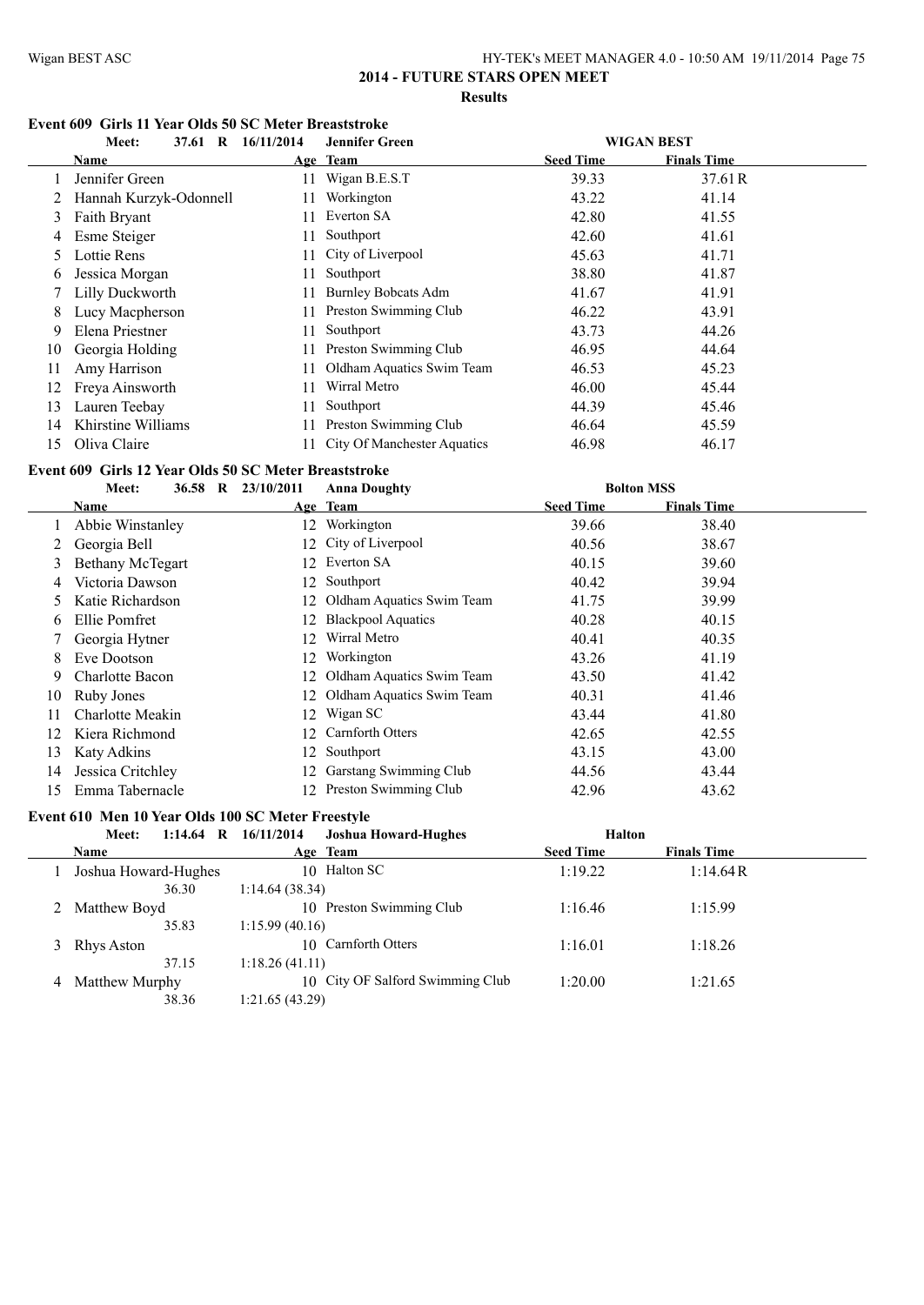## **Event 609 Girls 11 Year Olds 50 SC Meter Breaststroke**

|    | Meet:<br>$\mathbf R$<br>37.61 | 16/11/2014 | <b>Jennifer Green</b>              |                  | <b>WIGAN BEST</b>  |  |
|----|-------------------------------|------------|------------------------------------|------------------|--------------------|--|
|    | Name                          |            | Age Team                           | <b>Seed Time</b> | <b>Finals Time</b> |  |
|    | Jennifer Green                | 11         | Wigan B.E.S.T                      | 39.33            | 37.61R             |  |
|    | Hannah Kurzyk-Odonnell        | 11         | Workington                         | 43.22            | 41.14              |  |
| 3  | Faith Bryant                  | 11         | Everton SA                         | 42.80            | 41.55              |  |
| 4  | Esme Steiger                  | 11.        | Southport                          | 42.60            | 41.61              |  |
| 5  | Lottie Rens                   |            | 11 City of Liverpool               | 45.63            | 41.71              |  |
| 6  | Jessica Morgan                | 11         | Southport                          | 38.80            | 41.87              |  |
|    | Lilly Duckworth               | 11.        | <b>Burnley Bobcats Adm</b>         | 41.67            | 41.91              |  |
| 8  | Lucy Macpherson               | 11         | Preston Swimming Club              | 46.22            | 43.91              |  |
| 9  | Elena Priestner               | 11.        | Southport                          | 43.73            | 44.26              |  |
| 10 | Georgia Holding               | 11.        | Preston Swimming Club              | 46.95            | 44.64              |  |
| 11 | Amy Harrison                  | 11.        | Oldham Aquatics Swim Team          | 46.53            | 45.23              |  |
| 12 | Freya Ainsworth               | 11         | Wirral Metro                       | 46.00            | 45.44              |  |
| 13 | Lauren Teebay                 | 11         | Southport                          | 44.39            | 45.46              |  |
| 14 | Khirstine Williams            |            | Preston Swimming Club              | 46.64            | 45.59              |  |
| 15 | Oliva Claire                  |            | <b>City Of Manchester Aquatics</b> | 46.98            | 46.17              |  |

## **Event 609 Girls 12 Year Olds 50 SC Meter Breaststroke**

|    | Meet:              | 36.58 R | 23/10/2011 | <b>Anna Doughty</b>          |                  | <b>Bolton MSS</b>  |  |
|----|--------------------|---------|------------|------------------------------|------------------|--------------------|--|
|    | Name               |         |            | Age Team                     | <b>Seed Time</b> | <b>Finals Time</b> |  |
|    | Abbie Winstanley   |         | 12.        | Workington                   | 39.66            | 38.40              |  |
|    | Georgia Bell       |         |            | 12 City of Liverpool         | 40.56            | 38.67              |  |
| 3  | Bethany McTegart   |         | 12.        | Everton SA                   | 40.15            | 39.60              |  |
| 4  | Victoria Dawson    |         |            | 12 Southport                 | 40.42            | 39.94              |  |
| 5  | Katie Richardson   |         |            | 12 Oldham Aquatics Swim Team | 41.75            | 39.99              |  |
| O  | Ellie Pomfret      |         | 12.        | <b>Blackpool Aquatics</b>    | 40.28            | 40.15              |  |
|    | Georgia Hytner     |         | 12.        | Wirral Metro                 | 40.41            | 40.35              |  |
| 8  | Eve Dootson        |         | 12.        | Workington                   | 43.26            | 41.19              |  |
| 9  | Charlotte Bacon    |         |            | 12 Oldham Aquatics Swim Team | 43.50            | 41.42              |  |
| 10 | Ruby Jones         |         |            | 12 Oldham Aquatics Swim Team | 40.31            | 41.46              |  |
| 11 | Charlotte Meakin   |         | 12.        | Wigan SC                     | 43.44            | 41.80              |  |
| 12 | Kiera Richmond     |         | 12.        | Carnforth Otters             | 42.65            | 42.55              |  |
| 13 | <b>Katy Adkins</b> |         | 12         | Southport                    | 43.15            | 43.00              |  |
| 14 | Jessica Critchley  |         | 12.        | Garstang Swimming Club       | 44.56            | 43.44              |  |
| 15 | Emma Tabernacle    |         | 12.        | Preston Swimming Club        | 42.96            | 43.62              |  |

## **Event 610 Men 10 Year Olds 100 SC Meter Freestyle**

|   | $1:14.64$ R<br>Meet: | 16/11/2014<br><b>Joshua Howard-Hughes</b> | <b>Halton</b>    |                    |
|---|----------------------|-------------------------------------------|------------------|--------------------|
|   | <b>Name</b>          | Age Team                                  | <b>Seed Time</b> | <b>Finals Time</b> |
|   | Joshua Howard-Hughes | 10 Halton SC                              | 1:19.22          | 1:14.64R           |
|   | 36.30                | 1:14.64(38.34)                            |                  |                    |
|   | Matthew Boyd         | 10 Preston Swimming Club                  | 1:16.46          | 1:15.99            |
|   | 35.83                | 1:15.99(40.16)                            |                  |                    |
| 3 | Rhys Aston           | 10 Carnforth Otters                       | 1:16.01          | 1:18.26            |
|   | 37.15                | 1:18.26(41.11)                            |                  |                    |
| 4 | Matthew Murphy       | 10 City OF Salford Swimming Club          | 1:20.00          | 1:21.65            |
|   | 38.36                | 1:21.65(43.29)                            |                  |                    |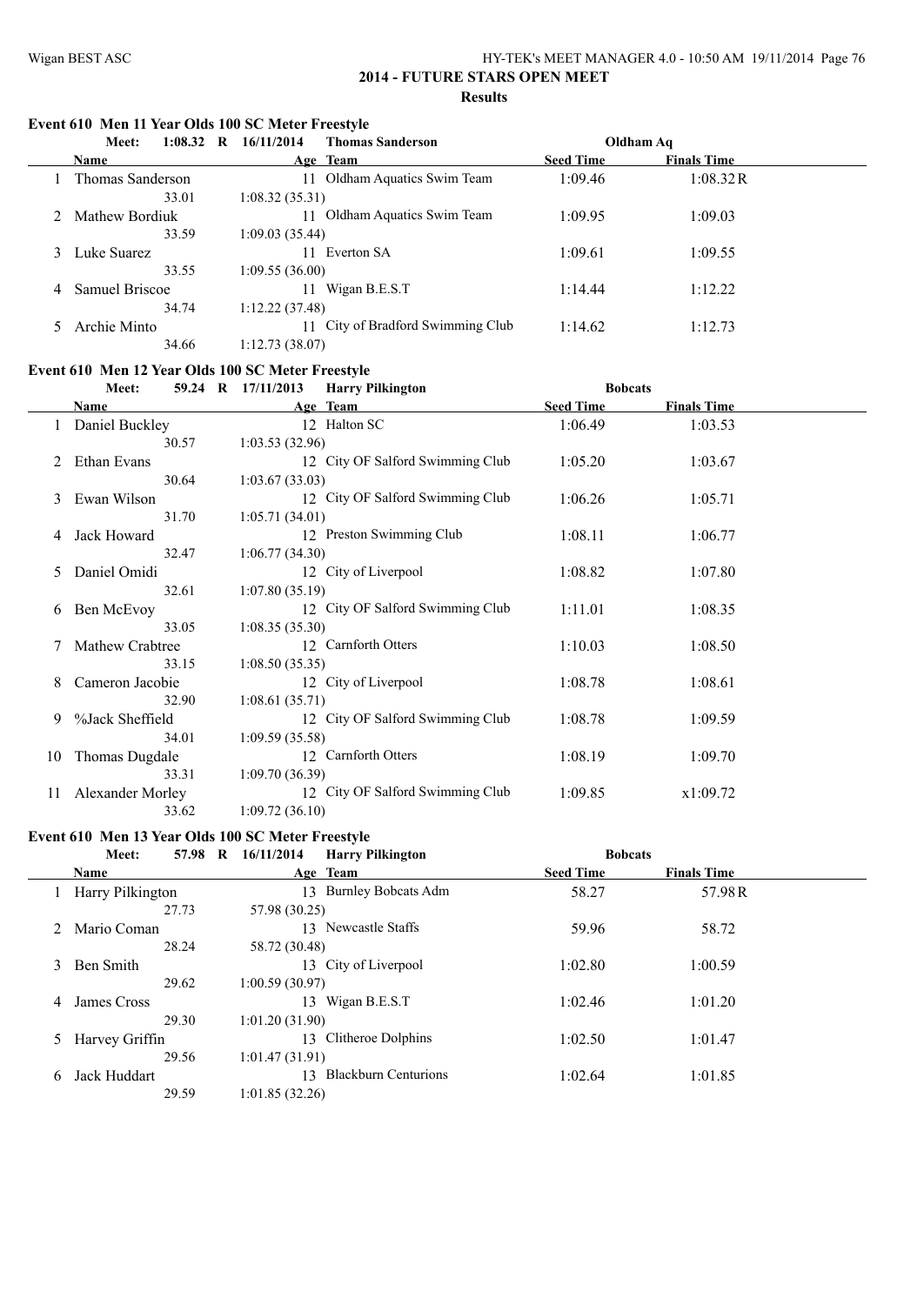## **Event 610 Men 11 Year Olds 100 SC Meter Freestyle**

|   | Meet:<br>1:08.32<br>R | 16/11/2014<br><b>Thomas Sanderson</b> | Oldham Aq        |                    |
|---|-----------------------|---------------------------------------|------------------|--------------------|
|   | <b>Name</b>           | Age Team                              | <b>Seed Time</b> | <b>Finals Time</b> |
|   | Thomas Sanderson      | Oldham Aquatics Swim Team<br>11       | 1:09.46          | 1:08.32R           |
|   | 33.01                 | 1:08.32(35.31)                        |                  |                    |
|   | Mathew Bordiuk        | Oldham Aquatics Swim Team             | 1:09.95          | 1:09.03            |
|   | 33.59                 | 1:09.03(35.44)                        |                  |                    |
|   | Luke Suarez           | Everton SA<br>11                      | 1:09.61          | 1:09.55            |
|   | 33.55                 | 1:09.55(36.00)                        |                  |                    |
| 4 | Samuel Briscoe        | Wigan B.E.S.T                         | 1:14.44          | 1:12.22            |
|   | 34.74                 | 1:12.22(37.48)                        |                  |                    |
|   | Archie Minto          | 11 City of Bradford Swimming Club     | 1:14.62          | 1:12.73            |
|   | 34.66                 | 1:12.73(38.07)                        |                  |                    |

## **Event 610 Men 12 Year Olds 100 SC Meter Freestyle**

|    | Meet:            | <b>Harry Pilkington</b><br>59.24 R 17/11/2013 | <b>Bobcats</b>   |                    |  |
|----|------------------|-----------------------------------------------|------------------|--------------------|--|
|    | <b>Name</b>      | Age Team                                      | <b>Seed Time</b> | <b>Finals Time</b> |  |
|    | Daniel Buckley   | 12 Halton SC                                  | 1:06.49          | 1:03.53            |  |
|    | 30.57            | 1:03.53(32.96)                                |                  |                    |  |
|    | Ethan Evans      | 12 City OF Salford Swimming Club              | 1:05.20          | 1:03.67            |  |
|    | 30.64            | 1:03.67(33.03)                                |                  |                    |  |
| 3  | Ewan Wilson      | 12 City OF Salford Swimming Club              | 1:06.26          | 1:05.71            |  |
|    | 31.70            | 1:05.71(34.01)                                |                  |                    |  |
| 4  | Jack Howard      | 12 Preston Swimming Club                      | 1:08.11          | 1:06.77            |  |
|    | 32.47            | 1:06.77(34.30)                                |                  |                    |  |
| 5  | Daniel Omidi     | 12 City of Liverpool                          | 1:08.82          | 1:07.80            |  |
|    | 32.61            | 1:07.80(35.19)                                |                  |                    |  |
| 6  | Ben McEvoy       | 12 City OF Salford Swimming Club              | 1:11.01          | 1:08.35            |  |
|    | 33.05            | 1:08.35(35.30)                                |                  |                    |  |
|    | Mathew Crabtree  | 12 Carnforth Otters                           | 1:10.03          | 1:08.50            |  |
|    | 33.15            | 1:08.50(35.35)                                |                  |                    |  |
| 8  | Cameron Jacobie  | 12 City of Liverpool                          | 1:08.78          | 1:08.61            |  |
|    | 32.90            | 1:08.61(35.71)                                |                  |                    |  |
| 9  | %Jack Sheffield  | 12 City OF Salford Swimming Club              | 1:08.78          | 1:09.59            |  |
|    | 34.01            | 1:09.59(35.58)                                |                  |                    |  |
| 10 | Thomas Dugdale   | 12 Carnforth Otters                           | 1:08.19          | 1:09.70            |  |
|    | 33.31            | 1:09.70(36.39)                                |                  |                    |  |
| 11 | Alexander Morley | 12 City OF Salford Swimming Club              | 1:09.85          | x1:09.72           |  |
|    | 33.62            | 1:09.72(36.10)                                |                  |                    |  |

# **Event 610 Men 13 Year Olds 100 SC Meter Freestyle**<br>Megting 57.98 B 16/11/2014 Harry Pilkington

|    | <b>Meet:</b>     | 57.98 R 16/11/2014<br><b>Harry Pilkington</b> | <b>Bobcats</b>   |                    |  |
|----|------------------|-----------------------------------------------|------------------|--------------------|--|
|    | Name             | Age Team                                      | <b>Seed Time</b> | <b>Finals Time</b> |  |
|    | Harry Pilkington | <b>Burnley Bobcats Adm</b><br>13              | 58.27            | 57.98R             |  |
|    | 27.73            | 57.98 (30.25)                                 |                  |                    |  |
|    | Mario Coman      | 13 Newcastle Staffs                           | 59.96            | 58.72              |  |
|    | 28.24            | 58.72 (30.48)                                 |                  |                    |  |
| 3  | Ben Smith        | 13 City of Liverpool                          | 1:02.80          | 1:00.59            |  |
|    | 29.62            | 1:00.59(30.97)                                |                  |                    |  |
| 4  | James Cross      | Wigan B.E.S.T<br>13                           | 1:02.46          | 1:01.20            |  |
|    | 29.30            | 1:01.20(31.90)                                |                  |                    |  |
| 5. | Harvey Griffin   | 13 Clitheroe Dolphins                         | 1:02.50          | 1:01.47            |  |
|    | 29.56            | 1:01.47(31.91)                                |                  |                    |  |
| 6  | Jack Huddart     | 13 Blackburn Centurions                       | 1:02.64          | 1:01.85            |  |
|    | 29.59            | 1:01.85(32.26)                                |                  |                    |  |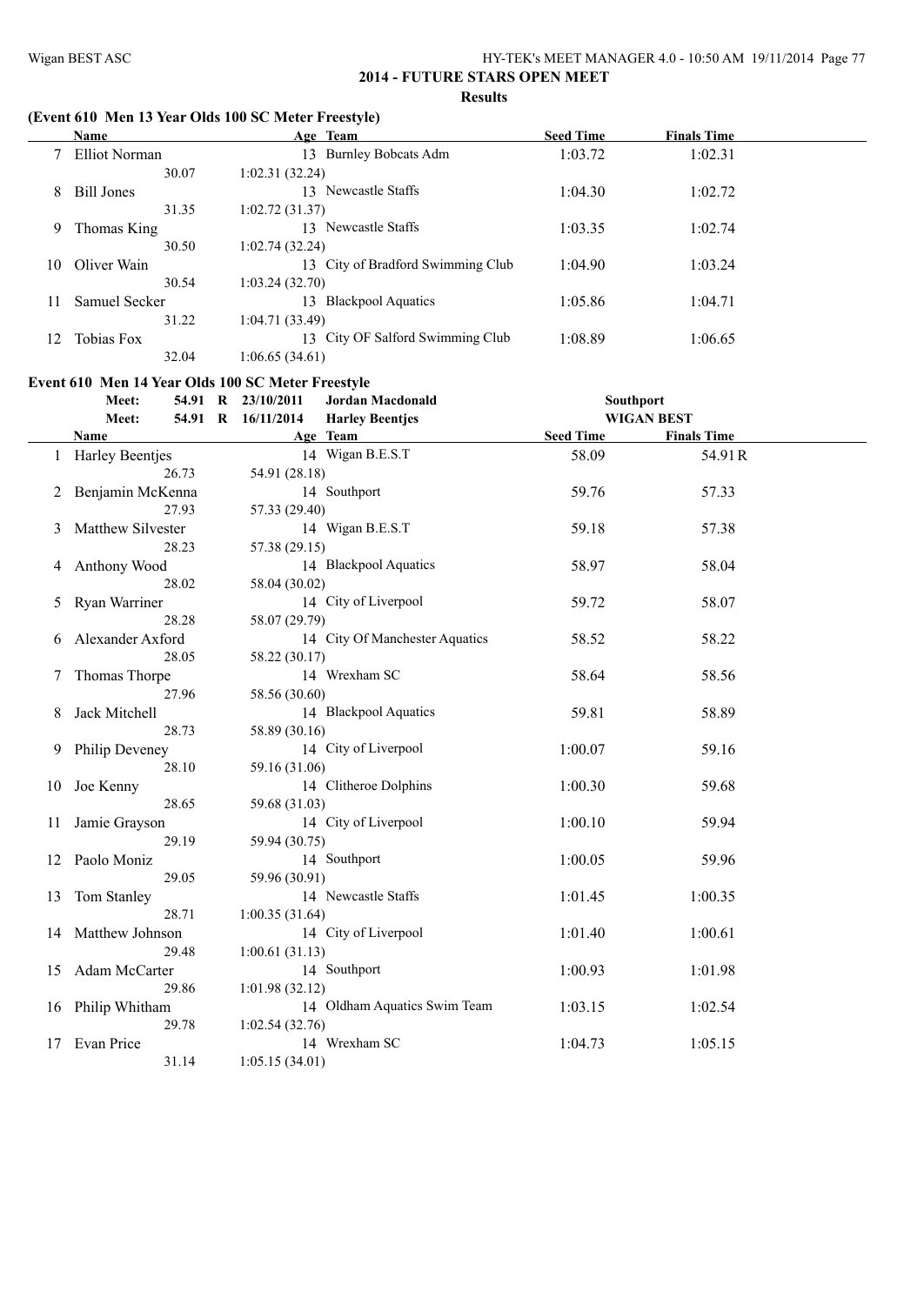$\frac{1}{1}$ 

## **2014 - FUTURE STARS OPEN MEET Results**

## **(Event 610 Men 13 Year Olds 100 SC Meter Freestyle)**

|    | <b>Name</b>       | Age Team                          | <b>Seed Time</b> | <b>Finals Time</b> |  |
|----|-------------------|-----------------------------------|------------------|--------------------|--|
|    | Elliot Norman     | <b>Burnley Bobcats Adm</b><br>13. | 1:03.72          | 1:02.31            |  |
|    | 30.07             | 1:02.31(32.24)                    |                  |                    |  |
| 8  | <b>Bill Jones</b> | Newcastle Staffs<br>13.           | 1:04.30          | 1:02.72            |  |
|    | 31.35             | 1:02.72(31.37)                    |                  |                    |  |
| 9  | Thomas King       | 13 Newcastle Staffs               | 1:03.35          | 1:02.74            |  |
|    | 30.50             | 1:02.74(32.24)                    |                  |                    |  |
| 10 | Oliver Wain       | 13 City of Bradford Swimming Club | 1:04.90          | 1:03.24            |  |
|    | 30.54             | 1:03.24 (32.70)                   |                  |                    |  |
| 11 | Samuel Secker     | <b>Blackpool Aquatics</b><br>13   | 1:05.86          | 1:04.71            |  |
|    | 31.22             | 1:04.71(33.49)                    |                  |                    |  |
| 12 | Tobias Fox        | 13 City OF Salford Swimming Club  | 1:08.89          | 1:06.65            |  |
|    | 32.04             | 1:06.65 (34.61)                   |                  |                    |  |

## **Event 610 Men 14 Year Olds 100 SC Meter Freestyle**

|    | Meet:             | 54.91 R 23/10/2011 | <b>Jordan Macdonald</b>        | Southport         |                    |  |
|----|-------------------|--------------------|--------------------------------|-------------------|--------------------|--|
|    | Meet:<br>54.91 R  | 16/11/2014         | <b>Harley Beentjes</b>         | <b>WIGAN BEST</b> |                    |  |
|    | Name              |                    | Age Team                       | <b>Seed Time</b>  | <b>Finals Time</b> |  |
|    | 1 Harley Beentjes |                    | 14 Wigan B.E.S.T               | 58.09             | 54.91R             |  |
|    | 26.73             | 54.91 (28.18)      |                                |                   |                    |  |
| 2  | Benjamin McKenna  |                    | 14 Southport                   | 59.76             | 57.33              |  |
|    | 27.93             | 57.33 (29.40)      |                                |                   |                    |  |
| 3  | Matthew Silvester |                    | 14 Wigan B.E.S.T               | 59.18             | 57.38              |  |
|    | 28.23             | 57.38 (29.15)      |                                |                   |                    |  |
| 4  | Anthony Wood      |                    | 14 Blackpool Aquatics          | 58.97             | 58.04              |  |
|    | 28.02             | 58.04 (30.02)      |                                |                   |                    |  |
| 5  | Ryan Warriner     |                    | 14 City of Liverpool           | 59.72             | 58.07              |  |
|    | 28.28             | 58.07 (29.79)      |                                |                   |                    |  |
| 6  | Alexander Axford  |                    | 14 City Of Manchester Aquatics | 58.52             | 58.22              |  |
|    | 28.05             | 58.22 (30.17)      |                                |                   |                    |  |
| 7  | Thomas Thorpe     |                    | 14 Wrexham SC                  | 58.64             | 58.56              |  |
|    | 27.96             | 58.56 (30.60)      |                                |                   |                    |  |
| 8  | Jack Mitchell     |                    | 14 Blackpool Aquatics          | 59.81             | 58.89              |  |
|    | 28.73             | 58.89 (30.16)      |                                |                   |                    |  |
| 9  | Philip Deveney    |                    | 14 City of Liverpool           | 1:00.07           | 59.16              |  |
|    | 28.10             | 59.16 (31.06)      |                                |                   |                    |  |
| 10 | Joe Kenny         |                    | 14 Clitheroe Dolphins          | 1:00.30           | 59.68              |  |
|    | 28.65             | 59.68 (31.03)      |                                |                   |                    |  |
| 11 | Jamie Grayson     |                    | 14 City of Liverpool           | 1:00.10           | 59.94              |  |
|    | 29.19             | 59.94 (30.75)      |                                |                   |                    |  |
| 12 | Paolo Moniz       |                    | 14 Southport                   | 1:00.05           | 59.96              |  |
|    | 29.05             | 59.96 (30.91)      |                                |                   |                    |  |
| 13 | Tom Stanley       |                    | 14 Newcastle Staffs            | 1:01.45           | 1:00.35            |  |
|    | 28.71             | 1:00.35(31.64)     |                                |                   |                    |  |
| 14 | Matthew Johnson   |                    | 14 City of Liverpool           | 1:01.40           | 1:00.61            |  |
|    | 29.48             | 1:00.61(31.13)     |                                |                   |                    |  |
| 15 | Adam McCarter     |                    | 14 Southport                   | 1:00.93           | 1:01.98            |  |
|    | 29.86             | 1:01.98 (32.12)    |                                |                   |                    |  |
|    | 16 Philip Whitham |                    | 14 Oldham Aquatics Swim Team   | 1:03.15           | 1:02.54            |  |
|    | 29.78             | 1:02.54(32.76)     |                                |                   |                    |  |
| 17 | Evan Price        |                    | 14 Wrexham SC                  | 1:04.73           | 1:05.15            |  |
|    | 31.14             | 1:05.15(34.01)     |                                |                   |                    |  |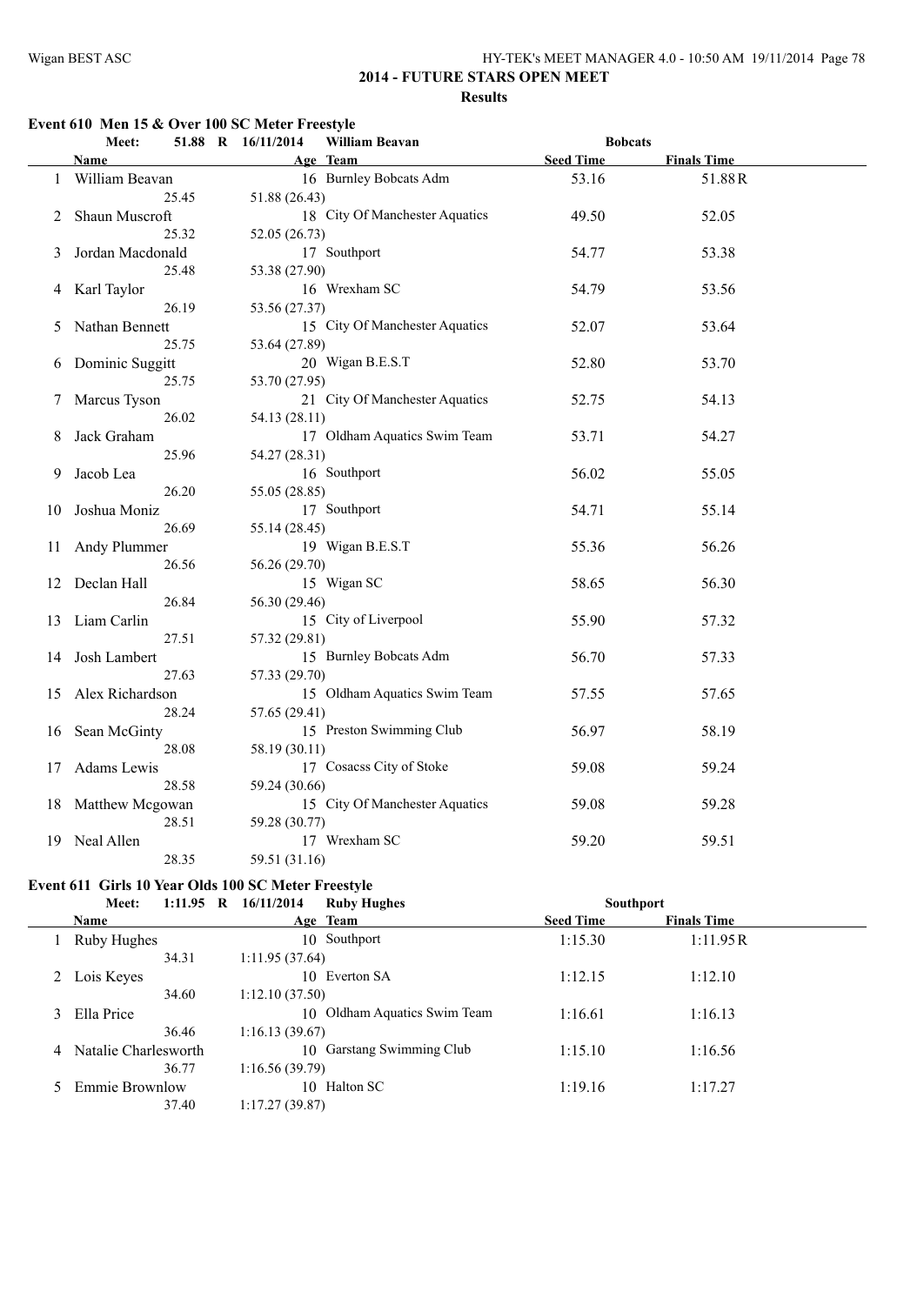#### **Event 610 Men 15 & Over 100 SC Meter Freestyle**

|    | Meet:                 | 51.88 R 16/11/2014 | William Beavan                 | <b>Bobcats</b>   |                    |  |
|----|-----------------------|--------------------|--------------------------------|------------------|--------------------|--|
|    | Name                  |                    | Age Team                       | <b>Seed Time</b> | <b>Finals Time</b> |  |
|    | 1 William Beavan      |                    | 16 Burnley Bobcats Adm         | 53.16            | 51.88R             |  |
|    | 25.45                 | 51.88 (26.43)      |                                |                  |                    |  |
| 2  | Shaun Muscroft        |                    | 18 City Of Manchester Aquatics | 49.50            | 52.05              |  |
|    | 25.32                 | 52.05 (26.73)      |                                |                  |                    |  |
| 3  | Jordan Macdonald      |                    | 17 Southport                   | 54.77            | 53.38              |  |
|    | 25.48                 | 53.38 (27.90)      |                                |                  |                    |  |
| 4  | Karl Taylor           |                    | 16 Wrexham SC                  | 54.79            | 53.56              |  |
|    | 26.19                 | 53.56 (27.37)      |                                |                  |                    |  |
| 5  | Nathan Bennett        |                    | 15 City Of Manchester Aquatics | 52.07            | 53.64              |  |
|    | 25.75                 | 53.64 (27.89)      |                                |                  |                    |  |
| 6  | Dominic Suggitt       |                    | 20 Wigan B.E.S.T               | 52.80            | 53.70              |  |
|    | 25.75                 | 53.70 (27.95)      |                                |                  |                    |  |
| 7  | Marcus Tyson          |                    | 21 City Of Manchester Aquatics | 52.75            | 54.13              |  |
|    | 26.02                 | 54.13 (28.11)      |                                |                  |                    |  |
| 8  | Jack Graham           |                    | 17 Oldham Aquatics Swim Team   | 53.71            | 54.27              |  |
|    | 25.96                 | 54.27 (28.31)      |                                |                  |                    |  |
| 9  | Jacob Lea             |                    | 16 Southport                   | 56.02            | 55.05              |  |
|    | 26.20                 | 55.05 (28.85)      |                                |                  |                    |  |
| 10 | Joshua Moniz          |                    | 17 Southport                   | 54.71            | 55.14              |  |
|    | 26.69                 | 55.14 (28.45)      |                                |                  |                    |  |
| 11 | Andy Plummer          |                    | 19 Wigan B.E.S.T               | 55.36            | 56.26              |  |
|    | 26.56                 | 56.26 (29.70)      |                                |                  |                    |  |
|    | 12 Declan Hall        |                    | 15 Wigan SC                    | 58.65            | 56.30              |  |
|    | 26.84                 | 56.30 (29.46)      |                                |                  |                    |  |
| 13 | Liam Carlin           |                    | 15 City of Liverpool           | 55.90            | 57.32              |  |
|    | 27.51<br>Josh Lambert | 57.32 (29.81)      | 15 Burnley Bobcats Adm         | 56.70            | 57.33              |  |
| 14 | 27.63                 | 57.33 (29.70)      |                                |                  |                    |  |
| 15 | Alex Richardson       |                    | 15 Oldham Aquatics Swim Team   | 57.55            | 57.65              |  |
|    | 28.24                 | 57.65 (29.41)      |                                |                  |                    |  |
| 16 | Sean McGinty          |                    | 15 Preston Swimming Club       | 56.97            | 58.19              |  |
|    | 28.08                 | 58.19 (30.11)      |                                |                  |                    |  |
| 17 | Adams Lewis           |                    | 17 Cosacss City of Stoke       | 59.08            | 59.24              |  |
|    | 28.58                 | 59.24 (30.66)      |                                |                  |                    |  |
|    | 18 Matthew Mcgowan    |                    | 15 City Of Manchester Aquatics | 59.08            | 59.28              |  |
|    | 28.51                 | 59.28 (30.77)      |                                |                  |                    |  |
| 19 | Neal Allen            |                    | 17 Wrexham SC                  | 59.20            | 59.51              |  |
|    | 28.35                 | 59.51 (31.16)      |                                |                  |                    |  |
|    |                       |                    |                                |                  |                    |  |

#### **Event 611 Girls 10 Year Olds 100 SC Meter Freestyle**

| Meet:                | $1:11.95$ R | 16/11/2014     | <b>Ruby Hughes</b>           | <b>Southport</b> |                    |  |
|----------------------|-------------|----------------|------------------------------|------------------|--------------------|--|
| <b>Name</b>          |             |                | Age Team                     | <b>Seed Time</b> | <b>Finals Time</b> |  |
| Ruby Hughes          |             |                | 10 Southport                 | 1:15.30          | 1:11.95R           |  |
|                      | 34.31       | 1:11.95(37.64) |                              |                  |                    |  |
| Lois Keyes           |             |                | 10 Everton SA                | 1:12.15          | 1:12.10            |  |
|                      | 34.60       | 1:12.10(37.50) |                              |                  |                    |  |
| Ella Price           |             |                | 10 Oldham Aquatics Swim Team | 1:16.61          | 1:16.13            |  |
|                      | 36.46       | 1:16.13(39.67) |                              |                  |                    |  |
| Natalie Charlesworth |             |                | 10 Garstang Swimming Club    | 1:15.10          | 1:16.56            |  |
|                      | 36.77       | 1:16.56(39.79) |                              |                  |                    |  |
| Emmie Brownlow       |             |                | 10 Halton SC                 | 1:19.16          | 1:17.27            |  |
|                      | 37.40       | 1:17.27(39.87) |                              |                  |                    |  |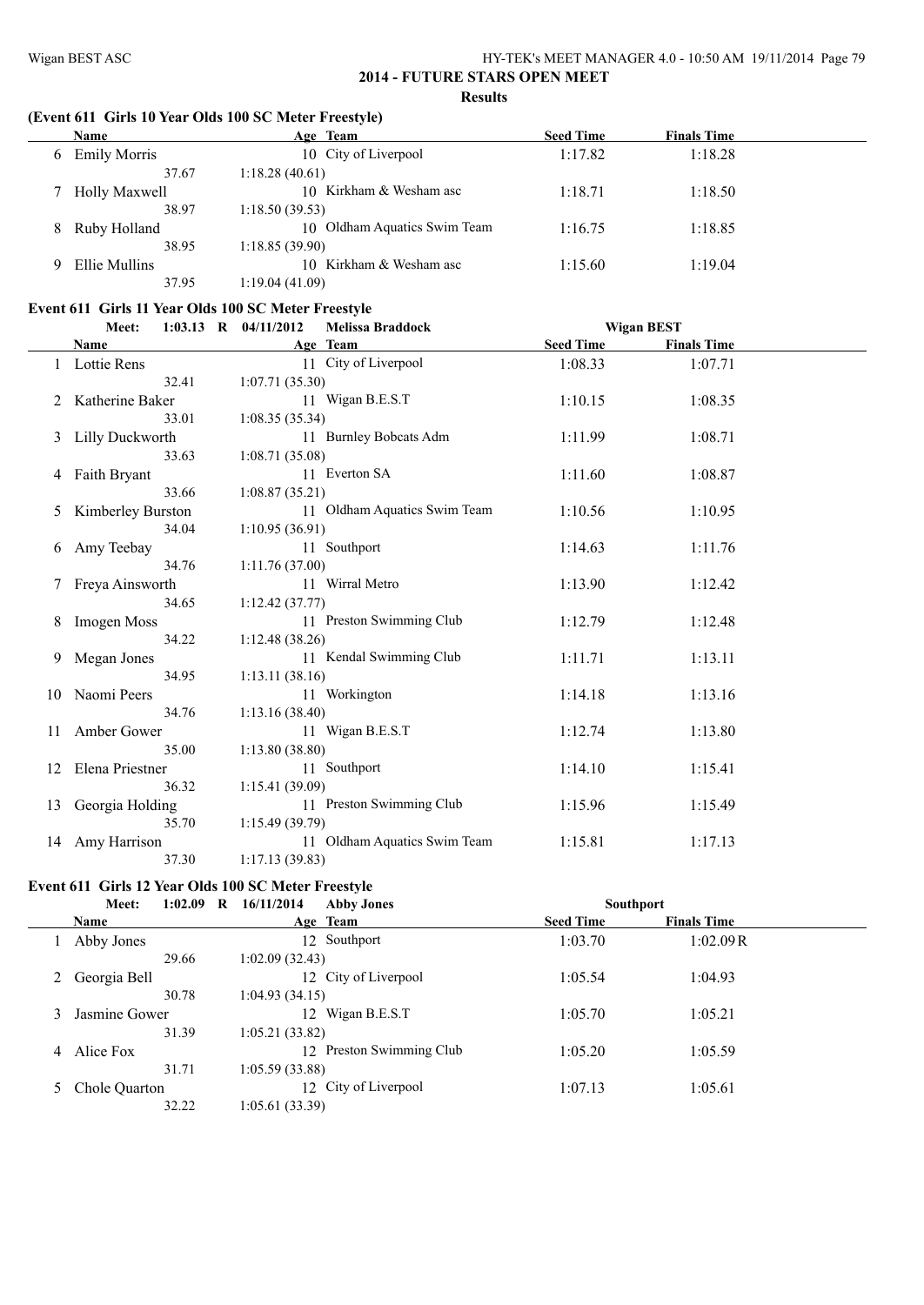$\overline{\phantom{a}}$ 

## **2014 - FUTURE STARS OPEN MEET Results**

## **(Event 611 Girls 10 Year Olds 100 SC Meter Freestyle)**

|   | Name                | Age Team                     | <b>Seed Time</b> | <b>Finals Time</b> |  |
|---|---------------------|------------------------------|------------------|--------------------|--|
| 6 | <b>Emily Morris</b> | 10 City of Liverpool         | 1:17.82          | 1:18.28            |  |
|   | 37.67               | 1:18.28(40.61)               |                  |                    |  |
|   | Holly Maxwell       | 10 Kirkham & Wesham asc      | 1:18.71          | 1:18.50            |  |
|   | 38.97               | 1:18.50(39.53)               |                  |                    |  |
| 8 | Ruby Holland        | 10 Oldham Aquatics Swim Team | 1:16.75          | 1:18.85            |  |
|   | 38.95               | 1:18.85(39.90)               |                  |                    |  |
|   | Ellie Mullins       | Kirkham & Wesham asc<br>10.  | 1:15.60          | 1:19.04            |  |
|   | 37.95               | 1:19.04(41.09)               |                  |                    |  |

## **Event 611 Girls 11 Year Olds 100 SC Meter Freestyle**

|    | Meet:                  | <b>Melissa Braddock</b><br>1:03.13 R $04/11/2012$ | <b>Wigan BEST</b> |                    |  |
|----|------------------------|---------------------------------------------------|-------------------|--------------------|--|
|    | Name                   | Age Team                                          | <b>Seed Time</b>  | <b>Finals Time</b> |  |
|    | Lottie Rens            | 11 City of Liverpool                              | 1:08.33           | 1:07.71            |  |
|    | 32.41                  | 1:07.71(35.30)                                    |                   |                    |  |
|    | Katherine Baker        | 11 Wigan B.E.S.T                                  | 1:10.15           | 1:08.35            |  |
|    | 33.01                  | 1:08.35(35.34)                                    |                   |                    |  |
| 3  | <b>Lilly Duckworth</b> | 11 Burnley Bobcats Adm                            | 1:11.99           | 1:08.71            |  |
|    | 33.63                  | 1:08.71(35.08)                                    |                   |                    |  |
|    | 4 Faith Bryant         | 11 Everton SA                                     | 1:11.60           | 1:08.87            |  |
|    | 33.66                  | 1:08.87(35.21)                                    |                   |                    |  |
| 5  | Kimberley Burston      | 11 Oldham Aquatics Swim Team                      | 1:10.56           | 1:10.95            |  |
|    | 34.04                  | 1:10.95(36.91)                                    |                   |                    |  |
| 6  | Amy Teebay             | 11 Southport                                      | 1:14.63           | 1:11.76            |  |
|    | 34.76                  | 1:11.76(37.00)                                    |                   |                    |  |
|    | 7 Freya Ainsworth      | 11 Wirral Metro                                   | 1:13.90           | 1:12.42            |  |
|    | 34.65                  | 1:12.42(37.77)                                    |                   |                    |  |
|    | <b>Imogen Moss</b>     | 11 Preston Swimming Club                          | 1:12.79           | 1:12.48            |  |
|    | 34.22                  | 1:12.48(38.26)                                    |                   |                    |  |
| 9  | Megan Jones            | 11 Kendal Swimming Club                           | 1:11.71           | 1:13.11            |  |
|    | 34.95                  | 1:13.11(38.16)                                    |                   |                    |  |
| 10 | Naomi Peers            | 11 Workington                                     | 1:14.18           | 1:13.16            |  |
|    | 34.76                  | 1:13.16(38.40)                                    |                   |                    |  |
| 11 | Amber Gower            | 11 Wigan B.E.S.T                                  | 1:12.74           | 1:13.80            |  |
|    | 35.00                  | 1:13.80(38.80)                                    |                   |                    |  |
| 12 | Elena Priestner        | 11 Southport                                      | 1:14.10           | 1:15.41            |  |
|    | 36.32                  | 1:15.41 (39.09)                                   |                   |                    |  |
| 13 | Georgia Holding        | 11 Preston Swimming Club                          | 1:15.96           | 1:15.49            |  |
|    | 35.70                  | 1:15.49(39.79)                                    |                   |                    |  |
| 14 | Amy Harrison           | 11 Oldham Aquatics Swim Team                      | 1:15.81           | 1:17.13            |  |
|    | 37.30                  | 1:17.13(39.83)                                    |                   |                    |  |

## **Event 611 Girls 12 Year Olds 100 SC Meter Freestyle**

|   | Meet:         | 1:02.09 | 16/11/2014<br>$\bf R$ | <b>Abby Jones</b>        | <b>Southport</b> |                    |  |
|---|---------------|---------|-----------------------|--------------------------|------------------|--------------------|--|
|   | Name          |         |                       | Age Team                 | <b>Seed Time</b> | <b>Finals Time</b> |  |
|   | Abby Jones    |         |                       | 12 Southport             | 1:03.70          | 1:02.09R           |  |
|   |               | 29.66   | 1:02.09(32.43)        |                          |                  |                    |  |
|   | Georgia Bell  |         |                       | 12 City of Liverpool     | 1:05.54          | 1:04.93            |  |
|   |               | 30.78   | 1:04.93(34.15)        |                          |                  |                    |  |
|   | Jasmine Gower |         | 12                    | Wigan B.E.S.T            | 1:05.70          | 1:05.21            |  |
|   |               | 31.39   | 1:05.21(33.82)        |                          |                  |                    |  |
| 4 | Alice Fox     |         |                       | 12 Preston Swimming Club | 1:05.20          | 1:05.59            |  |
|   |               | 31.71   | 1:05.59(33.88)        |                          |                  |                    |  |
|   | Chole Quarton |         |                       | 12 City of Liverpool     | 1:07.13          | 1:05.61            |  |
|   |               | 32.22   | 1:05.61 (33.39)       |                          |                  |                    |  |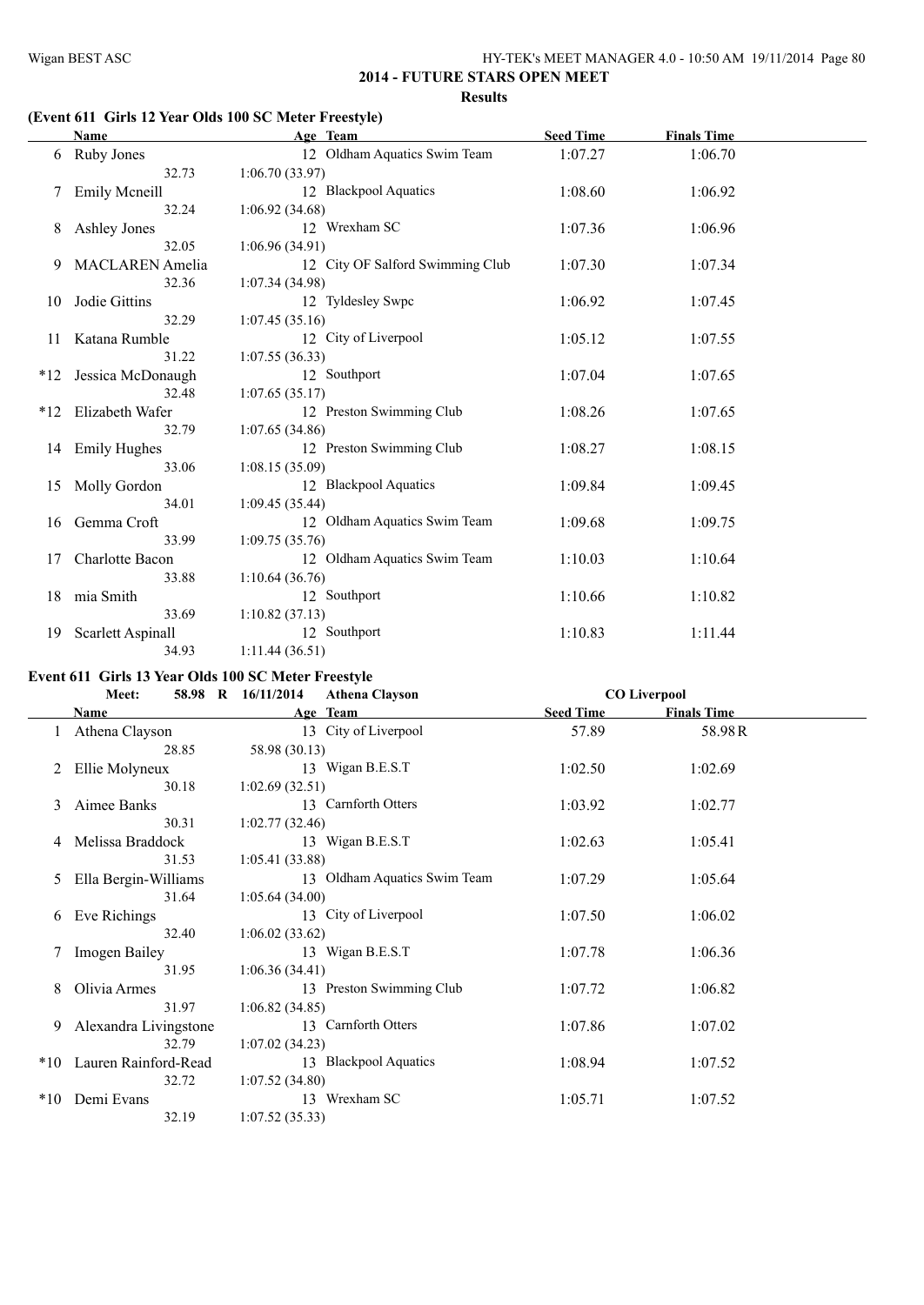## **(Event 611 Girls 12 Year Olds 100 SC Meter Freestyle)**

|       | Name                   | Age Team                         | <b>Seed Time</b> | <b>Finals Time</b> |  |
|-------|------------------------|----------------------------------|------------------|--------------------|--|
| 6     | <b>Ruby Jones</b>      | 12 Oldham Aquatics Swim Team     | 1:07.27          | 1:06.70            |  |
|       | 32.73                  | 1:06.70(33.97)                   |                  |                    |  |
|       | <b>Emily Mcneill</b>   | 12 Blackpool Aquatics            | 1:08.60          | 1:06.92            |  |
|       | 32.24                  | 1:06.92(34.68)                   |                  |                    |  |
| 8     | Ashley Jones           | 12 Wrexham SC                    | 1:07.36          | 1:06.96            |  |
|       | 32.05                  | 1:06.96(34.91)                   |                  |                    |  |
| 9     | <b>MACLAREN</b> Amelia | 12 City OF Salford Swimming Club | 1:07.30          | 1:07.34            |  |
|       | 32.36                  | 1:07.34(34.98)                   |                  |                    |  |
| 10    | Jodie Gittins          | 12 Tyldesley Swpc                | 1:06.92          | 1:07.45            |  |
|       | 32.29                  | 1:07.45(35.16)                   |                  |                    |  |
| 11    | Katana Rumble          | 12 City of Liverpool             | 1:05.12          | 1:07.55            |  |
|       | 31.22                  | 1:07.55(36.33)                   |                  |                    |  |
| $*12$ | Jessica McDonaugh      | 12 Southport                     | 1:07.04          | 1:07.65            |  |
|       | 32.48                  | 1:07.65(35.17)                   |                  |                    |  |
| *12   | Elizabeth Wafer        | 12 Preston Swimming Club         | 1:08.26          | 1:07.65            |  |
|       | 32.79                  | 1:07.65(34.86)                   |                  |                    |  |
|       | 14 Emily Hughes        | 12 Preston Swimming Club         | 1:08.27          | 1:08.15            |  |
|       | 33.06                  | 1:08.15(35.09)                   |                  |                    |  |
| 15    | Molly Gordon           | 12 Blackpool Aquatics            | 1:09.84          | 1:09.45            |  |
|       | 34.01                  | 1:09.45(35.44)                   |                  |                    |  |
| 16    | Gemma Croft            | 12 Oldham Aquatics Swim Team     | 1:09.68          | 1:09.75            |  |
|       | 33.99                  | 1:09.75(35.76)                   |                  |                    |  |
| 17    | Charlotte Bacon        | 12 Oldham Aquatics Swim Team     | 1:10.03          | 1:10.64            |  |
|       | 33.88                  | 1:10.64(36.76)                   |                  |                    |  |
| 18    | mia Smith              | 12 Southport                     | 1:10.66          | 1:10.82            |  |
|       | 33.69                  | 1:10.82(37.13)                   |                  |                    |  |
| 19    | Scarlett Aspinall      | 12 Southport                     | 1:10.83          | 1:11.44            |  |
|       | 34.93                  | 1:11.44(36.51)                   |                  |                    |  |

## **Event 611 Girls 13 Year Olds 100 SC Meter Freestyle**

|           | Meet:                 | 58.98 R 16/11/2014 | <b>Athena Clayson</b>        |                  | <b>CO Liverpool</b> |  |
|-----------|-----------------------|--------------------|------------------------------|------------------|---------------------|--|
|           | Name                  |                    | Age Team                     | <b>Seed Time</b> | <b>Finals Time</b>  |  |
|           | Athena Clayson        |                    | 13 City of Liverpool         | 57.89            | 58.98R              |  |
|           | 28.85                 | 58.98 (30.13)      |                              |                  |                     |  |
| 2         | Ellie Molyneux        |                    | 13 Wigan B.E.S.T             | 1:02.50          | 1:02.69             |  |
|           | 30.18                 | 1:02.69(32.51)     |                              |                  |                     |  |
| 3         | Aimee Banks           |                    | 13 Carnforth Otters          | 1:03.92          | 1:02.77             |  |
|           | 30.31                 | 1:02.77(32.46)     |                              |                  |                     |  |
| 4         | Melissa Braddock      |                    | 13 Wigan B.E.S.T             | 1:02.63          | 1:05.41             |  |
|           | 31.53                 | 1:05.41(33.88)     |                              |                  |                     |  |
| 5         | Ella Bergin-Williams  |                    | 13 Oldham Aquatics Swim Team | 1:07.29          | 1:05.64             |  |
|           | 31.64                 | 1:05.64(34.00)     |                              |                  |                     |  |
| 6         | Eve Richings          |                    | 13 City of Liverpool         | 1:07.50          | 1:06.02             |  |
|           | 32.40                 | 1:06.02(33.62)     |                              |                  |                     |  |
|           | Imogen Bailey         |                    | 13 Wigan B.E.S.T             | 1:07.78          | 1:06.36             |  |
|           | 31.95                 | 1:06.36(34.41)     |                              |                  |                     |  |
| 8         | Olivia Armes          |                    | 13 Preston Swimming Club     | 1:07.72          | 1:06.82             |  |
|           | 31.97                 | 1:06.82(34.85)     |                              |                  |                     |  |
| 9         | Alexandra Livingstone |                    | 13 Carnforth Otters          | 1:07.86          | 1:07.02             |  |
|           | 32.79                 | 1:07.02(34.23)     |                              |                  |                     |  |
| $*10^{-}$ | Lauren Rainford-Read  |                    | 13 Blackpool Aquatics        | 1:08.94          | 1:07.52             |  |
|           | 32.72                 | 1:07.52(34.80)     |                              |                  |                     |  |
| $*10$     | Demi Evans            |                    | 13 Wrexham SC                | 1:05.71          | 1:07.52             |  |
|           | 32.19                 | 1:07.52(35.33)     |                              |                  |                     |  |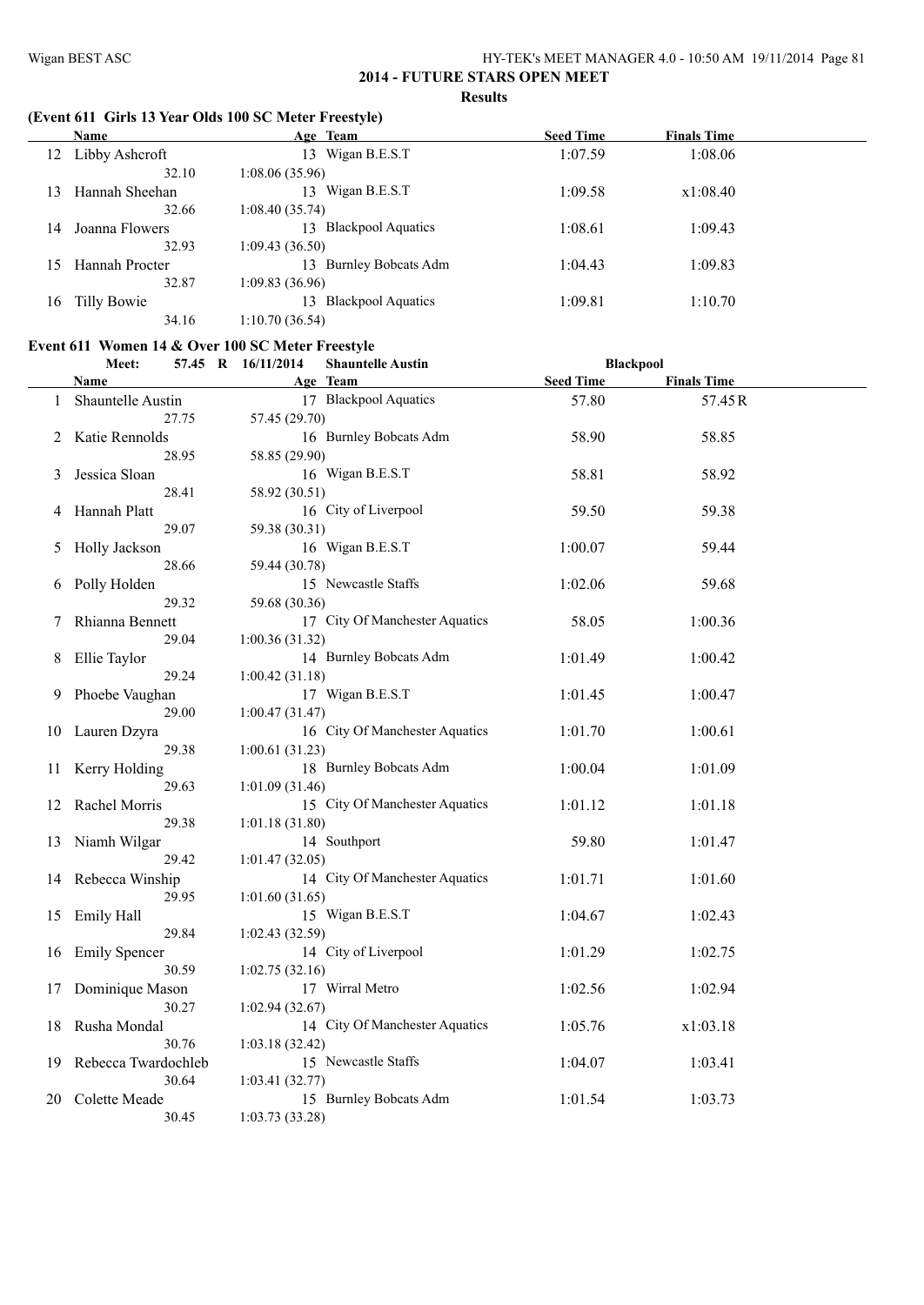## **(Event 611 Girls 13 Year Olds 100 SC Meter Freestyle)**

|    | Name           | Age Team                                     | <b>Seed Time</b> | <b>Finals Time</b> |  |
|----|----------------|----------------------------------------------|------------------|--------------------|--|
| 12 | Libby Ashcroft | 13 Wigan B.E.S.T                             | 1:07.59          | 1:08.06            |  |
|    | 32.10          | 1:08.06(35.96)                               |                  |                    |  |
| 13 | Hannah Sheehan | 13 Wigan B.E.S.T                             | 1:09.58          | x1:08.40           |  |
|    | 32.66          | 1:08.40(35.74)                               |                  |                    |  |
| 14 | Joanna Flowers | <b>Blackpool Aquatics</b><br>13.             | 1:08.61          | 1:09.43            |  |
|    | 32.93          | 1:09.43(36.50)                               |                  |                    |  |
| 15 | Hannah Procter | <b>Burnley Bobcats Adm</b><br>13.            | 1:04.43          | 1:09.83            |  |
|    | 32.87          | 1:09.83(36.96)                               |                  |                    |  |
| 16 | Tilly Bowie    | <b>Blackpool Aquatics</b><br>13 <sup>7</sup> | 1:09.81          | 1:10.70            |  |
|    | 34.16          | 1:10.70(36.54)                               |                  |                    |  |

## **Event 611 Women 14 & Over 100 SC Meter Freestyle**

|    | Meet:<br>57.45 R 16/11/2014 |                 | <b>Shauntelle Austin</b>       | <b>Blackpool</b> |                    |  |
|----|-----------------------------|-----------------|--------------------------------|------------------|--------------------|--|
|    | <b>Name</b>                 |                 | Age Team                       | <b>Seed Time</b> | <b>Finals Time</b> |  |
|    | 1 Shauntelle Austin         |                 | 17 Blackpool Aquatics          | 57.80            | 57.45R             |  |
|    | 27.75                       | 57.45 (29.70)   |                                |                  |                    |  |
| 2  | Katie Rennolds              |                 | 16 Burnley Bobcats Adm         | 58.90            | 58.85              |  |
|    | 28.95                       | 58.85 (29.90)   |                                |                  |                    |  |
| 3  | Jessica Sloan               |                 | 16 Wigan B.E.S.T               | 58.81            | 58.92              |  |
|    | 28.41                       | 58.92 (30.51)   |                                |                  |                    |  |
| 4  | Hannah Platt                |                 | 16 City of Liverpool           | 59.50            | 59.38              |  |
|    | 29.07                       | 59.38 (30.31)   |                                |                  |                    |  |
| 5  | Holly Jackson               |                 | 16 Wigan B.E.S.T               | 1:00.07          | 59.44              |  |
|    | 28.66                       | 59.44 (30.78)   |                                |                  |                    |  |
| 6  | Polly Holden                |                 | 15 Newcastle Staffs            | 1:02.06          | 59.68              |  |
|    | 29.32                       | 59.68 (30.36)   |                                |                  |                    |  |
| 7  | Rhianna Bennett             |                 | 17 City Of Manchester Aquatics | 58.05            | 1:00.36            |  |
|    | 29.04                       | 1:00.36(31.32)  |                                |                  |                    |  |
| 8  | Ellie Taylor                |                 | 14 Burnley Bobcats Adm         | 1:01.49          | 1:00.42            |  |
|    | 29.24                       | 1:00.42(31.18)  |                                |                  |                    |  |
| 9  | Phoebe Vaughan              |                 | 17 Wigan B.E.S.T               | 1:01.45          | 1:00.47            |  |
|    | 29.00                       | 1:00.47(31.47)  |                                |                  |                    |  |
| 10 | Lauren Dzyra                |                 | 16 City Of Manchester Aquatics | 1:01.70          | 1:00.61            |  |
|    | 29.38                       | 1:00.61(31.23)  |                                |                  |                    |  |
| 11 | Kerry Holding               |                 | 18 Burnley Bobcats Adm         | 1:00.04          | 1:01.09            |  |
|    | 29.63                       | 1:01.09(31.46)  |                                |                  |                    |  |
| 12 | Rachel Morris               |                 | 15 City Of Manchester Aquatics | 1:01.12          | 1:01.18            |  |
|    | 29.38                       | 1:01.18(31.80)  |                                |                  |                    |  |
| 13 | Niamh Wilgar                |                 | 14 Southport                   | 59.80            | 1:01.47            |  |
|    | 29.42                       | 1:01.47(32.05)  |                                |                  |                    |  |
| 14 | Rebecca Winship             |                 | 14 City Of Manchester Aquatics | 1:01.71          | 1:01.60            |  |
|    | 29.95                       | 1:01.60(31.65)  |                                |                  |                    |  |
| 15 | Emily Hall                  |                 | 15 Wigan B.E.S.T               | 1:04.67          | 1:02.43            |  |
|    | 29.84                       | 1:02.43(32.59)  |                                |                  |                    |  |
| 16 | <b>Emily Spencer</b>        |                 | 14 City of Liverpool           | 1:01.29          | 1:02.75            |  |
|    | 30.59                       | 1:02.75(32.16)  |                                |                  |                    |  |
| 17 | Dominique Mason             |                 | 17 Wirral Metro                | 1:02.56          | 1:02.94            |  |
|    | 30.27                       | 1:02.94(32.67)  |                                |                  |                    |  |
| 18 | Rusha Mondal                |                 | 14 City Of Manchester Aquatics | 1:05.76          | x1:03.18           |  |
|    | 30.76                       | 1:03.18(32.42)  |                                |                  |                    |  |
| 19 | Rebecca Twardochleb         |                 | 15 Newcastle Staffs            | 1:04.07          | 1:03.41            |  |
|    | 30.64                       | 1:03.41(32.77)  |                                |                  |                    |  |
| 20 | Colette Meade               |                 | 15 Burnley Bobcats Adm         | 1:01.54          | 1:03.73            |  |
|    | 30.45                       | 1:03.73 (33.28) |                                |                  |                    |  |